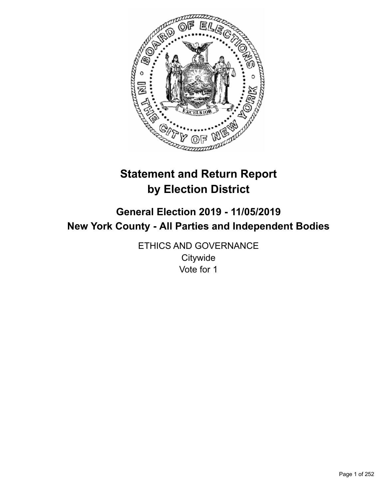

# **Statement and Return Report by Election District**

# **General Election 2019 - 11/05/2019 New York County - All Parties and Independent Bodies**

ETHICS AND GOVERNANCE **Citywide** Vote for 1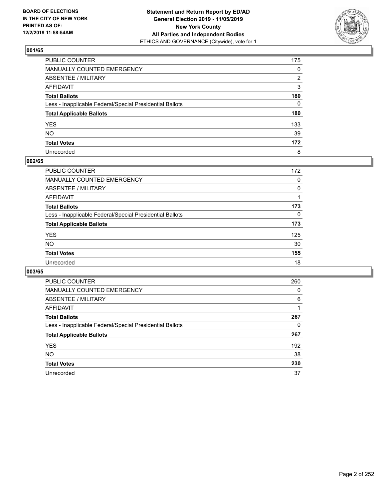

| PUBLIC COUNTER                                           | 175 |
|----------------------------------------------------------|-----|
| MANUALLY COUNTED EMERGENCY                               | 0   |
| ABSENTEE / MILITARY                                      | 2   |
| AFFIDAVIT                                                | 3   |
| Total Ballots                                            | 180 |
| Less - Inapplicable Federal/Special Presidential Ballots | 0   |
| <b>Total Applicable Ballots</b>                          | 180 |
| YES                                                      | 133 |
| NO.                                                      | 39  |
| <b>Total Votes</b>                                       | 172 |
| Unrecorded                                               | 8   |

## **002/65**

| <b>PUBLIC COUNTER</b>                                    | 172      |
|----------------------------------------------------------|----------|
| <b>MANUALLY COUNTED EMERGENCY</b>                        | 0        |
| ABSENTEE / MILITARY                                      | 0        |
| AFFIDAVIT                                                |          |
| <b>Total Ballots</b>                                     | 173      |
| Less - Inapplicable Federal/Special Presidential Ballots | $\Omega$ |
| <b>Total Applicable Ballots</b>                          | 173      |
| <b>YES</b>                                               | 125      |
| <b>NO</b>                                                | 30       |
| <b>Total Votes</b>                                       | 155      |
| Unrecorded                                               | 18       |

| <b>PUBLIC COUNTER</b>                                    | 260      |
|----------------------------------------------------------|----------|
| <b>MANUALLY COUNTED EMERGENCY</b>                        | $\Omega$ |
| ABSENTEE / MILITARY                                      | 6        |
| AFFIDAVIT                                                |          |
| <b>Total Ballots</b>                                     | 267      |
| Less - Inapplicable Federal/Special Presidential Ballots | 0        |
| <b>Total Applicable Ballots</b>                          | 267      |
| <b>YES</b>                                               | 192      |
| <b>NO</b>                                                | 38       |
| <b>Total Votes</b>                                       | 230      |
| Unrecorded                                               | 37       |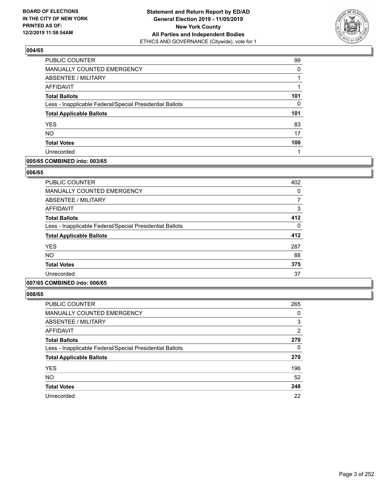

| PUBLIC COUNTER                                           | 99       |
|----------------------------------------------------------|----------|
| MANUALLY COUNTED EMERGENCY                               | $\Omega$ |
| ABSENTEE / MILITARY                                      |          |
| AFFIDAVIT                                                |          |
| <b>Total Ballots</b>                                     | 101      |
| Less - Inapplicable Federal/Special Presidential Ballots | 0        |
| <b>Total Applicable Ballots</b>                          | 101      |
| <b>YES</b>                                               | 83       |
| <b>NO</b>                                                | 17       |
| <b>Total Votes</b>                                       | 100      |
| Unrecorded                                               |          |

## **005/65 COMBINED into: 003/65**

### **006/65**

| <b>PUBLIC COUNTER</b>                                    | 402 |
|----------------------------------------------------------|-----|
| <b>MANUALLY COUNTED EMERGENCY</b>                        | 0   |
| ABSENTEE / MILITARY                                      |     |
| <b>AFFIDAVIT</b>                                         | 3   |
| <b>Total Ballots</b>                                     | 412 |
| Less - Inapplicable Federal/Special Presidential Ballots | 0   |
| <b>Total Applicable Ballots</b>                          | 412 |
| <b>YES</b>                                               | 287 |
| <b>NO</b>                                                | 88  |
| <b>Total Votes</b>                                       | 375 |
| Unrecorded                                               | 37  |
|                                                          |     |

# **007/65 COMBINED into: 006/65**

| <b>PUBLIC COUNTER</b>                                    | 265 |
|----------------------------------------------------------|-----|
| <b>MANUALLY COUNTED EMERGENCY</b>                        | 0   |
| ABSENTEE / MILITARY                                      | 3   |
| <b>AFFIDAVIT</b>                                         | 2   |
| <b>Total Ballots</b>                                     | 270 |
| Less - Inapplicable Federal/Special Presidential Ballots | 0   |
| <b>Total Applicable Ballots</b>                          | 270 |
| <b>YES</b>                                               | 196 |
| <b>NO</b>                                                | 52  |
| <b>Total Votes</b>                                       | 248 |
| Unrecorded                                               | 22  |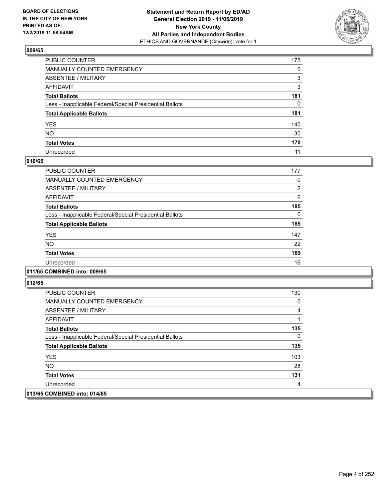

| PUBLIC COUNTER                                           | 175          |
|----------------------------------------------------------|--------------|
| MANUALLY COUNTED EMERGENCY                               | 0            |
| ABSENTEE / MILITARY                                      | 3            |
| AFFIDAVIT                                                | 3            |
| Total Ballots                                            | 181          |
| Less - Inapplicable Federal/Special Presidential Ballots | $\mathbf{0}$ |
| <b>Total Applicable Ballots</b>                          | 181          |
| YES                                                      | 140          |
| NO.                                                      | 30           |
| <b>Total Votes</b>                                       | 170          |
| Unrecorded                                               | 11           |

### **010/65**

| <b>PUBLIC COUNTER</b>                                    | 177      |
|----------------------------------------------------------|----------|
| <b>MANUALLY COUNTED EMERGENCY</b>                        | 0        |
| ABSENTEE / MILITARY                                      | 2        |
| <b>AFFIDAVIT</b>                                         | 6        |
| <b>Total Ballots</b>                                     | 185      |
| Less - Inapplicable Federal/Special Presidential Ballots | $\Omega$ |
| <b>Total Applicable Ballots</b>                          | 185      |
| <b>YES</b>                                               | 147      |
| NO.                                                      | 22       |
| <b>Total Votes</b>                                       | 169      |
| Unrecorded                                               | 16       |

### **011/65 COMBINED into: 009/65**

| PUBLIC COUNTER                                           | 130 |
|----------------------------------------------------------|-----|
| <b>MANUALLY COUNTED EMERGENCY</b>                        | 0   |
| ABSENTEE / MILITARY                                      | 4   |
| AFFIDAVIT                                                |     |
| <b>Total Ballots</b>                                     | 135 |
| Less - Inapplicable Federal/Special Presidential Ballots | 0   |
| <b>Total Applicable Ballots</b>                          | 135 |
| <b>YES</b>                                               | 103 |
| NO.                                                      | 28  |
| <b>Total Votes</b>                                       | 131 |
| Unrecorded                                               | 4   |
| 013/65 COMBINED into: 014/65                             |     |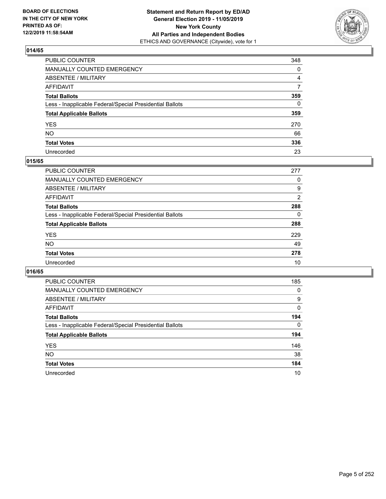

| PUBLIC COUNTER                                           | 348          |
|----------------------------------------------------------|--------------|
| MANUALLY COUNTED EMERGENCY                               | 0            |
| ABSENTEE / MILITARY                                      | 4            |
| AFFIDAVIT                                                | 7            |
| Total Ballots                                            | 359          |
| Less - Inapplicable Federal/Special Presidential Ballots | $\mathbf{0}$ |
| <b>Total Applicable Ballots</b>                          | 359          |
| YES                                                      | 270          |
| NO.                                                      | 66           |
| <b>Total Votes</b>                                       | 336          |
| Unrecorded                                               | 23           |

### **015/65**

| <b>PUBLIC COUNTER</b>                                    | 277            |
|----------------------------------------------------------|----------------|
| <b>MANUALLY COUNTED EMERGENCY</b>                        | 0              |
| ABSENTEE / MILITARY                                      | 9              |
| AFFIDAVIT                                                | $\overline{2}$ |
| <b>Total Ballots</b>                                     | 288            |
| Less - Inapplicable Federal/Special Presidential Ballots | $\Omega$       |
| <b>Total Applicable Ballots</b>                          | 288            |
| <b>YES</b>                                               | 229            |
| <b>NO</b>                                                | 49             |
| <b>Total Votes</b>                                       | 278            |
| Unrecorded                                               | 10             |

| <b>PUBLIC COUNTER</b>                                    | 185      |
|----------------------------------------------------------|----------|
| <b>MANUALLY COUNTED EMERGENCY</b>                        | 0        |
| ABSENTEE / MILITARY                                      | 9        |
| AFFIDAVIT                                                | 0        |
| <b>Total Ballots</b>                                     | 194      |
| Less - Inapplicable Federal/Special Presidential Ballots | $\Omega$ |
| <b>Total Applicable Ballots</b>                          | 194      |
| <b>YES</b>                                               | 146      |
| <b>NO</b>                                                | 38       |
| <b>Total Votes</b>                                       | 184      |
| Unrecorded                                               | 10       |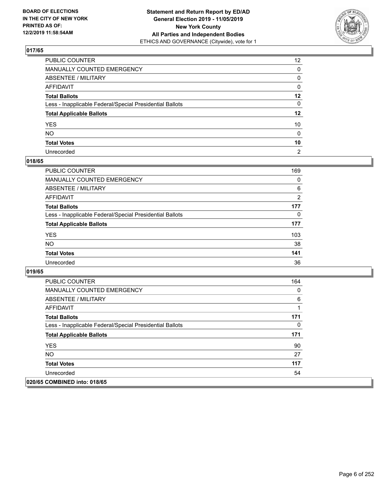

| PUBLIC COUNTER                                           | 12 <sup>2</sup> |
|----------------------------------------------------------|-----------------|
| MANUALLY COUNTED EMERGENCY                               | $\mathbf{0}$    |
| ABSENTEE / MILITARY                                      | 0               |
| AFFIDAVIT                                                | 0               |
| Total Ballots                                            | $12 \,$         |
| Less - Inapplicable Federal/Special Presidential Ballots | $\mathbf{0}$    |
| <b>Total Applicable Ballots</b>                          | 12              |
| YES                                                      | 10 <sup>°</sup> |
| NO.                                                      | 0               |
| <b>Total Votes</b>                                       | 10              |
| Unrecorded                                               | $\overline{2}$  |

### **018/65**

| <b>PUBLIC COUNTER</b>                                    | 169            |
|----------------------------------------------------------|----------------|
| <b>MANUALLY COUNTED EMERGENCY</b>                        | $\Omega$       |
| ABSENTEE / MILITARY                                      | 6              |
| AFFIDAVIT                                                | $\overline{2}$ |
| <b>Total Ballots</b>                                     | 177            |
| Less - Inapplicable Federal/Special Presidential Ballots | 0              |
| <b>Total Applicable Ballots</b>                          | 177            |
| <b>YES</b>                                               | 103            |
| <b>NO</b>                                                | 38             |
| <b>Total Votes</b>                                       | 141            |
| Unrecorded                                               | 36             |

| <b>PUBLIC COUNTER</b>                                    | 164 |
|----------------------------------------------------------|-----|
| <b>MANUALLY COUNTED EMERGENCY</b>                        | 0   |
| ABSENTEE / MILITARY                                      | 6   |
| AFFIDAVIT                                                |     |
| <b>Total Ballots</b>                                     | 171 |
| Less - Inapplicable Federal/Special Presidential Ballots | 0   |
| <b>Total Applicable Ballots</b>                          | 171 |
| <b>YES</b>                                               | 90  |
| <b>NO</b>                                                | 27  |
| <b>Total Votes</b>                                       | 117 |
| Unrecorded                                               | 54  |
| 020/65 COMBINED into: 018/65                             |     |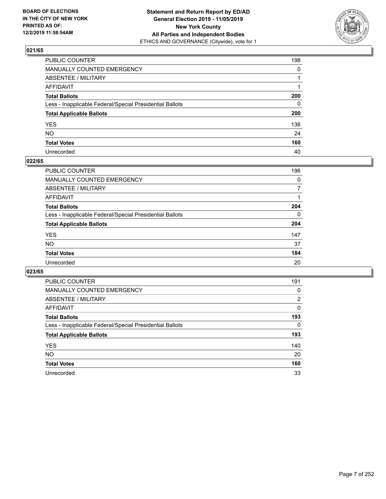

| PUBLIC COUNTER                                           | 198          |
|----------------------------------------------------------|--------------|
| MANUALLY COUNTED EMERGENCY                               | $\mathbf{0}$ |
| ABSENTEE / MILITARY                                      |              |
| AFFIDAVIT                                                |              |
| Total Ballots                                            | 200          |
| Less - Inapplicable Federal/Special Presidential Ballots | $\mathbf{0}$ |
| <b>Total Applicable Ballots</b>                          | 200          |
| YES                                                      | 136          |
| NO.                                                      | 24           |
| <b>Total Votes</b>                                       | 160          |
| Unrecorded                                               | 40           |

### **022/65**

| <b>PUBLIC COUNTER</b>                                    | 196      |
|----------------------------------------------------------|----------|
| <b>MANUALLY COUNTED EMERGENCY</b>                        | $\Omega$ |
| ABSENTEE / MILITARY                                      |          |
| AFFIDAVIT                                                |          |
| <b>Total Ballots</b>                                     | 204      |
| Less - Inapplicable Federal/Special Presidential Ballots | $\Omega$ |
| <b>Total Applicable Ballots</b>                          | 204      |
| <b>YES</b>                                               | 147      |
| <b>NO</b>                                                | 37       |
| <b>Total Votes</b>                                       | 184      |
| Unrecorded                                               | 20       |

| <b>PUBLIC COUNTER</b>                                    | 191 |
|----------------------------------------------------------|-----|
| MANUALLY COUNTED EMERGENCY                               | 0   |
| ABSENTEE / MILITARY                                      | 2   |
| AFFIDAVIT                                                | 0   |
| <b>Total Ballots</b>                                     | 193 |
| Less - Inapplicable Federal/Special Presidential Ballots | 0   |
| <b>Total Applicable Ballots</b>                          | 193 |
| <b>YES</b>                                               | 140 |
| NO.                                                      | 20  |
| <b>Total Votes</b>                                       | 160 |
| Unrecorded                                               | 33  |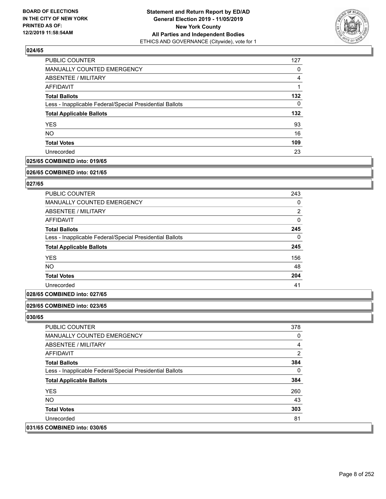

| <b>PUBLIC COUNTER</b>                                    | 127      |
|----------------------------------------------------------|----------|
| <b>MANUALLY COUNTED EMERGENCY</b>                        | 0        |
| <b>ABSENTEE / MILITARY</b>                               | 4        |
| <b>AFFIDAVIT</b>                                         |          |
| <b>Total Ballots</b>                                     | 132      |
| Less - Inapplicable Federal/Special Presidential Ballots | $\Omega$ |
| <b>Total Applicable Ballots</b>                          | 132      |
| <b>YES</b>                                               | 93       |
| <b>NO</b>                                                | 16       |
| <b>Total Votes</b>                                       | 109      |
| Unrecorded                                               | 23       |

# **025/65 COMBINED into: 019/65**

### **026/65 COMBINED into: 021/65**

# **027/65**

| PUBLIC COUNTER                                           | 243            |
|----------------------------------------------------------|----------------|
| <b>MANUALLY COUNTED EMERGENCY</b>                        | 0              |
| ABSENTEE / MILITARY                                      | $\overline{2}$ |
| AFFIDAVIT                                                | 0              |
| <b>Total Ballots</b>                                     | 245            |
| Less - Inapplicable Federal/Special Presidential Ballots | $\Omega$       |
| <b>Total Applicable Ballots</b>                          | 245            |
| <b>YES</b>                                               | 156            |
| <b>NO</b>                                                | 48             |
| <b>Total Votes</b>                                       | 204            |
| Unrecorded                                               | 41             |

# **028/65 COMBINED into: 027/65**

### **029/65 COMBINED into: 023/65**

| <b>PUBLIC COUNTER</b>                                    | 378 |
|----------------------------------------------------------|-----|
| <b>MANUALLY COUNTED EMERGENCY</b>                        | 0   |
| ABSENTEE / MILITARY                                      | 4   |
| AFFIDAVIT                                                | 2   |
| <b>Total Ballots</b>                                     | 384 |
| Less - Inapplicable Federal/Special Presidential Ballots | 0   |
| <b>Total Applicable Ballots</b>                          | 384 |
| <b>YES</b>                                               | 260 |
| NO.                                                      | 43  |
| <b>Total Votes</b>                                       | 303 |
| Unrecorded                                               | 81  |
| 031/65 COMBINED into: 030/65                             |     |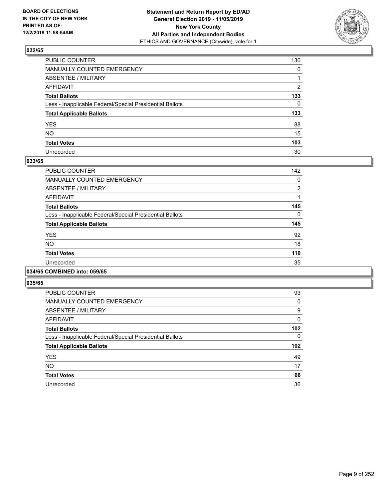

| PUBLIC COUNTER                                           | 130          |
|----------------------------------------------------------|--------------|
| MANUALLY COUNTED EMERGENCY                               | $\mathbf{0}$ |
| ABSENTEE / MILITARY                                      |              |
| AFFIDAVIT                                                | 2            |
| Total Ballots                                            | 133          |
| Less - Inapplicable Federal/Special Presidential Ballots | 0            |
| <b>Total Applicable Ballots</b>                          | 133          |
| YES                                                      | 88           |
| NO.                                                      | 15           |
| <b>Total Votes</b>                                       | 103          |
| Unrecorded                                               | 30           |

### **033/65**

| <b>PUBLIC COUNTER</b>                                    | 142      |
|----------------------------------------------------------|----------|
| <b>MANUALLY COUNTED EMERGENCY</b>                        | 0        |
| ABSENTEE / MILITARY                                      | 2        |
| <b>AFFIDAVIT</b>                                         |          |
| <b>Total Ballots</b>                                     | 145      |
| Less - Inapplicable Federal/Special Presidential Ballots | $\Omega$ |
| <b>Total Applicable Ballots</b>                          | 145      |
| <b>YES</b>                                               | 92       |
| <b>NO</b>                                                | 18       |
| <b>Total Votes</b>                                       | 110      |
| Unrecorded                                               | 35       |
|                                                          |          |

### **034/65 COMBINED into: 059/65**

| <b>PUBLIC COUNTER</b>                                    | 93  |
|----------------------------------------------------------|-----|
| <b>MANUALLY COUNTED EMERGENCY</b>                        | 0   |
| <b>ABSENTEE / MILITARY</b>                               | 9   |
| AFFIDAVIT                                                | 0   |
| <b>Total Ballots</b>                                     | 102 |
| Less - Inapplicable Federal/Special Presidential Ballots | 0   |
| <b>Total Applicable Ballots</b>                          | 102 |
| <b>YES</b>                                               | 49  |
| <b>NO</b>                                                | 17  |
|                                                          |     |
| <b>Total Votes</b>                                       | 66  |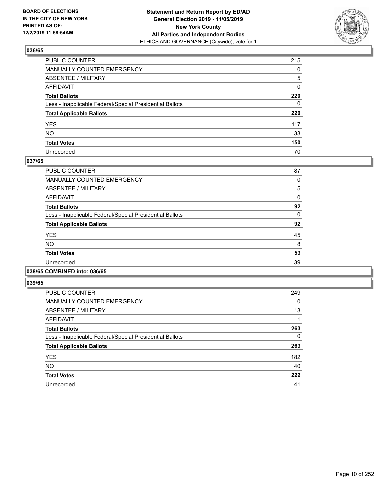

| PUBLIC COUNTER                                           | 215          |
|----------------------------------------------------------|--------------|
| MANUALLY COUNTED EMERGENCY                               | $\mathbf{0}$ |
| ABSENTEE / MILITARY                                      | 5            |
| AFFIDAVIT                                                | 0            |
| Total Ballots                                            | 220          |
| Less - Inapplicable Federal/Special Presidential Ballots | $\mathbf{0}$ |
| <b>Total Applicable Ballots</b>                          | 220          |
| YES                                                      | 117          |
| NΟ                                                       | 33           |
| <b>Total Votes</b>                                       | 150          |
| Unrecorded                                               | 70           |

### **037/65**

| <b>PUBLIC COUNTER</b>                                    | 87       |
|----------------------------------------------------------|----------|
| <b>MANUALLY COUNTED EMERGENCY</b>                        | 0        |
| ABSENTEE / MILITARY                                      | 5        |
| AFFIDAVIT                                                | 0        |
| <b>Total Ballots</b>                                     | 92       |
| Less - Inapplicable Federal/Special Presidential Ballots | $\Omega$ |
| <b>Total Applicable Ballots</b>                          | 92       |
| <b>YES</b>                                               | 45       |
| <b>NO</b>                                                | 8        |
| <b>Total Votes</b>                                       | 53       |
| Unrecorded                                               | 39       |
|                                                          |          |

### **038/65 COMBINED into: 036/65**

| <b>PUBLIC COUNTER</b>                                    | 249 |
|----------------------------------------------------------|-----|
| MANUALLY COUNTED EMERGENCY                               | 0   |
| ABSENTEE / MILITARY                                      | 13  |
| AFFIDAVIT                                                |     |
| <b>Total Ballots</b>                                     | 263 |
| Less - Inapplicable Federal/Special Presidential Ballots | 0   |
| <b>Total Applicable Ballots</b>                          | 263 |
| <b>YES</b>                                               | 182 |
| <b>NO</b>                                                | 40  |
| <b>Total Votes</b>                                       | 222 |
| Unrecorded                                               | 41  |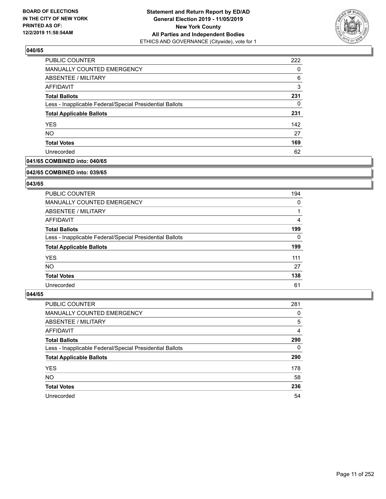

| PUBLIC COUNTER                                           | 222 |
|----------------------------------------------------------|-----|
| MANUALLY COUNTED EMERGENCY                               | 0   |
| ABSENTEE / MILITARY                                      | 6   |
| AFFIDAVIT                                                | 3   |
| <b>Total Ballots</b>                                     | 231 |
| Less - Inapplicable Federal/Special Presidential Ballots | 0   |
| <b>Total Applicable Ballots</b>                          | 231 |
| <b>YES</b>                                               | 142 |
| <b>NO</b>                                                | 27  |
| <b>Total Votes</b>                                       | 169 |
| Unrecorded                                               | 62  |

# **041/65 COMBINED into: 040/65**

### **042/65 COMBINED into: 039/65**

# **043/65**

| <b>PUBLIC COUNTER</b>                                    | 194      |
|----------------------------------------------------------|----------|
| MANUALLY COUNTED EMERGENCY                               | 0        |
| ABSENTEE / MILITARY                                      |          |
| AFFIDAVIT                                                | 4        |
| <b>Total Ballots</b>                                     | 199      |
| Less - Inapplicable Federal/Special Presidential Ballots | $\Omega$ |
| <b>Total Applicable Ballots</b>                          | 199      |
| <b>YES</b>                                               | 111      |
| NO.                                                      | 27       |
| <b>Total Votes</b>                                       | 138      |
| Unrecorded                                               | 61       |

| PUBLIC COUNTER                                           | 281      |
|----------------------------------------------------------|----------|
| <b>MANUALLY COUNTED EMERGENCY</b>                        | 0        |
| ABSENTEE / MILITARY                                      | 5        |
| AFFIDAVIT                                                | 4        |
| <b>Total Ballots</b>                                     | 290      |
| Less - Inapplicable Federal/Special Presidential Ballots | $\Omega$ |
| <b>Total Applicable Ballots</b>                          | 290      |
| <b>YES</b>                                               | 178      |
| <b>NO</b>                                                | 58       |
| <b>Total Votes</b>                                       | 236      |
| Unrecorded                                               | 54       |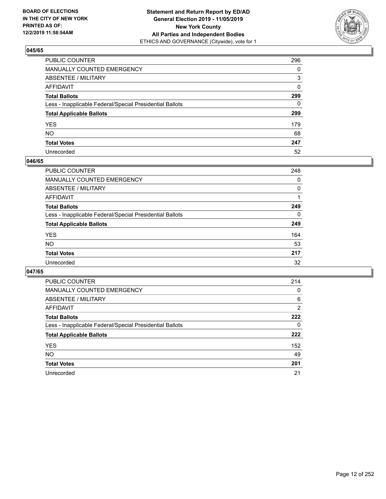

| PUBLIC COUNTER                                           | 296          |
|----------------------------------------------------------|--------------|
| MANUALLY COUNTED EMERGENCY                               | $\mathbf{0}$ |
| ABSENTEE / MILITARY                                      | 3            |
| AFFIDAVIT                                                | 0            |
| Total Ballots                                            | 299          |
| Less - Inapplicable Federal/Special Presidential Ballots | 0            |
| <b>Total Applicable Ballots</b>                          | 299          |
| YES                                                      | 179          |
| NO.                                                      | 68           |
| <b>Total Votes</b>                                       | 247          |
| Unrecorded                                               | 52           |

### **046/65**

| <b>PUBLIC COUNTER</b>                                    | 248      |
|----------------------------------------------------------|----------|
| <b>MANUALLY COUNTED EMERGENCY</b>                        | $\Omega$ |
| ABSENTEE / MILITARY                                      | 0        |
| AFFIDAVIT                                                |          |
| <b>Total Ballots</b>                                     | 249      |
| Less - Inapplicable Federal/Special Presidential Ballots | $\Omega$ |
| <b>Total Applicable Ballots</b>                          | 249      |
| <b>YES</b>                                               | 164      |
| <b>NO</b>                                                | 53       |
| <b>Total Votes</b>                                       | 217      |
| Unrecorded                                               | 32       |

| <b>PUBLIC COUNTER</b>                                    | 214 |
|----------------------------------------------------------|-----|
| <b>MANUALLY COUNTED EMERGENCY</b>                        | 0   |
| ABSENTEE / MILITARY                                      | 6   |
| AFFIDAVIT                                                | 2   |
| <b>Total Ballots</b>                                     | 222 |
| Less - Inapplicable Federal/Special Presidential Ballots | 0   |
| <b>Total Applicable Ballots</b>                          | 222 |
| <b>YES</b>                                               | 152 |
| <b>NO</b>                                                | 49  |
| <b>Total Votes</b>                                       | 201 |
| Unrecorded                                               | 21  |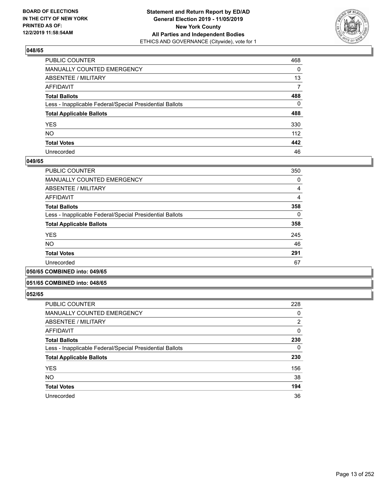

| PUBLIC COUNTER                                           | 468      |
|----------------------------------------------------------|----------|
| MANUALLY COUNTED EMERGENCY                               | $\Omega$ |
| ABSENTEE / MILITARY                                      | 13       |
| AFFIDAVIT                                                | 7        |
| Total Ballots                                            | 488      |
| Less - Inapplicable Federal/Special Presidential Ballots | 0        |
| <b>Total Applicable Ballots</b>                          | 488      |
| YES                                                      | 330      |
| NO.                                                      | 112      |
| <b>Total Votes</b>                                       | 442      |
| Unrecorded                                               | 46       |

### **049/65**

| <b>PUBLIC COUNTER</b>                                    | 350      |
|----------------------------------------------------------|----------|
| <b>MANUALLY COUNTED EMERGENCY</b>                        | 0        |
| ABSENTEE / MILITARY                                      | 4        |
| <b>AFFIDAVIT</b>                                         | 4        |
| <b>Total Ballots</b>                                     | 358      |
| Less - Inapplicable Federal/Special Presidential Ballots | $\Omega$ |
| <b>Total Applicable Ballots</b>                          | 358      |
| <b>YES</b>                                               | 245      |
| <b>NO</b>                                                | 46       |
| <b>Total Votes</b>                                       | 291      |
| Unrecorded                                               | 67       |
|                                                          |          |

### **050/65 COMBINED into: 049/65**

### **051/65 COMBINED into: 048/65**

| <b>PUBLIC COUNTER</b>                                    | 228 |
|----------------------------------------------------------|-----|
| <b>MANUALLY COUNTED EMERGENCY</b>                        | 0   |
| ABSENTEE / MILITARY                                      | 2   |
| <b>AFFIDAVIT</b>                                         | 0   |
| <b>Total Ballots</b>                                     | 230 |
| Less - Inapplicable Federal/Special Presidential Ballots | 0   |
|                                                          |     |
| <b>Total Applicable Ballots</b>                          | 230 |
| <b>YES</b>                                               | 156 |
| <b>NO</b>                                                | 38  |
| <b>Total Votes</b>                                       | 194 |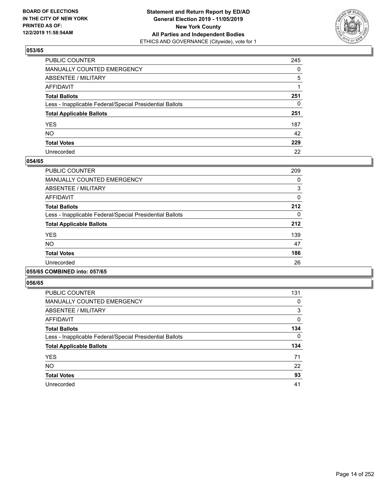

| PUBLIC COUNTER                                           | 245          |
|----------------------------------------------------------|--------------|
| MANUALLY COUNTED EMERGENCY                               | $\mathbf{0}$ |
| ABSENTEE / MILITARY                                      | 5            |
| AFFIDAVIT                                                |              |
| Total Ballots                                            | 251          |
| Less - Inapplicable Federal/Special Presidential Ballots | 0            |
| <b>Total Applicable Ballots</b>                          | 251          |
| YES                                                      | 187          |
| NO.                                                      | 42           |
| <b>Total Votes</b>                                       | 229          |
| Unrecorded                                               | 22           |

### **054/65**

| PUBLIC COUNTER                                           | 209      |
|----------------------------------------------------------|----------|
| <b>MANUALLY COUNTED EMERGENCY</b>                        | 0        |
| ABSENTEE / MILITARY                                      | 3        |
| <b>AFFIDAVIT</b>                                         | 0        |
| <b>Total Ballots</b>                                     | 212      |
| Less - Inapplicable Federal/Special Presidential Ballots | $\Omega$ |
| <b>Total Applicable Ballots</b>                          | 212      |
| <b>YES</b>                                               | 139      |
| NO.                                                      | 47       |
| <b>Total Votes</b>                                       | 186      |
| Unrecorded                                               | 26       |
|                                                          |          |

### **055/65 COMBINED into: 057/65**

| <b>PUBLIC COUNTER</b>                                    | 131 |
|----------------------------------------------------------|-----|
| <b>MANUALLY COUNTED EMERGENCY</b>                        | 0   |
| ABSENTEE / MILITARY                                      | 3   |
| <b>AFFIDAVIT</b>                                         | 0   |
| <b>Total Ballots</b>                                     | 134 |
| Less - Inapplicable Federal/Special Presidential Ballots | 0   |
| <b>Total Applicable Ballots</b>                          | 134 |
| <b>YES</b>                                               | 71  |
| <b>NO</b>                                                | 22  |
| <b>Total Votes</b>                                       | 93  |
| Unrecorded                                               | 41  |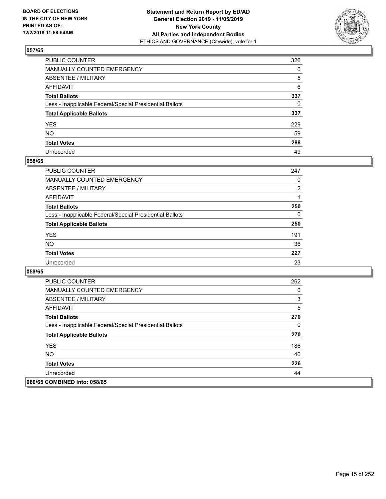

| PUBLIC COUNTER                                           | 326          |
|----------------------------------------------------------|--------------|
| MANUALLY COUNTED EMERGENCY                               | $\mathbf{0}$ |
| ABSENTEE / MILITARY                                      | 5            |
| AFFIDAVIT                                                | 6            |
| Total Ballots                                            | 337          |
| Less - Inapplicable Federal/Special Presidential Ballots | $\mathbf{0}$ |
| <b>Total Applicable Ballots</b>                          | 337          |
| YES                                                      | 229          |
| NO.                                                      | 59           |
| <b>Total Votes</b>                                       | 288          |
| Unrecorded                                               | 49           |

### **058/65**

| PUBLIC COUNTER                                           | 247            |
|----------------------------------------------------------|----------------|
| <b>MANUALLY COUNTED EMERGENCY</b>                        | $\Omega$       |
| ABSENTEE / MILITARY                                      | $\overline{2}$ |
| <b>AFFIDAVIT</b>                                         |                |
| <b>Total Ballots</b>                                     | 250            |
| Less - Inapplicable Federal/Special Presidential Ballots | 0              |
| <b>Total Applicable Ballots</b>                          | 250            |
| <b>YES</b>                                               | 191            |
| <b>NO</b>                                                | 36             |
| <b>Total Votes</b>                                       | 227            |
| Unrecorded                                               | 23             |

| <b>PUBLIC COUNTER</b>                                    | 262      |
|----------------------------------------------------------|----------|
| <b>MANUALLY COUNTED EMERGENCY</b>                        | $\Omega$ |
| ABSENTEE / MILITARY                                      | 3        |
| AFFIDAVIT                                                | 5        |
| <b>Total Ballots</b>                                     | 270      |
| Less - Inapplicable Federal/Special Presidential Ballots | 0        |
| <b>Total Applicable Ballots</b>                          | 270      |
| <b>YES</b>                                               | 186      |
| NO.                                                      | 40       |
| <b>Total Votes</b>                                       | 226      |
| Unrecorded                                               | 44       |
| 060/65 COMBINED into: 058/65                             |          |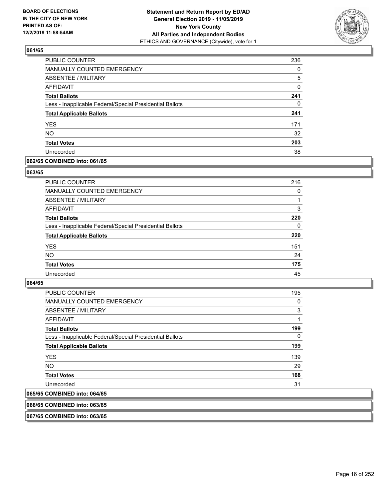

| <b>PUBLIC COUNTER</b>                                    | 236 |
|----------------------------------------------------------|-----|
| <b>MANUALLY COUNTED EMERGENCY</b>                        | 0   |
| <b>ABSENTEE / MILITARY</b>                               | 5   |
| <b>AFFIDAVIT</b>                                         | 0   |
| <b>Total Ballots</b>                                     | 241 |
| Less - Inapplicable Federal/Special Presidential Ballots | 0   |
| <b>Total Applicable Ballots</b>                          | 241 |
| <b>YES</b>                                               | 171 |
| <b>NO</b>                                                | 32  |
| <b>Total Votes</b>                                       | 203 |
| Unrecorded                                               | 38  |

## **062/65 COMBINED into: 061/65**

### **063/65**

| PUBLIC COUNTER                                           | 216      |
|----------------------------------------------------------|----------|
| MANUALLY COUNTED EMERGENCY                               | 0        |
| ABSENTEE / MILITARY                                      |          |
| AFFIDAVIT                                                | 3        |
| <b>Total Ballots</b>                                     | 220      |
| Less - Inapplicable Federal/Special Presidential Ballots | $\Omega$ |
| <b>Total Applicable Ballots</b>                          | 220      |
| <b>YES</b>                                               | 151      |
| <b>NO</b>                                                | 24       |
| <b>Total Votes</b>                                       | 175      |
| Unrecorded                                               | 45       |
|                                                          |          |

### **064/65**

| <b>PUBLIC COUNTER</b>                                    | 195      |
|----------------------------------------------------------|----------|
| <b>MANUALLY COUNTED EMERGENCY</b>                        | 0        |
| ABSENTEE / MILITARY                                      | 3        |
| <b>AFFIDAVIT</b>                                         | 1        |
| <b>Total Ballots</b>                                     | 199      |
| Less - Inapplicable Federal/Special Presidential Ballots | $\Omega$ |
| <b>Total Applicable Ballots</b>                          | 199      |
| <b>YES</b>                                               | 139      |
| <b>NO</b>                                                | 29       |
| <b>Total Votes</b>                                       | 168      |
| Unrecorded                                               | 31       |
| 065/65 COMBINED into: 064/65                             |          |

## **066/65 COMBINED into: 063/65**

**067/65 COMBINED into: 063/65**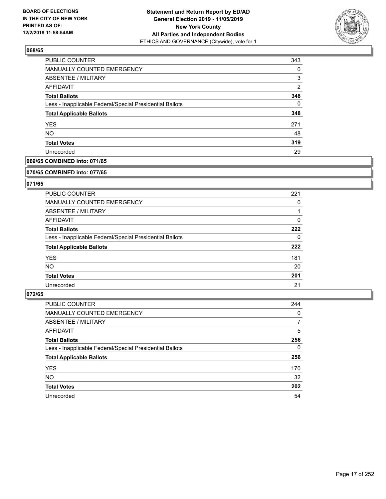

| PUBLIC COUNTER                                           | 343      |
|----------------------------------------------------------|----------|
| MANUALLY COUNTED EMERGENCY                               | 0        |
| ABSENTEE / MILITARY                                      | 3        |
| AFFIDAVIT                                                | 2        |
| <b>Total Ballots</b>                                     | 348      |
| Less - Inapplicable Federal/Special Presidential Ballots | $\Omega$ |
| <b>Total Applicable Ballots</b>                          | 348      |
| <b>YES</b>                                               | 271      |
| <b>NO</b>                                                | 48       |
| <b>Total Votes</b>                                       | 319      |
| Unrecorded                                               | 29       |

# **069/65 COMBINED into: 071/65**

### **070/65 COMBINED into: 077/65**

# **071/65**

| <b>PUBLIC COUNTER</b>                                    | 221 |
|----------------------------------------------------------|-----|
| MANUALLY COUNTED EMERGENCY                               | 0   |
| ABSENTEE / MILITARY                                      |     |
| AFFIDAVIT                                                | 0   |
| <b>Total Ballots</b>                                     | 222 |
| Less - Inapplicable Federal/Special Presidential Ballots | 0   |
| <b>Total Applicable Ballots</b>                          | 222 |
| <b>YES</b>                                               | 181 |
| NO.                                                      | 20  |
| <b>Total Votes</b>                                       | 201 |
| Unrecorded                                               | 21  |

| <b>PUBLIC COUNTER</b>                                    | 244      |
|----------------------------------------------------------|----------|
| MANUALLY COUNTED EMERGENCY                               | $\Omega$ |
| ABSENTEE / MILITARY                                      | 7        |
| AFFIDAVIT                                                | 5        |
| <b>Total Ballots</b>                                     | 256      |
| Less - Inapplicable Federal/Special Presidential Ballots | $\Omega$ |
| <b>Total Applicable Ballots</b>                          | 256      |
| <b>YES</b>                                               | 170      |
| <b>NO</b>                                                | 32       |
| <b>Total Votes</b>                                       | 202      |
| Unrecorded                                               | 54       |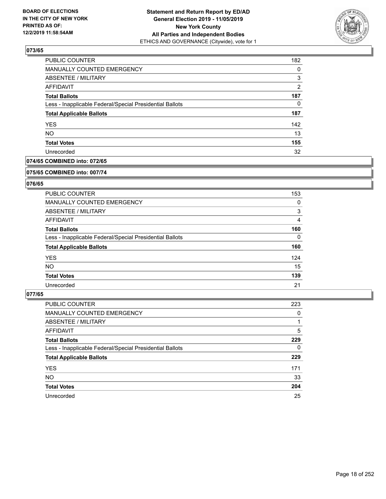

| <b>PUBLIC COUNTER</b>                                    | 182           |
|----------------------------------------------------------|---------------|
| MANUALLY COUNTED EMERGENCY                               | $\Omega$      |
| <b>ABSENTEE / MILITARY</b>                               | 3             |
| AFFIDAVIT                                                | $\mathcal{P}$ |
| <b>Total Ballots</b>                                     | 187           |
| Less - Inapplicable Federal/Special Presidential Ballots | 0             |
| <b>Total Applicable Ballots</b>                          | 187           |
| <b>YES</b>                                               | 142           |
| <b>NO</b>                                                | 13            |
| <b>Total Votes</b>                                       | 155           |
| Unrecorded                                               | 32            |

# **074/65 COMBINED into: 072/65**

### **075/65 COMBINED into: 007/74**

# **076/65**

| <b>PUBLIC COUNTER</b>                                    | 153      |
|----------------------------------------------------------|----------|
| MANUALLY COUNTED EMERGENCY                               | 0        |
| ABSENTEE / MILITARY                                      | 3        |
| AFFIDAVIT                                                | 4        |
| <b>Total Ballots</b>                                     | 160      |
| Less - Inapplicable Federal/Special Presidential Ballots | $\Omega$ |
| <b>Total Applicable Ballots</b>                          | 160      |
| <b>YES</b>                                               | 124      |
| NO.                                                      | 15       |
| <b>Total Votes</b>                                       | 139      |
| Unrecorded                                               | 21       |

| PUBLIC COUNTER                                           | 223      |
|----------------------------------------------------------|----------|
| <b>MANUALLY COUNTED EMERGENCY</b>                        | 0        |
| ABSENTEE / MILITARY                                      |          |
| AFFIDAVIT                                                | 5        |
| <b>Total Ballots</b>                                     | 229      |
| Less - Inapplicable Federal/Special Presidential Ballots | $\Omega$ |
| <b>Total Applicable Ballots</b>                          | 229      |
| <b>YES</b>                                               | 171      |
| <b>NO</b>                                                | 33       |
| <b>Total Votes</b>                                       | 204      |
| Unrecorded                                               | 25       |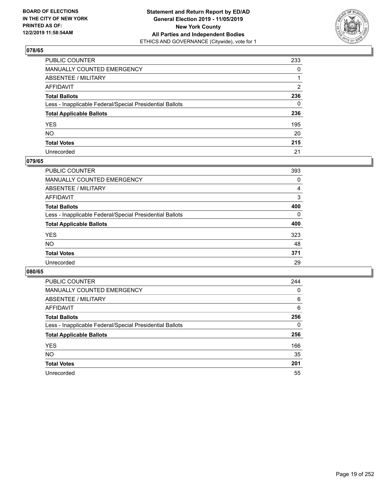

| PUBLIC COUNTER                                           | 233          |
|----------------------------------------------------------|--------------|
| MANUALLY COUNTED EMERGENCY                               | $\mathbf{0}$ |
| ABSENTEE / MILITARY                                      |              |
| AFFIDAVIT                                                | 2            |
| Total Ballots                                            | 236          |
| Less - Inapplicable Federal/Special Presidential Ballots | $\Omega$     |
| <b>Total Applicable Ballots</b>                          | 236          |
| YES                                                      | 195          |
| NO.                                                      | 20           |
| <b>Total Votes</b>                                       | 215          |
| Unrecorded                                               | 21           |

## **079/65**

| <b>PUBLIC COUNTER</b>                                    | 393      |
|----------------------------------------------------------|----------|
| MANUALLY COUNTED EMERGENCY                               | 0        |
| ABSENTEE / MILITARY                                      | 4        |
| AFFIDAVIT                                                | 3        |
| <b>Total Ballots</b>                                     | 400      |
| Less - Inapplicable Federal/Special Presidential Ballots | $\Omega$ |
| <b>Total Applicable Ballots</b>                          | 400      |
| <b>YES</b>                                               | 323      |
| <b>NO</b>                                                | 48       |
| <b>Total Votes</b>                                       | 371      |
| Unrecorded                                               | 29       |

| <b>PUBLIC COUNTER</b>                                    | 244 |
|----------------------------------------------------------|-----|
| <b>MANUALLY COUNTED EMERGENCY</b>                        | 0   |
| ABSENTEE / MILITARY                                      | 6   |
| AFFIDAVIT                                                | 6   |
| <b>Total Ballots</b>                                     | 256 |
| Less - Inapplicable Federal/Special Presidential Ballots | 0   |
| <b>Total Applicable Ballots</b>                          | 256 |
| <b>YES</b>                                               | 166 |
| NO.                                                      | 35  |
| <b>Total Votes</b>                                       | 201 |
| Unrecorded                                               | 55  |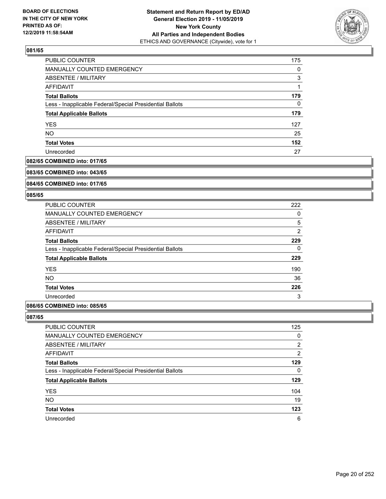

| PUBLIC COUNTER                                           | 175 |
|----------------------------------------------------------|-----|
| MANUALLY COUNTED EMERGENCY                               | 0   |
| ABSENTEE / MILITARY                                      | 3   |
| AFFIDAVIT                                                |     |
| <b>Total Ballots</b>                                     | 179 |
| Less - Inapplicable Federal/Special Presidential Ballots | 0   |
| <b>Total Applicable Ballots</b>                          | 179 |
| <b>YES</b>                                               | 127 |
| <b>NO</b>                                                | 25  |
| <b>Total Votes</b>                                       | 152 |
| Unrecorded                                               | 27  |

# **082/65 COMBINED into: 017/65**

### **083/65 COMBINED into: 043/65**

### **084/65 COMBINED into: 017/65**

### **085/65**

| <b>PUBLIC COUNTER</b>                                    | 222 |
|----------------------------------------------------------|-----|
| <b>MANUALLY COUNTED EMERGENCY</b>                        | 0   |
| ABSENTEE / MILITARY                                      | 5   |
| AFFIDAVIT                                                | 2   |
| <b>Total Ballots</b>                                     | 229 |
| Less - Inapplicable Federal/Special Presidential Ballots | 0   |
| <b>Total Applicable Ballots</b>                          | 229 |
| <b>YES</b>                                               | 190 |
| NO.                                                      | 36  |
| <b>Total Votes</b>                                       | 226 |
| Unrecorded                                               | 3   |

## **086/65 COMBINED into: 085/65**

| <b>PUBLIC COUNTER</b>                                    | 125            |
|----------------------------------------------------------|----------------|
| <b>MANUALLY COUNTED EMERGENCY</b>                        | 0              |
| ABSENTEE / MILITARY                                      | 2              |
| AFFIDAVIT                                                | $\overline{2}$ |
| <b>Total Ballots</b>                                     | 129            |
| Less - Inapplicable Federal/Special Presidential Ballots | 0              |
| <b>Total Applicable Ballots</b>                          | 129            |
| <b>YES</b>                                               | 104            |
| <b>NO</b>                                                | 19             |
| <b>Total Votes</b>                                       | 123            |
| Unrecorded                                               | 6              |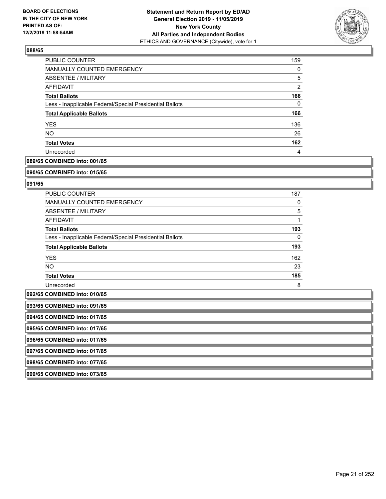

| PUBLIC COUNTER                                           | 159      |
|----------------------------------------------------------|----------|
| MANUALLY COUNTED EMERGENCY                               | $\Omega$ |
| ABSENTEE / MILITARY                                      | 5        |
| AFFIDAVIT                                                | 2        |
| <b>Total Ballots</b>                                     | 166      |
| Less - Inapplicable Federal/Special Presidential Ballots | 0        |
| <b>Total Applicable Ballots</b>                          | 166      |
| <b>YES</b>                                               | 136      |
| <b>NO</b>                                                | 26       |
| <b>Total Votes</b>                                       | 162      |
| Unrecorded                                               | 4        |

# **089/65 COMBINED into: 001/65**

### **090/65 COMBINED into: 015/65**

# **091/65**

| <b>PUBLIC COUNTER</b>                                    | 187      |
|----------------------------------------------------------|----------|
| <b>MANUALLY COUNTED EMERGENCY</b>                        | 0        |
| ABSENTEE / MILITARY                                      | 5        |
| AFFIDAVIT                                                |          |
| <b>Total Ballots</b>                                     | 193      |
| Less - Inapplicable Federal/Special Presidential Ballots | $\Omega$ |
| <b>Total Applicable Ballots</b>                          | 193      |
| <b>YES</b>                                               | 162      |
| <b>NO</b>                                                | 23       |
| <b>Total Votes</b>                                       | 185      |
| Unrecorded                                               | 8        |

### **092/65 COMBINED into: 010/65**

| 093/65 COMBINED into: 091/65<br><u> 1989 - Andrea Stein, amerikansk politiker (d. 1989)</u><br><u> 1989 - Johann Stein, marwolaethau a bhann an t-Amhair an t-Amhair an t-Amhair an t-Amhair an t-Amhair an t-A</u> |  |
|---------------------------------------------------------------------------------------------------------------------------------------------------------------------------------------------------------------------|--|
|                                                                                                                                                                                                                     |  |
| 094/65 COMBINED into: 017/65                                                                                                                                                                                        |  |
| a sa mga bagayan ng mga bagayan ng mga bagayan ng mga bagayan ng mga bagayang mga bagong mga bagong mga bagong                                                                                                      |  |
| 095/65 COMBINED into: 017/65                                                                                                                                                                                        |  |
|                                                                                                                                                                                                                     |  |
| 096/65 COMBINED into: 017/65                                                                                                                                                                                        |  |
| and the control of the control of the control of the control of                                                                                                                                                     |  |
| 097/65 COMBINED into: 017/65                                                                                                                                                                                        |  |
|                                                                                                                                                                                                                     |  |
| 098/65 COMBINED into: 077/65                                                                                                                                                                                        |  |
|                                                                                                                                                                                                                     |  |
| 099/65 COMBINED into: 073/65                                                                                                                                                                                        |  |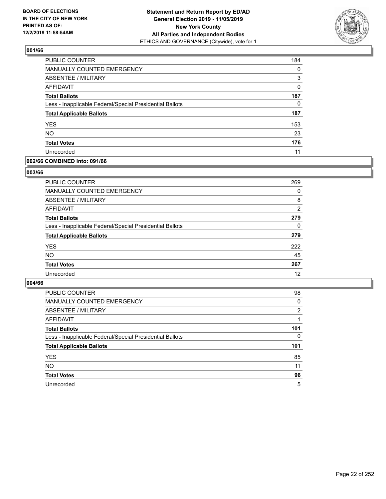

| PUBLIC COUNTER                                           | 184 |
|----------------------------------------------------------|-----|
| MANUALLY COUNTED EMERGENCY                               | 0   |
| ABSENTEE / MILITARY                                      | 3   |
| AFFIDAVIT                                                | 0   |
| <b>Total Ballots</b>                                     | 187 |
| Less - Inapplicable Federal/Special Presidential Ballots | 0   |
| <b>Total Applicable Ballots</b>                          | 187 |
| <b>YES</b>                                               | 153 |
| <b>NO</b>                                                | 23  |
| <b>Total Votes</b>                                       | 176 |
| Unrecorded                                               | 11  |

## **002/66 COMBINED into: 091/66**

## **003/66**

| PUBLIC COUNTER                                           | 269      |
|----------------------------------------------------------|----------|
| MANUALLY COUNTED EMERGENCY                               | 0        |
| <b>ABSENTEE / MILITARY</b>                               | 8        |
| AFFIDAVIT                                                | 2        |
| <b>Total Ballots</b>                                     | 279      |
| Less - Inapplicable Federal/Special Presidential Ballots | $\Omega$ |
| <b>Total Applicable Ballots</b>                          | 279      |
| <b>YES</b>                                               | 222      |
| <b>NO</b>                                                | 45       |
| <b>Total Votes</b>                                       | 267      |
| Unrecorded                                               | 12       |
|                                                          |          |

| <b>PUBLIC COUNTER</b>                                    | 98             |
|----------------------------------------------------------|----------------|
| MANUALLY COUNTED EMERGENCY                               | 0              |
| ABSENTEE / MILITARY                                      | $\overline{2}$ |
| AFFIDAVIT                                                |                |
| <b>Total Ballots</b>                                     | 101            |
| Less - Inapplicable Federal/Special Presidential Ballots | $\Omega$       |
| <b>Total Applicable Ballots</b>                          | 101            |
| <b>YES</b>                                               | 85             |
| <b>NO</b>                                                | 11             |
| <b>Total Votes</b>                                       | 96             |
| Unrecorded                                               | 5              |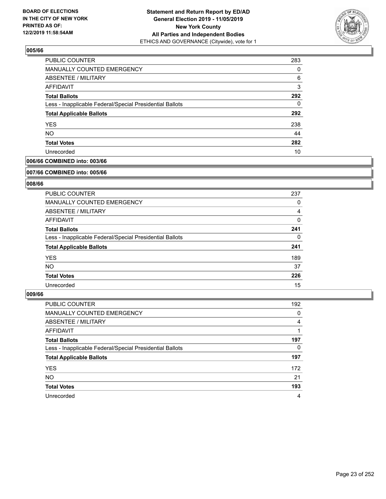

| PUBLIC COUNTER                                           | 283 |
|----------------------------------------------------------|-----|
| MANUALLY COUNTED EMERGENCY                               | 0   |
| ABSENTEE / MILITARY                                      | 6   |
| AFFIDAVIT                                                | 3   |
| <b>Total Ballots</b>                                     | 292 |
| Less - Inapplicable Federal/Special Presidential Ballots | 0   |
| <b>Total Applicable Ballots</b>                          | 292 |
| <b>YES</b>                                               | 238 |
| <b>NO</b>                                                | 44  |
| <b>Total Votes</b>                                       | 282 |
| Unrecorded                                               | 10  |

# **006/66 COMBINED into: 003/66**

### **007/66 COMBINED into: 005/66**

# **008/66**

| <b>PUBLIC COUNTER</b>                                    | 237      |
|----------------------------------------------------------|----------|
| MANUALLY COUNTED EMERGENCY                               | 0        |
| ABSENTEE / MILITARY                                      | 4        |
| AFFIDAVIT                                                | $\Omega$ |
| <b>Total Ballots</b>                                     | 241      |
| Less - Inapplicable Federal/Special Presidential Ballots | 0        |
| <b>Total Applicable Ballots</b>                          | 241      |
| <b>YES</b>                                               | 189      |
| NO.                                                      | 37       |
| <b>Total Votes</b>                                       | 226      |
| Unrecorded                                               | 15       |

| <b>PUBLIC COUNTER</b>                                    | 192      |
|----------------------------------------------------------|----------|
| MANUALLY COUNTED EMERGENCY                               | 0        |
| ABSENTEE / MILITARY                                      | 4        |
| AFFIDAVIT                                                |          |
| <b>Total Ballots</b>                                     | 197      |
| Less - Inapplicable Federal/Special Presidential Ballots | $\Omega$ |
| <b>Total Applicable Ballots</b>                          | 197      |
| <b>YES</b>                                               | 172      |
| <b>NO</b>                                                | 21       |
| <b>Total Votes</b>                                       | 193      |
| Unrecorded                                               | 4        |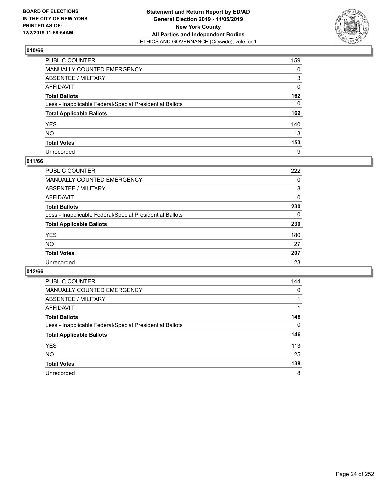

| PUBLIC COUNTER                                           | 159          |
|----------------------------------------------------------|--------------|
| MANUALLY COUNTED EMERGENCY                               | $\mathbf{0}$ |
| ABSENTEE / MILITARY                                      | 3            |
| AFFIDAVIT                                                | 0            |
| Total Ballots                                            | 162          |
| Less - Inapplicable Federal/Special Presidential Ballots | 0            |
| <b>Total Applicable Ballots</b>                          | 162          |
| YES                                                      | 140          |
| NO.                                                      | 13           |
| <b>Total Votes</b>                                       | 153          |
| Unrecorded                                               | 9            |

## **011/66**

| <b>PUBLIC COUNTER</b>                                    | 222      |
|----------------------------------------------------------|----------|
| MANUALLY COUNTED EMERGENCY                               | 0        |
| ABSENTEE / MILITARY                                      | 8        |
| AFFIDAVIT                                                | $\Omega$ |
| <b>Total Ballots</b>                                     | 230      |
| Less - Inapplicable Federal/Special Presidential Ballots | $\Omega$ |
| <b>Total Applicable Ballots</b>                          | 230      |
| <b>YES</b>                                               | 180      |
| <b>NO</b>                                                | 27       |
| <b>Total Votes</b>                                       | 207      |
| Unrecorded                                               | 23       |

| <b>PUBLIC COUNTER</b>                                    | 144      |
|----------------------------------------------------------|----------|
| <b>MANUALLY COUNTED EMERGENCY</b>                        | $\Omega$ |
| ABSENTEE / MILITARY                                      |          |
| AFFIDAVIT                                                |          |
| <b>Total Ballots</b>                                     | 146      |
| Less - Inapplicable Federal/Special Presidential Ballots | $\Omega$ |
| <b>Total Applicable Ballots</b>                          | 146      |
| <b>YES</b>                                               | 113      |
| <b>NO</b>                                                | 25       |
| <b>Total Votes</b>                                       | 138      |
| Unrecorded                                               | 8        |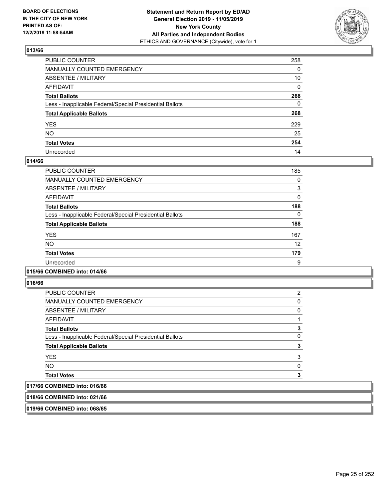

| PUBLIC COUNTER                                           | 258      |
|----------------------------------------------------------|----------|
| MANUALLY COUNTED EMERGENCY                               | 0        |
| ABSENTEE / MILITARY                                      | 10       |
| AFFIDAVIT                                                | $\Omega$ |
| Total Ballots                                            | 268      |
| Less - Inapplicable Federal/Special Presidential Ballots | 0        |
| <b>Total Applicable Ballots</b>                          | 268      |
| YES                                                      | 229      |
| NO.                                                      | 25       |
| <b>Total Votes</b>                                       | 254      |
| Unrecorded                                               | 14       |

## **014/66**

| <b>PUBLIC COUNTER</b>                                    | 185 |
|----------------------------------------------------------|-----|
| <b>MANUALLY COUNTED EMERGENCY</b>                        | 0   |
| ABSENTEE / MILITARY                                      | 3   |
| <b>AFFIDAVIT</b>                                         | 0   |
| <b>Total Ballots</b>                                     | 188 |
| Less - Inapplicable Federal/Special Presidential Ballots | 0   |
| <b>Total Applicable Ballots</b>                          | 188 |
| <b>YES</b>                                               | 167 |
| NO.                                                      | 12  |
| <b>Total Votes</b>                                       | 179 |
| Unrecorded                                               | 9   |

### **015/66 COMBINED into: 014/66**

**016/66** 

| 017/66 COMBINED into: 016/66                             |               |
|----------------------------------------------------------|---------------|
| <b>Total Votes</b>                                       | 3             |
| NO.                                                      | $\Omega$      |
| <b>YES</b>                                               | 3             |
| <b>Total Applicable Ballots</b>                          | 3             |
| Less - Inapplicable Federal/Special Presidential Ballots | $\Omega$      |
| <b>Total Ballots</b>                                     | 3             |
| AFFIDAVIT                                                |               |
| ABSENTEE / MILITARY                                      | $\Omega$      |
| <b>MANUALLY COUNTED EMERGENCY</b>                        | $\Omega$      |
| <b>PUBLIC COUNTER</b>                                    | $\mathcal{P}$ |

**018/66 COMBINED into: 021/66**

**019/66 COMBINED into: 068/65**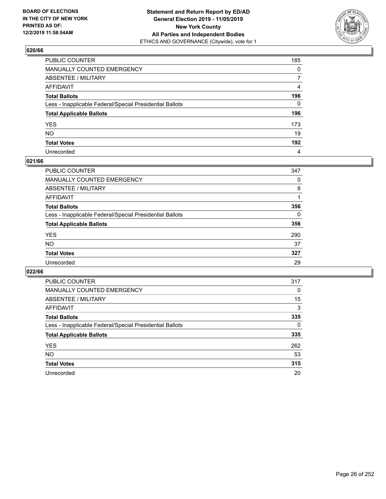

| PUBLIC COUNTER                                           | 185            |
|----------------------------------------------------------|----------------|
| MANUALLY COUNTED EMERGENCY                               | $\mathbf{0}$   |
| ABSENTEE / MILITARY                                      | $\overline{7}$ |
| AFFIDAVIT                                                | 4              |
| Total Ballots                                            | 196            |
| Less - Inapplicable Federal/Special Presidential Ballots | $\Omega$       |
| <b>Total Applicable Ballots</b>                          | 196            |
| YES                                                      | 173            |
| NO.                                                      | 19             |
| <b>Total Votes</b>                                       | 192            |
| Unrecorded                                               | 4              |

### **021/66**

| <b>PUBLIC COUNTER</b>                                    | 347      |
|----------------------------------------------------------|----------|
| MANUALLY COUNTED EMERGENCY                               | 0        |
| ABSENTEE / MILITARY                                      | 8        |
| AFFIDAVIT                                                |          |
| <b>Total Ballots</b>                                     | 356      |
| Less - Inapplicable Federal/Special Presidential Ballots | $\Omega$ |
| <b>Total Applicable Ballots</b>                          | 356      |
| <b>YES</b>                                               | 290      |
| <b>NO</b>                                                | 37       |
| <b>Total Votes</b>                                       | 327      |
| Unrecorded                                               | 29       |

| <b>PUBLIC COUNTER</b>                                    | 317          |
|----------------------------------------------------------|--------------|
| MANUALLY COUNTED EMERGENCY                               | 0            |
| ABSENTEE / MILITARY                                      | 15           |
| AFFIDAVIT                                                | 3            |
| <b>Total Ballots</b>                                     | 335          |
| Less - Inapplicable Federal/Special Presidential Ballots | $\mathbf{0}$ |
| <b>Total Applicable Ballots</b>                          | 335          |
| <b>YES</b>                                               | 262          |
| NO.                                                      | 53           |
| <b>Total Votes</b>                                       | 315          |
| Unrecorded                                               | 20           |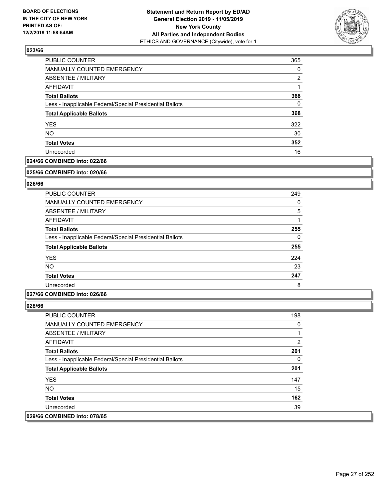

| PUBLIC COUNTER                                           | 365            |
|----------------------------------------------------------|----------------|
| MANUALLY COUNTED EMERGENCY                               | $\Omega$       |
| ABSENTEE / MILITARY                                      | $\overline{2}$ |
| AFFIDAVIT                                                |                |
| <b>Total Ballots</b>                                     | 368            |
| Less - Inapplicable Federal/Special Presidential Ballots | $\Omega$       |
| <b>Total Applicable Ballots</b>                          | 368            |
| <b>YES</b>                                               | 322            |
| <b>NO</b>                                                | 30             |
| <b>Total Votes</b>                                       | 352            |
| Unrecorded                                               | 16             |

# **024/66 COMBINED into: 022/66**

### **025/66 COMBINED into: 020/66**

# **026/66**

| <b>PUBLIC COUNTER</b>                                    | 249      |
|----------------------------------------------------------|----------|
| <b>MANUALLY COUNTED EMERGENCY</b>                        | 0        |
| ABSENTEE / MILITARY                                      | 5        |
| <b>AFFIDAVIT</b>                                         |          |
| <b>Total Ballots</b>                                     | 255      |
| Less - Inapplicable Federal/Special Presidential Ballots | $\Omega$ |
| <b>Total Applicable Ballots</b>                          | 255      |
| <b>YES</b>                                               | 224      |
| <b>NO</b>                                                | 23       |
| <b>Total Votes</b>                                       | 247      |
| Unrecorded                                               | 8        |

### **027/66 COMBINED into: 026/66**

| <b>PUBLIC COUNTER</b>                                    | 198 |
|----------------------------------------------------------|-----|
| <b>MANUALLY COUNTED EMERGENCY</b>                        | 0   |
| ABSENTEE / MILITARY                                      |     |
| AFFIDAVIT                                                | 2   |
| <b>Total Ballots</b>                                     | 201 |
| Less - Inapplicable Federal/Special Presidential Ballots | 0   |
| <b>Total Applicable Ballots</b>                          | 201 |
| <b>YES</b>                                               | 147 |
| <b>NO</b>                                                | 15  |
| <b>Total Votes</b>                                       | 162 |
| Unrecorded                                               | 39  |
| 029/66 COMBINED into: 078/65                             |     |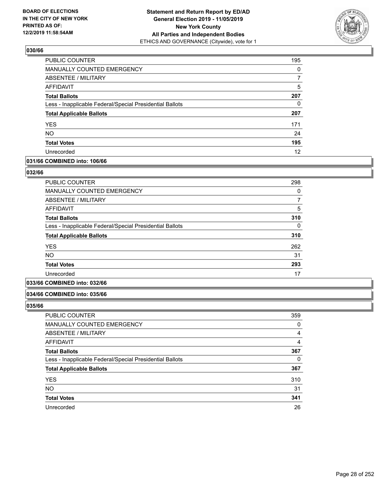

| <b>PUBLIC COUNTER</b>                                    | 195      |
|----------------------------------------------------------|----------|
| MANUALLY COUNTED EMERGENCY                               | $\Omega$ |
| <b>ABSENTEE / MILITARY</b>                               |          |
| AFFIDAVIT                                                | 5        |
| <b>Total Ballots</b>                                     | 207      |
| Less - Inapplicable Federal/Special Presidential Ballots | 0        |
| <b>Total Applicable Ballots</b>                          | 207      |
| <b>YES</b>                                               | 171      |
| <b>NO</b>                                                | 24       |
| <b>Total Votes</b>                                       | 195      |
| Unrecorded                                               | 12       |

### **031/66 COMBINED into: 106/66**

### **032/66**

| PUBLIC COUNTER                                           | 298 |
|----------------------------------------------------------|-----|
| <b>MANUALLY COUNTED EMERGENCY</b>                        | 0   |
| ABSENTEE / MILITARY                                      | 7   |
| <b>AFFIDAVIT</b>                                         | 5   |
| <b>Total Ballots</b>                                     | 310 |
| Less - Inapplicable Federal/Special Presidential Ballots | 0   |
| <b>Total Applicable Ballots</b>                          | 310 |
| <b>YES</b>                                               | 262 |
| <b>NO</b>                                                | 31  |
| <b>Total Votes</b>                                       | 293 |
| Unrecorded                                               | 17  |

# **033/66 COMBINED into: 032/66**

### **034/66 COMBINED into: 035/66**

| <b>PUBLIC COUNTER</b>                                    | 359 |
|----------------------------------------------------------|-----|
| MANUALLY COUNTED EMERGENCY                               | 0   |
| ABSENTEE / MILITARY                                      | 4   |
| AFFIDAVIT                                                | 4   |
| <b>Total Ballots</b>                                     | 367 |
| Less - Inapplicable Federal/Special Presidential Ballots | 0   |
| <b>Total Applicable Ballots</b>                          | 367 |
| <b>YES</b>                                               | 310 |
| <b>NO</b>                                                | 31  |
| <b>Total Votes</b>                                       | 341 |
| Unrecorded                                               | 26  |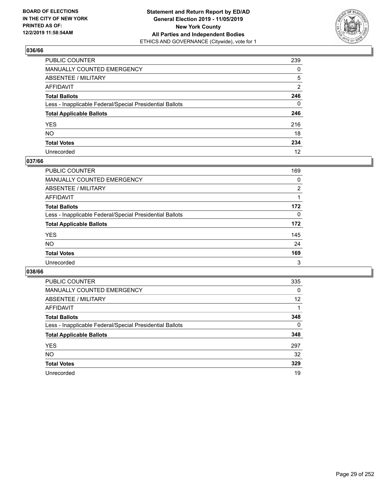

| PUBLIC COUNTER                                           | 239          |
|----------------------------------------------------------|--------------|
| MANUALLY COUNTED EMERGENCY                               | $\mathbf{0}$ |
| ABSENTEE / MILITARY                                      | 5            |
| AFFIDAVIT                                                | 2            |
| Total Ballots                                            | 246          |
| Less - Inapplicable Federal/Special Presidential Ballots | 0            |
| <b>Total Applicable Ballots</b>                          | 246          |
| YES                                                      | 216          |
| NO.                                                      | 18           |
| <b>Total Votes</b>                                       | 234          |
| Unrecorded                                               | 12           |

### **037/66**

| <b>PUBLIC COUNTER</b>                                    | 169            |
|----------------------------------------------------------|----------------|
| MANUALLY COUNTED EMERGENCY                               | $\Omega$       |
| ABSENTEE / MILITARY                                      | $\overline{2}$ |
| AFFIDAVIT                                                |                |
| <b>Total Ballots</b>                                     | 172            |
| Less - Inapplicable Federal/Special Presidential Ballots | $\Omega$       |
| <b>Total Applicable Ballots</b>                          | 172            |
| <b>YES</b>                                               | 145            |
| <b>NO</b>                                                | 24             |
| <b>Total Votes</b>                                       | 169            |
| Unrecorded                                               | 3              |

| <b>PUBLIC COUNTER</b>                                    | 335      |
|----------------------------------------------------------|----------|
| <b>MANUALLY COUNTED EMERGENCY</b>                        | 0        |
| ABSENTEE / MILITARY                                      | 12       |
| AFFIDAVIT                                                |          |
| <b>Total Ballots</b>                                     | 348      |
| Less - Inapplicable Federal/Special Presidential Ballots | $\Omega$ |
| <b>Total Applicable Ballots</b>                          | 348      |
| <b>YES</b>                                               | 297      |
| <b>NO</b>                                                | 32       |
| <b>Total Votes</b>                                       | 329      |
| Unrecorded                                               | 19       |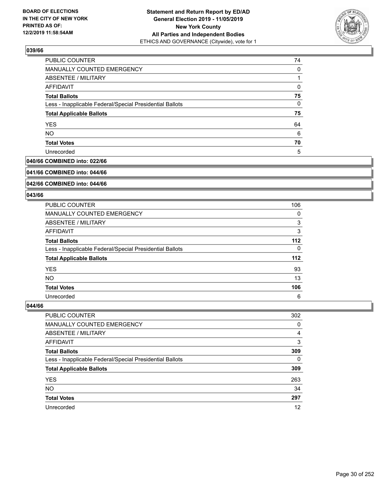

| 74       |
|----------|
| $\Omega$ |
|          |
| 0        |
| 75       |
| $\Omega$ |
| 75       |
| 64       |
| 6        |
| 70       |
| 5        |
|          |

# **040/66 COMBINED into: 022/66**

### **041/66 COMBINED into: 044/66**

# **042/66 COMBINED into: 044/66**

### **043/66**

| <b>PUBLIC COUNTER</b>                                    | 106   |
|----------------------------------------------------------|-------|
| MANUALLY COUNTED EMERGENCY                               | 0     |
| ABSENTEE / MILITARY                                      | 3     |
| AFFIDAVIT                                                | 3     |
| <b>Total Ballots</b>                                     | $112$ |
| Less - Inapplicable Federal/Special Presidential Ballots | 0     |
| <b>Total Applicable Ballots</b>                          | $112$ |
| <b>YES</b>                                               | 93    |
| <b>NO</b>                                                | 13    |
| <b>Total Votes</b>                                       | 106   |
| Unrecorded                                               | 6     |

| <b>PUBLIC COUNTER</b>                                    | 302      |
|----------------------------------------------------------|----------|
| <b>MANUALLY COUNTED EMERGENCY</b>                        | 0        |
| ABSENTEE / MILITARY                                      | 4        |
| AFFIDAVIT                                                | 3        |
| <b>Total Ballots</b>                                     | 309      |
| Less - Inapplicable Federal/Special Presidential Ballots | $\Omega$ |
| <b>Total Applicable Ballots</b>                          | 309      |
| <b>YES</b>                                               | 263      |
| <b>NO</b>                                                | 34       |
| <b>Total Votes</b>                                       | 297      |
| Unrecorded                                               | 12       |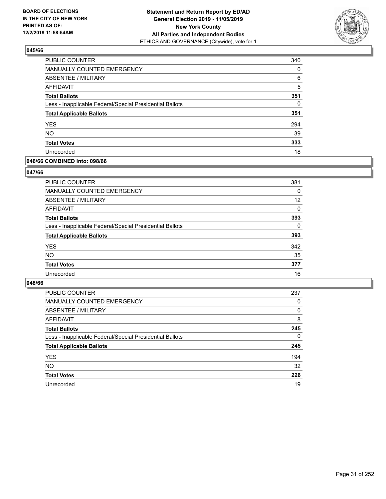

| PUBLIC COUNTER                                           | 340      |
|----------------------------------------------------------|----------|
| MANUALLY COUNTED EMERGENCY                               | 0        |
| ABSENTEE / MILITARY                                      | 6        |
| AFFIDAVIT                                                | 5        |
| <b>Total Ballots</b>                                     | 351      |
| Less - Inapplicable Federal/Special Presidential Ballots | $\Omega$ |
| <b>Total Applicable Ballots</b>                          | 351      |
| <b>YES</b>                                               | 294      |
| <b>NO</b>                                                | 39       |
| <b>Total Votes</b>                                       | 333      |
| Unrecorded                                               | 18       |

## **046/66 COMBINED into: 098/66**

### **047/66**

| PUBLIC COUNTER                                           | 381      |
|----------------------------------------------------------|----------|
| MANUALLY COUNTED EMERGENCY                               | 0        |
| ABSENTEE / MILITARY                                      | 12       |
| AFFIDAVIT                                                | $\Omega$ |
| <b>Total Ballots</b>                                     | 393      |
| Less - Inapplicable Federal/Special Presidential Ballots | $\Omega$ |
| <b>Total Applicable Ballots</b>                          | 393      |
| <b>YES</b>                                               | 342      |
| <b>NO</b>                                                | 35       |
| <b>Total Votes</b>                                       | 377      |
| Unrecorded                                               | 16       |
|                                                          |          |

| PUBLIC COUNTER                                           | 237      |
|----------------------------------------------------------|----------|
| MANUALLY COUNTED EMERGENCY                               | $\Omega$ |
| ABSENTEE / MILITARY                                      | 0        |
| AFFIDAVIT                                                | 8        |
| <b>Total Ballots</b>                                     | 245      |
| Less - Inapplicable Federal/Special Presidential Ballots | $\Omega$ |
| <b>Total Applicable Ballots</b>                          | 245      |
| <b>YES</b>                                               | 194      |
| <b>NO</b>                                                | 32       |
| <b>Total Votes</b>                                       | 226      |
| Unrecorded                                               | 19       |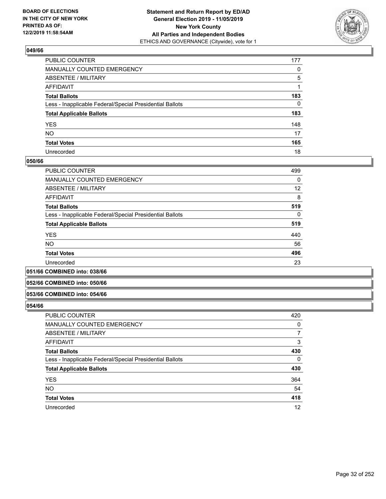

| PUBLIC COUNTER                                           | 177          |
|----------------------------------------------------------|--------------|
| MANUALLY COUNTED EMERGENCY                               | $\mathbf{0}$ |
| ABSENTEE / MILITARY                                      | 5            |
| AFFIDAVIT                                                |              |
| Total Ballots                                            | 183          |
| Less - Inapplicable Federal/Special Presidential Ballots | $\mathbf{0}$ |
| <b>Total Applicable Ballots</b>                          | 183          |
| YES                                                      | 148          |
| NO.                                                      | 17           |
| <b>Total Votes</b>                                       | 165          |
| Unrecorded                                               | 18           |

### **050/66**

| <b>PUBLIC COUNTER</b>                                    | 499      |
|----------------------------------------------------------|----------|
| MANUALLY COUNTED EMERGENCY                               | $\Omega$ |
| ABSENTEE / MILITARY                                      | 12       |
| AFFIDAVIT                                                | 8        |
| <b>Total Ballots</b>                                     | 519      |
| Less - Inapplicable Federal/Special Presidential Ballots | $\Omega$ |
| <b>Total Applicable Ballots</b>                          | 519      |
| <b>YES</b>                                               | 440      |
| <b>NO</b>                                                | 56       |
| <b>Total Votes</b>                                       | 496      |
| Unrecorded                                               | 23       |
|                                                          |          |

### **051/66 COMBINED into: 038/66**

### **052/66 COMBINED into: 050/66**

## **053/66 COMBINED into: 054/66**

| <b>PUBLIC COUNTER</b>                                    | 420 |
|----------------------------------------------------------|-----|
| <b>MANUALLY COUNTED EMERGENCY</b>                        | 0   |
| ABSENTEE / MILITARY                                      | 7   |
| AFFIDAVIT                                                | 3   |
| <b>Total Ballots</b>                                     | 430 |
| Less - Inapplicable Federal/Special Presidential Ballots | 0   |
| <b>Total Applicable Ballots</b>                          | 430 |
| <b>YES</b>                                               | 364 |
| <b>NO</b>                                                | 54  |
| <b>Total Votes</b>                                       | 418 |
| Unrecorded                                               | 12  |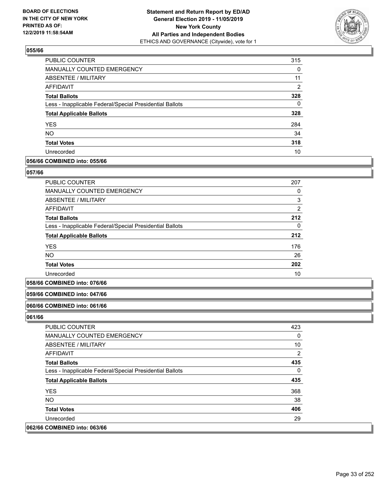

| PUBLIC COUNTER                                           | 315            |
|----------------------------------------------------------|----------------|
| MANUALLY COUNTED EMERGENCY                               | 0              |
| ABSENTEE / MILITARY                                      | 11             |
| AFFIDAVIT                                                | $\overline{2}$ |
| <b>Total Ballots</b>                                     | 328            |
| Less - Inapplicable Federal/Special Presidential Ballots | 0              |
| <b>Total Applicable Ballots</b>                          | 328            |
| <b>YES</b>                                               | 284            |
| <b>NO</b>                                                | 34             |
| <b>Total Votes</b>                                       | 318            |
| Unrecorded                                               | 10             |

# **056/66 COMBINED into: 055/66**

### **057/66**

| <b>PUBLIC COUNTER</b>                                    | 207            |
|----------------------------------------------------------|----------------|
| <b>MANUALLY COUNTED EMERGENCY</b>                        | 0              |
| ABSENTEE / MILITARY                                      | 3              |
| <b>AFFIDAVIT</b>                                         | $\overline{2}$ |
| <b>Total Ballots</b>                                     | 212            |
| Less - Inapplicable Federal/Special Presidential Ballots | 0              |
| <b>Total Applicable Ballots</b>                          | 212            |
| <b>YES</b>                                               | 176            |
| <b>NO</b>                                                | 26             |
| <b>Total Votes</b>                                       | 202            |
| Unrecorded                                               | 10             |

### **058/66 COMBINED into: 076/66**

### **059/66 COMBINED into: 047/66**

### **060/66 COMBINED into: 061/66**

| <b>PUBLIC COUNTER</b>                                    | 423 |
|----------------------------------------------------------|-----|
| MANUALLY COUNTED EMERGENCY                               | 0   |
| ABSENTEE / MILITARY                                      | 10  |
| AFFIDAVIT                                                | 2   |
| <b>Total Ballots</b>                                     | 435 |
| Less - Inapplicable Federal/Special Presidential Ballots | 0   |
| <b>Total Applicable Ballots</b>                          | 435 |
| <b>YES</b>                                               | 368 |
| NO.                                                      | 38  |
| <b>Total Votes</b>                                       | 406 |
| Unrecorded                                               | 29  |
| 062/66 COMBINED into: 063/66                             |     |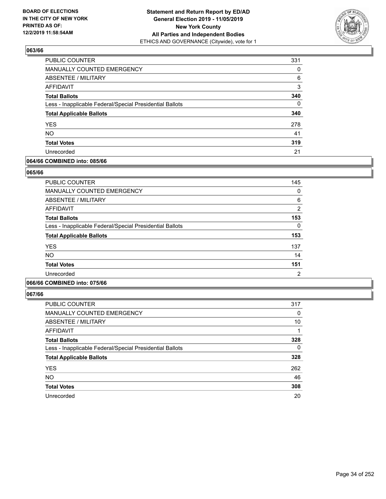

| PUBLIC COUNTER                                           | 331      |
|----------------------------------------------------------|----------|
| MANUALLY COUNTED EMERGENCY                               | 0        |
| ABSENTEE / MILITARY                                      | 6        |
| AFFIDAVIT                                                | 3        |
| <b>Total Ballots</b>                                     | 340      |
| Less - Inapplicable Federal/Special Presidential Ballots | $\Omega$ |
| <b>Total Applicable Ballots</b>                          | 340      |
| <b>YES</b>                                               | 278      |
| <b>NO</b>                                                | 41       |
| <b>Total Votes</b>                                       | 319      |
| Unrecorded                                               | 21       |

# **064/66 COMBINED into: 085/66**

### **065/66**

| <b>PUBLIC COUNTER</b>                                    | 145           |
|----------------------------------------------------------|---------------|
| <b>MANUALLY COUNTED EMERGENCY</b>                        | 0             |
| ABSENTEE / MILITARY                                      | 6             |
| AFFIDAVIT                                                | $\mathcal{P}$ |
| <b>Total Ballots</b>                                     | 153           |
| Less - Inapplicable Federal/Special Presidential Ballots | 0             |
| <b>Total Applicable Ballots</b>                          | 153           |
| <b>YES</b>                                               | 137           |
| <b>NO</b>                                                | 14            |
| <b>Total Votes</b>                                       | 151           |
| Unrecorded                                               | 2             |
|                                                          |               |

# **066/66 COMBINED into: 075/66**

| <b>PUBLIC COUNTER</b>                                    | 317      |
|----------------------------------------------------------|----------|
| <b>MANUALLY COUNTED EMERGENCY</b>                        | 0        |
| <b>ABSENTEE / MILITARY</b>                               | 10       |
| <b>AFFIDAVIT</b>                                         | 1        |
| <b>Total Ballots</b>                                     | 328      |
| Less - Inapplicable Federal/Special Presidential Ballots | $\Omega$ |
| <b>Total Applicable Ballots</b>                          | 328      |
| <b>YES</b>                                               | 262      |
| <b>NO</b>                                                | 46       |
| <b>Total Votes</b>                                       | 308      |
| Unrecorded                                               | 20       |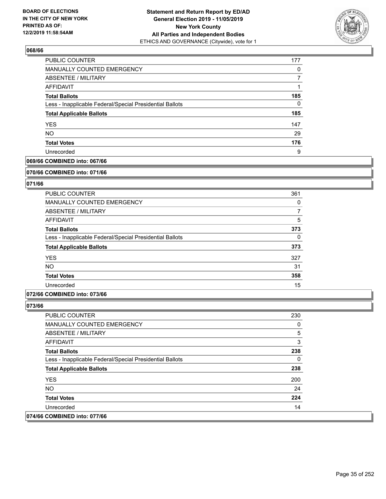

| <b>PUBLIC COUNTER</b>                                    | 177 |
|----------------------------------------------------------|-----|
| MANUALLY COUNTED EMERGENCY                               | 0   |
| <b>ABSENTEE / MILITARY</b>                               |     |
| AFFIDAVIT                                                |     |
| <b>Total Ballots</b>                                     | 185 |
| Less - Inapplicable Federal/Special Presidential Ballots | 0   |
| <b>Total Applicable Ballots</b>                          | 185 |
| <b>YES</b>                                               | 147 |
| <b>NO</b>                                                | 29  |
| <b>Total Votes</b>                                       | 176 |
| Unrecorded                                               | 9   |

# **069/66 COMBINED into: 067/66**

### **070/66 COMBINED into: 071/66**

# **071/66**

| <b>PUBLIC COUNTER</b>                                    | 361      |
|----------------------------------------------------------|----------|
| <b>MANUALLY COUNTED EMERGENCY</b>                        | 0        |
| ABSENTEE / MILITARY                                      | 7        |
| AFFIDAVIT                                                | 5        |
| <b>Total Ballots</b>                                     | 373      |
| Less - Inapplicable Federal/Special Presidential Ballots | $\Omega$ |
| <b>Total Applicable Ballots</b>                          | 373      |
| <b>YES</b>                                               | 327      |
| <b>NO</b>                                                | 31       |
| <b>Total Votes</b>                                       | 358      |
| Unrecorded                                               | 15       |

### **072/66 COMBINED into: 073/66**

| <b>PUBLIC COUNTER</b>                                    | 230 |
|----------------------------------------------------------|-----|
| <b>MANUALLY COUNTED EMERGENCY</b>                        | 0   |
| ABSENTEE / MILITARY                                      | 5   |
| AFFIDAVIT                                                | 3   |
| <b>Total Ballots</b>                                     | 238 |
| Less - Inapplicable Federal/Special Presidential Ballots | 0   |
| <b>Total Applicable Ballots</b>                          | 238 |
| <b>YES</b>                                               | 200 |
| NO.                                                      | 24  |
| <b>Total Votes</b>                                       | 224 |
| Unrecorded                                               | 14  |
| 074/66 COMBINED into: 077/66                             |     |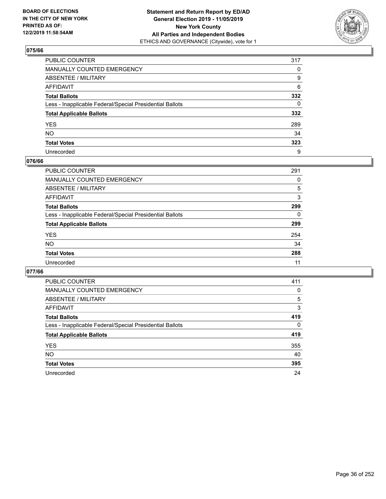

| PUBLIC COUNTER                                           | 317          |
|----------------------------------------------------------|--------------|
| MANUALLY COUNTED EMERGENCY                               | $\mathbf{0}$ |
| ABSENTEE / MILITARY                                      | 9            |
| AFFIDAVIT                                                | 6            |
| Total Ballots                                            | 332          |
| Less - Inapplicable Federal/Special Presidential Ballots | $\mathbf{0}$ |
| <b>Total Applicable Ballots</b>                          | 332          |
| YES                                                      | 289          |
| NO.                                                      | 34           |
| <b>Total Votes</b>                                       | 323          |
| Unrecorded                                               | 9            |

### **076/66**

| <b>PUBLIC COUNTER</b>                                    | 291 |
|----------------------------------------------------------|-----|
| <b>MANUALLY COUNTED EMERGENCY</b>                        | 0   |
| ABSENTEE / MILITARY                                      | 5   |
| AFFIDAVIT                                                | 3   |
| <b>Total Ballots</b>                                     | 299 |
| Less - Inapplicable Federal/Special Presidential Ballots | 0   |
| <b>Total Applicable Ballots</b>                          | 299 |
| <b>YES</b>                                               | 254 |
| <b>NO</b>                                                | 34  |
| <b>Total Votes</b>                                       | 288 |
| Unrecorded                                               | 11  |

| <b>PUBLIC COUNTER</b>                                    | 411      |
|----------------------------------------------------------|----------|
| <b>MANUALLY COUNTED EMERGENCY</b>                        | 0        |
| ABSENTEE / MILITARY                                      | 5        |
| AFFIDAVIT                                                | 3        |
| <b>Total Ballots</b>                                     | 419      |
| Less - Inapplicable Federal/Special Presidential Ballots | $\Omega$ |
| <b>Total Applicable Ballots</b>                          | 419      |
| <b>YES</b>                                               | 355      |
| NO.                                                      | 40       |
| <b>Total Votes</b>                                       | 395      |
| Unrecorded                                               | 24       |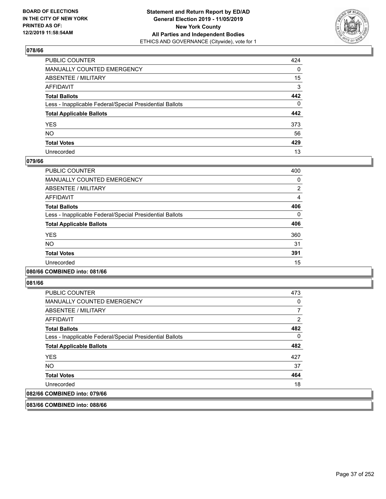

| PUBLIC COUNTER                                           | 424          |
|----------------------------------------------------------|--------------|
| MANUALLY COUNTED EMERGENCY                               | $\mathbf{0}$ |
| ABSENTEE / MILITARY                                      | 15           |
| AFFIDAVIT                                                | 3            |
| Total Ballots                                            | 442          |
| Less - Inapplicable Federal/Special Presidential Ballots | 0            |
| <b>Total Applicable Ballots</b>                          | 442          |
| YES                                                      | 373          |
| NO.                                                      | 56           |
| <b>Total Votes</b>                                       | 429          |
| Unrecorded                                               | 13           |

## **079/66**

| <b>PUBLIC COUNTER</b>                                    | 400      |
|----------------------------------------------------------|----------|
| MANUALLY COUNTED EMERGENCY                               | 0        |
| ABSENTEE / MILITARY                                      | 2        |
| <b>AFFIDAVIT</b>                                         | 4        |
| <b>Total Ballots</b>                                     | 406      |
| Less - Inapplicable Federal/Special Presidential Ballots | $\Omega$ |
| <b>Total Applicable Ballots</b>                          | 406      |
| <b>YES</b>                                               | 360      |
| NO.                                                      | 31       |
| <b>Total Votes</b>                                       | 391      |
| Unrecorded                                               | 15       |
|                                                          |          |

## **080/66 COMBINED into: 081/66**

**081/66** 

| <b>PUBLIC COUNTER</b>                                    | 473            |
|----------------------------------------------------------|----------------|
| <b>MANUALLY COUNTED EMERGENCY</b>                        | 0              |
| ABSENTEE / MILITARY                                      |                |
| AFFIDAVIT                                                | $\overline{2}$ |
| <b>Total Ballots</b>                                     | 482            |
| Less - Inapplicable Federal/Special Presidential Ballots | 0              |
| <b>Total Applicable Ballots</b>                          | 482            |
| <b>YES</b>                                               | 427            |
| <b>NO</b>                                                | 37             |
| <b>Total Votes</b>                                       | 464            |
| Unrecorded                                               | 18             |
| 082/66 COMBINED into: 079/66                             |                |

**083/66 COMBINED into: 088/66**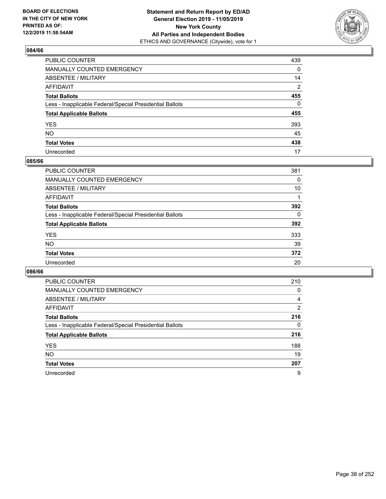

| PUBLIC COUNTER                                           | 439            |
|----------------------------------------------------------|----------------|
| MANUALLY COUNTED EMERGENCY                               | $\mathbf{0}$   |
| ABSENTEE / MILITARY                                      | 14             |
| AFFIDAVIT                                                | $\overline{2}$ |
| Total Ballots                                            | 455            |
| Less - Inapplicable Federal/Special Presidential Ballots | $\Omega$       |
| <b>Total Applicable Ballots</b>                          | 455            |
| YES                                                      | 393            |
| NO.                                                      | 45             |
| <b>Total Votes</b>                                       | 438            |
| Unrecorded                                               | 17             |

## **085/66**

| PUBLIC COUNTER                                           | 381      |
|----------------------------------------------------------|----------|
| <b>MANUALLY COUNTED EMERGENCY</b>                        | 0        |
| ABSENTEE / MILITARY                                      | 10       |
| AFFIDAVIT                                                |          |
| <b>Total Ballots</b>                                     | 392      |
| Less - Inapplicable Federal/Special Presidential Ballots | $\Omega$ |
| <b>Total Applicable Ballots</b>                          | 392      |
| <b>YES</b>                                               | 333      |
| <b>NO</b>                                                | 39       |
| <b>Total Votes</b>                                       | 372      |
| Unrecorded                                               | 20       |

| <b>PUBLIC COUNTER</b>                                    | 210      |
|----------------------------------------------------------|----------|
| <b>MANUALLY COUNTED EMERGENCY</b>                        | 0        |
| ABSENTEE / MILITARY                                      | 4        |
| AFFIDAVIT                                                | 2        |
| <b>Total Ballots</b>                                     | 216      |
| Less - Inapplicable Federal/Special Presidential Ballots | $\Omega$ |
| <b>Total Applicable Ballots</b>                          | 216      |
| <b>YES</b>                                               | 188      |
| <b>NO</b>                                                | 19       |
| <b>Total Votes</b>                                       | 207      |
| Unrecorded                                               | 9        |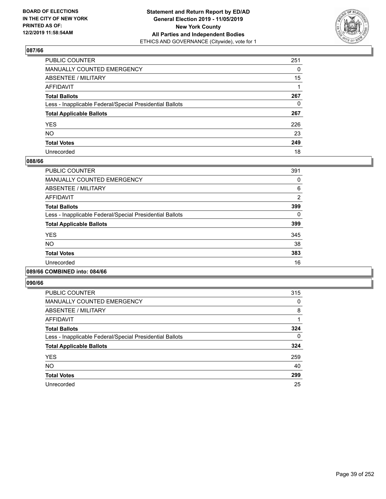

| PUBLIC COUNTER                                           | 251 |
|----------------------------------------------------------|-----|
| MANUALLY COUNTED EMERGENCY                               | 0   |
| ABSENTEE / MILITARY                                      | 15  |
| AFFIDAVIT                                                |     |
| Total Ballots                                            | 267 |
| Less - Inapplicable Federal/Special Presidential Ballots | 0   |
| <b>Total Applicable Ballots</b>                          | 267 |
| YES                                                      | 226 |
| NO.                                                      | 23  |
| <b>Total Votes</b>                                       | 249 |
| Unrecorded                                               | 18  |

## **088/66**

| PUBLIC COUNTER                                           | 391 |
|----------------------------------------------------------|-----|
| <b>MANUALLY COUNTED EMERGENCY</b>                        | 0   |
| ABSENTEE / MILITARY                                      | 6   |
| <b>AFFIDAVIT</b>                                         | 2   |
| <b>Total Ballots</b>                                     | 399 |
| Less - Inapplicable Federal/Special Presidential Ballots | 0   |
| <b>Total Applicable Ballots</b>                          | 399 |
| <b>YES</b>                                               | 345 |
| NO.                                                      | 38  |
| <b>Total Votes</b>                                       | 383 |
| Unrecorded                                               | 16  |
|                                                          |     |

## **089/66 COMBINED into: 084/66**

| <b>PUBLIC COUNTER</b>                                    | 315 |
|----------------------------------------------------------|-----|
| <b>MANUALLY COUNTED EMERGENCY</b>                        | 0   |
| ABSENTEE / MILITARY                                      | 8   |
| <b>AFFIDAVIT</b>                                         |     |
| <b>Total Ballots</b>                                     | 324 |
| Less - Inapplicable Federal/Special Presidential Ballots | 0   |
| <b>Total Applicable Ballots</b>                          | 324 |
| <b>YES</b>                                               | 259 |
| <b>NO</b>                                                | 40  |
| <b>Total Votes</b>                                       | 299 |
| Unrecorded                                               | 25  |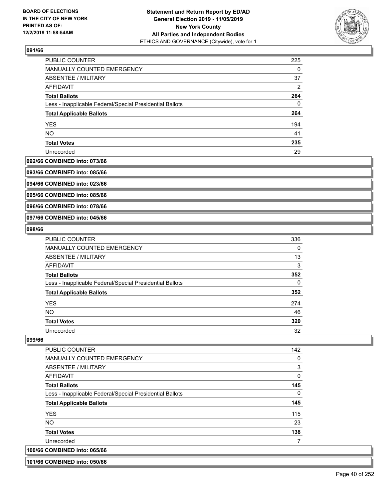

| PUBLIC COUNTER                                           | 225            |
|----------------------------------------------------------|----------------|
| <b>MANUALLY COUNTED EMERGENCY</b>                        | 0              |
| ABSENTEE / MILITARY                                      | 37             |
| AFFIDAVIT                                                | $\overline{2}$ |
| <b>Total Ballots</b>                                     | 264            |
| Less - Inapplicable Federal/Special Presidential Ballots | 0              |
| <b>Total Applicable Ballots</b>                          | 264            |
| <b>YES</b>                                               | 194            |
| <b>NO</b>                                                | 41             |
| <b>Total Votes</b>                                       | 235            |
| Unrecorded                                               | 29             |

## **092/66 COMBINED into: 073/66**

**093/66 COMBINED into: 085/66**

**094/66 COMBINED into: 023/66**

**095/66 COMBINED into: 085/66**

**096/66 COMBINED into: 078/66**

**097/66 COMBINED into: 045/66**

## **098/66**

| <b>PUBLIC COUNTER</b>                                    | 336 |
|----------------------------------------------------------|-----|
| <b>MANUALLY COUNTED EMERGENCY</b>                        | 0   |
| ABSENTEE / MILITARY                                      | 13  |
| AFFIDAVIT                                                | 3   |
| <b>Total Ballots</b>                                     | 352 |
| Less - Inapplicable Federal/Special Presidential Ballots | 0   |
| <b>Total Applicable Ballots</b>                          | 352 |
| <b>YES</b>                                               | 274 |
| <b>NO</b>                                                | 46  |
| <b>Total Votes</b>                                       | 320 |
| Unrecorded                                               | 32  |

## **099/66**

| <b>PUBLIC COUNTER</b>                                    | 142      |
|----------------------------------------------------------|----------|
| <b>MANUALLY COUNTED EMERGENCY</b>                        | 0        |
| ABSENTEE / MILITARY                                      | 3        |
| <b>AFFIDAVIT</b>                                         | $\Omega$ |
| <b>Total Ballots</b>                                     | 145      |
| Less - Inapplicable Federal/Special Presidential Ballots | $\Omega$ |
| <b>Total Applicable Ballots</b>                          | 145      |
| <b>YES</b>                                               | 115      |
| <b>NO</b>                                                | 23       |
| <b>Total Votes</b>                                       | 138      |
| Unrecorded                                               |          |
| 100/66 COMBINED into: 065/66                             |          |

**101/66 COMBINED into: 050/66**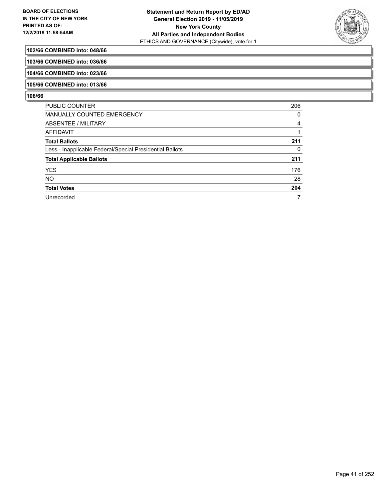

## **102/66 COMBINED into: 048/66**

**103/66 COMBINED into: 036/66**

# **104/66 COMBINED into: 023/66**

#### **105/66 COMBINED into: 013/66**

| <b>PUBLIC COUNTER</b>                                    | 206 |
|----------------------------------------------------------|-----|
| <b>MANUALLY COUNTED EMERGENCY</b>                        | 0   |
| ABSENTEE / MILITARY                                      | 4   |
| <b>AFFIDAVIT</b>                                         |     |
| <b>Total Ballots</b>                                     | 211 |
| Less - Inapplicable Federal/Special Presidential Ballots | 0   |
| <b>Total Applicable Ballots</b>                          | 211 |
| <b>YES</b>                                               | 176 |
| <b>NO</b>                                                | 28  |
| <b>Total Votes</b>                                       | 204 |
| Unrecorded                                               |     |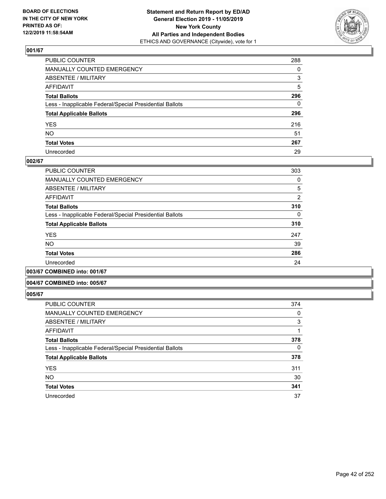

| PUBLIC COUNTER                                           | 288          |
|----------------------------------------------------------|--------------|
| MANUALLY COUNTED EMERGENCY                               | $\Omega$     |
| ABSENTEE / MILITARY                                      | 3            |
| AFFIDAVIT                                                | 5            |
| Total Ballots                                            | 296          |
| Less - Inapplicable Federal/Special Presidential Ballots | $\mathbf{0}$ |
| <b>Total Applicable Ballots</b>                          | 296          |
| YES                                                      | 216          |
| NO.                                                      | 51           |
| <b>Total Votes</b>                                       | 267          |
| Unrecorded                                               | 29           |

## **002/67**

| <b>PUBLIC COUNTER</b>                                    | 303            |
|----------------------------------------------------------|----------------|
| <b>MANUALLY COUNTED EMERGENCY</b>                        | 0              |
| ABSENTEE / MILITARY                                      | 5              |
| AFFIDAVIT                                                | $\overline{2}$ |
| <b>Total Ballots</b>                                     | 310            |
| Less - Inapplicable Federal/Special Presidential Ballots | 0              |
| <b>Total Applicable Ballots</b>                          | 310            |
| <b>YES</b>                                               | 247            |
| <b>NO</b>                                                | 39             |
| <b>Total Votes</b>                                       | 286            |
| Unrecorded                                               | 24             |
|                                                          |                |

**003/67 COMBINED into: 001/67**

## **004/67 COMBINED into: 005/67**

| <b>PUBLIC COUNTER</b>                                    | 374 |
|----------------------------------------------------------|-----|
| <b>MANUALLY COUNTED EMERGENCY</b>                        | 0   |
| ABSENTEE / MILITARY                                      | 3   |
| AFFIDAVIT                                                |     |
| <b>Total Ballots</b>                                     | 378 |
| Less - Inapplicable Federal/Special Presidential Ballots | 0   |
| <b>Total Applicable Ballots</b>                          | 378 |
| <b>YES</b>                                               | 311 |
| NO.                                                      | 30  |
| <b>Total Votes</b>                                       | 341 |
| Unrecorded                                               | 37  |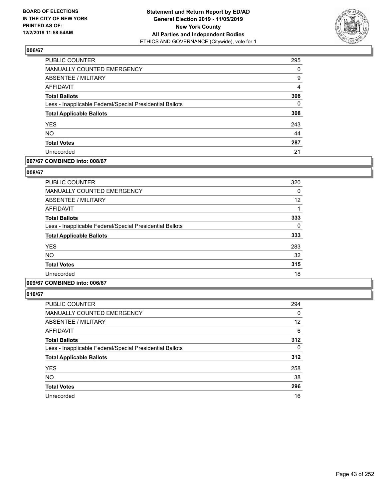

| PUBLIC COUNTER                                           | 295          |
|----------------------------------------------------------|--------------|
| MANUALLY COUNTED EMERGENCY                               | 0            |
| ABSENTEE / MILITARY                                      | 9            |
| <b>AFFIDAVIT</b>                                         | 4            |
| <b>Total Ballots</b>                                     | 308          |
| Less - Inapplicable Federal/Special Presidential Ballots | $\mathbf{0}$ |
| <b>Total Applicable Ballots</b>                          | 308          |
| <b>YES</b>                                               | 243          |
| <b>NO</b>                                                | 44           |
| <b>Total Votes</b>                                       | 287          |
| Unrecorded                                               | 21           |

## **007/67 COMBINED into: 008/67**

## **008/67**

| <b>PUBLIC COUNTER</b>                                    | 320 |
|----------------------------------------------------------|-----|
| <b>MANUALLY COUNTED EMERGENCY</b>                        | 0   |
| <b>ABSENTEE / MILITARY</b>                               | 12  |
| <b>AFFIDAVIT</b>                                         |     |
| <b>Total Ballots</b>                                     | 333 |
| Less - Inapplicable Federal/Special Presidential Ballots | 0   |
| <b>Total Applicable Ballots</b>                          | 333 |
| <b>YES</b>                                               | 283 |
| <b>NO</b>                                                | 32  |
| <b>Total Votes</b>                                       | 315 |
| Unrecorded                                               | 18  |
|                                                          |     |

# **009/67 COMBINED into: 006/67**

| <b>PUBLIC COUNTER</b>                                    | 294      |
|----------------------------------------------------------|----------|
| <b>MANUALLY COUNTED EMERGENCY</b>                        | 0        |
| ABSENTEE / MILITARY                                      | 12       |
| <b>AFFIDAVIT</b>                                         | 6        |
| <b>Total Ballots</b>                                     | 312      |
| Less - Inapplicable Federal/Special Presidential Ballots | $\Omega$ |
| <b>Total Applicable Ballots</b>                          | 312      |
| <b>YES</b>                                               | 258      |
| <b>NO</b>                                                | 38       |
| <b>Total Votes</b>                                       | 296      |
| Unrecorded                                               | 16       |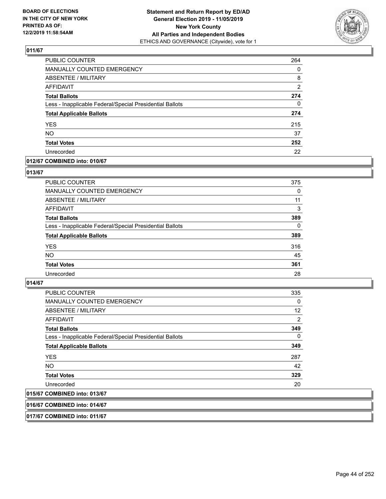

| PUBLIC COUNTER                                           | 264            |
|----------------------------------------------------------|----------------|
| <b>MANUALLY COUNTED EMERGENCY</b>                        | 0              |
| ABSENTEE / MILITARY                                      | 8              |
| <b>AFFIDAVIT</b>                                         | $\overline{2}$ |
| <b>Total Ballots</b>                                     | 274            |
| Less - Inapplicable Federal/Special Presidential Ballots | $\Omega$       |
| <b>Total Applicable Ballots</b>                          | 274            |
| <b>YES</b>                                               | 215            |
| <b>NO</b>                                                | 37             |
| <b>Total Votes</b>                                       | 252            |
| Unrecorded                                               | 22             |

## **012/67 COMBINED into: 010/67**

## **013/67**

| PUBLIC COUNTER                                           | 375      |
|----------------------------------------------------------|----------|
| <b>MANUALLY COUNTED EMERGENCY</b>                        | 0        |
| ABSENTEE / MILITARY                                      | 11       |
| AFFIDAVIT                                                | 3        |
| <b>Total Ballots</b>                                     | 389      |
| Less - Inapplicable Federal/Special Presidential Ballots | $\Omega$ |
| <b>Total Applicable Ballots</b>                          | 389      |
| <b>YES</b>                                               | 316      |
| <b>NO</b>                                                | 45       |
| <b>Total Votes</b>                                       | 361      |
| Unrecorded                                               | 28       |

# **014/67**

| <b>PUBLIC COUNTER</b>                                    | 335            |
|----------------------------------------------------------|----------------|
| <b>MANUALLY COUNTED EMERGENCY</b>                        | $\Omega$       |
| ABSENTEE / MILITARY                                      | 12             |
| AFFIDAVIT                                                | $\overline{2}$ |
| <b>Total Ballots</b>                                     | 349            |
| Less - Inapplicable Federal/Special Presidential Ballots | $\Omega$       |
| <b>Total Applicable Ballots</b>                          | 349            |
| <b>YES</b>                                               | 287            |
| NO.                                                      | 42             |
| <b>Total Votes</b>                                       | 329            |
| Unrecorded                                               | 20             |
| 015/67 COMBINED into: 013/67                             |                |

## **016/67 COMBINED into: 014/67**

**017/67 COMBINED into: 011/67**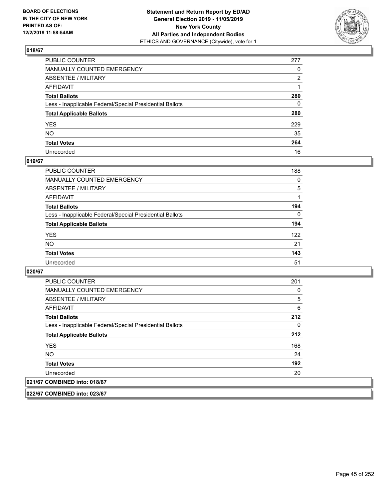

| PUBLIC COUNTER                                           | 277          |
|----------------------------------------------------------|--------------|
| MANUALLY COUNTED EMERGENCY                               | $\mathbf{0}$ |
| ABSENTEE / MILITARY                                      | 2            |
| AFFIDAVIT                                                |              |
| Total Ballots                                            | 280          |
| Less - Inapplicable Federal/Special Presidential Ballots | $\mathbf{0}$ |
| <b>Total Applicable Ballots</b>                          | 280          |
| YES                                                      | 229          |
| NO.                                                      | 35           |
| <b>Total Votes</b>                                       | 264          |
| Unrecorded                                               | 16           |

## **019/67**

| <b>PUBLIC COUNTER</b>                                    | 188      |
|----------------------------------------------------------|----------|
| MANUALLY COUNTED EMERGENCY                               | 0        |
| ABSENTEE / MILITARY                                      | 5        |
| AFFIDAVIT                                                |          |
| <b>Total Ballots</b>                                     | 194      |
| Less - Inapplicable Federal/Special Presidential Ballots | $\Omega$ |
| <b>Total Applicable Ballots</b>                          | 194      |
| <b>YES</b>                                               | 122      |
| <b>NO</b>                                                | 21       |
| <b>Total Votes</b>                                       | 143      |
| Unrecorded                                               | 51       |

**020/67** 

| <b>PUBLIC COUNTER</b>                                    | 201 |
|----------------------------------------------------------|-----|
| <b>MANUALLY COUNTED EMERGENCY</b>                        | 0   |
| ABSENTEE / MILITARY                                      | 5   |
| AFFIDAVIT                                                | 6   |
| <b>Total Ballots</b>                                     | 212 |
| Less - Inapplicable Federal/Special Presidential Ballots | 0   |
| <b>Total Applicable Ballots</b>                          | 212 |
| <b>YES</b>                                               | 168 |
| NO.                                                      | 24  |
| <b>Total Votes</b>                                       | 192 |
| Unrecorded                                               | 20  |
| 021/67 COMBINED into: 018/67                             |     |

**022/67 COMBINED into: 023/67**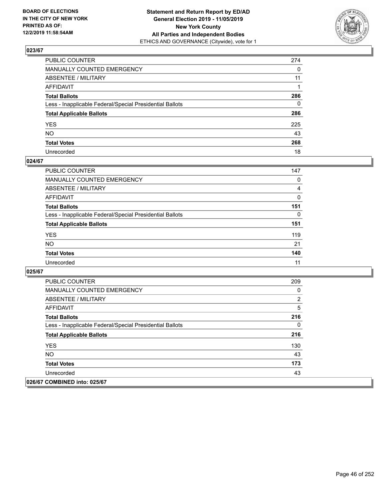

| PUBLIC COUNTER                                           | 274          |
|----------------------------------------------------------|--------------|
| MANUALLY COUNTED EMERGENCY                               | $\mathbf{0}$ |
| ABSENTEE / MILITARY                                      | 11           |
| AFFIDAVIT                                                |              |
| Total Ballots                                            | 286          |
| Less - Inapplicable Federal/Special Presidential Ballots | 0            |
| <b>Total Applicable Ballots</b>                          | 286          |
| YES                                                      | 225          |
| NO.                                                      | 43           |
| <b>Total Votes</b>                                       | 268          |
| Unrecorded                                               | 18           |

## **024/67**

| <b>PUBLIC COUNTER</b>                                    | 147      |
|----------------------------------------------------------|----------|
| <b>MANUALLY COUNTED EMERGENCY</b>                        | $\Omega$ |
| ABSENTEE / MILITARY                                      | 4        |
| AFFIDAVIT                                                | $\Omega$ |
| <b>Total Ballots</b>                                     | 151      |
| Less - Inapplicable Federal/Special Presidential Ballots | 0        |
| <b>Total Applicable Ballots</b>                          | 151      |
| <b>YES</b>                                               | 119      |
| <b>NO</b>                                                | 21       |
| <b>Total Votes</b>                                       | 140      |
| Unrecorded                                               | 11       |

| <b>PUBLIC COUNTER</b>                                    | 209 |
|----------------------------------------------------------|-----|
| <b>MANUALLY COUNTED EMERGENCY</b>                        | 0   |
| ABSENTEE / MILITARY                                      | 2   |
| AFFIDAVIT                                                | 5   |
| <b>Total Ballots</b>                                     | 216 |
| Less - Inapplicable Federal/Special Presidential Ballots | 0   |
| <b>Total Applicable Ballots</b>                          | 216 |
| <b>YES</b>                                               | 130 |
| NO.                                                      | 43  |
| <b>Total Votes</b>                                       | 173 |
| Unrecorded                                               | 43  |
| 026/67 COMBINED into: 025/67                             |     |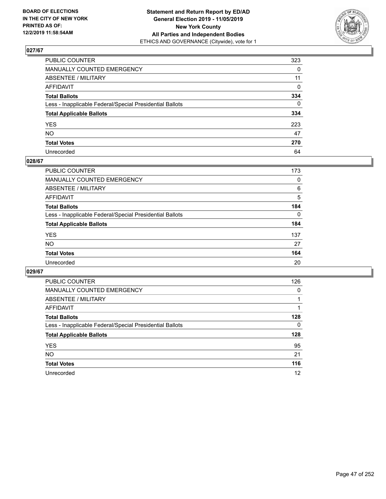

| PUBLIC COUNTER                                           | 323         |
|----------------------------------------------------------|-------------|
| MANUALLY COUNTED EMERGENCY                               | $\Omega$    |
| ABSENTEE / MILITARY                                      | 11          |
| AFFIDAVIT                                                | $\mathbf 0$ |
| Total Ballots                                            | 334         |
| Less - Inapplicable Federal/Special Presidential Ballots | $\Omega$    |
| <b>Total Applicable Ballots</b>                          | 334         |
| YES                                                      | 223         |
| NO.                                                      | 47          |
| <b>Total Votes</b>                                       | 270         |
| Unrecorded                                               | 64          |

## **028/67**

| <b>PUBLIC COUNTER</b>                                    | 173      |
|----------------------------------------------------------|----------|
| <b>MANUALLY COUNTED EMERGENCY</b>                        | 0        |
| ABSENTEE / MILITARY                                      | 6        |
| AFFIDAVIT                                                | 5        |
| <b>Total Ballots</b>                                     | 184      |
| Less - Inapplicable Federal/Special Presidential Ballots | $\Omega$ |
| <b>Total Applicable Ballots</b>                          | 184      |
| <b>YES</b>                                               | 137      |
| <b>NO</b>                                                | 27       |
| <b>Total Votes</b>                                       | 164      |
| Unrecorded                                               | 20       |

| <b>PUBLIC COUNTER</b>                                    | 126      |
|----------------------------------------------------------|----------|
| <b>MANUALLY COUNTED EMERGENCY</b>                        | $\Omega$ |
| ABSENTEE / MILITARY                                      |          |
| AFFIDAVIT                                                |          |
| <b>Total Ballots</b>                                     | 128      |
| Less - Inapplicable Federal/Special Presidential Ballots | 0        |
| <b>Total Applicable Ballots</b>                          | 128      |
| <b>YES</b>                                               | 95       |
| NO.                                                      | 21       |
| <b>Total Votes</b>                                       | 116      |
| Unrecorded                                               | 12       |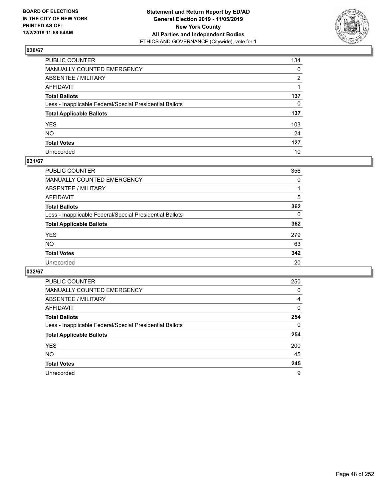

| PUBLIC COUNTER                                           | 134 |
|----------------------------------------------------------|-----|
| MANUALLY COUNTED EMERGENCY                               | 0   |
| ABSENTEE / MILITARY                                      | 2   |
| AFFIDAVIT                                                |     |
| Total Ballots                                            | 137 |
| Less - Inapplicable Federal/Special Presidential Ballots | 0   |
| <b>Total Applicable Ballots</b>                          | 137 |
| YES                                                      | 103 |
| NO.                                                      | 24  |
| <b>Total Votes</b>                                       | 127 |
| Unrecorded                                               | 10  |

# **031/67**

| <b>PUBLIC COUNTER</b>                                    | 356      |
|----------------------------------------------------------|----------|
| MANUALLY COUNTED EMERGENCY                               | 0        |
| ABSENTEE / MILITARY                                      |          |
| AFFIDAVIT                                                | 5        |
| <b>Total Ballots</b>                                     | 362      |
| Less - Inapplicable Federal/Special Presidential Ballots | $\Omega$ |
| <b>Total Applicable Ballots</b>                          | 362      |
| <b>YES</b>                                               | 279      |
| <b>NO</b>                                                | 63       |
| <b>Total Votes</b>                                       | 342      |
| Unrecorded                                               | 20       |

| PUBLIC COUNTER                                           | 250      |
|----------------------------------------------------------|----------|
| <b>MANUALLY COUNTED EMERGENCY</b>                        | $\Omega$ |
| ABSENTEE / MILITARY                                      | 4        |
| AFFIDAVIT                                                | $\Omega$ |
| <b>Total Ballots</b>                                     | 254      |
| Less - Inapplicable Federal/Special Presidential Ballots | $\Omega$ |
| <b>Total Applicable Ballots</b>                          | 254      |
| <b>YES</b>                                               | 200      |
| <b>NO</b>                                                | 45       |
| <b>Total Votes</b>                                       | 245      |
| Unrecorded                                               | 9        |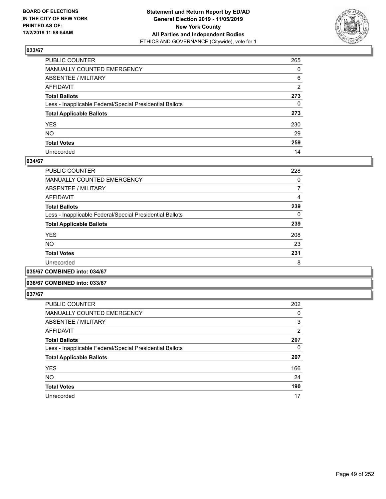

| PUBLIC COUNTER                                           | 265          |
|----------------------------------------------------------|--------------|
| MANUALLY COUNTED EMERGENCY                               | $\mathbf{0}$ |
| ABSENTEE / MILITARY                                      | 6            |
| AFFIDAVIT                                                | 2            |
| Total Ballots                                            | 273          |
| Less - Inapplicable Federal/Special Presidential Ballots | 0            |
| <b>Total Applicable Ballots</b>                          | 273          |
| YES                                                      | 230          |
| NO.                                                      | 29           |
| <b>Total Votes</b>                                       | 259          |
| Unrecorded                                               | 14           |

## **034/67**

| <b>PUBLIC COUNTER</b>                                    | 228 |
|----------------------------------------------------------|-----|
| MANUALLY COUNTED EMERGENCY                               | 0   |
| ABSENTEE / MILITARY                                      | 7   |
| AFFIDAVIT                                                | 4   |
| <b>Total Ballots</b>                                     | 239 |
| Less - Inapplicable Federal/Special Presidential Ballots | 0   |
| <b>Total Applicable Ballots</b>                          | 239 |
| <b>YES</b>                                               | 208 |
| <b>NO</b>                                                | 23  |
| <b>Total Votes</b>                                       | 231 |
| Unrecorded                                               | 8   |
|                                                          |     |

**035/67 COMBINED into: 034/67**

## **036/67 COMBINED into: 033/67**

| <b>PUBLIC COUNTER</b>                                    | 202            |
|----------------------------------------------------------|----------------|
| <b>MANUALLY COUNTED EMERGENCY</b>                        | 0              |
| ABSENTEE / MILITARY                                      | 3              |
| AFFIDAVIT                                                | $\overline{2}$ |
| <b>Total Ballots</b>                                     | 207            |
| Less - Inapplicable Federal/Special Presidential Ballots | 0              |
| <b>Total Applicable Ballots</b>                          | 207            |
| <b>YES</b>                                               | 166            |
| <b>NO</b>                                                | 24             |
| <b>Total Votes</b>                                       | 190            |
| Unrecorded                                               | 17             |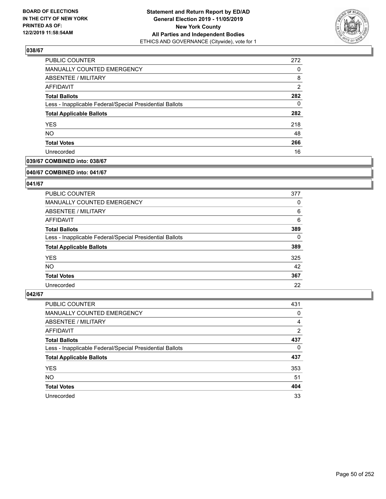

| PUBLIC COUNTER                                           | 272            |
|----------------------------------------------------------|----------------|
| MANUALLY COUNTED EMERGENCY                               | 0              |
| ABSENTEE / MILITARY                                      | 8              |
| AFFIDAVIT                                                | $\overline{2}$ |
| <b>Total Ballots</b>                                     | 282            |
| Less - Inapplicable Federal/Special Presidential Ballots | $\Omega$       |
| <b>Total Applicable Ballots</b>                          | 282            |
| <b>YES</b>                                               | 218            |
| <b>NO</b>                                                | 48             |
| <b>Total Votes</b>                                       | 266            |
| Unrecorded                                               | 16             |

# **039/67 COMBINED into: 038/67**

#### **040/67 COMBINED into: 041/67**

# **041/67**

| PUBLIC COUNTER                                           | 377      |
|----------------------------------------------------------|----------|
| <b>MANUALLY COUNTED EMERGENCY</b>                        | 0        |
| ABSENTEE / MILITARY                                      | 6        |
| AFFIDAVIT                                                | 6        |
| <b>Total Ballots</b>                                     | 389      |
| Less - Inapplicable Federal/Special Presidential Ballots | $\Omega$ |
| <b>Total Applicable Ballots</b>                          | 389      |
| <b>YES</b>                                               | 325      |
| NO.                                                      | 42       |
| <b>Total Votes</b>                                       | 367      |
| Unrecorded                                               | 22       |

| PUBLIC COUNTER                                           | 431 |
|----------------------------------------------------------|-----|
| <b>MANUALLY COUNTED EMERGENCY</b>                        | 0   |
| ABSENTEE / MILITARY                                      | 4   |
| AFFIDAVIT                                                | 2   |
| <b>Total Ballots</b>                                     | 437 |
| Less - Inapplicable Federal/Special Presidential Ballots | 0   |
| <b>Total Applicable Ballots</b>                          | 437 |
| <b>YES</b>                                               | 353 |
| <b>NO</b>                                                | 51  |
| <b>Total Votes</b>                                       | 404 |
| Unrecorded                                               | 33  |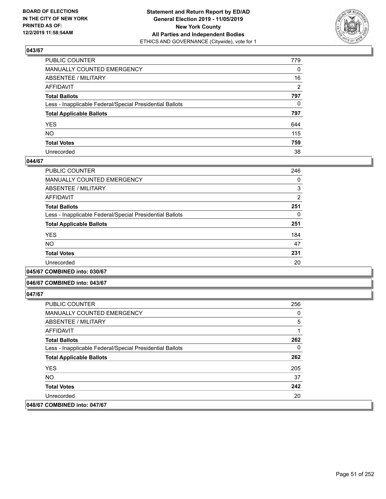

| PUBLIC COUNTER                                           | 779          |
|----------------------------------------------------------|--------------|
| MANUALLY COUNTED EMERGENCY                               | $\mathbf{0}$ |
| ABSENTEE / MILITARY                                      | 16           |
| AFFIDAVIT                                                | 2            |
| Total Ballots                                            | 797          |
| Less - Inapplicable Federal/Special Presidential Ballots | $\mathbf{0}$ |
| <b>Total Applicable Ballots</b>                          | 797          |
| YES                                                      | 644          |
| NO.                                                      | 115          |
| <b>Total Votes</b>                                       | 759          |
| Unrecorded                                               | 38           |

## **044/67**

| PUBLIC COUNTER                                           | 246            |
|----------------------------------------------------------|----------------|
| <b>MANUALLY COUNTED EMERGENCY</b>                        | 0              |
| ABSENTEE / MILITARY                                      | 3              |
| <b>AFFIDAVIT</b>                                         | $\overline{2}$ |
| <b>Total Ballots</b>                                     | 251            |
| Less - Inapplicable Federal/Special Presidential Ballots | 0              |
| <b>Total Applicable Ballots</b>                          | 251            |
| <b>YES</b>                                               | 184            |
| <b>NO</b>                                                | 47             |
| <b>Total Votes</b>                                       | 231            |
| Unrecorded                                               | 20             |
|                                                          |                |

**045/67 COMBINED into: 030/67**

## **046/67 COMBINED into: 043/67**

| <b>PUBLIC COUNTER</b>                                    | 256 |
|----------------------------------------------------------|-----|
| <b>MANUALLY COUNTED EMERGENCY</b>                        | 0   |
| ABSENTEE / MILITARY                                      | 5   |
| AFFIDAVIT                                                | 1   |
| <b>Total Ballots</b>                                     | 262 |
| Less - Inapplicable Federal/Special Presidential Ballots | 0   |
| <b>Total Applicable Ballots</b>                          | 262 |
| <b>YES</b>                                               | 205 |
| NO.                                                      | 37  |
| <b>Total Votes</b>                                       | 242 |
| Unrecorded                                               | 20  |
| 048/67 COMBINED into: 047/67                             |     |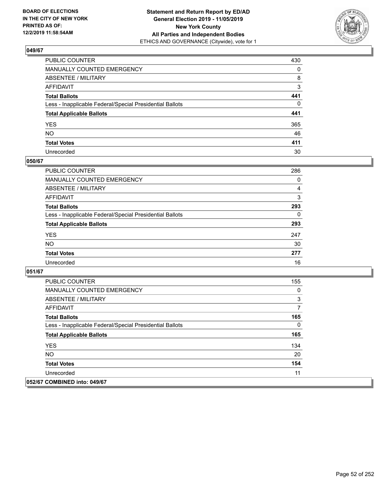

| PUBLIC COUNTER                                           | 430          |
|----------------------------------------------------------|--------------|
| MANUALLY COUNTED EMERGENCY                               | $\mathbf{0}$ |
| ABSENTEE / MILITARY                                      | 8            |
| AFFIDAVIT                                                | 3            |
| Total Ballots                                            | 441          |
| Less - Inapplicable Federal/Special Presidential Ballots | 0            |
| <b>Total Applicable Ballots</b>                          | 441          |
| YES                                                      | 365          |
| NO.                                                      | 46           |
| <b>Total Votes</b>                                       | 411          |
| Unrecorded                                               | 30           |

# **050/67**

| <b>PUBLIC COUNTER</b>                                    | 286      |
|----------------------------------------------------------|----------|
| <b>MANUALLY COUNTED EMERGENCY</b>                        | $\Omega$ |
| ABSENTEE / MILITARY                                      | 4        |
| AFFIDAVIT                                                | 3        |
| <b>Total Ballots</b>                                     | 293      |
| Less - Inapplicable Federal/Special Presidential Ballots | 0        |
| <b>Total Applicable Ballots</b>                          | 293      |
| <b>YES</b>                                               | 247      |
| <b>NO</b>                                                | 30       |
| <b>Total Votes</b>                                       | 277      |
| Unrecorded                                               | 16       |

| <b>PUBLIC COUNTER</b>                                    | 155 |
|----------------------------------------------------------|-----|
| <b>MANUALLY COUNTED EMERGENCY</b>                        | 0   |
| ABSENTEE / MILITARY                                      | 3   |
| AFFIDAVIT                                                | 7   |
| <b>Total Ballots</b>                                     | 165 |
| Less - Inapplicable Federal/Special Presidential Ballots | 0   |
| <b>Total Applicable Ballots</b>                          | 165 |
| <b>YES</b>                                               | 134 |
| NO.                                                      | 20  |
| <b>Total Votes</b>                                       | 154 |
| Unrecorded                                               | 11  |
| 052/67 COMBINED into: 049/67                             |     |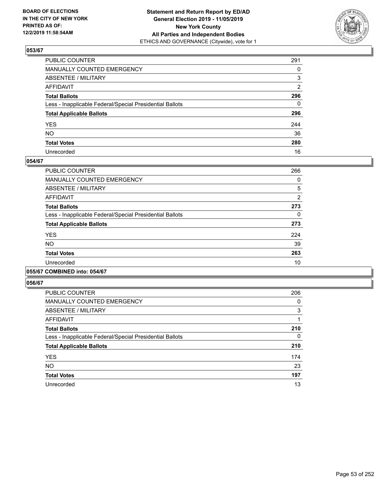

| PUBLIC COUNTER                                           | 291          |
|----------------------------------------------------------|--------------|
| MANUALLY COUNTED EMERGENCY                               | 0            |
| ABSENTEE / MILITARY                                      | 3            |
| AFFIDAVIT                                                | 2            |
| Total Ballots                                            | 296          |
| Less - Inapplicable Federal/Special Presidential Ballots | $\mathbf{0}$ |
| <b>Total Applicable Ballots</b>                          | 296          |
| YES                                                      | 244          |
| NO.                                                      | 36           |
| <b>Total Votes</b>                                       | 280          |
| Unrecorded                                               | 16           |

## **054/67**

| <b>PUBLIC COUNTER</b>                                    | 266            |
|----------------------------------------------------------|----------------|
| MANUALLY COUNTED EMERGENCY                               | 0              |
| ABSENTEE / MILITARY                                      | 5              |
| AFFIDAVIT                                                | $\overline{2}$ |
| <b>Total Ballots</b>                                     | 273            |
| Less - Inapplicable Federal/Special Presidential Ballots | 0              |
| <b>Total Applicable Ballots</b>                          | 273            |
| <b>YES</b>                                               | 224            |
| <b>NO</b>                                                | 39             |
| <b>Total Votes</b>                                       | 263            |
| Unrecorded                                               | 10             |
|                                                          |                |

## **055/67 COMBINED into: 054/67**

| <b>PUBLIC COUNTER</b>                                    | 206 |
|----------------------------------------------------------|-----|
| <b>MANUALLY COUNTED EMERGENCY</b>                        | 0   |
| ABSENTEE / MILITARY                                      | 3   |
| <b>AFFIDAVIT</b>                                         |     |
| <b>Total Ballots</b>                                     | 210 |
| Less - Inapplicable Federal/Special Presidential Ballots | 0   |
| <b>Total Applicable Ballots</b>                          | 210 |
| <b>YES</b>                                               | 174 |
| <b>NO</b>                                                | 23  |
| <b>Total Votes</b>                                       | 197 |
| Unrecorded                                               | 13  |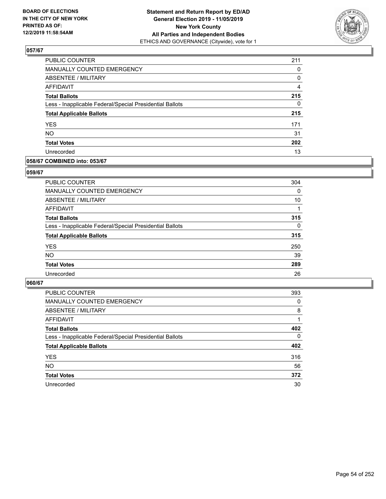

| <b>PUBLIC COUNTER</b>                                    | 211            |
|----------------------------------------------------------|----------------|
| MANUALLY COUNTED EMERGENCY                               | 0              |
| ABSENTEE / MILITARY                                      | 0              |
| <b>AFFIDAVIT</b>                                         | $\overline{4}$ |
| <b>Total Ballots</b>                                     | 215            |
| Less - Inapplicable Federal/Special Presidential Ballots | $\Omega$       |
| <b>Total Applicable Ballots</b>                          | 215            |
| <b>YES</b>                                               | 171            |
| <b>NO</b>                                                | 31             |
| <b>Total Votes</b>                                       | 202            |
| Unrecorded                                               | 13             |

## **058/67 COMBINED into: 053/67**

## **059/67**

| <b>PUBLIC COUNTER</b>                                    | 304      |
|----------------------------------------------------------|----------|
| <b>MANUALLY COUNTED EMERGENCY</b>                        | $\Omega$ |
| ABSENTEE / MILITARY                                      | 10       |
| AFFIDAVIT                                                |          |
| <b>Total Ballots</b>                                     | 315      |
| Less - Inapplicable Federal/Special Presidential Ballots | $\Omega$ |
| <b>Total Applicable Ballots</b>                          | 315      |
| <b>YES</b>                                               | 250      |
| <b>NO</b>                                                | 39       |
| <b>Total Votes</b>                                       | 289      |
| Unrecorded                                               | 26       |
|                                                          |          |

| <b>PUBLIC COUNTER</b>                                    | 393      |
|----------------------------------------------------------|----------|
| <b>MANUALLY COUNTED EMERGENCY</b>                        | 0        |
| ABSENTEE / MILITARY                                      | 8        |
| AFFIDAVIT                                                |          |
| <b>Total Ballots</b>                                     | 402      |
| Less - Inapplicable Federal/Special Presidential Ballots | $\Omega$ |
| <b>Total Applicable Ballots</b>                          | 402      |
| <b>YES</b>                                               | 316      |
| <b>NO</b>                                                | 56       |
| <b>Total Votes</b>                                       | 372      |
| Unrecorded                                               | 30       |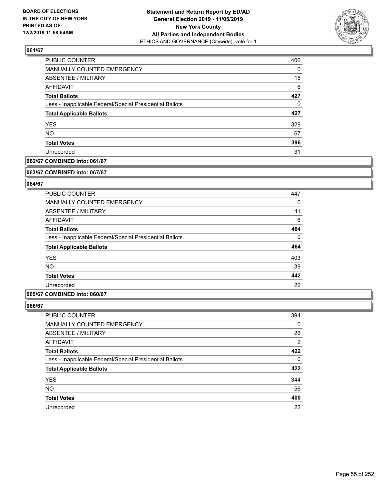

| <b>PUBLIC COUNTER</b>                                    | 406 |
|----------------------------------------------------------|-----|
| MANUALLY COUNTED EMERGENCY                               | 0   |
| <b>ABSENTEE / MILITARY</b>                               | 15  |
| AFFIDAVIT                                                | 6   |
| <b>Total Ballots</b>                                     | 427 |
| Less - Inapplicable Federal/Special Presidential Ballots | 0   |
| <b>Total Applicable Ballots</b>                          | 427 |
| <b>YES</b>                                               | 329 |
| <b>NO</b>                                                | 67  |
| <b>Total Votes</b>                                       | 396 |
| Unrecorded                                               | 31  |

# **062/67 COMBINED into: 061/67**

#### **063/67 COMBINED into: 067/67**

# **064/67**

| <b>PUBLIC COUNTER</b>                                    | 447      |
|----------------------------------------------------------|----------|
| <b>MANUALLY COUNTED EMERGENCY</b>                        | 0        |
| ABSENTEE / MILITARY                                      | 11       |
| AFFIDAVIT                                                | 6        |
| <b>Total Ballots</b>                                     | 464      |
| Less - Inapplicable Federal/Special Presidential Ballots | $\Omega$ |
| <b>Total Applicable Ballots</b>                          | 464      |
| <b>YES</b>                                               | 403      |
| <b>NO</b>                                                | 39       |
| <b>Total Votes</b>                                       | 442      |
| Unrecorded                                               | 22       |

## **065/67 COMBINED into: 060/67**

| <b>PUBLIC COUNTER</b>                                    | 394 |
|----------------------------------------------------------|-----|
| MANUALLY COUNTED EMERGENCY                               | 0   |
| ABSENTEE / MILITARY                                      | 26  |
| AFFIDAVIT                                                | 2   |
| <b>Total Ballots</b>                                     | 422 |
| Less - Inapplicable Federal/Special Presidential Ballots | 0   |
| <b>Total Applicable Ballots</b>                          | 422 |
| <b>YES</b>                                               | 344 |
| <b>NO</b>                                                | 56  |
| <b>Total Votes</b>                                       | 400 |
| Unrecorded                                               | 22  |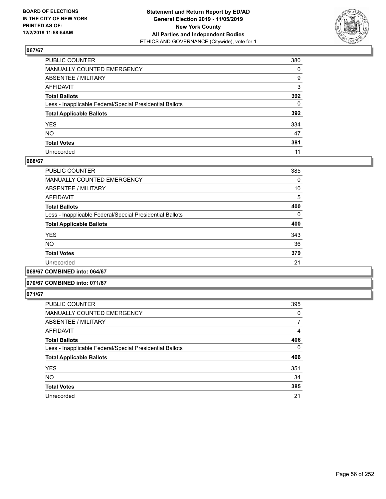

| PUBLIC COUNTER                                           | 380          |
|----------------------------------------------------------|--------------|
| MANUALLY COUNTED EMERGENCY                               | $\Omega$     |
| ABSENTEE / MILITARY                                      | 9            |
| AFFIDAVIT                                                | 3            |
| Total Ballots                                            | 392          |
| Less - Inapplicable Federal/Special Presidential Ballots | $\mathbf{0}$ |
| <b>Total Applicable Ballots</b>                          | 392          |
| YES                                                      | 334          |
| NO.                                                      | 47           |
| <b>Total Votes</b>                                       | 381          |
| Unrecorded                                               | 11           |

## **068/67**

| <b>PUBLIC COUNTER</b>                                    | 385 |
|----------------------------------------------------------|-----|
| <b>MANUALLY COUNTED EMERGENCY</b>                        | 0   |
| ABSENTEE / MILITARY                                      | 10  |
| <b>AFFIDAVIT</b>                                         | 5   |
| <b>Total Ballots</b>                                     | 400 |
| Less - Inapplicable Federal/Special Presidential Ballots | 0   |
| <b>Total Applicable Ballots</b>                          | 400 |
| <b>YES</b>                                               | 343 |
| <b>NO</b>                                                | 36  |
| <b>Total Votes</b>                                       | 379 |
| Unrecorded                                               | 21  |
| .                                                        |     |

## **069/67 COMBINED into: 064/67**

## **070/67 COMBINED into: 071/67**

| <b>PUBLIC COUNTER</b>                                    | 395 |
|----------------------------------------------------------|-----|
| MANUALLY COUNTED EMERGENCY                               | 0   |
| ABSENTEE / MILITARY                                      | 7   |
| AFFIDAVIT                                                | 4   |
| <b>Total Ballots</b>                                     | 406 |
| Less - Inapplicable Federal/Special Presidential Ballots | 0   |
| <b>Total Applicable Ballots</b>                          | 406 |
| <b>YES</b>                                               | 351 |
|                                                          |     |
| <b>NO</b>                                                | 34  |
| <b>Total Votes</b>                                       | 385 |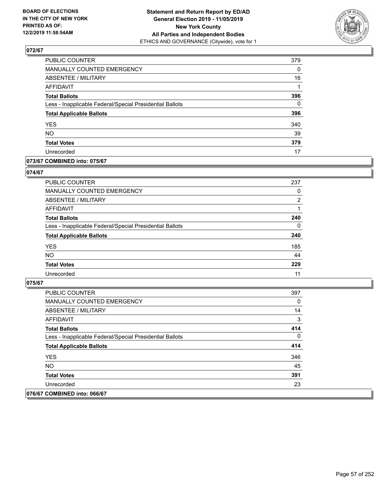

| PUBLIC COUNTER                                           | 379      |
|----------------------------------------------------------|----------|
| MANUALLY COUNTED EMERGENCY                               | 0        |
| <b>ABSENTEE / MILITARY</b>                               | 16       |
| <b>AFFIDAVIT</b>                                         |          |
| <b>Total Ballots</b>                                     | 396      |
| Less - Inapplicable Federal/Special Presidential Ballots | $\Omega$ |
| <b>Total Applicable Ballots</b>                          | 396      |
| <b>YES</b>                                               | 340      |
| <b>NO</b>                                                | 39       |
| <b>Total Votes</b>                                       | 379      |
| Unrecorded                                               | 17       |

## **073/67 COMBINED into: 075/67**

## **074/67**

| <b>PUBLIC COUNTER</b>                                    | 237            |
|----------------------------------------------------------|----------------|
| <b>MANUALLY COUNTED EMERGENCY</b>                        | 0              |
| ABSENTEE / MILITARY                                      | $\overline{2}$ |
| AFFIDAVIT                                                |                |
| <b>Total Ballots</b>                                     | 240            |
| Less - Inapplicable Federal/Special Presidential Ballots | $\Omega$       |
| <b>Total Applicable Ballots</b>                          | 240            |
| <b>YES</b>                                               | 185            |
| <b>NO</b>                                                | 44             |
| <b>Total Votes</b>                                       | 229            |
| Unrecorded                                               | 11             |

| <b>PUBLIC COUNTER</b>                                    | 397 |
|----------------------------------------------------------|-----|
| MANUALLY COUNTED EMERGENCY                               | 0   |
| ABSENTEE / MILITARY                                      | 14  |
| AFFIDAVIT                                                | 3   |
| <b>Total Ballots</b>                                     | 414 |
| Less - Inapplicable Federal/Special Presidential Ballots | 0   |
| <b>Total Applicable Ballots</b>                          | 414 |
| <b>YES</b>                                               | 346 |
| NO.                                                      | 45  |
| <b>Total Votes</b>                                       | 391 |
| Unrecorded                                               | 23  |
| 076/67 COMBINED into: 066/67                             |     |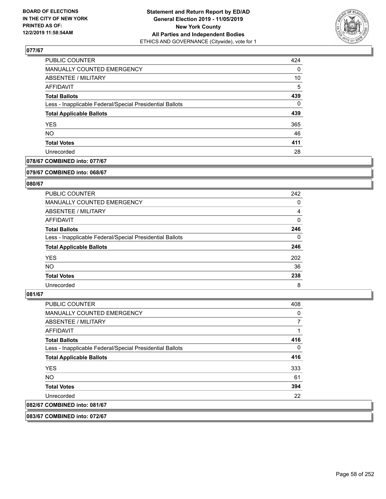

| PUBLIC COUNTER                                           | 424      |
|----------------------------------------------------------|----------|
| MANUALLY COUNTED EMERGENCY                               | 0        |
| ABSENTEE / MILITARY                                      | 10       |
| AFFIDAVIT                                                | 5        |
| <b>Total Ballots</b>                                     | 439      |
| Less - Inapplicable Federal/Special Presidential Ballots | $\Omega$ |
| <b>Total Applicable Ballots</b>                          | 439      |
| <b>YES</b>                                               | 365      |
| <b>NO</b>                                                | 46       |
| <b>Total Votes</b>                                       | 411      |
| Unrecorded                                               | 28       |

# **078/67 COMBINED into: 077/67**

#### **079/67 COMBINED into: 068/67**

# **080/67**

| <b>PUBLIC COUNTER</b>                                    | 242      |
|----------------------------------------------------------|----------|
| <b>MANUALLY COUNTED EMERGENCY</b>                        | 0        |
| ABSENTEE / MILITARY                                      | 4        |
| AFFIDAVIT                                                | 0        |
| <b>Total Ballots</b>                                     | 246      |
| Less - Inapplicable Federal/Special Presidential Ballots | $\Omega$ |
| <b>Total Applicable Ballots</b>                          | 246      |
| <b>YES</b>                                               | 202      |
| NO.                                                      | 36       |
| <b>Total Votes</b>                                       | 238      |
| Unrecorded                                               | 8        |

#### **081/67**

| <b>PUBLIC COUNTER</b>                                    | 408 |
|----------------------------------------------------------|-----|
| <b>MANUALLY COUNTED EMERGENCY</b>                        | 0   |
| ABSENTEE / MILITARY                                      | 7   |
| AFFIDAVIT                                                | 1   |
| <b>Total Ballots</b>                                     | 416 |
| Less - Inapplicable Federal/Special Presidential Ballots | 0   |
| <b>Total Applicable Ballots</b>                          | 416 |
| <b>YES</b>                                               | 333 |
| NO.                                                      | 61  |
| <b>Total Votes</b>                                       | 394 |
| Unrecorded                                               | 22  |
| 082/67 COMBINED into: 081/67                             |     |

**083/67 COMBINED into: 072/67**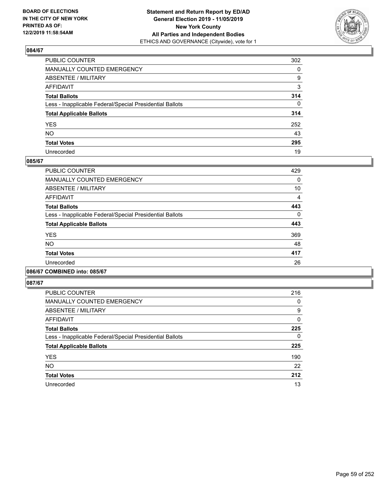

| PUBLIC COUNTER                                           | 302          |
|----------------------------------------------------------|--------------|
| MANUALLY COUNTED EMERGENCY                               | $\mathbf{0}$ |
| ABSENTEE / MILITARY                                      | 9            |
| AFFIDAVIT                                                | 3            |
| Total Ballots                                            | 314          |
| Less - Inapplicable Federal/Special Presidential Ballots | $\Omega$     |
| <b>Total Applicable Ballots</b>                          | 314          |
| YES                                                      | 252          |
| NO.                                                      | 43           |
| <b>Total Votes</b>                                       | 295          |
| Unrecorded                                               | 19           |

## **085/67**

| <b>PUBLIC COUNTER</b>                                    | 429      |
|----------------------------------------------------------|----------|
| <b>MANUALLY COUNTED EMERGENCY</b>                        | 0        |
| ABSENTEE / MILITARY                                      | 10       |
| <b>AFFIDAVIT</b>                                         | 4        |
| <b>Total Ballots</b>                                     | 443      |
| Less - Inapplicable Federal/Special Presidential Ballots | $\Omega$ |
| <b>Total Applicable Ballots</b>                          | 443      |
| <b>YES</b>                                               | 369      |
| N <sub>O</sub>                                           | 48       |
| <b>Total Votes</b>                                       | 417      |
| Unrecorded                                               | 26       |
|                                                          |          |

## **086/67 COMBINED into: 085/67**

| <b>PUBLIC COUNTER</b>                                    | 216 |
|----------------------------------------------------------|-----|
| <b>MANUALLY COUNTED EMERGENCY</b>                        | 0   |
| ABSENTEE / MILITARY                                      | 9   |
| <b>AFFIDAVIT</b>                                         | 0   |
| <b>Total Ballots</b>                                     | 225 |
| Less - Inapplicable Federal/Special Presidential Ballots | 0   |
| <b>Total Applicable Ballots</b>                          | 225 |
| <b>YES</b>                                               | 190 |
| <b>NO</b>                                                | 22  |
| <b>Total Votes</b>                                       | 212 |
| Unrecorded                                               | 13  |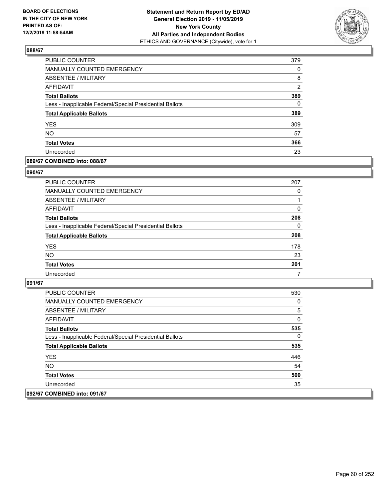

| <b>PUBLIC COUNTER</b>                                    | 379      |
|----------------------------------------------------------|----------|
| MANUALLY COUNTED EMERGENCY                               | $\Omega$ |
| <b>ABSENTEE / MILITARY</b>                               | 8        |
| <b>AFFIDAVIT</b>                                         | 2        |
| <b>Total Ballots</b>                                     | 389      |
| Less - Inapplicable Federal/Special Presidential Ballots | $\Omega$ |
| <b>Total Applicable Ballots</b>                          | 389      |
| <b>YES</b>                                               | 309      |
| <b>NO</b>                                                | 57       |
| <b>Total Votes</b>                                       | 366      |
| Unrecorded                                               | 23       |

## **089/67 COMBINED into: 088/67**

## **090/67**

| PUBLIC COUNTER                                           | 207      |
|----------------------------------------------------------|----------|
| <b>MANUALLY COUNTED EMERGENCY</b>                        | 0        |
| ABSENTEE / MILITARY                                      |          |
| AFFIDAVIT                                                | $\Omega$ |
| <b>Total Ballots</b>                                     | 208      |
| Less - Inapplicable Federal/Special Presidential Ballots | $\Omega$ |
| <b>Total Applicable Ballots</b>                          | 208      |
| <b>YES</b>                                               | 178      |
| <b>NO</b>                                                | 23       |
| <b>Total Votes</b>                                       | 201      |
| Unrecorded                                               | 7        |

| <b>PUBLIC COUNTER</b>                                    | 530 |
|----------------------------------------------------------|-----|
| <b>MANUALLY COUNTED EMERGENCY</b>                        | 0   |
| <b>ABSENTEE / MILITARY</b>                               | 5   |
| AFFIDAVIT                                                | 0   |
| <b>Total Ballots</b>                                     | 535 |
| Less - Inapplicable Federal/Special Presidential Ballots | 0   |
| <b>Total Applicable Ballots</b>                          | 535 |
| <b>YES</b>                                               | 446 |
| NO.                                                      | 54  |
| <b>Total Votes</b>                                       | 500 |
| Unrecorded                                               | 35  |
| 092/67 COMBINED into: 091/67                             |     |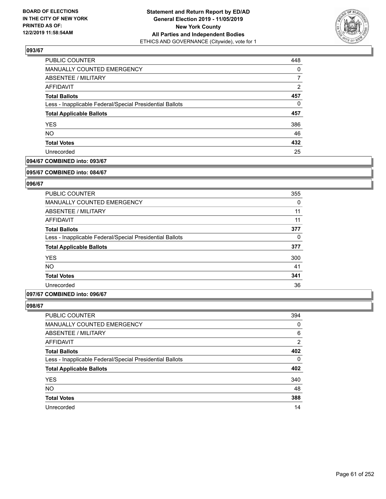

| PUBLIC COUNTER                                           | 448            |
|----------------------------------------------------------|----------------|
| MANUALLY COUNTED EMERGENCY                               | 0              |
| ABSENTEE / MILITARY                                      | 7              |
| AFFIDAVIT                                                | $\overline{2}$ |
| <b>Total Ballots</b>                                     | 457            |
| Less - Inapplicable Federal/Special Presidential Ballots | $\Omega$       |
| <b>Total Applicable Ballots</b>                          | 457            |
| <b>YES</b>                                               | 386            |
| <b>NO</b>                                                | 46             |
| <b>Total Votes</b>                                       | 432            |
| Unrecorded                                               | 25             |

# **094/67 COMBINED into: 093/67**

#### **095/67 COMBINED into: 084/67**

# **096/67**

| <b>PUBLIC COUNTER</b>                                    | 355      |
|----------------------------------------------------------|----------|
| <b>MANUALLY COUNTED EMERGENCY</b>                        | 0        |
| ABSENTEE / MILITARY                                      | 11       |
| AFFIDAVIT                                                | 11       |
| <b>Total Ballots</b>                                     | 377      |
| Less - Inapplicable Federal/Special Presidential Ballots | $\Omega$ |
| <b>Total Applicable Ballots</b>                          | 377      |
| <b>YES</b>                                               | 300      |
| <b>NO</b>                                                | 41       |
| <b>Total Votes</b>                                       | 341      |
| Unrecorded                                               | 36       |

## **097/67 COMBINED into: 096/67**

| <b>PUBLIC COUNTER</b>                                    | 394 |
|----------------------------------------------------------|-----|
| MANUALLY COUNTED EMERGENCY                               | 0   |
| ABSENTEE / MILITARY                                      | 6   |
| AFFIDAVIT                                                | 2   |
| <b>Total Ballots</b>                                     | 402 |
| Less - Inapplicable Federal/Special Presidential Ballots | 0   |
| <b>Total Applicable Ballots</b>                          | 402 |
| <b>YES</b>                                               | 340 |
| <b>NO</b>                                                | 48  |
| <b>Total Votes</b>                                       | 388 |
| Unrecorded                                               | 14  |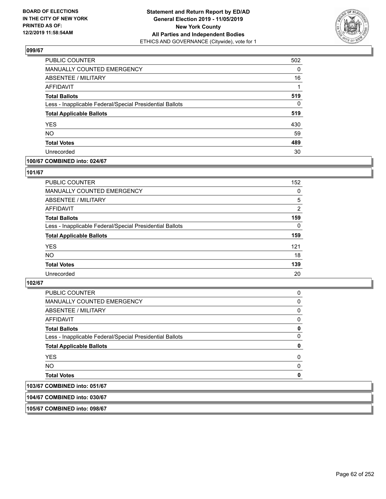

| <b>PUBLIC COUNTER</b>                                    | 502      |
|----------------------------------------------------------|----------|
| MANUALLY COUNTED EMERGENCY                               | $\Omega$ |
| <b>ABSENTEE / MILITARY</b>                               | 16       |
| <b>AFFIDAVIT</b>                                         |          |
| <b>Total Ballots</b>                                     | 519      |
| Less - Inapplicable Federal/Special Presidential Ballots | $\Omega$ |
| <b>Total Applicable Ballots</b>                          | 519      |
| <b>YES</b>                                               | 430      |
| <b>NO</b>                                                | 59       |
| <b>Total Votes</b>                                       | 489      |
| Unrecorded                                               | 30       |

## **100/67 COMBINED into: 024/67**

## **101/67**

| PUBLIC COUNTER                                           | 152      |
|----------------------------------------------------------|----------|
| <b>MANUALLY COUNTED EMERGENCY</b>                        | 0        |
| ABSENTEE / MILITARY                                      | 5        |
| <b>AFFIDAVIT</b>                                         | 2        |
| <b>Total Ballots</b>                                     | 159      |
| Less - Inapplicable Federal/Special Presidential Ballots | $\Omega$ |
| <b>Total Applicable Ballots</b>                          | 159      |
| <b>YES</b>                                               | 121      |
| <b>NO</b>                                                | 18       |
| <b>Total Votes</b>                                       | 139      |
| Unrecorded                                               | 20       |
|                                                          |          |

## **102/67**

| MANUALLY COUNTED EMERGENCY<br>ABSENTEE / MILITARY        | 0<br>$\Omega$ |
|----------------------------------------------------------|---------------|
| AFFIDAVIT                                                | 0             |
| <b>Total Ballots</b>                                     | 0             |
| Less - Inapplicable Federal/Special Presidential Ballots | $\Omega$      |
| <b>Total Applicable Ballots</b>                          | 0             |
| <b>YES</b>                                               | $\Omega$      |
| NO.                                                      | $\Omega$      |
| <b>Total Votes</b>                                       | 0             |

**104/67 COMBINED into: 030/67**

**105/67 COMBINED into: 098/67**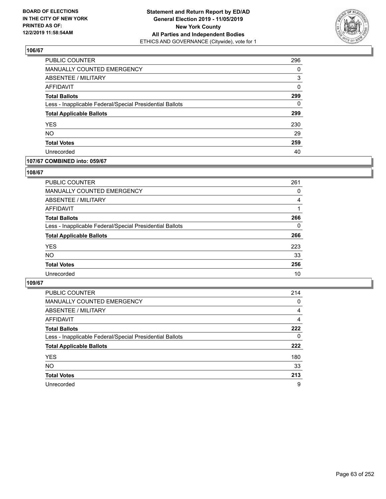

| PUBLIC COUNTER                                           | 296      |
|----------------------------------------------------------|----------|
| MANUALLY COUNTED EMERGENCY                               | 0        |
| <b>ABSENTEE / MILITARY</b>                               | 3        |
| <b>AFFIDAVIT</b>                                         | 0        |
| <b>Total Ballots</b>                                     | 299      |
| Less - Inapplicable Federal/Special Presidential Ballots | $\Omega$ |
| <b>Total Applicable Ballots</b>                          | 299      |
| <b>YES</b>                                               | 230      |
| <b>NO</b>                                                | 29       |
| <b>Total Votes</b>                                       | 259      |
| Unrecorded                                               | 40       |

# **107/67 COMBINED into: 059/67**

## **108/67**

| PUBLIC COUNTER                                           | 261      |
|----------------------------------------------------------|----------|
| <b>MANUALLY COUNTED EMERGENCY</b>                        | 0        |
| ABSENTEE / MILITARY                                      | 4        |
| AFFIDAVIT                                                |          |
| <b>Total Ballots</b>                                     | 266      |
| Less - Inapplicable Federal/Special Presidential Ballots | $\Omega$ |
| <b>Total Applicable Ballots</b>                          | 266      |
| <b>YES</b>                                               | 223      |
| <b>NO</b>                                                | 33       |
| <b>Total Votes</b>                                       | 256      |
| Unrecorded                                               | 10       |

| <b>PUBLIC COUNTER</b>                                    | 214 |
|----------------------------------------------------------|-----|
| <b>MANUALLY COUNTED EMERGENCY</b>                        | 0   |
| ABSENTEE / MILITARY                                      | 4   |
| AFFIDAVIT                                                | 4   |
| <b>Total Ballots</b>                                     | 222 |
| Less - Inapplicable Federal/Special Presidential Ballots | 0   |
| <b>Total Applicable Ballots</b>                          | 222 |
| <b>YES</b>                                               | 180 |
| <b>NO</b>                                                | 33  |
| <b>Total Votes</b>                                       | 213 |
| Unrecorded                                               | 9   |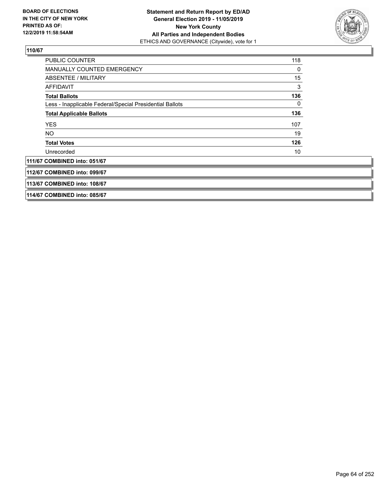

| PUBLIC COUNTER                                           | 118 |
|----------------------------------------------------------|-----|
| <b>MANUALLY COUNTED EMERGENCY</b>                        | 0   |
| ABSENTEE / MILITARY                                      | 15  |
| AFFIDAVIT                                                | 3   |
| <b>Total Ballots</b>                                     | 136 |
| Less - Inapplicable Federal/Special Presidential Ballots | 0   |
| <b>Total Applicable Ballots</b>                          | 136 |
| <b>YES</b>                                               | 107 |
| NO                                                       | 19  |
| <b>Total Votes</b>                                       | 126 |
| Unrecorded                                               | 10  |
| 111/67 COMBINED into: 051/67                             |     |
| 112/67 COMBINED into: 099/67                             |     |
| 113/67 COMBINED into: 108/67                             |     |
| 114/67 COMBINED into: 085/67                             |     |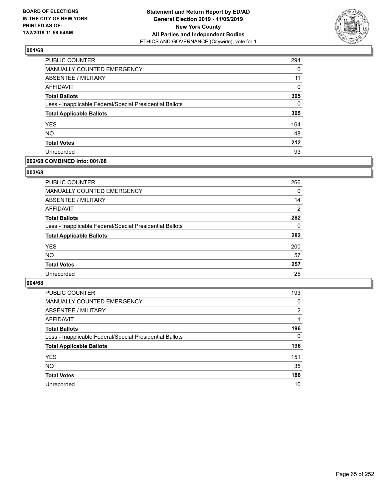

| PUBLIC COUNTER                                           | 294      |
|----------------------------------------------------------|----------|
| MANUALLY COUNTED EMERGENCY                               | 0        |
| ABSENTEE / MILITARY                                      | 11       |
| AFFIDAVIT                                                | 0        |
| <b>Total Ballots</b>                                     | 305      |
| Less - Inapplicable Federal/Special Presidential Ballots | $\Omega$ |
| <b>Total Applicable Ballots</b>                          | 305      |
| <b>YES</b>                                               | 164      |
| <b>NO</b>                                                | 48       |
| <b>Total Votes</b>                                       | 212      |
| Unrecorded                                               | 93       |

## **002/68 COMBINED into: 001/68**

## **003/68**

| <b>PUBLIC COUNTER</b>                                    | 266      |
|----------------------------------------------------------|----------|
| MANUALLY COUNTED EMERGENCY                               | $\Omega$ |
| <b>ABSENTEE / MILITARY</b>                               | 14       |
| AFFIDAVIT                                                | 2        |
| <b>Total Ballots</b>                                     | 282      |
| Less - Inapplicable Federal/Special Presidential Ballots | $\Omega$ |
| <b>Total Applicable Ballots</b>                          | 282      |
| <b>YES</b>                                               | 200      |
| <b>NO</b>                                                | 57       |
| <b>Total Votes</b>                                       | 257      |
| Unrecorded                                               | 25       |
|                                                          |          |

| <b>PUBLIC COUNTER</b>                                    | 193      |
|----------------------------------------------------------|----------|
| MANUALLY COUNTED EMERGENCY                               | 0        |
| ABSENTEE / MILITARY                                      | 2        |
| AFFIDAVIT                                                |          |
| <b>Total Ballots</b>                                     | 196      |
| Less - Inapplicable Federal/Special Presidential Ballots | $\Omega$ |
| <b>Total Applicable Ballots</b>                          | 196      |
| <b>YES</b>                                               | 151      |
| <b>NO</b>                                                | 35       |
| <b>Total Votes</b>                                       | 186      |
| Unrecorded                                               | 10       |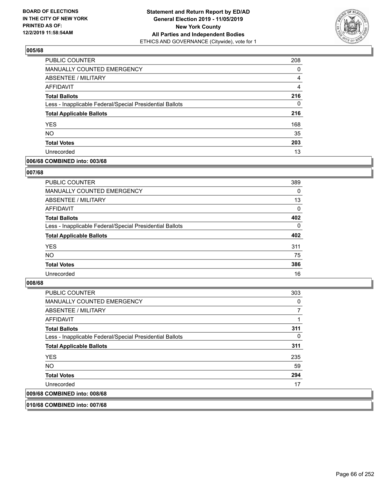

| PUBLIC COUNTER                                           | 208 |
|----------------------------------------------------------|-----|
| MANUALLY COUNTED EMERGENCY                               | 0   |
| ABSENTEE / MILITARY                                      | 4   |
| AFFIDAVIT                                                | 4   |
| <b>Total Ballots</b>                                     | 216 |
| Less - Inapplicable Federal/Special Presidential Ballots | 0   |
| <b>Total Applicable Ballots</b>                          | 216 |
| <b>YES</b>                                               | 168 |
| <b>NO</b>                                                | 35  |
| <b>Total Votes</b>                                       | 203 |
| Unrecorded                                               | 13  |

# **006/68 COMBINED into: 003/68**

## **007/68**

| <b>PUBLIC COUNTER</b>                                    | 389      |
|----------------------------------------------------------|----------|
| MANUALLY COUNTED EMERGENCY                               | $\Omega$ |
| <b>ABSENTEE / MILITARY</b>                               | 13       |
| AFFIDAVIT                                                | 0        |
| <b>Total Ballots</b>                                     | 402      |
| Less - Inapplicable Federal/Special Presidential Ballots | $\Omega$ |
| <b>Total Applicable Ballots</b>                          | 402      |
| <b>YES</b>                                               | 311      |
| <b>NO</b>                                                | 75       |
| <b>Total Votes</b>                                       | 386      |
| Unrecorded                                               | 16       |
|                                                          |          |

# **008/68**

| <b>PUBLIC COUNTER</b>                                    | 303 |
|----------------------------------------------------------|-----|
| MANUALLY COUNTED EMERGENCY                               | 0   |
| ABSENTEE / MILITARY                                      |     |
| AFFIDAVIT                                                |     |
| <b>Total Ballots</b>                                     | 311 |
| Less - Inapplicable Federal/Special Presidential Ballots | 0   |
| <b>Total Applicable Ballots</b>                          | 311 |
| <b>YES</b>                                               | 235 |
| <b>NO</b>                                                | 59  |
| <b>Total Votes</b>                                       | 294 |
| Unrecorded                                               | 17  |
| 009/68 COMBINED into: 008/68                             |     |

**010/68 COMBINED into: 007/68**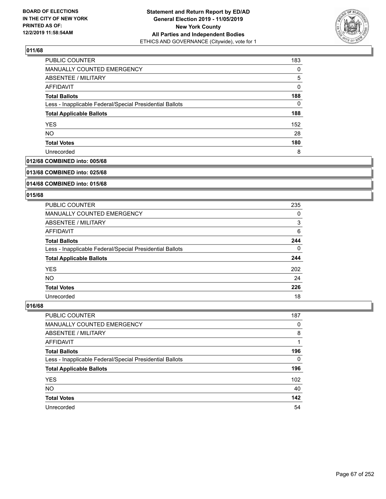

| <b>PUBLIC COUNTER</b>                                    | 183      |
|----------------------------------------------------------|----------|
| MANUALLY COUNTED EMERGENCY                               | $\Omega$ |
| <b>ABSENTEE / MILITARY</b>                               | 5        |
| AFFIDAVIT                                                | $\Omega$ |
| <b>Total Ballots</b>                                     | 188      |
| Less - Inapplicable Federal/Special Presidential Ballots | 0        |
| <b>Total Applicable Ballots</b>                          | 188      |
| <b>YES</b>                                               | 152      |
| <b>NO</b>                                                | 28       |
| <b>Total Votes</b>                                       | 180      |
| Unrecorded                                               | 8        |

## **012/68 COMBINED into: 005/68**

#### **013/68 COMBINED into: 025/68**

# **014/68 COMBINED into: 015/68**

## **015/68**

| <b>PUBLIC COUNTER</b>                                    | 235 |
|----------------------------------------------------------|-----|
| MANUALLY COUNTED EMERGENCY                               | 0   |
| ABSENTEE / MILITARY                                      | 3   |
| AFFIDAVIT                                                | 6   |
| <b>Total Ballots</b>                                     | 244 |
| Less - Inapplicable Federal/Special Presidential Ballots | 0   |
| <b>Total Applicable Ballots</b>                          | 244 |
| <b>YES</b>                                               | 202 |
| NO.                                                      | 24  |
| <b>Total Votes</b>                                       | 226 |
| Unrecorded                                               | 18  |

| <b>PUBLIC COUNTER</b>                                    | 187              |
|----------------------------------------------------------|------------------|
| MANUALLY COUNTED EMERGENCY                               | 0                |
| ABSENTEE / MILITARY                                      | 8                |
| AFFIDAVIT                                                |                  |
| <b>Total Ballots</b>                                     | 196              |
| Less - Inapplicable Federal/Special Presidential Ballots | $\Omega$         |
| <b>Total Applicable Ballots</b>                          | 196              |
| <b>YES</b>                                               | 102 <sub>2</sub> |
| <b>NO</b>                                                | 40               |
| <b>Total Votes</b>                                       | 142              |
| Unrecorded                                               | 54               |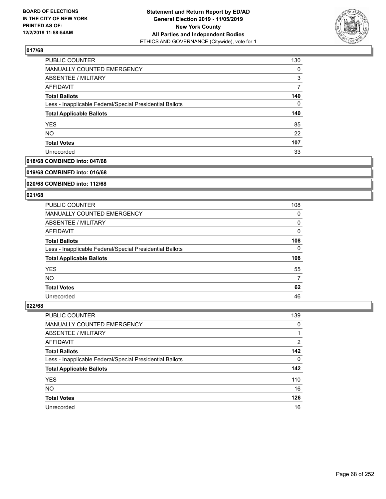

| <b>PUBLIC COUNTER</b>                                    | 130      |
|----------------------------------------------------------|----------|
| MANUALLY COUNTED EMERGENCY                               | $\Omega$ |
| ABSENTEE / MILITARY                                      | 3        |
| AFFIDAVIT                                                | 7        |
| <b>Total Ballots</b>                                     | 140      |
| Less - Inapplicable Federal/Special Presidential Ballots | 0        |
| <b>Total Applicable Ballots</b>                          | 140      |
| <b>YES</b>                                               | 85       |
| <b>NO</b>                                                | 22       |
| <b>Total Votes</b>                                       | 107      |
| Unrecorded                                               | 33       |

## **018/68 COMBINED into: 047/68**

#### **019/68 COMBINED into: 016/68**

# **020/68 COMBINED into: 112/68**

## **021/68**

| <b>PUBLIC COUNTER</b>                                    | 108 |
|----------------------------------------------------------|-----|
| <b>MANUALLY COUNTED EMERGENCY</b>                        | 0   |
| ABSENTEE / MILITARY                                      | 0   |
| AFFIDAVIT                                                | 0   |
| <b>Total Ballots</b>                                     | 108 |
| Less - Inapplicable Federal/Special Presidential Ballots | 0   |
| <b>Total Applicable Ballots</b>                          | 108 |
| <b>YES</b>                                               | 55  |
| NO.                                                      | 7   |
| <b>Total Votes</b>                                       | 62  |
| Unrecorded                                               | 46  |

| <b>PUBLIC COUNTER</b>                                    | 139      |
|----------------------------------------------------------|----------|
| MANUALLY COUNTED EMERGENCY                               | 0        |
| <b>ABSENTEE / MILITARY</b>                               |          |
| AFFIDAVIT                                                | 2        |
| <b>Total Ballots</b>                                     | 142      |
| Less - Inapplicable Federal/Special Presidential Ballots | $\Omega$ |
| <b>Total Applicable Ballots</b>                          | 142      |
| <b>YES</b>                                               | 110      |
| <b>NO</b>                                                | 16       |
| <b>Total Votes</b>                                       | 126      |
| Unrecorded                                               | 16       |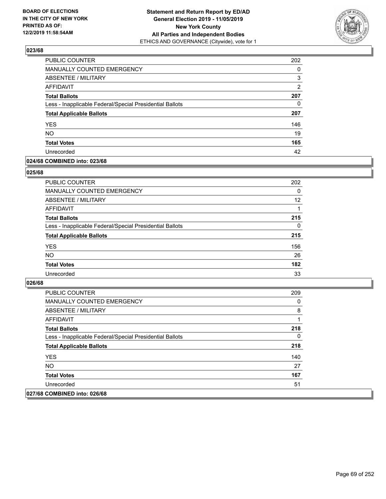

| PUBLIC COUNTER                                           | 202            |
|----------------------------------------------------------|----------------|
| MANUALLY COUNTED EMERGENCY                               | 0              |
| ABSENTEE / MILITARY                                      | 3              |
| AFFIDAVIT                                                | $\overline{2}$ |
| <b>Total Ballots</b>                                     | 207            |
| Less - Inapplicable Federal/Special Presidential Ballots | 0              |
| <b>Total Applicable Ballots</b>                          | 207            |
| <b>YES</b>                                               | 146            |
| <b>NO</b>                                                | 19             |
| <b>Total Votes</b>                                       | 165            |
| Unrecorded                                               | 42             |

## **024/68 COMBINED into: 023/68**

## **025/68**

| PUBLIC COUNTER                                           | 202      |
|----------------------------------------------------------|----------|
| MANUALLY COUNTED EMERGENCY                               | 0        |
| ABSENTEE / MILITARY                                      | 12       |
| AFFIDAVIT                                                |          |
| <b>Total Ballots</b>                                     | 215      |
| Less - Inapplicable Federal/Special Presidential Ballots | $\Omega$ |
| <b>Total Applicable Ballots</b>                          | 215      |
| <b>YES</b>                                               | 156      |
| <b>NO</b>                                                | 26       |
| <b>Total Votes</b>                                       | 182      |
| Unrecorded                                               | 33       |

| PUBLIC COUNTER                                           | 209 |
|----------------------------------------------------------|-----|
| MANUALLY COUNTED EMERGENCY                               | 0   |
| ABSENTEE / MILITARY                                      | 8   |
| AFFIDAVIT                                                |     |
| <b>Total Ballots</b>                                     | 218 |
| Less - Inapplicable Federal/Special Presidential Ballots | 0   |
| <b>Total Applicable Ballots</b>                          | 218 |
| <b>YES</b>                                               | 140 |
| NO.                                                      | 27  |
| <b>Total Votes</b>                                       | 167 |
| Unrecorded                                               | 51  |
| 027/68 COMBINED into: 026/68                             |     |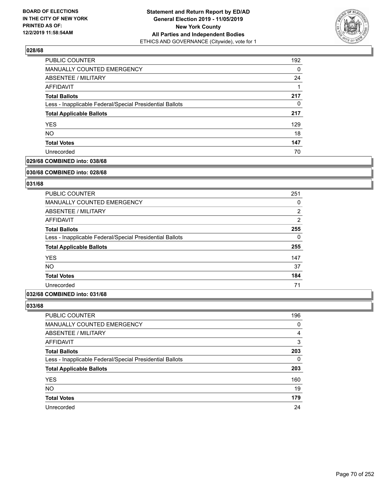

| PUBLIC COUNTER                                           | 192 |
|----------------------------------------------------------|-----|
| MANUALLY COUNTED EMERGENCY                               | 0   |
| ABSENTEE / MILITARY                                      | 24  |
| AFFIDAVIT                                                |     |
| <b>Total Ballots</b>                                     | 217 |
| Less - Inapplicable Federal/Special Presidential Ballots | 0   |
| <b>Total Applicable Ballots</b>                          | 217 |
| <b>YES</b>                                               | 129 |
| <b>NO</b>                                                | 18  |
| <b>Total Votes</b>                                       | 147 |
| Unrecorded                                               | 70  |

# **029/68 COMBINED into: 038/68**

#### **030/68 COMBINED into: 028/68**

# **031/68**

| <b>PUBLIC COUNTER</b>                                    | 251            |
|----------------------------------------------------------|----------------|
| <b>MANUALLY COUNTED EMERGENCY</b>                        | 0              |
| ABSENTEE / MILITARY                                      | $\overline{2}$ |
| AFFIDAVIT                                                | $\overline{2}$ |
| <b>Total Ballots</b>                                     | 255            |
| Less - Inapplicable Federal/Special Presidential Ballots | $\Omega$       |
| <b>Total Applicable Ballots</b>                          | 255            |
| <b>YES</b>                                               | 147            |
| <b>NO</b>                                                | 37             |
| <b>Total Votes</b>                                       | 184            |
| Unrecorded                                               | 71             |

## **032/68 COMBINED into: 031/68**

| PUBLIC COUNTER                                           | 196      |
|----------------------------------------------------------|----------|
| MANUALLY COUNTED EMERGENCY                               | 0        |
| ABSENTEE / MILITARY                                      | 4        |
| AFFIDAVIT                                                | 3        |
| <b>Total Ballots</b>                                     | 203      |
| Less - Inapplicable Federal/Special Presidential Ballots | $\Omega$ |
| <b>Total Applicable Ballots</b>                          | 203      |
| <b>YES</b>                                               | 160      |
| <b>NO</b>                                                | 19       |
| <b>Total Votes</b>                                       | 179      |
| Unrecorded                                               | 24       |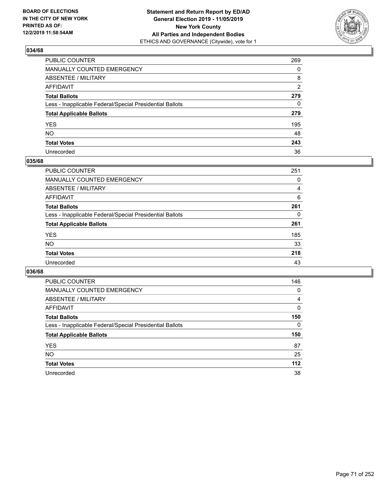

| PUBLIC COUNTER                                           | 269            |
|----------------------------------------------------------|----------------|
| MANUALLY COUNTED EMERGENCY                               | $\Omega$       |
| ABSENTEE / MILITARY                                      | 8              |
| AFFIDAVIT                                                | $\overline{2}$ |
| Total Ballots                                            | 279            |
| Less - Inapplicable Federal/Special Presidential Ballots | $\mathbf{0}$   |
| <b>Total Applicable Ballots</b>                          | 279            |
| YES                                                      | 195            |
| NO.                                                      | 48             |
| <b>Total Votes</b>                                       | 243            |
| Unrecorded                                               | 36             |

## **035/68**

| <b>PUBLIC COUNTER</b>                                    | 251      |
|----------------------------------------------------------|----------|
| MANUALLY COUNTED EMERGENCY                               | 0        |
| ABSENTEE / MILITARY                                      | 4        |
| AFFIDAVIT                                                | 6        |
| <b>Total Ballots</b>                                     | 261      |
| Less - Inapplicable Federal/Special Presidential Ballots | $\Omega$ |
| <b>Total Applicable Ballots</b>                          | 261      |
| <b>YES</b>                                               | 185      |
| <b>NO</b>                                                | 33       |
| <b>Total Votes</b>                                       | 218      |
| Unrecorded                                               | 43       |

| <b>PUBLIC COUNTER</b>                                    | 146 |
|----------------------------------------------------------|-----|
| MANUALLY COUNTED EMERGENCY                               | 0   |
| ABSENTEE / MILITARY                                      | 4   |
| AFFIDAVIT                                                | 0   |
| <b>Total Ballots</b>                                     | 150 |
| Less - Inapplicable Federal/Special Presidential Ballots | 0   |
| <b>Total Applicable Ballots</b>                          | 150 |
| <b>YES</b>                                               | 87  |
|                                                          |     |
| NO.                                                      | 25  |
| <b>Total Votes</b>                                       | 112 |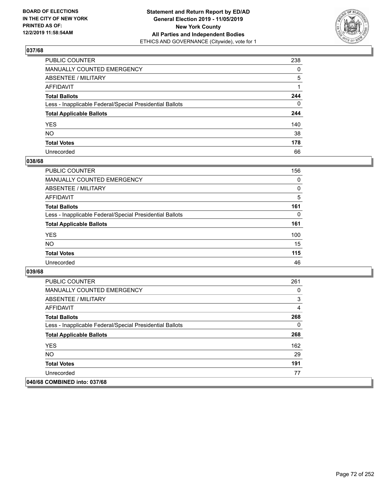

| PUBLIC COUNTER                                           | 238          |
|----------------------------------------------------------|--------------|
| MANUALLY COUNTED EMERGENCY                               | $\mathbf{0}$ |
| ABSENTEE / MILITARY                                      | 5            |
| AFFIDAVIT                                                |              |
| Total Ballots                                            | 244          |
| Less - Inapplicable Federal/Special Presidential Ballots | $\mathbf{0}$ |
| <b>Total Applicable Ballots</b>                          | 244          |
| YES                                                      | 140          |
| NO.                                                      | 38           |
| <b>Total Votes</b>                                       | 178          |
| Unrecorded                                               | 66           |

## **038/68**

| <b>PUBLIC COUNTER</b>                                    | 156      |
|----------------------------------------------------------|----------|
| <b>MANUALLY COUNTED EMERGENCY</b>                        | $\Omega$ |
| ABSENTEE / MILITARY                                      | 0        |
| AFFIDAVIT                                                | 5        |
| <b>Total Ballots</b>                                     | 161      |
| Less - Inapplicable Federal/Special Presidential Ballots | 0        |
| <b>Total Applicable Ballots</b>                          | 161      |
| <b>YES</b>                                               | 100      |
| <b>NO</b>                                                | 15       |
| <b>Total Votes</b>                                       | 115      |
| Unrecorded                                               | 46       |

| <b>PUBLIC COUNTER</b>                                    | 261            |
|----------------------------------------------------------|----------------|
| <b>MANUALLY COUNTED EMERGENCY</b>                        | 0              |
| ABSENTEE / MILITARY                                      | 3              |
| AFFIDAVIT                                                | $\overline{4}$ |
| <b>Total Ballots</b>                                     | 268            |
| Less - Inapplicable Federal/Special Presidential Ballots | $\Omega$       |
| <b>Total Applicable Ballots</b>                          | 268            |
| <b>YES</b>                                               | 162            |
| <b>NO</b>                                                | 29             |
| <b>Total Votes</b>                                       | 191            |
| Unrecorded                                               | 77             |
| 040/68 COMBINED into: 037/68                             |                |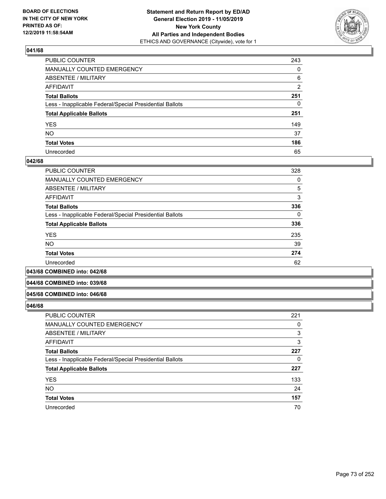

| PUBLIC COUNTER                                           | 243            |
|----------------------------------------------------------|----------------|
| MANUALLY COUNTED EMERGENCY                               | $\mathbf{0}$   |
| ABSENTEE / MILITARY                                      | 6              |
| AFFIDAVIT                                                | $\overline{2}$ |
| Total Ballots                                            | 251            |
| Less - Inapplicable Federal/Special Presidential Ballots | $\mathbf{0}$   |
| <b>Total Applicable Ballots</b>                          | 251            |
| YES                                                      | 149            |
| NO.                                                      | 37             |
| <b>Total Votes</b>                                       | 186            |
| Unrecorded                                               | 65             |

#### **042/68**

| <b>PUBLIC COUNTER</b>                                    | 328      |
|----------------------------------------------------------|----------|
| <b>MANUALLY COUNTED EMERGENCY</b>                        | 0        |
| ABSENTEE / MILITARY                                      | 5        |
| <b>AFFIDAVIT</b>                                         | 3        |
| <b>Total Ballots</b>                                     | 336      |
| Less - Inapplicable Federal/Special Presidential Ballots | $\Omega$ |
| <b>Total Applicable Ballots</b>                          | 336      |
| <b>YES</b>                                               | 235      |
| <b>NO</b>                                                | 39       |
| <b>Total Votes</b>                                       | 274      |
| Unrecorded                                               | 62       |
|                                                          |          |

**043/68 COMBINED into: 042/68**

#### **044/68 COMBINED into: 039/68**

#### **045/68 COMBINED into: 046/68**

| PUBLIC COUNTER                                           | 221 |
|----------------------------------------------------------|-----|
| MANUALLY COUNTED EMERGENCY                               | 0   |
| ABSENTEE / MILITARY                                      | 3   |
| AFFIDAVIT                                                | 3   |
| <b>Total Ballots</b>                                     | 227 |
| Less - Inapplicable Federal/Special Presidential Ballots | 0   |
| <b>Total Applicable Ballots</b>                          | 227 |
| <b>YES</b>                                               | 133 |
| <b>NO</b>                                                | 24  |
| <b>Total Votes</b>                                       | 157 |
| Unrecorded                                               | 70  |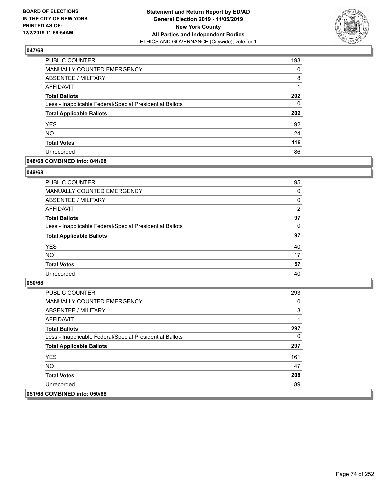

| PUBLIC COUNTER                                           | 193      |
|----------------------------------------------------------|----------|
| MANUALLY COUNTED EMERGENCY                               | 0        |
| ABSENTEE / MILITARY                                      | 8        |
| AFFIDAVIT                                                |          |
| <b>Total Ballots</b>                                     | 202      |
| Less - Inapplicable Federal/Special Presidential Ballots | $\Omega$ |
| <b>Total Applicable Ballots</b>                          | 202      |
| <b>YES</b>                                               | 92       |
| <b>NO</b>                                                | 24       |
| <b>Total Votes</b>                                       | 116      |
| Unrecorded                                               | 86       |

# **048/68 COMBINED into: 041/68**

#### **049/68**

| PUBLIC COUNTER                                           | 95             |
|----------------------------------------------------------|----------------|
| MANUALLY COUNTED EMERGENCY                               | $\Omega$       |
| ABSENTEE / MILITARY                                      | 0              |
| AFFIDAVIT                                                | $\overline{2}$ |
| <b>Total Ballots</b>                                     | 97             |
| Less - Inapplicable Federal/Special Presidential Ballots | $\Omega$       |
| <b>Total Applicable Ballots</b>                          | 97             |
| <b>YES</b>                                               | 40             |
| <b>NO</b>                                                | 17             |
| <b>Total Votes</b>                                       | 57             |
| Unrecorded                                               | 40             |
|                                                          |                |

| <b>PUBLIC COUNTER</b>                                    | 293 |
|----------------------------------------------------------|-----|
| <b>MANUALLY COUNTED EMERGENCY</b>                        | 0   |
| ABSENTEE / MILITARY                                      | 3   |
| AFFIDAVIT                                                |     |
| <b>Total Ballots</b>                                     | 297 |
| Less - Inapplicable Federal/Special Presidential Ballots | 0   |
| <b>Total Applicable Ballots</b>                          | 297 |
| <b>YES</b>                                               | 161 |
| NO.                                                      | 47  |
| <b>Total Votes</b>                                       | 208 |
| Unrecorded                                               | 89  |
| 051/68 COMBINED into: 050/68                             |     |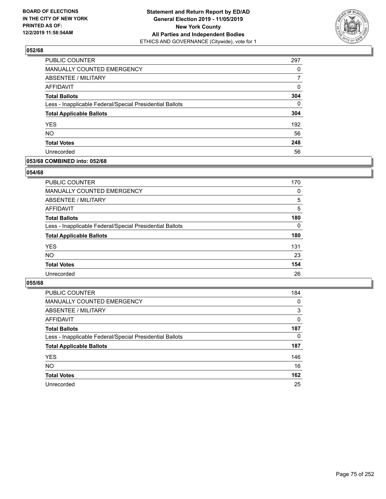

| <b>PUBLIC COUNTER</b>                                    | 297      |
|----------------------------------------------------------|----------|
| MANUALLY COUNTED EMERGENCY                               | $\Omega$ |
| <b>ABSENTEE / MILITARY</b>                               | 7        |
| AFFIDAVIT                                                | 0        |
| <b>Total Ballots</b>                                     | 304      |
| Less - Inapplicable Federal/Special Presidential Ballots | $\Omega$ |
| <b>Total Applicable Ballots</b>                          | 304      |
| <b>YES</b>                                               | 192      |
| <b>NO</b>                                                | 56       |
| <b>Total Votes</b>                                       | 248      |
| Unrecorded                                               | 56       |

### **053/68 COMBINED into: 052/68**

#### **054/68**

| <b>PUBLIC COUNTER</b>                                    | 170      |
|----------------------------------------------------------|----------|
| MANUALLY COUNTED EMERGENCY                               | 0        |
| <b>ABSENTEE / MILITARY</b>                               | 5        |
| AFFIDAVIT                                                | 5        |
| <b>Total Ballots</b>                                     | 180      |
| Less - Inapplicable Federal/Special Presidential Ballots | $\Omega$ |
| <b>Total Applicable Ballots</b>                          | 180      |
| <b>YES</b>                                               | 131      |
| <b>NO</b>                                                | 23       |
| <b>Total Votes</b>                                       | 154      |
| Unrecorded                                               | 26       |
|                                                          |          |

| <b>PUBLIC COUNTER</b>                                    | 184      |
|----------------------------------------------------------|----------|
| MANUALLY COUNTED EMERGENCY                               | 0        |
| ABSENTEE / MILITARY                                      | 3        |
| AFFIDAVIT                                                | $\Omega$ |
| <b>Total Ballots</b>                                     | 187      |
| Less - Inapplicable Federal/Special Presidential Ballots | $\Omega$ |
| <b>Total Applicable Ballots</b>                          | 187      |
| <b>YES</b>                                               | 146      |
| <b>NO</b>                                                | 16       |
| <b>Total Votes</b>                                       | 162      |
| Unrecorded                                               | 25       |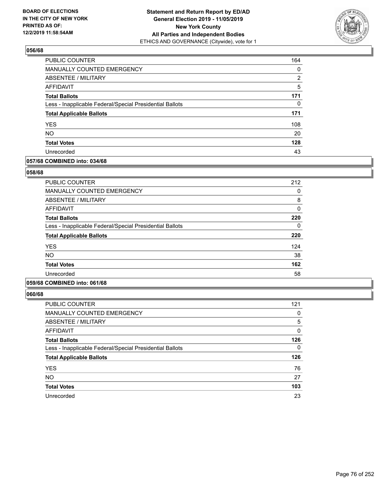

| PUBLIC COUNTER                                           | 164      |
|----------------------------------------------------------|----------|
| MANUALLY COUNTED EMERGENCY                               | $\Omega$ |
| <b>ABSENTEE / MILITARY</b>                               | 2        |
| AFFIDAVIT                                                | 5        |
| <b>Total Ballots</b>                                     | 171      |
| Less - Inapplicable Federal/Special Presidential Ballots | $\Omega$ |
| <b>Total Applicable Ballots</b>                          | 171      |
| <b>YES</b>                                               | 108      |
| <b>NO</b>                                                | 20       |
| <b>Total Votes</b>                                       | 128      |
| Unrecorded                                               | 43       |

# **057/68 COMBINED into: 034/68**

#### **058/68**

| <b>PUBLIC COUNTER</b>                                    | 212 |
|----------------------------------------------------------|-----|
| <b>MANUALLY COUNTED EMERGENCY</b>                        | 0   |
| ABSENTEE / MILITARY                                      | 8   |
| AFFIDAVIT                                                | 0   |
| <b>Total Ballots</b>                                     | 220 |
| Less - Inapplicable Federal/Special Presidential Ballots | 0   |
| <b>Total Applicable Ballots</b>                          | 220 |
| <b>YES</b>                                               | 124 |
| <b>NO</b>                                                | 38  |
| <b>Total Votes</b>                                       | 162 |
| Unrecorded                                               | 58  |
|                                                          |     |

# **059/68 COMBINED into: 061/68**

| <b>PUBLIC COUNTER</b>                                    | 121 |
|----------------------------------------------------------|-----|
| <b>MANUALLY COUNTED EMERGENCY</b>                        | 0   |
| ABSENTEE / MILITARY                                      | 5   |
| AFFIDAVIT                                                | 0   |
| <b>Total Ballots</b>                                     | 126 |
| Less - Inapplicable Federal/Special Presidential Ballots | 0   |
| <b>Total Applicable Ballots</b>                          | 126 |
| <b>YES</b>                                               | 76  |
| <b>NO</b>                                                | 27  |
| <b>Total Votes</b>                                       | 103 |
| Unrecorded                                               | 23  |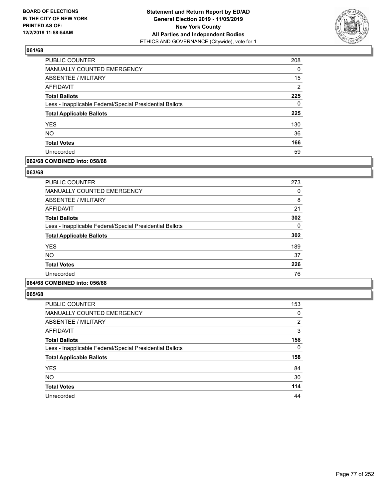

| PUBLIC COUNTER                                           | 208            |
|----------------------------------------------------------|----------------|
| MANUALLY COUNTED EMERGENCY                               | 0              |
| ABSENTEE / MILITARY                                      | 15             |
| AFFIDAVIT                                                | $\overline{2}$ |
| <b>Total Ballots</b>                                     | 225            |
| Less - Inapplicable Federal/Special Presidential Ballots | $\Omega$       |
| <b>Total Applicable Ballots</b>                          | 225            |
| <b>YES</b>                                               | 130            |
| <b>NO</b>                                                | 36             |
| <b>Total Votes</b>                                       | 166            |
| Unrecorded                                               | 59             |

# **062/68 COMBINED into: 058/68**

#### **063/68**

| <b>PUBLIC COUNTER</b>                                    | 273 |
|----------------------------------------------------------|-----|
| <b>MANUALLY COUNTED EMERGENCY</b>                        | 0   |
| ABSENTEE / MILITARY                                      | 8   |
| AFFIDAVIT                                                | 21  |
| <b>Total Ballots</b>                                     | 302 |
| Less - Inapplicable Federal/Special Presidential Ballots | 0   |
| <b>Total Applicable Ballots</b>                          | 302 |
| <b>YES</b>                                               | 189 |
| <b>NO</b>                                                | 37  |
| <b>Total Votes</b>                                       | 226 |
| Unrecorded                                               | 76  |
|                                                          |     |

# **064/68 COMBINED into: 056/68**

| PUBLIC COUNTER                                           | 153      |
|----------------------------------------------------------|----------|
| <b>MANUALLY COUNTED EMERGENCY</b>                        | 0        |
| ABSENTEE / MILITARY                                      | 2        |
| AFFIDAVIT                                                | 3        |
| <b>Total Ballots</b>                                     | 158      |
| Less - Inapplicable Federal/Special Presidential Ballots | $\Omega$ |
| <b>Total Applicable Ballots</b>                          | 158      |
| <b>YES</b>                                               | 84       |
| <b>NO</b>                                                | 30       |
| <b>Total Votes</b>                                       | 114      |
| Unrecorded                                               | 44       |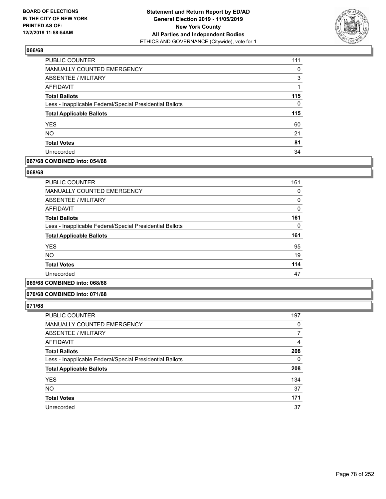

| PUBLIC COUNTER                                           | 111      |
|----------------------------------------------------------|----------|
| MANUALLY COUNTED EMERGENCY                               | 0        |
| ABSENTEE / MILITARY                                      | 3        |
| AFFIDAVIT                                                |          |
| <b>Total Ballots</b>                                     | 115      |
| Less - Inapplicable Federal/Special Presidential Ballots | $\Omega$ |
| <b>Total Applicable Ballots</b>                          | 115      |
| <b>YES</b>                                               | 60       |
| <b>NO</b>                                                | 21       |
| <b>Total Votes</b>                                       | 81       |
| Unrecorded                                               | 34       |

# **067/68 COMBINED into: 054/68**

#### **068/68**

| PUBLIC COUNTER                                           | 161 |
|----------------------------------------------------------|-----|
| <b>MANUALLY COUNTED EMERGENCY</b>                        | 0   |
| ABSENTEE / MILITARY                                      | 0   |
| <b>AFFIDAVIT</b>                                         | 0   |
| <b>Total Ballots</b>                                     | 161 |
| Less - Inapplicable Federal/Special Presidential Ballots | 0   |
| <b>Total Applicable Ballots</b>                          | 161 |
| <b>YES</b>                                               | 95  |
| NO.                                                      | 19  |
| <b>Total Votes</b>                                       | 114 |
| Unrecorded                                               | 47  |
|                                                          |     |

# **069/68 COMBINED into: 068/68**

#### **070/68 COMBINED into: 071/68**

| <b>PUBLIC COUNTER</b>                                    | 197 |
|----------------------------------------------------------|-----|
| MANUALLY COUNTED EMERGENCY                               | 0   |
| ABSENTEE / MILITARY                                      |     |
| AFFIDAVIT                                                | 4   |
| <b>Total Ballots</b>                                     | 208 |
| Less - Inapplicable Federal/Special Presidential Ballots | 0   |
| <b>Total Applicable Ballots</b>                          | 208 |
| <b>YES</b>                                               | 134 |
| <b>NO</b>                                                | 37  |
| <b>Total Votes</b>                                       | 171 |
| Unrecorded                                               | 37  |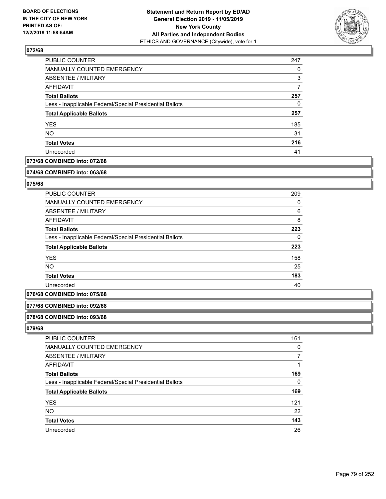

| PUBLIC COUNTER                                           | 247 |
|----------------------------------------------------------|-----|
| MANUALLY COUNTED EMERGENCY                               | 0   |
| ABSENTEE / MILITARY                                      | 3   |
| AFFIDAVIT                                                | 7   |
| <b>Total Ballots</b>                                     | 257 |
| Less - Inapplicable Federal/Special Presidential Ballots | 0   |
| <b>Total Applicable Ballots</b>                          | 257 |
| YES                                                      | 185 |
| <b>NO</b>                                                | 31  |
| <b>Total Votes</b>                                       | 216 |
| Unrecorded                                               | 41  |

# **073/68 COMBINED into: 072/68**

#### **074/68 COMBINED into: 063/68**

# **075/68**

| <b>PUBLIC COUNTER</b>                                    | 209 |
|----------------------------------------------------------|-----|
| <b>MANUALLY COUNTED EMERGENCY</b>                        | 0   |
| ABSENTEE / MILITARY                                      | 6   |
| AFFIDAVIT                                                | 8   |
| <b>Total Ballots</b>                                     | 223 |
| Less - Inapplicable Federal/Special Presidential Ballots | 0   |
| <b>Total Applicable Ballots</b>                          | 223 |
| <b>YES</b>                                               | 158 |
| <b>NO</b>                                                | 25  |
| <b>Total Votes</b>                                       | 183 |
| Unrecorded                                               | 40  |

# **076/68 COMBINED into: 075/68**

#### **077/68 COMBINED into: 092/68**

#### **078/68 COMBINED into: 093/68**

| <b>PUBLIC COUNTER</b>                                    | 161 |
|----------------------------------------------------------|-----|
| MANUALLY COUNTED EMERGENCY                               | 0   |
| <b>ABSENTEE / MILITARY</b>                               |     |
| AFFIDAVIT                                                |     |
| <b>Total Ballots</b>                                     | 169 |
| Less - Inapplicable Federal/Special Presidential Ballots | 0   |
| <b>Total Applicable Ballots</b>                          | 169 |
| <b>YES</b>                                               | 121 |
| <b>NO</b>                                                | 22  |
| <b>Total Votes</b>                                       | 143 |
| Unrecorded                                               | 26  |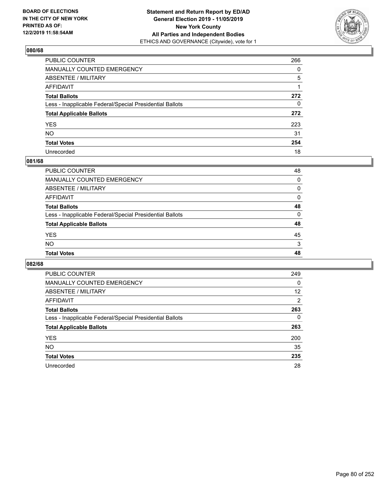

| PUBLIC COUNTER                                           | 266          |
|----------------------------------------------------------|--------------|
| MANUALLY COUNTED EMERGENCY                               | $\Omega$     |
| ABSENTEE / MILITARY                                      | 5            |
| AFFIDAVIT                                                |              |
| Total Ballots                                            | 272          |
| Less - Inapplicable Federal/Special Presidential Ballots | $\mathbf{0}$ |
| <b>Total Applicable Ballots</b>                          | 272          |
| YES                                                      | 223          |
| NO.                                                      | 31           |
| <b>Total Votes</b>                                       | 254          |
| Unrecorded                                               | 18           |

### **081/68**

| MANUALLY COUNTED EMERGENCY                               | 0        |
|----------------------------------------------------------|----------|
| ABSENTEE / MILITARY                                      | $\Omega$ |
| AFFIDAVIT                                                | 0        |
| <b>Total Ballots</b>                                     | 48       |
| Less - Inapplicable Federal/Special Presidential Ballots | $\Omega$ |
| <b>Total Applicable Ballots</b>                          | 48       |
| <b>YES</b>                                               | 45       |
| <b>NO</b>                                                | 3        |
| <b>Total Votes</b>                                       | 48       |
|                                                          |          |

| PUBLIC COUNTER                                           | 249            |
|----------------------------------------------------------|----------------|
| <b>MANUALLY COUNTED EMERGENCY</b>                        | $\Omega$       |
| <b>ABSENTEE / MILITARY</b>                               | 12             |
| AFFIDAVIT                                                | $\overline{2}$ |
| <b>Total Ballots</b>                                     | 263            |
| Less - Inapplicable Federal/Special Presidential Ballots | $\Omega$       |
| <b>Total Applicable Ballots</b>                          | 263            |
| <b>YES</b>                                               | 200            |
| <b>NO</b>                                                | 35             |
| <b>Total Votes</b>                                       | 235            |
| Unrecorded                                               | 28             |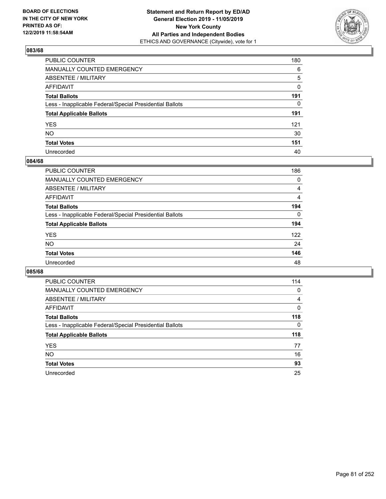

| PUBLIC COUNTER                                           | 180          |
|----------------------------------------------------------|--------------|
| MANUALLY COUNTED EMERGENCY                               | 6            |
| ABSENTEE / MILITARY                                      | 5            |
| AFFIDAVIT                                                | 0            |
| Total Ballots                                            | 191          |
| Less - Inapplicable Federal/Special Presidential Ballots | $\mathbf{0}$ |
| <b>Total Applicable Ballots</b>                          | 191          |
| YES                                                      | 121          |
| NO.                                                      | 30           |
| <b>Total Votes</b>                                       | 151          |
| Unrecorded                                               | 40           |

#### **084/68**

| <b>PUBLIC COUNTER</b>                                    | 186            |
|----------------------------------------------------------|----------------|
| MANUALLY COUNTED EMERGENCY                               | 0              |
| ABSENTEE / MILITARY                                      | 4              |
| AFFIDAVIT                                                | $\overline{4}$ |
| <b>Total Ballots</b>                                     | 194            |
| Less - Inapplicable Federal/Special Presidential Ballots | $\Omega$       |
| <b>Total Applicable Ballots</b>                          | 194            |
| <b>YES</b>                                               | 122            |
| <b>NO</b>                                                | 24             |
| <b>Total Votes</b>                                       | 146            |
| Unrecorded                                               | 48             |

| <b>PUBLIC COUNTER</b>                                    | 114 |
|----------------------------------------------------------|-----|
| <b>MANUALLY COUNTED EMERGENCY</b>                        | 0   |
| ABSENTEE / MILITARY                                      | 4   |
| AFFIDAVIT                                                | 0   |
| <b>Total Ballots</b>                                     | 118 |
| Less - Inapplicable Federal/Special Presidential Ballots | 0   |
| <b>Total Applicable Ballots</b>                          | 118 |
| <b>YES</b>                                               | 77  |
| <b>NO</b>                                                | 16  |
| <b>Total Votes</b>                                       | 93  |
| Unrecorded                                               | 25  |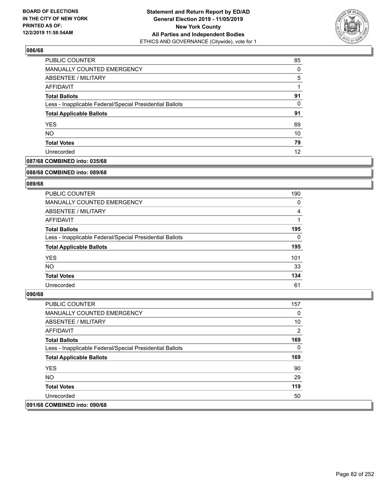

| PUBLIC COUNTER                                           | 85       |
|----------------------------------------------------------|----------|
| MANUALLY COUNTED EMERGENCY                               | 0        |
| ABSENTEE / MILITARY                                      | 5        |
| AFFIDAVIT                                                |          |
| <b>Total Ballots</b>                                     | 91       |
| Less - Inapplicable Federal/Special Presidential Ballots | $\Omega$ |
| <b>Total Applicable Ballots</b>                          | 91       |
| <b>YES</b>                                               | 69       |
| <b>NO</b>                                                | 10       |
| <b>Total Votes</b>                                       | 79       |
| Unrecorded                                               | 12       |

# **087/68 COMBINED into: 035/68**

#### **088/68 COMBINED into: 089/68**

# **089/68**

| <b>PUBLIC COUNTER</b>                                    | 190      |
|----------------------------------------------------------|----------|
| <b>MANUALLY COUNTED EMERGENCY</b>                        | 0        |
| ABSENTEE / MILITARY                                      | 4        |
| AFFIDAVIT                                                |          |
| <b>Total Ballots</b>                                     | 195      |
| Less - Inapplicable Federal/Special Presidential Ballots | $\Omega$ |
| <b>Total Applicable Ballots</b>                          | 195      |
| <b>YES</b>                                               | 101      |
| NO.                                                      | 33       |
| <b>Total Votes</b>                                       | 134      |
| Unrecorded                                               | 61       |

| <b>PUBLIC COUNTER</b>                                    | 157      |
|----------------------------------------------------------|----------|
| <b>MANUALLY COUNTED EMERGENCY</b>                        | 0        |
| ABSENTEE / MILITARY                                      | 10       |
| AFFIDAVIT                                                | 2        |
| <b>Total Ballots</b>                                     | 169      |
| Less - Inapplicable Federal/Special Presidential Ballots | $\Omega$ |
| <b>Total Applicable Ballots</b>                          | 169      |
| <b>YES</b>                                               | 90       |
| NO.                                                      | 29       |
| <b>Total Votes</b>                                       | 119      |
| Unrecorded                                               | 50       |
| 091/68 COMBINED into: 090/68                             |          |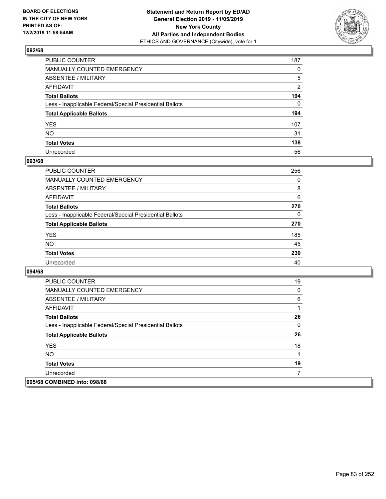

| PUBLIC COUNTER                                           | 187            |
|----------------------------------------------------------|----------------|
| MANUALLY COUNTED EMERGENCY                               | $\mathbf{0}$   |
| ABSENTEE / MILITARY                                      | 5              |
| AFFIDAVIT                                                | $\overline{2}$ |
| Total Ballots                                            | 194            |
| Less - Inapplicable Federal/Special Presidential Ballots | $\Omega$       |
| <b>Total Applicable Ballots</b>                          | 194            |
| YES                                                      | 107            |
| NO.                                                      | 31             |
| <b>Total Votes</b>                                       | 138            |
| Unrecorded                                               | 56             |

#### **093/68**

| <b>PUBLIC COUNTER</b>                                    | 256      |
|----------------------------------------------------------|----------|
| <b>MANUALLY COUNTED EMERGENCY</b>                        | $\Omega$ |
| ABSENTEE / MILITARY                                      | 8        |
| AFFIDAVIT                                                | 6        |
| <b>Total Ballots</b>                                     | 270      |
| Less - Inapplicable Federal/Special Presidential Ballots | $\Omega$ |
| <b>Total Applicable Ballots</b>                          | 270      |
| <b>YES</b>                                               | 185      |
| <b>NO</b>                                                | 45       |
| <b>Total Votes</b>                                       | 230      |
| Unrecorded                                               | 40       |

| <b>PUBLIC COUNTER</b>                                    | 19 |
|----------------------------------------------------------|----|
| <b>MANUALLY COUNTED EMERGENCY</b>                        | 0  |
| ABSENTEE / MILITARY                                      | 6  |
| AFFIDAVIT                                                |    |
| <b>Total Ballots</b>                                     | 26 |
| Less - Inapplicable Federal/Special Presidential Ballots | 0  |
| <b>Total Applicable Ballots</b>                          | 26 |
| <b>YES</b>                                               | 18 |
| <b>NO</b>                                                | 1  |
| <b>Total Votes</b>                                       | 19 |
| Unrecorded                                               |    |
| 095/68 COMBINED into: 098/68                             |    |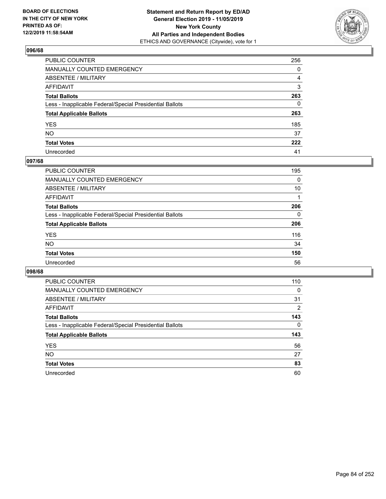

| PUBLIC COUNTER                                           | 256          |
|----------------------------------------------------------|--------------|
| MANUALLY COUNTED EMERGENCY                               | $\mathbf{0}$ |
| ABSENTEE / MILITARY                                      | 4            |
| AFFIDAVIT                                                | 3            |
| Total Ballots                                            | 263          |
| Less - Inapplicable Federal/Special Presidential Ballots | 0            |
| <b>Total Applicable Ballots</b>                          | 263          |
| YES                                                      | 185          |
| NO.                                                      | 37           |
| <b>Total Votes</b>                                       | 222          |
| Unrecorded                                               | 41           |

### **097/68**

| <b>PUBLIC COUNTER</b>                                    | 195      |
|----------------------------------------------------------|----------|
| <b>MANUALLY COUNTED EMERGENCY</b>                        | 0        |
| ABSENTEE / MILITARY                                      | 10       |
| AFFIDAVIT                                                |          |
| <b>Total Ballots</b>                                     | 206      |
| Less - Inapplicable Federal/Special Presidential Ballots | $\Omega$ |
| <b>Total Applicable Ballots</b>                          | 206      |
| <b>YES</b>                                               | 116      |
| <b>NO</b>                                                | 34       |
| <b>Total Votes</b>                                       | 150      |
| Unrecorded                                               | 56       |

| <b>PUBLIC COUNTER</b>                                    | 110 |
|----------------------------------------------------------|-----|
| <b>MANUALLY COUNTED EMERGENCY</b>                        | 0   |
| ABSENTEE / MILITARY                                      | 31  |
| AFFIDAVIT                                                | 2   |
| <b>Total Ballots</b>                                     | 143 |
| Less - Inapplicable Federal/Special Presidential Ballots | 0   |
| <b>Total Applicable Ballots</b>                          | 143 |
| <b>YES</b>                                               | 56  |
| NO.                                                      | 27  |
| <b>Total Votes</b>                                       | 83  |
| Unrecorded                                               | 60  |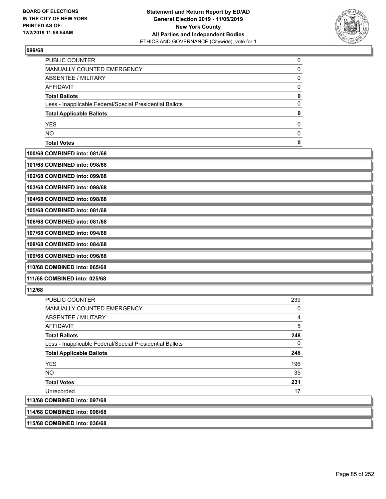

| <b>PUBLIC COUNTER</b>                                    |  |
|----------------------------------------------------------|--|
| MANUALLY COUNTED EMERGENCY                               |  |
| ABSENTEE / MILITARY                                      |  |
| AFFIDAVIT                                                |  |
| <b>Total Ballots</b>                                     |  |
| Less - Inapplicable Federal/Special Presidential Ballots |  |
| <b>Total Applicable Ballots</b>                          |  |
| <b>YES</b>                                               |  |
| <b>NO</b>                                                |  |
| <b>Total Votes</b>                                       |  |
|                                                          |  |

#### **100/68 COMBINED into: 081/68**

| 101/68 COMBINED into: 098/68 |  |
|------------------------------|--|
| 102/68 COMBINED into: 099/68 |  |
| 103/68 COMBINED into: 098/68 |  |
| 104/68 COMBINED into: 098/68 |  |
| 105/68 COMBINED into: 081/68 |  |
| 106/68 COMBINED into: 081/68 |  |
| 107/68 COMBINED into: 094/68 |  |
| 108/68 COMBINED into: 084/68 |  |
| 109/68 COMBINED into: 096/68 |  |
| 110/68 COMBINED into: 065/68 |  |
| 111/68 COMBINED into: 025/68 |  |
| 112/68                       |  |

# PUBLIC COUNTER 239 MANUALLY COUNTED EMERGENCY **0** ABSENTEE / MILITARY 4 AFFIDAVIT 5 **Total Ballots 248 248**  Less - Inapplicable Federal/Special Presidential Ballots 0 **Total Applicable Ballots 248**  ers and the second state of the second state of the second state of the second state  $\sim 196$  $N$ O $35$ **Total Votes 231 231**  Unrecorded 17 **113/68 COMBINED into: 097/68 114/68 COMBINED into: 098/68**

# **115/68 COMBINED into: 036/68**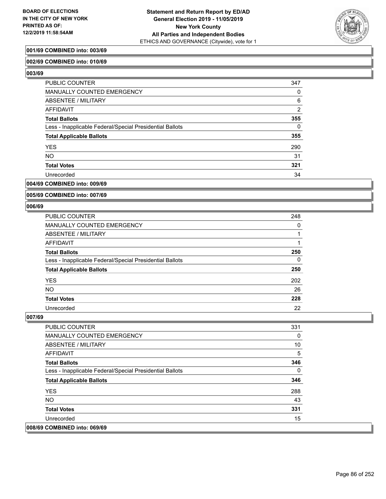

# **001/69 COMBINED into: 003/69**

#### **002/69 COMBINED into: 010/69**

**003/69** 

| PUBLIC COUNTER                                           | 347      |
|----------------------------------------------------------|----------|
| MANUALLY COUNTED EMERGENCY                               | 0        |
| <b>ABSENTEE / MILITARY</b>                               | 6        |
| AFFIDAVIT                                                | 2        |
| <b>Total Ballots</b>                                     | 355      |
| Less - Inapplicable Federal/Special Presidential Ballots | $\Omega$ |
| <b>Total Applicable Ballots</b>                          | 355      |
| <b>YES</b>                                               | 290      |
| <b>NO</b>                                                | 31       |
| <b>Total Votes</b>                                       | 321      |
| Unrecorded                                               | 34       |

#### **004/69 COMBINED into: 009/69**

**005/69 COMBINED into: 007/69**

#### **006/69**

| <b>PUBLIC COUNTER</b>                                    | 248 |
|----------------------------------------------------------|-----|
| MANUALLY COUNTED EMERGENCY                               | 0   |
| <b>ABSENTEE / MILITARY</b>                               |     |
| AFFIDAVIT                                                |     |
| <b>Total Ballots</b>                                     | 250 |
| Less - Inapplicable Federal/Special Presidential Ballots | 0   |
| <b>Total Applicable Ballots</b>                          | 250 |
| <b>YES</b>                                               | 202 |
| <b>NO</b>                                                | 26  |
| <b>Total Votes</b>                                       | 228 |
| Unrecorded                                               | 22  |

| <b>PUBLIC COUNTER</b>                                    | 331 |
|----------------------------------------------------------|-----|
| <b>MANUALLY COUNTED EMERGENCY</b>                        | 0   |
| ABSENTEE / MILITARY                                      | 10  |
| AFFIDAVIT                                                | 5   |
| <b>Total Ballots</b>                                     | 346 |
| Less - Inapplicable Federal/Special Presidential Ballots | 0   |
| <b>Total Applicable Ballots</b>                          | 346 |
| <b>YES</b>                                               | 288 |
| <b>NO</b>                                                | 43  |
| <b>Total Votes</b>                                       | 331 |
| Unrecorded                                               | 15  |
| 008/69 COMBINED into: 069/69                             |     |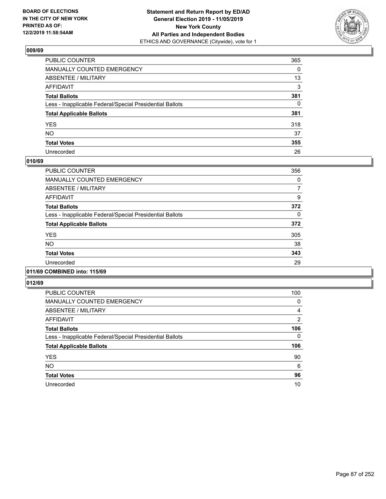

| PUBLIC COUNTER                                           | 365          |
|----------------------------------------------------------|--------------|
| MANUALLY COUNTED EMERGENCY                               | $\mathbf{0}$ |
| ABSENTEE / MILITARY                                      | 13           |
| AFFIDAVIT                                                | 3            |
| Total Ballots                                            | 381          |
| Less - Inapplicable Federal/Special Presidential Ballots | $\mathbf{0}$ |
| <b>Total Applicable Ballots</b>                          | 381          |
| YES                                                      | 318          |
| NO.                                                      | 37           |
| <b>Total Votes</b>                                       | 355          |
| Unrecorded                                               | 26           |

#### **010/69**

| PUBLIC COUNTER                                           | 356 |
|----------------------------------------------------------|-----|
| <b>MANUALLY COUNTED EMERGENCY</b>                        | 0   |
| ABSENTEE / MILITARY                                      | 7   |
| <b>AFFIDAVIT</b>                                         | 9   |
| <b>Total Ballots</b>                                     | 372 |
| Less - Inapplicable Federal/Special Presidential Ballots | 0   |
| <b>Total Applicable Ballots</b>                          | 372 |
| <b>YES</b>                                               | 305 |
| <b>NO</b>                                                | 38  |
| <b>Total Votes</b>                                       | 343 |
| Unrecorded                                               | 29  |
|                                                          |     |

# **011/69 COMBINED into: 115/69**

| PUBLIC COUNTER                                           | 100      |
|----------------------------------------------------------|----------|
| <b>MANUALLY COUNTED EMERGENCY</b>                        | 0        |
| ABSENTEE / MILITARY                                      | 4        |
| AFFIDAVIT                                                | 2        |
| <b>Total Ballots</b>                                     | 106      |
| Less - Inapplicable Federal/Special Presidential Ballots | $\Omega$ |
| <b>Total Applicable Ballots</b>                          | 106      |
| <b>YES</b>                                               | 90       |
| <b>NO</b>                                                | 6        |
| <b>Total Votes</b>                                       | 96       |
| Unrecorded                                               | 10       |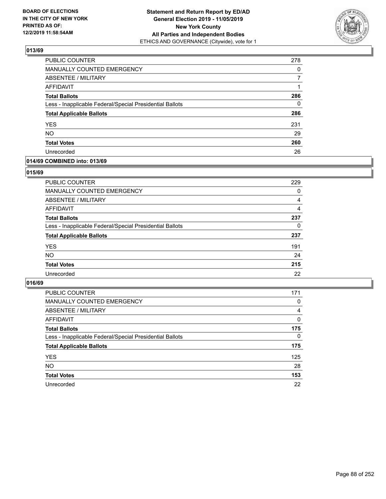

| PUBLIC COUNTER                                           | 278      |
|----------------------------------------------------------|----------|
| <b>MANUALLY COUNTED EMERGENCY</b>                        | $\Omega$ |
| <b>ABSENTEE / MILITARY</b>                               | 7        |
| <b>AFFIDAVIT</b>                                         |          |
| <b>Total Ballots</b>                                     | 286      |
| Less - Inapplicable Federal/Special Presidential Ballots | $\Omega$ |
| <b>Total Applicable Ballots</b>                          | 286      |
| <b>YES</b>                                               | 231      |
| <b>NO</b>                                                | 29       |
| <b>Total Votes</b>                                       | 260      |
| Unrecorded                                               | 26       |

### **014/69 COMBINED into: 013/69**

### **015/69**

| PUBLIC COUNTER                                           | 229      |
|----------------------------------------------------------|----------|
| <b>MANUALLY COUNTED EMERGENCY</b>                        | $\Omega$ |
| ABSENTEE / MILITARY                                      | 4        |
| AFFIDAVIT                                                | 4        |
| <b>Total Ballots</b>                                     | 237      |
| Less - Inapplicable Federal/Special Presidential Ballots | 0        |
| <b>Total Applicable Ballots</b>                          | 237      |
| <b>YES</b>                                               | 191      |
| <b>NO</b>                                                | 24       |
| <b>Total Votes</b>                                       | 215      |
| Unrecorded                                               | 22       |
|                                                          |          |

| <b>PUBLIC COUNTER</b>                                    | 171      |
|----------------------------------------------------------|----------|
| MANUALLY COUNTED EMERGENCY                               | $\Omega$ |
| ABSENTEE / MILITARY                                      | 4        |
| AFFIDAVIT                                                | $\Omega$ |
| <b>Total Ballots</b>                                     | 175      |
| Less - Inapplicable Federal/Special Presidential Ballots | $\Omega$ |
| <b>Total Applicable Ballots</b>                          | 175      |
| <b>YES</b>                                               | 125      |
| <b>NO</b>                                                | 28       |
| <b>Total Votes</b>                                       | 153      |
| Unrecorded                                               | 22       |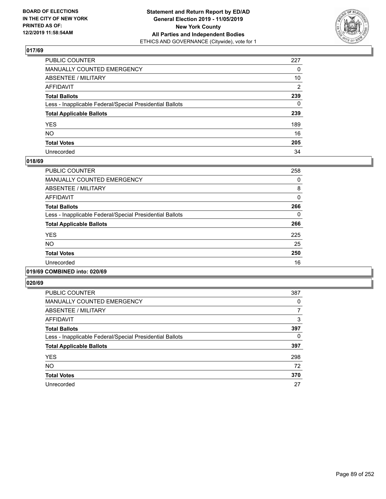

| PUBLIC COUNTER                                           | 227            |
|----------------------------------------------------------|----------------|
| MANUALLY COUNTED EMERGENCY                               | $\mathbf{0}$   |
| ABSENTEE / MILITARY                                      | 10             |
| AFFIDAVIT                                                | $\overline{2}$ |
| Total Ballots                                            | 239            |
| Less - Inapplicable Federal/Special Presidential Ballots | $\mathbf{0}$   |
| <b>Total Applicable Ballots</b>                          | 239            |
| YES                                                      | 189            |
| NO.                                                      | 16             |
| <b>Total Votes</b>                                       | 205            |
| Unrecorded                                               | 34             |

### **018/69**

| PUBLIC COUNTER                                           | 258      |
|----------------------------------------------------------|----------|
| <b>MANUALLY COUNTED EMERGENCY</b>                        | 0        |
| ABSENTEE / MILITARY                                      | 8        |
| <b>AFFIDAVIT</b>                                         | $\Omega$ |
| <b>Total Ballots</b>                                     | 266      |
| Less - Inapplicable Federal/Special Presidential Ballots | 0        |
| <b>Total Applicable Ballots</b>                          | 266      |
| <b>YES</b>                                               | 225      |
| <b>NO</b>                                                | 25       |
| <b>Total Votes</b>                                       | 250      |
| Unrecorded                                               | 16       |
|                                                          |          |

# **019/69 COMBINED into: 020/69**

| PUBLIC COUNTER                                           | 387 |
|----------------------------------------------------------|-----|
| <b>MANUALLY COUNTED EMERGENCY</b>                        | 0   |
| ABSENTEE / MILITARY                                      | 7   |
| <b>AFFIDAVIT</b>                                         | 3   |
| <b>Total Ballots</b>                                     | 397 |
| Less - Inapplicable Federal/Special Presidential Ballots | 0   |
| <b>Total Applicable Ballots</b>                          | 397 |
| <b>YES</b>                                               | 298 |
| <b>NO</b>                                                | 72  |
| <b>Total Votes</b>                                       | 370 |
| Unrecorded                                               | 27  |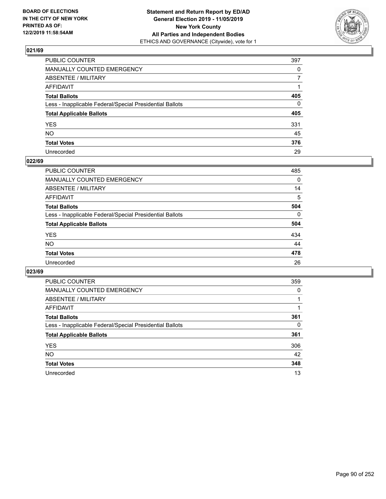

| PUBLIC COUNTER                                           | 397          |
|----------------------------------------------------------|--------------|
| MANUALLY COUNTED EMERGENCY                               | $\mathbf{0}$ |
| ABSENTEE / MILITARY                                      | 7            |
| AFFIDAVIT                                                |              |
| Total Ballots                                            | 405          |
| Less - Inapplicable Federal/Special Presidential Ballots | 0            |
| <b>Total Applicable Ballots</b>                          | 405          |
| YES                                                      | 331          |
| NO.                                                      | 45           |
| <b>Total Votes</b>                                       | 376          |
| Unrecorded                                               | 29           |

#### **022/69**

| <b>PUBLIC COUNTER</b>                                    | 485      |
|----------------------------------------------------------|----------|
| <b>MANUALLY COUNTED EMERGENCY</b>                        | $\Omega$ |
| ABSENTEE / MILITARY                                      | 14       |
| AFFIDAVIT                                                | 5        |
| <b>Total Ballots</b>                                     | 504      |
| Less - Inapplicable Federal/Special Presidential Ballots | $\Omega$ |
| <b>Total Applicable Ballots</b>                          | 504      |
| <b>YES</b>                                               | 434      |
| <b>NO</b>                                                | 44       |
| <b>Total Votes</b>                                       | 478      |
| Unrecorded                                               | 26       |

| <b>PUBLIC COUNTER</b>                                    | 359 |
|----------------------------------------------------------|-----|
| MANUALLY COUNTED EMERGENCY                               | 0   |
| ABSENTEE / MILITARY                                      |     |
| AFFIDAVIT                                                |     |
| <b>Total Ballots</b>                                     | 361 |
| Less - Inapplicable Federal/Special Presidential Ballots | 0   |
| <b>Total Applicable Ballots</b>                          | 361 |
| <b>YES</b>                                               | 306 |
| <b>NO</b>                                                | 42  |
| <b>Total Votes</b>                                       | 348 |
| Unrecorded                                               | 13  |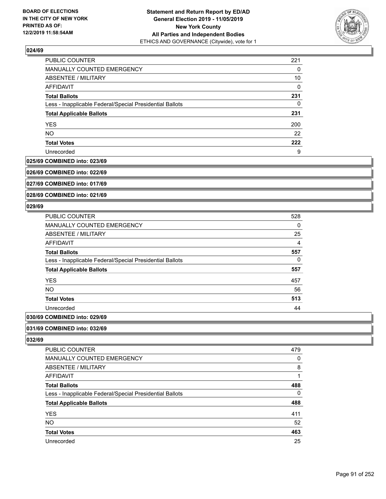

| PUBLIC COUNTER                                           | 221 |
|----------------------------------------------------------|-----|
| <b>MANUALLY COUNTED EMERGENCY</b>                        | 0   |
| ABSENTEE / MILITARY                                      | 10  |
| AFFIDAVIT                                                | 0   |
| <b>Total Ballots</b>                                     | 231 |
| Less - Inapplicable Federal/Special Presidential Ballots | 0   |
| <b>Total Applicable Ballots</b>                          | 231 |
| <b>YES</b>                                               | 200 |
| <b>NO</b>                                                | 22  |
| <b>Total Votes</b>                                       | 222 |
| Unrecorded                                               | 9   |

#### **025/69 COMBINED into: 023/69**

**026/69 COMBINED into: 022/69**

**027/69 COMBINED into: 017/69**

**028/69 COMBINED into: 021/69**

#### **029/69**

| PUBLIC COUNTER                                           | 528            |
|----------------------------------------------------------|----------------|
| MANUALLY COUNTED EMERGENCY                               | 0              |
| ABSENTEE / MILITARY                                      | 25             |
| <b>AFFIDAVIT</b>                                         | $\overline{4}$ |
| <b>Total Ballots</b>                                     | 557            |
| Less - Inapplicable Federal/Special Presidential Ballots | 0              |
| <b>Total Applicable Ballots</b>                          | 557            |
| <b>YES</b>                                               | 457            |
| NO.                                                      | 56             |
| <b>Total Votes</b>                                       | 513            |
| Unrecorded                                               | 44             |
|                                                          |                |

# **030/69 COMBINED into: 029/69**

**031/69 COMBINED into: 032/69**

| <b>PUBLIC COUNTER</b>                                    | 479 |
|----------------------------------------------------------|-----|
| <b>MANUALLY COUNTED EMERGENCY</b>                        | 0   |
| ABSENTEE / MILITARY                                      | 8   |
| AFFIDAVIT                                                |     |
| <b>Total Ballots</b>                                     | 488 |
| Less - Inapplicable Federal/Special Presidential Ballots | 0   |
| <b>Total Applicable Ballots</b>                          | 488 |
| <b>YES</b>                                               | 411 |
| <b>NO</b>                                                | 52  |
| <b>Total Votes</b>                                       | 463 |
| Unrecorded                                               | 25  |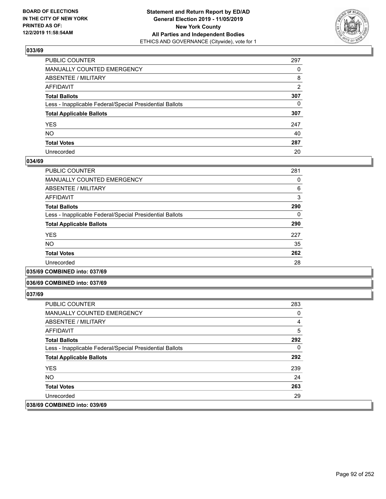

| PUBLIC COUNTER                                           | 297            |
|----------------------------------------------------------|----------------|
| MANUALLY COUNTED EMERGENCY                               | $\Omega$       |
| ABSENTEE / MILITARY                                      | 8              |
| AFFIDAVIT                                                | $\overline{2}$ |
| Total Ballots                                            | 307            |
| Less - Inapplicable Federal/Special Presidential Ballots | $\mathbf{0}$   |
| <b>Total Applicable Ballots</b>                          | 307            |
| YES                                                      | 247            |
| NO.                                                      | 40             |
| <b>Total Votes</b>                                       | 287            |
| Unrecorded                                               | 20             |

#### **034/69**

| PUBLIC COUNTER                                           | 281 |
|----------------------------------------------------------|-----|
| <b>MANUALLY COUNTED EMERGENCY</b>                        | 0   |
| <b>ABSENTEE / MILITARY</b>                               | 6   |
| AFFIDAVIT                                                | 3   |
| <b>Total Ballots</b>                                     | 290 |
| Less - Inapplicable Federal/Special Presidential Ballots | 0   |
| <b>Total Applicable Ballots</b>                          | 290 |
| <b>YES</b>                                               | 227 |
| <b>NO</b>                                                | 35  |
| <b>Total Votes</b>                                       | 262 |
| Unrecorded                                               | 28  |
|                                                          |     |

**035/69 COMBINED into: 037/69**

#### **036/69 COMBINED into: 037/69**

| <b>PUBLIC COUNTER</b>                                    | 283      |
|----------------------------------------------------------|----------|
| <b>MANUALLY COUNTED EMERGENCY</b>                        | 0        |
| ABSENTEE / MILITARY                                      | 4        |
| AFFIDAVIT                                                | 5        |
| <b>Total Ballots</b>                                     | 292      |
| Less - Inapplicable Federal/Special Presidential Ballots | $\Omega$ |
| <b>Total Applicable Ballots</b>                          | 292      |
| <b>YES</b>                                               | 239      |
| NO.                                                      | 24       |
| <b>Total Votes</b>                                       | 263      |
| Unrecorded                                               | 29       |
| 038/69 COMBINED into: 039/69                             |          |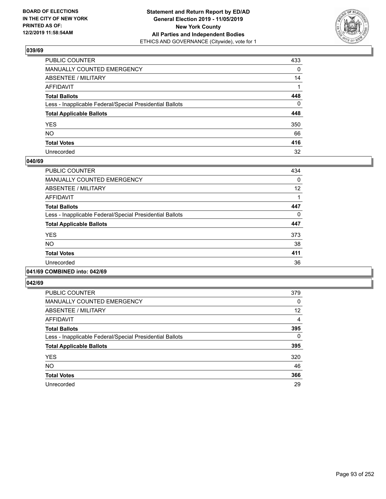

| PUBLIC COUNTER                                           | 433 |
|----------------------------------------------------------|-----|
| MANUALLY COUNTED EMERGENCY                               | 0   |
| ABSENTEE / MILITARY                                      | 14  |
| AFFIDAVIT                                                |     |
| Total Ballots                                            | 448 |
| Less - Inapplicable Federal/Special Presidential Ballots | 0   |
| <b>Total Applicable Ballots</b>                          | 448 |
| YES                                                      | 350 |
| NO.                                                      | 66  |
| <b>Total Votes</b>                                       | 416 |
| Unrecorded                                               | 32  |

#### **040/69**

| <b>PUBLIC COUNTER</b>                                    | 434      |
|----------------------------------------------------------|----------|
| <b>MANUALLY COUNTED EMERGENCY</b>                        | $\Omega$ |
| ABSENTEE / MILITARY                                      | 12       |
| <b>AFFIDAVIT</b>                                         |          |
| <b>Total Ballots</b>                                     | 447      |
| Less - Inapplicable Federal/Special Presidential Ballots | 0        |
| <b>Total Applicable Ballots</b>                          | 447      |
| <b>YES</b>                                               | 373      |
| <b>NO</b>                                                | 38       |
| <b>Total Votes</b>                                       | 411      |
| Unrecorded                                               | 36       |
|                                                          |          |

# **041/69 COMBINED into: 042/69**

| PUBLIC COUNTER                                           | 379      |
|----------------------------------------------------------|----------|
| <b>MANUALLY COUNTED EMERGENCY</b>                        | 0        |
| ABSENTEE / MILITARY                                      | 12       |
| <b>AFFIDAVIT</b>                                         | 4        |
| <b>Total Ballots</b>                                     | 395      |
| Less - Inapplicable Federal/Special Presidential Ballots | $\Omega$ |
| <b>Total Applicable Ballots</b>                          | 395      |
| <b>YES</b>                                               | 320      |
| <b>NO</b>                                                | 46       |
| <b>Total Votes</b>                                       | 366      |
| Unrecorded                                               | 29       |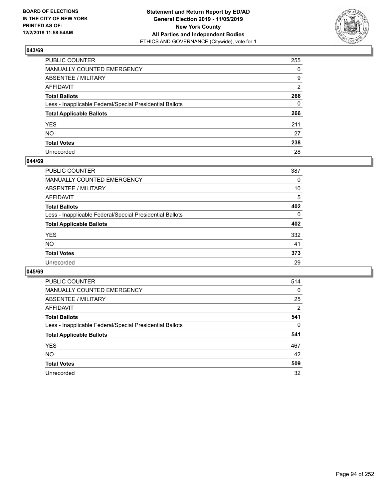

| PUBLIC COUNTER                                           | 255          |
|----------------------------------------------------------|--------------|
| MANUALLY COUNTED EMERGENCY                               | $\mathbf{0}$ |
| ABSENTEE / MILITARY                                      | 9            |
| AFFIDAVIT                                                | 2            |
| Total Ballots                                            | 266          |
| Less - Inapplicable Federal/Special Presidential Ballots | $\Omega$     |
| <b>Total Applicable Ballots</b>                          | 266          |
| YES                                                      | 211          |
| NΟ                                                       | 27           |
| <b>Total Votes</b>                                       | 238          |
| Unrecorded                                               | 28           |

#### **044/69**

| <b>PUBLIC COUNTER</b>                                    | 387      |
|----------------------------------------------------------|----------|
| <b>MANUALLY COUNTED EMERGENCY</b>                        | 0        |
| ABSENTEE / MILITARY                                      | 10       |
| AFFIDAVIT                                                | 5        |
| <b>Total Ballots</b>                                     | 402      |
| Less - Inapplicable Federal/Special Presidential Ballots | $\Omega$ |
| <b>Total Applicable Ballots</b>                          | 402      |
| <b>YES</b>                                               | 332      |
| <b>NO</b>                                                | 41       |
| <b>Total Votes</b>                                       | 373      |
| Unrecorded                                               | 29       |

| <b>PUBLIC COUNTER</b>                                    | 514            |
|----------------------------------------------------------|----------------|
| <b>MANUALLY COUNTED EMERGENCY</b>                        | 0              |
| ABSENTEE / MILITARY                                      | 25             |
| AFFIDAVIT                                                | $\overline{2}$ |
| <b>Total Ballots</b>                                     | 541            |
| Less - Inapplicable Federal/Special Presidential Ballots | $\Omega$       |
| <b>Total Applicable Ballots</b>                          | 541            |
| <b>YES</b>                                               | 467            |
| NO.                                                      | 42             |
| <b>Total Votes</b>                                       | 509            |
| Unrecorded                                               | 32             |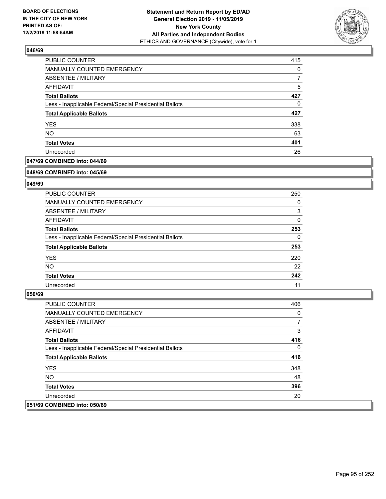

| <b>PUBLIC COUNTER</b>                                    | 415 |
|----------------------------------------------------------|-----|
| <b>MANUALLY COUNTED EMERGENCY</b>                        | 0   |
| ABSENTEE / MILITARY                                      | 7   |
| AFFIDAVIT                                                | 5   |
| <b>Total Ballots</b>                                     | 427 |
| Less - Inapplicable Federal/Special Presidential Ballots | 0   |
| <b>Total Applicable Ballots</b>                          | 427 |
| <b>YES</b>                                               | 338 |
| <b>NO</b>                                                | 63  |
| <b>Total Votes</b>                                       | 401 |
| Unrecorded                                               | 26  |

# **047/69 COMBINED into: 044/69**

#### **048/69 COMBINED into: 045/69**

# **049/69**

| <b>PUBLIC COUNTER</b>                                    | 250      |
|----------------------------------------------------------|----------|
| MANUALLY COUNTED EMERGENCY                               | 0        |
| ABSENTEE / MILITARY                                      | 3        |
| AFFIDAVIT                                                | $\Omega$ |
| <b>Total Ballots</b>                                     | 253      |
| Less - Inapplicable Federal/Special Presidential Ballots | $\Omega$ |
| <b>Total Applicable Ballots</b>                          | 253      |
| <b>YES</b>                                               | 220      |
| NO                                                       | 22       |
| <b>Total Votes</b>                                       | 242      |
| Unrecorded                                               | 11       |

| <b>PUBLIC COUNTER</b>                                    | 406 |
|----------------------------------------------------------|-----|
| <b>MANUALLY COUNTED EMERGENCY</b>                        | 0   |
| ABSENTEE / MILITARY                                      | 7   |
| AFFIDAVIT                                                | 3   |
| <b>Total Ballots</b>                                     | 416 |
| Less - Inapplicable Federal/Special Presidential Ballots | 0   |
| <b>Total Applicable Ballots</b>                          | 416 |
| <b>YES</b>                                               | 348 |
| <b>NO</b>                                                | 48  |
| <b>Total Votes</b>                                       | 396 |
| Unrecorded                                               | 20  |
| 051/69 COMBINED into: 050/69                             |     |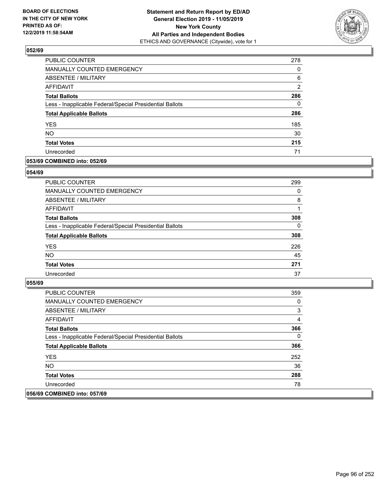

| PUBLIC COUNTER                                           | 278            |
|----------------------------------------------------------|----------------|
| <b>MANUALLY COUNTED EMERGENCY</b>                        | $\Omega$       |
| ABSENTEE / MILITARY                                      | 6              |
| <b>AFFIDAVIT</b>                                         | $\overline{2}$ |
| <b>Total Ballots</b>                                     | 286            |
| Less - Inapplicable Federal/Special Presidential Ballots | 0              |
| <b>Total Applicable Ballots</b>                          | 286            |
| <b>YES</b>                                               | 185            |
| <b>NO</b>                                                | 30             |
| <b>Total Votes</b>                                       | 215            |
| Unrecorded                                               | 71             |

### **053/69 COMBINED into: 052/69**

#### **054/69**

| PUBLIC COUNTER                                           | 299      |
|----------------------------------------------------------|----------|
| <b>MANUALLY COUNTED EMERGENCY</b>                        | $\Omega$ |
| ABSENTEE / MILITARY                                      | 8        |
| AFFIDAVIT                                                |          |
| <b>Total Ballots</b>                                     | 308      |
| Less - Inapplicable Federal/Special Presidential Ballots | $\Omega$ |
| <b>Total Applicable Ballots</b>                          | 308      |
| <b>YES</b>                                               | 226      |
| <b>NO</b>                                                | 45       |
| <b>Total Votes</b>                                       | 271      |
| Unrecorded                                               | 37       |

| PUBLIC COUNTER                                           | 359 |
|----------------------------------------------------------|-----|
| <b>MANUALLY COUNTED EMERGENCY</b>                        | 0   |
| ABSENTEE / MILITARY                                      | 3   |
| AFFIDAVIT                                                | 4   |
| <b>Total Ballots</b>                                     | 366 |
| Less - Inapplicable Federal/Special Presidential Ballots | 0   |
| <b>Total Applicable Ballots</b>                          | 366 |
| <b>YES</b>                                               | 252 |
| NO.                                                      | 36  |
| <b>Total Votes</b>                                       | 288 |
| Unrecorded                                               | 78  |
| 056/69 COMBINED into: 057/69                             |     |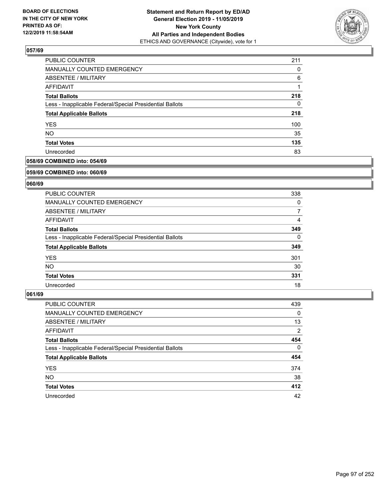

| PUBLIC COUNTER                                           | 211 |
|----------------------------------------------------------|-----|
| MANUALLY COUNTED EMERGENCY                               | 0   |
| ABSENTEE / MILITARY                                      | 6   |
| AFFIDAVIT                                                |     |
| <b>Total Ballots</b>                                     | 218 |
| Less - Inapplicable Federal/Special Presidential Ballots | 0   |
| <b>Total Applicable Ballots</b>                          | 218 |
| <b>YES</b>                                               | 100 |
| <b>NO</b>                                                | 35  |
| <b>Total Votes</b>                                       | 135 |
| Unrecorded                                               | 83  |

# **058/69 COMBINED into: 054/69**

#### **059/69 COMBINED into: 060/69**

# **060/69**

| <b>PUBLIC COUNTER</b>                                    | 338      |
|----------------------------------------------------------|----------|
| <b>MANUALLY COUNTED EMERGENCY</b>                        | $\Omega$ |
| ABSENTEE / MILITARY                                      | 7        |
| AFFIDAVIT                                                | 4        |
| <b>Total Ballots</b>                                     | 349      |
| Less - Inapplicable Federal/Special Presidential Ballots | 0        |
| <b>Total Applicable Ballots</b>                          | 349      |
| <b>YES</b>                                               | 301      |
| NO.                                                      | 30       |
| <b>Total Votes</b>                                       | 331      |
| Unrecorded                                               | 18       |

| <b>PUBLIC COUNTER</b>                                    | 439      |
|----------------------------------------------------------|----------|
| MANUALLY COUNTED EMERGENCY                               | 0        |
| ABSENTEE / MILITARY                                      | 13       |
| AFFIDAVIT                                                | 2        |
| <b>Total Ballots</b>                                     | 454      |
| Less - Inapplicable Federal/Special Presidential Ballots | $\Omega$ |
| <b>Total Applicable Ballots</b>                          | 454      |
| <b>YES</b>                                               | 374      |
| <b>NO</b>                                                | 38       |
| <b>Total Votes</b>                                       | 412      |
| Unrecorded                                               | 42       |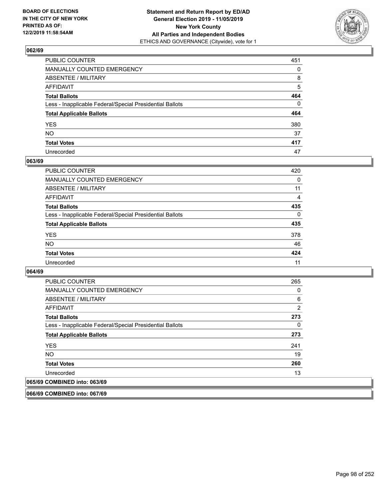

| PUBLIC COUNTER                                           | 451          |
|----------------------------------------------------------|--------------|
| MANUALLY COUNTED EMERGENCY                               | $\mathbf{0}$ |
| ABSENTEE / MILITARY                                      | 8            |
| AFFIDAVIT                                                | 5            |
| Total Ballots                                            | 464          |
| Less - Inapplicable Federal/Special Presidential Ballots | 0            |
| <b>Total Applicable Ballots</b>                          | 464          |
| YES                                                      | 380          |
| NO.                                                      | 37           |
| <b>Total Votes</b>                                       | 417          |
| Unrecorded                                               | 47           |

#### **063/69**

| <b>PUBLIC COUNTER</b>                                    | 420      |
|----------------------------------------------------------|----------|
| <b>MANUALLY COUNTED EMERGENCY</b>                        | $\Omega$ |
| ABSENTEE / MILITARY                                      | 11       |
| <b>AFFIDAVIT</b>                                         | 4        |
| <b>Total Ballots</b>                                     | 435      |
| Less - Inapplicable Federal/Special Presidential Ballots | $\Omega$ |
| <b>Total Applicable Ballots</b>                          | 435      |
| <b>YES</b>                                               | 378      |
| <b>NO</b>                                                | 46       |
| <b>Total Votes</b>                                       | 424      |
| Unrecorded                                               | 11       |

#### **064/69**

| <b>PUBLIC COUNTER</b>                                    | 265            |
|----------------------------------------------------------|----------------|
| <b>MANUALLY COUNTED EMERGENCY</b>                        | 0              |
| ABSENTEE / MILITARY                                      | 6              |
| AFFIDAVIT                                                | $\overline{2}$ |
| <b>Total Ballots</b>                                     | 273            |
| Less - Inapplicable Federal/Special Presidential Ballots | $\Omega$       |
| <b>Total Applicable Ballots</b>                          | 273            |
| <b>YES</b>                                               | 241            |
| <b>NO</b>                                                | 19             |
| <b>Total Votes</b>                                       | 260            |
| Unrecorded                                               | 13             |
| 065/69 COMBINED into: 063/69                             |                |

**066/69 COMBINED into: 067/69**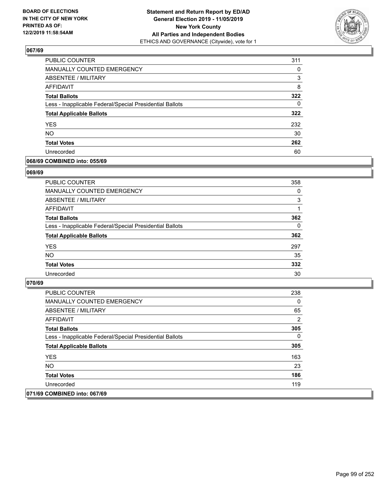

| PUBLIC COUNTER                                           | 311 |
|----------------------------------------------------------|-----|
| MANUALLY COUNTED EMERGENCY                               | 0   |
| ABSENTEE / MILITARY                                      | 3   |
| AFFIDAVIT                                                | 8   |
| <b>Total Ballots</b>                                     | 322 |
| Less - Inapplicable Federal/Special Presidential Ballots | 0   |
| <b>Total Applicable Ballots</b>                          | 322 |
| <b>YES</b>                                               | 232 |
| <b>NO</b>                                                | 30  |
| <b>Total Votes</b>                                       | 262 |
| Unrecorded                                               | 60  |

### **068/69 COMBINED into: 055/69**

#### **069/69**

| PUBLIC COUNTER                                           | 358      |
|----------------------------------------------------------|----------|
| <b>MANUALLY COUNTED EMERGENCY</b>                        | 0        |
| ABSENTEE / MILITARY                                      | 3        |
| AFFIDAVIT                                                |          |
| <b>Total Ballots</b>                                     | 362      |
| Less - Inapplicable Federal/Special Presidential Ballots | $\Omega$ |
| <b>Total Applicable Ballots</b>                          | 362      |
| <b>YES</b>                                               | 297      |
| <b>NO</b>                                                | 35       |
| <b>Total Votes</b>                                       | 332      |
| Unrecorded                                               | 30       |

| <b>PUBLIC COUNTER</b>                                    | 238            |
|----------------------------------------------------------|----------------|
| MANUALLY COUNTED EMERGENCY                               | 0              |
| ABSENTEE / MILITARY                                      | 65             |
| AFFIDAVIT                                                | $\overline{2}$ |
| <b>Total Ballots</b>                                     | 305            |
| Less - Inapplicable Federal/Special Presidential Ballots | 0              |
| <b>Total Applicable Ballots</b>                          | 305            |
| <b>YES</b>                                               | 163            |
| NO.                                                      | 23             |
| <b>Total Votes</b>                                       | 186            |
| Unrecorded                                               | 119            |
| 071/69 COMBINED into: 067/69                             |                |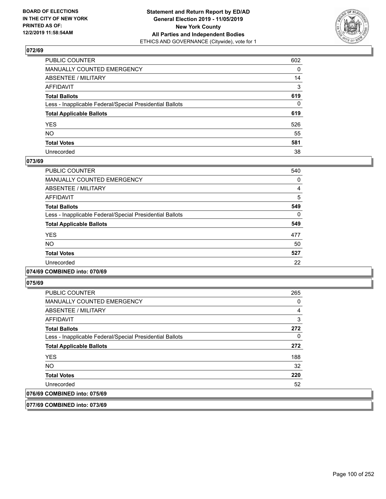

| PUBLIC COUNTER                                           | 602          |
|----------------------------------------------------------|--------------|
| MANUALLY COUNTED EMERGENCY                               | 0            |
| ABSENTEE / MILITARY                                      | 14           |
| AFFIDAVIT                                                | 3            |
| Total Ballots                                            | 619          |
| Less - Inapplicable Federal/Special Presidential Ballots | $\mathbf{0}$ |
| <b>Total Applicable Ballots</b>                          | 619          |
| YES                                                      | 526          |
| NO.                                                      | 55           |
| <b>Total Votes</b>                                       | 581          |
| Unrecorded                                               | 38           |

### **073/69**

| PUBLIC COUNTER                                           | 540 |
|----------------------------------------------------------|-----|
| <b>MANUALLY COUNTED EMERGENCY</b>                        | 0   |
| ABSENTEE / MILITARY                                      | 4   |
| <b>AFFIDAVIT</b>                                         | 5   |
| <b>Total Ballots</b>                                     | 549 |
| Less - Inapplicable Federal/Special Presidential Ballots | 0   |
| <b>Total Applicable Ballots</b>                          | 549 |
| <b>YES</b>                                               | 477 |
| <b>NO</b>                                                | 50  |
| <b>Total Votes</b>                                       | 527 |
| Unrecorded                                               | 22  |

#### **074/69 COMBINED into: 070/69**

**075/69** 

| <b>PUBLIC COUNTER</b>                                    | 265 |
|----------------------------------------------------------|-----|
| <b>MANUALLY COUNTED EMERGENCY</b>                        | 0   |
| ABSENTEE / MILITARY                                      | 4   |
| AFFIDAVIT                                                | 3   |
| <b>Total Ballots</b>                                     | 272 |
| Less - Inapplicable Federal/Special Presidential Ballots | 0   |
| <b>Total Applicable Ballots</b>                          | 272 |
| <b>YES</b>                                               | 188 |
| <b>NO</b>                                                | 32  |
| <b>Total Votes</b>                                       | 220 |
| Unrecorded                                               | 52  |
| 076/69 COMBINED into: 075/69                             |     |

**077/69 COMBINED into: 073/69**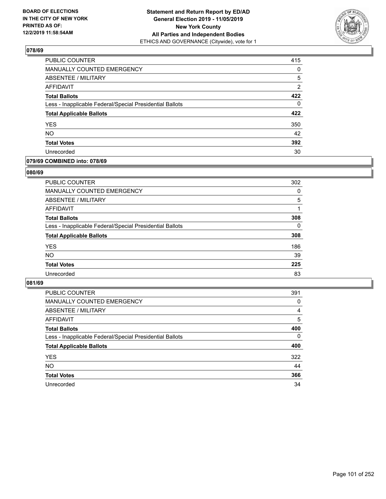

| PUBLIC COUNTER                                           | 415            |
|----------------------------------------------------------|----------------|
| MANUALLY COUNTED EMERGENCY                               | 0              |
| ABSENTEE / MILITARY                                      | 5              |
| AFFIDAVIT                                                | $\overline{2}$ |
| <b>Total Ballots</b>                                     | 422            |
| Less - Inapplicable Federal/Special Presidential Ballots | $\Omega$       |
| <b>Total Applicable Ballots</b>                          | 422            |
| <b>YES</b>                                               | 350            |
| <b>NO</b>                                                | 42             |
| <b>Total Votes</b>                                       | 392            |
| Unrecorded                                               | 30             |

#### **079/69 COMBINED into: 078/69**

#### **080/69**

| <b>PUBLIC COUNTER</b>                                    | 302 |
|----------------------------------------------------------|-----|
| <b>MANUALLY COUNTED EMERGENCY</b>                        | 0   |
| ABSENTEE / MILITARY                                      | 5   |
| AFFIDAVIT                                                |     |
| <b>Total Ballots</b>                                     | 308 |
| Less - Inapplicable Federal/Special Presidential Ballots | 0   |
| <b>Total Applicable Ballots</b>                          | 308 |
| <b>YES</b>                                               | 186 |
| <b>NO</b>                                                | 39  |
| <b>Total Votes</b>                                       | 225 |
| Unrecorded                                               | 83  |
|                                                          |     |

| PUBLIC COUNTER                                           | 391      |
|----------------------------------------------------------|----------|
| MANUALLY COUNTED EMERGENCY                               | 0        |
| ABSENTEE / MILITARY                                      | 4        |
| AFFIDAVIT                                                | 5        |
| <b>Total Ballots</b>                                     | 400      |
| Less - Inapplicable Federal/Special Presidential Ballots | $\Omega$ |
| <b>Total Applicable Ballots</b>                          | 400      |
| <b>YES</b>                                               | 322      |
| <b>NO</b>                                                | 44       |
| <b>Total Votes</b>                                       | 366      |
| Unrecorded                                               | 34       |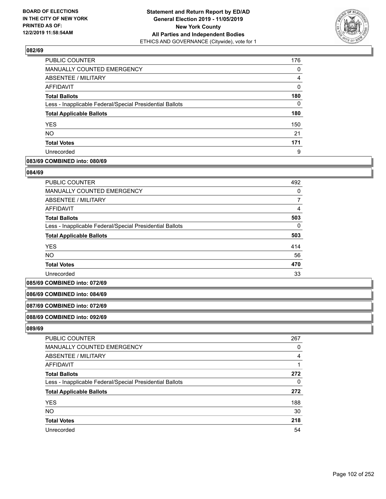

| PUBLIC COUNTER                                           | 176      |
|----------------------------------------------------------|----------|
| MANUALLY COUNTED EMERGENCY                               | 0        |
| <b>ABSENTEE / MILITARY</b>                               | 4        |
| AFFIDAVIT                                                | 0        |
| <b>Total Ballots</b>                                     | 180      |
| Less - Inapplicable Federal/Special Presidential Ballots | $\Omega$ |
| <b>Total Applicable Ballots</b>                          | 180      |
| <b>YES</b>                                               | 150      |
| <b>NO</b>                                                | 21       |
| <b>Total Votes</b>                                       | 171      |
| Unrecorded                                               | 9        |

# **083/69 COMBINED into: 080/69**

#### **084/69**

| <b>PUBLIC COUNTER</b>                                    | 492 |
|----------------------------------------------------------|-----|
| <b>MANUALLY COUNTED EMERGENCY</b>                        | 0   |
| ABSENTEE / MILITARY                                      |     |
| AFFIDAVIT                                                | 4   |
| <b>Total Ballots</b>                                     | 503 |
| Less - Inapplicable Federal/Special Presidential Ballots | 0   |
| <b>Total Applicable Ballots</b>                          | 503 |
| <b>YES</b>                                               | 414 |
| <b>NO</b>                                                | 56  |
| <b>Total Votes</b>                                       | 470 |
| Unrecorded                                               | 33  |

#### **085/69 COMBINED into: 072/69**

#### **086/69 COMBINED into: 084/69**

#### **087/69 COMBINED into: 072/69**

#### **088/69 COMBINED into: 092/69**

| <b>PUBLIC COUNTER</b>                                    | 267 |
|----------------------------------------------------------|-----|
| MANUALLY COUNTED EMERGENCY                               | 0   |
| ABSENTEE / MILITARY                                      | 4   |
| AFFIDAVIT                                                |     |
| <b>Total Ballots</b>                                     | 272 |
| Less - Inapplicable Federal/Special Presidential Ballots | 0   |
| <b>Total Applicable Ballots</b>                          | 272 |
| <b>YES</b>                                               | 188 |
| <b>NO</b>                                                | 30  |
| <b>Total Votes</b>                                       | 218 |
| Unrecorded                                               | 54  |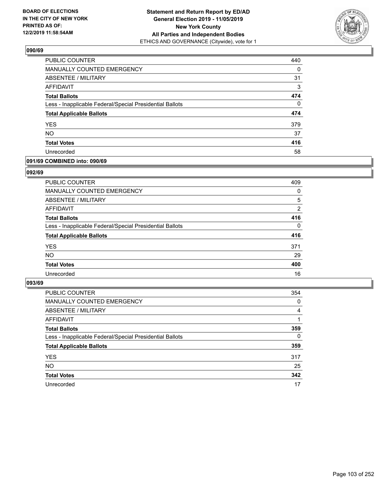

| PUBLIC COUNTER                                           | 440      |
|----------------------------------------------------------|----------|
| MANUALLY COUNTED EMERGENCY                               | $\Omega$ |
| ABSENTEE / MILITARY                                      | 31       |
| AFFIDAVIT                                                | 3        |
| <b>Total Ballots</b>                                     | 474      |
| Less - Inapplicable Federal/Special Presidential Ballots | $\Omega$ |
| <b>Total Applicable Ballots</b>                          | 474      |
| <b>YES</b>                                               | 379      |
| <b>NO</b>                                                | 37       |
| <b>Total Votes</b>                                       | 416      |
| Unrecorded                                               | 58       |

# **091/69 COMBINED into: 090/69**

#### **092/69**

| <b>PUBLIC COUNTER</b>                                    | 409            |
|----------------------------------------------------------|----------------|
| MANUALLY COUNTED EMERGENCY                               | $\Omega$       |
| <b>ABSENTEE / MILITARY</b>                               | 5              |
| AFFIDAVIT                                                | $\overline{2}$ |
| <b>Total Ballots</b>                                     | 416            |
| Less - Inapplicable Federal/Special Presidential Ballots | $\Omega$       |
| <b>Total Applicable Ballots</b>                          | 416            |
| <b>YES</b>                                               | 371            |
| <b>NO</b>                                                | 29             |
| <b>Total Votes</b>                                       | 400            |
| Unrecorded                                               | 16             |
|                                                          |                |

| <b>PUBLIC COUNTER</b>                                    | 354      |
|----------------------------------------------------------|----------|
| MANUALLY COUNTED EMERGENCY                               | 0        |
| ABSENTEE / MILITARY                                      | 4        |
| AFFIDAVIT                                                |          |
| <b>Total Ballots</b>                                     | 359      |
| Less - Inapplicable Federal/Special Presidential Ballots | $\Omega$ |
| <b>Total Applicable Ballots</b>                          | 359      |
| <b>YES</b>                                               | 317      |
| <b>NO</b>                                                | 25       |
| <b>Total Votes</b>                                       | 342      |
| Unrecorded                                               | 17       |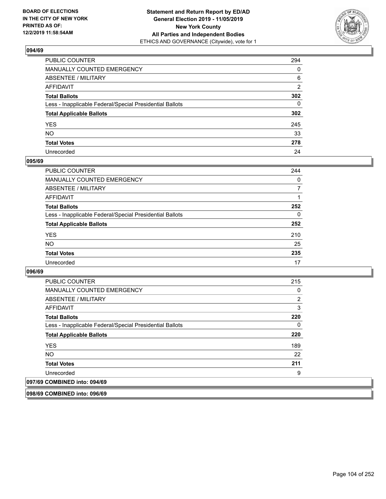

| PUBLIC COUNTER                                           | 294            |
|----------------------------------------------------------|----------------|
| MANUALLY COUNTED EMERGENCY                               | $\mathbf{0}$   |
| ABSENTEE / MILITARY                                      | 6              |
| AFFIDAVIT                                                | $\overline{2}$ |
| Total Ballots                                            | 302            |
| Less - Inapplicable Federal/Special Presidential Ballots | $\Omega$       |
| <b>Total Applicable Ballots</b>                          | 302            |
| YES                                                      | 245            |
| NO.                                                      | 33             |
| <b>Total Votes</b>                                       | 278            |
| Unrecorded                                               | 24             |

#### **095/69**

| <b>PUBLIC COUNTER</b>                                    | 244      |
|----------------------------------------------------------|----------|
| <b>MANUALLY COUNTED EMERGENCY</b>                        | $\Omega$ |
| ABSENTEE / MILITARY                                      | 7        |
| AFFIDAVIT                                                |          |
| <b>Total Ballots</b>                                     | 252      |
| Less - Inapplicable Federal/Special Presidential Ballots | $\Omega$ |
| <b>Total Applicable Ballots</b>                          | 252      |
| <b>YES</b>                                               | 210      |
| <b>NO</b>                                                | 25       |
| <b>Total Votes</b>                                       | 235      |
| Unrecorded                                               | 17       |

#### **096/69**

| <b>PUBLIC COUNTER</b>                                    | 215 |
|----------------------------------------------------------|-----|
| <b>MANUALLY COUNTED EMERGENCY</b>                        | 0   |
| ABSENTEE / MILITARY                                      | 2   |
| AFFIDAVIT                                                | 3   |
| <b>Total Ballots</b>                                     | 220 |
| Less - Inapplicable Federal/Special Presidential Ballots | 0   |
| <b>Total Applicable Ballots</b>                          | 220 |
| <b>YES</b>                                               | 189 |
| <b>NO</b>                                                | 22  |
| <b>Total Votes</b>                                       | 211 |
| Unrecorded                                               | 9   |
| 097/69 COMBINED into: 094/69                             |     |

**098/69 COMBINED into: 096/69**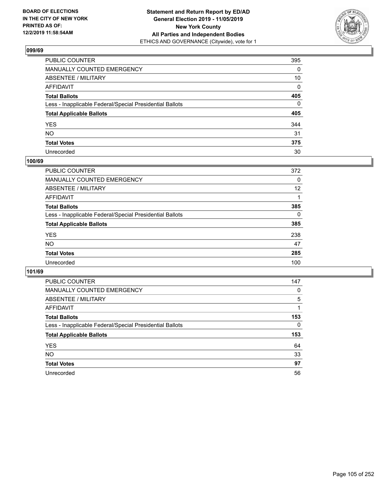

| PUBLIC COUNTER                                           | 395          |
|----------------------------------------------------------|--------------|
| MANUALLY COUNTED EMERGENCY                               | $\mathbf{0}$ |
| ABSENTEE / MILITARY                                      | 10           |
| AFFIDAVIT                                                | $\mathbf{0}$ |
| Total Ballots                                            | 405          |
| Less - Inapplicable Federal/Special Presidential Ballots | $\Omega$     |
| <b>Total Applicable Ballots</b>                          | 405          |
| YES                                                      | 344          |
| NO.                                                      | 31           |
| <b>Total Votes</b>                                       | 375          |
| Unrecorded                                               | 30           |

#### **100/69**

| <b>PUBLIC COUNTER</b>                                    | 372      |
|----------------------------------------------------------|----------|
| <b>MANUALLY COUNTED EMERGENCY</b>                        | $\Omega$ |
| ABSENTEE / MILITARY                                      | 12       |
| AFFIDAVIT                                                |          |
| <b>Total Ballots</b>                                     | 385      |
| Less - Inapplicable Federal/Special Presidential Ballots | $\Omega$ |
| <b>Total Applicable Ballots</b>                          | 385      |
| <b>YES</b>                                               | 238      |
| <b>NO</b>                                                | 47       |
| <b>Total Votes</b>                                       | 285      |
| Unrecorded                                               | 100      |

| <b>PUBLIC COUNTER</b>                                    | 147 |
|----------------------------------------------------------|-----|
| <b>MANUALLY COUNTED EMERGENCY</b>                        | 0   |
| ABSENTEE / MILITARY                                      | 5   |
| AFFIDAVIT                                                |     |
| <b>Total Ballots</b>                                     | 153 |
| Less - Inapplicable Federal/Special Presidential Ballots | 0   |
| <b>Total Applicable Ballots</b>                          | 153 |
| <b>YES</b>                                               | 64  |
| NO.                                                      | 33  |
| <b>Total Votes</b>                                       | 97  |
| Unrecorded                                               | 56  |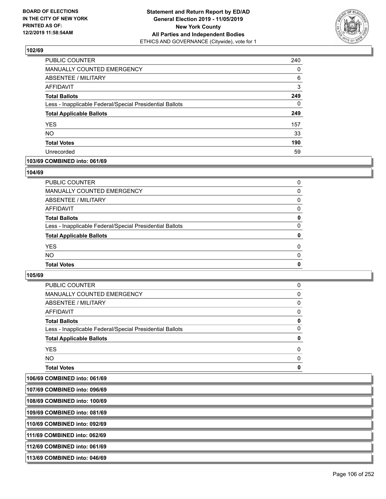

| PUBLIC COUNTER                                           | 240      |
|----------------------------------------------------------|----------|
| <b>MANUALLY COUNTED EMERGENCY</b>                        | 0        |
| <b>ABSENTEE / MILITARY</b>                               | 6        |
| <b>AFFIDAVIT</b>                                         | 3        |
| <b>Total Ballots</b>                                     | 249      |
| Less - Inapplicable Federal/Special Presidential Ballots | $\Omega$ |
| <b>Total Applicable Ballots</b>                          | 249      |
| <b>YES</b>                                               | 157      |
| <b>NO</b>                                                | 33       |
| <b>Total Votes</b>                                       | 190      |
| Unrecorded                                               | 59       |

### **103/69 COMBINED into: 061/69**

#### **104/69**

| <b>Total Ballots</b>                                     | 0        |
|----------------------------------------------------------|----------|
| Less - Inapplicable Federal/Special Presidential Ballots | $\Omega$ |
| <b>Total Applicable Ballots</b>                          | 0        |
| <b>YES</b>                                               | $\Omega$ |
| <b>NO</b>                                                | $\Omega$ |
| <b>Total Votes</b>                                       | 0        |
|                                                          |          |

| <b>Total Votes</b>                                       | 0        |
|----------------------------------------------------------|----------|
| NO.                                                      | $\Omega$ |
| <b>YES</b>                                               | 0        |
| <b>Total Applicable Ballots</b>                          | 0        |
| Less - Inapplicable Federal/Special Presidential Ballots | 0        |
| <b>Total Ballots</b>                                     | 0        |
| AFFIDAVIT                                                | 0        |
| ABSENTEE / MILITARY                                      | 0        |
| <b>MANUALLY COUNTED EMERGENCY</b>                        | 0        |
| <b>PUBLIC COUNTER</b>                                    | 0        |

| 106/69 COMBINED into: 061/69 |  |
|------------------------------|--|
|------------------------------|--|

| 107/69 COMBINED into: 096/69  |  |
|-------------------------------|--|
| 108/69 COMBINED into: 100/69  |  |
| 109/69 COMBINED into: 081/69  |  |
| 110/69 COMBINED into: 092/69  |  |
| 1111/69 COMBINED into: 062/69 |  |
| 112/69 COMBINED into: 061/69  |  |
| 113/69 COMBINED into: 046/69  |  |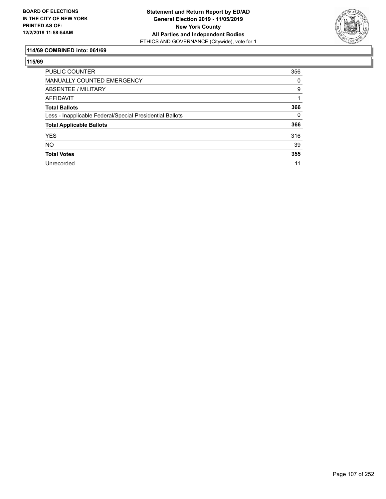

# **114/69 COMBINED into: 061/69**

| <b>PUBLIC COUNTER</b>                                    | 356      |
|----------------------------------------------------------|----------|
| <b>MANUALLY COUNTED EMERGENCY</b>                        | 0        |
| <b>ABSENTEE / MILITARY</b>                               | 9        |
| AFFIDAVIT                                                |          |
| <b>Total Ballots</b>                                     | 366      |
| Less - Inapplicable Federal/Special Presidential Ballots | $\Omega$ |
| <b>Total Applicable Ballots</b>                          | 366      |
| <b>YES</b>                                               | 316      |
| <b>NO</b>                                                | 39       |
| <b>Total Votes</b>                                       | 355      |
| Unrecorded                                               | 11       |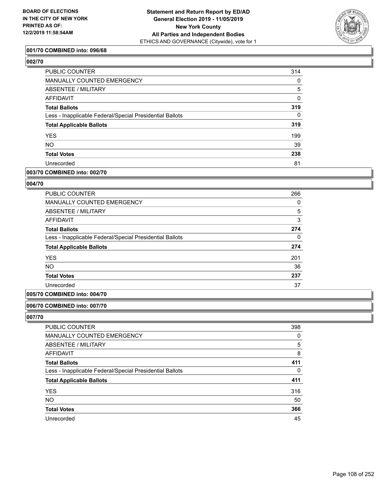

# **001/70 COMBINED into: 096/68**

# **002/70**

| PUBLIC COUNTER                                           | 314      |
|----------------------------------------------------------|----------|
| <b>MANUALLY COUNTED EMERGENCY</b>                        | 0        |
| ABSENTEE / MILITARY                                      | 5        |
| AFFIDAVIT                                                | 0        |
| <b>Total Ballots</b>                                     | 319      |
| Less - Inapplicable Federal/Special Presidential Ballots | $\Omega$ |
| <b>Total Applicable Ballots</b>                          | 319      |
| <b>YES</b>                                               | 199      |
| <b>NO</b>                                                | 39       |
| <b>Total Votes</b>                                       | 238      |
| Unrecorded                                               | 81       |
|                                                          |          |

# **003/70 COMBINED into: 002/70**

# **004/70**

| <b>PUBLIC COUNTER</b>                                    | 266      |
|----------------------------------------------------------|----------|
| <b>MANUALLY COUNTED EMERGENCY</b>                        | 0        |
| ABSENTEE / MILITARY                                      | 5        |
| <b>AFFIDAVIT</b>                                         | 3        |
| <b>Total Ballots</b>                                     | 274      |
| Less - Inapplicable Federal/Special Presidential Ballots | $\Omega$ |
| <b>Total Applicable Ballots</b>                          | 274      |
| <b>YES</b>                                               | 201      |
| <b>NO</b>                                                | 36       |
| <b>Total Votes</b>                                       | 237      |
| Unrecorded                                               | 37       |

#### **005/70 COMBINED into: 004/70**

#### **006/70 COMBINED into: 007/70**

| <b>PUBLIC COUNTER</b>                                    | 398 |
|----------------------------------------------------------|-----|
| MANUALLY COUNTED EMERGENCY                               | 0   |
| <b>ABSENTEE / MILITARY</b>                               | 5   |
| AFFIDAVIT                                                | 8   |
| <b>Total Ballots</b>                                     | 411 |
| Less - Inapplicable Federal/Special Presidential Ballots | 0   |
| <b>Total Applicable Ballots</b>                          | 411 |
| <b>YES</b>                                               | 316 |
| <b>NO</b>                                                | 50  |
| <b>Total Votes</b>                                       | 366 |
| Unrecorded                                               | 45  |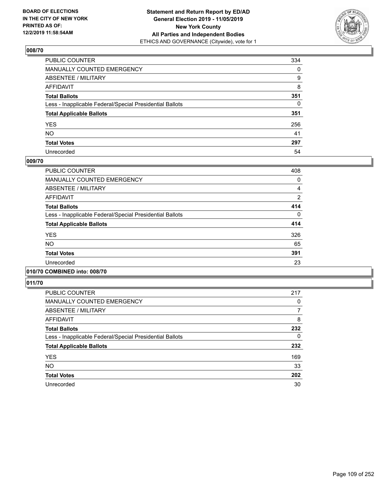

| PUBLIC COUNTER                                           | 334          |
|----------------------------------------------------------|--------------|
| MANUALLY COUNTED EMERGENCY                               | $\mathbf{0}$ |
| ABSENTEE / MILITARY                                      | 9            |
| AFFIDAVIT                                                | 8            |
| Total Ballots                                            | 351          |
| Less - Inapplicable Federal/Special Presidential Ballots | 0            |
| <b>Total Applicable Ballots</b>                          | 351          |
| YES                                                      | 256          |
| NO.                                                      | 41           |
| <b>Total Votes</b>                                       | 297          |
| Unrecorded                                               | 54           |

### **009/70**

| <b>PUBLIC COUNTER</b>                                    | 408 |
|----------------------------------------------------------|-----|
| <b>MANUALLY COUNTED EMERGENCY</b>                        | 0   |
| ABSENTEE / MILITARY                                      | 4   |
| <b>AFFIDAVIT</b>                                         | 2   |
| <b>Total Ballots</b>                                     | 414 |
| Less - Inapplicable Federal/Special Presidential Ballots | 0   |
| <b>Total Applicable Ballots</b>                          | 414 |
| <b>YES</b>                                               | 326 |
| NO.                                                      | 65  |
| <b>Total Votes</b>                                       | 391 |
| Unrecorded                                               | 23  |
|                                                          |     |

# **010/70 COMBINED into: 008/70**

| <b>PUBLIC COUNTER</b>                                    | 217 |
|----------------------------------------------------------|-----|
| MANUALLY COUNTED EMERGENCY                               | 0   |
| ABSENTEE / MILITARY                                      |     |
| AFFIDAVIT                                                | 8   |
| <b>Total Ballots</b>                                     | 232 |
| Less - Inapplicable Federal/Special Presidential Ballots | 0   |
| <b>Total Applicable Ballots</b>                          | 232 |
| <b>YES</b>                                               | 169 |
| <b>NO</b>                                                | 33  |
| <b>Total Votes</b>                                       | 202 |
| Unrecorded                                               | 30  |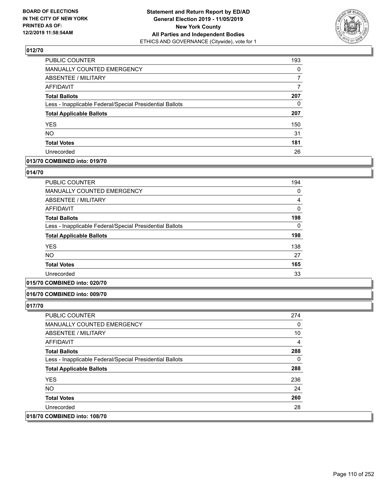

| PUBLIC COUNTER                                           | 193      |
|----------------------------------------------------------|----------|
| MANUALLY COUNTED EMERGENCY                               | $\Omega$ |
| <b>ABSENTEE / MILITARY</b>                               | 7        |
| <b>AFFIDAVIT</b>                                         | 7        |
| <b>Total Ballots</b>                                     | 207      |
| Less - Inapplicable Federal/Special Presidential Ballots | $\Omega$ |
| <b>Total Applicable Ballots</b>                          | 207      |
| <b>YES</b>                                               | 150      |
| <b>NO</b>                                                | 31       |
| <b>Total Votes</b>                                       | 181      |
| Unrecorded                                               | 26       |

## **013/70 COMBINED into: 019/70**

### **014/70**

| <b>PUBLIC COUNTER</b>                                    | 194 |
|----------------------------------------------------------|-----|
| <b>MANUALLY COUNTED EMERGENCY</b>                        | 0   |
| ABSENTEE / MILITARY                                      | 4   |
| <b>AFFIDAVIT</b>                                         | 0   |
| <b>Total Ballots</b>                                     | 198 |
| Less - Inapplicable Federal/Special Presidential Ballots | 0   |
| <b>Total Applicable Ballots</b>                          | 198 |
| <b>YES</b>                                               | 138 |
| <b>NO</b>                                                | 27  |
| <b>Total Votes</b>                                       | 165 |
| Unrecorded                                               | 33  |

# **015/70 COMBINED into: 020/70**

## **016/70 COMBINED into: 009/70**

| <b>PUBLIC COUNTER</b>                                    | 274 |
|----------------------------------------------------------|-----|
| <b>MANUALLY COUNTED EMERGENCY</b>                        | 0   |
| ABSENTEE / MILITARY                                      | 10  |
| AFFIDAVIT                                                | 4   |
| <b>Total Ballots</b>                                     | 288 |
| Less - Inapplicable Federal/Special Presidential Ballots | 0   |
| <b>Total Applicable Ballots</b>                          | 288 |
| <b>YES</b>                                               | 236 |
| NO.                                                      | 24  |
| <b>Total Votes</b>                                       | 260 |
| Unrecorded                                               | 28  |
| 018/70 COMBINED into: 108/70                             |     |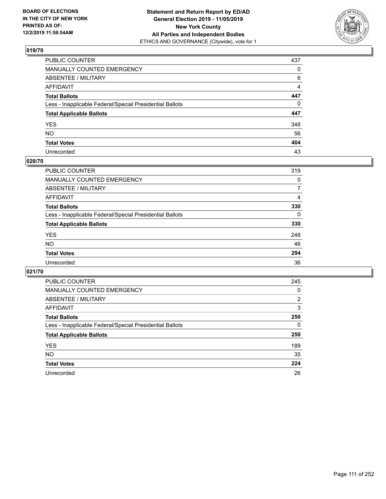

| PUBLIC COUNTER                                           | 437            |
|----------------------------------------------------------|----------------|
| MANUALLY COUNTED EMERGENCY                               | 0              |
| ABSENTEE / MILITARY                                      | 6              |
| AFFIDAVIT                                                | $\overline{4}$ |
| Total Ballots                                            | 447            |
| Less - Inapplicable Federal/Special Presidential Ballots | $\Omega$       |
| <b>Total Applicable Ballots</b>                          | 447            |
| YES                                                      | 348            |
| NO.                                                      | 56             |
| <b>Total Votes</b>                                       | 404            |
| Unrecorded                                               | 43             |

### **020/70**

| <b>PUBLIC COUNTER</b>                                    | 319      |
|----------------------------------------------------------|----------|
| <b>MANUALLY COUNTED EMERGENCY</b>                        | $\Omega$ |
| ABSENTEE / MILITARY                                      | 7        |
| AFFIDAVIT                                                | 4        |
| <b>Total Ballots</b>                                     | 330      |
| Less - Inapplicable Federal/Special Presidential Ballots | $\Omega$ |
| <b>Total Applicable Ballots</b>                          | 330      |
| <b>YES</b>                                               | 248      |
| <b>NO</b>                                                | 46       |
| <b>Total Votes</b>                                       | 294      |
| Unrecorded                                               | 36       |

| <b>PUBLIC COUNTER</b>                                    | 245 |
|----------------------------------------------------------|-----|
| <b>MANUALLY COUNTED EMERGENCY</b>                        | 0   |
| ABSENTEE / MILITARY                                      | 2   |
| AFFIDAVIT                                                | 3   |
| <b>Total Ballots</b>                                     | 250 |
| Less - Inapplicable Federal/Special Presidential Ballots | 0   |
| <b>Total Applicable Ballots</b>                          | 250 |
| <b>YES</b>                                               | 189 |
| NO.                                                      | 35  |
| <b>Total Votes</b>                                       | 224 |
| Unrecorded                                               | 26  |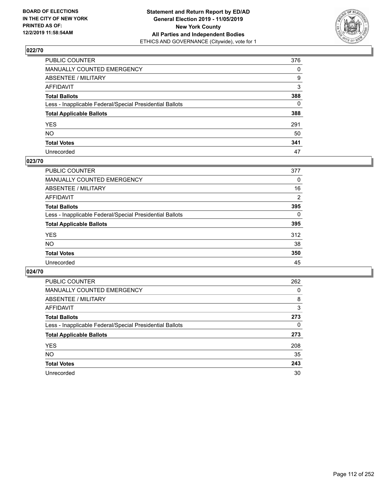

| PUBLIC COUNTER                                           | 376          |
|----------------------------------------------------------|--------------|
| MANUALLY COUNTED EMERGENCY                               | $\mathbf{0}$ |
| ABSENTEE / MILITARY                                      | 9            |
| AFFIDAVIT                                                | 3            |
| Total Ballots                                            | 388          |
| Less - Inapplicable Federal/Special Presidential Ballots | $\mathbf{0}$ |
| <b>Total Applicable Ballots</b>                          | 388          |
| YES                                                      | 291          |
| NO.                                                      | 50           |
| <b>Total Votes</b>                                       | 341          |
| Unrecorded                                               | 47           |

### **023/70**

| <b>PUBLIC COUNTER</b>                                    | 377            |
|----------------------------------------------------------|----------------|
| <b>MANUALLY COUNTED EMERGENCY</b>                        | $\Omega$       |
| ABSENTEE / MILITARY                                      | 16             |
| AFFIDAVIT                                                | $\overline{2}$ |
| <b>Total Ballots</b>                                     | 395            |
| Less - Inapplicable Federal/Special Presidential Ballots | $\Omega$       |
| <b>Total Applicable Ballots</b>                          | 395            |
| <b>YES</b>                                               | 312            |
| <b>NO</b>                                                | 38             |
| <b>Total Votes</b>                                       | 350            |
| Unrecorded                                               | 45             |

| <b>PUBLIC COUNTER</b>                                    | 262 |
|----------------------------------------------------------|-----|
| MANUALLY COUNTED EMERGENCY                               | 0   |
| ABSENTEE / MILITARY                                      | 8   |
| AFFIDAVIT                                                | 3   |
| <b>Total Ballots</b>                                     | 273 |
| Less - Inapplicable Federal/Special Presidential Ballots | 0   |
| <b>Total Applicable Ballots</b>                          | 273 |
| <b>YES</b>                                               | 208 |
| NO.                                                      | 35  |
| <b>Total Votes</b>                                       | 243 |
| Unrecorded                                               | 30  |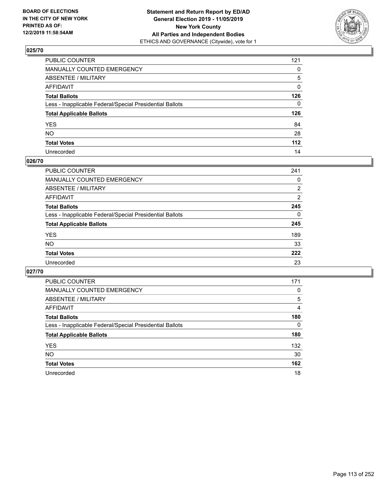

| PUBLIC COUNTER                                           | 121 |
|----------------------------------------------------------|-----|
| MANUALLY COUNTED EMERGENCY                               | 0   |
| ABSENTEE / MILITARY                                      | 5   |
| AFFIDAVIT                                                | 0   |
| Total Ballots                                            | 126 |
| Less - Inapplicable Federal/Special Presidential Ballots | 0   |
| <b>Total Applicable Ballots</b>                          | 126 |
| YES                                                      | 84  |
| NO.                                                      | 28  |
| <b>Total Votes</b>                                       | 112 |
| Unrecorded                                               | 14  |

### **026/70**

| <b>PUBLIC COUNTER</b>                                    | 241            |
|----------------------------------------------------------|----------------|
| <b>MANUALLY COUNTED EMERGENCY</b>                        | $\Omega$       |
| ABSENTEE / MILITARY                                      | $\overline{2}$ |
| AFFIDAVIT                                                | $\overline{2}$ |
| <b>Total Ballots</b>                                     | 245            |
| Less - Inapplicable Federal/Special Presidential Ballots | $\Omega$       |
| <b>Total Applicable Ballots</b>                          | 245            |
| <b>YES</b>                                               | 189            |
| <b>NO</b>                                                | 33             |
| <b>Total Votes</b>                                       | 222            |
| Unrecorded                                               | 23             |

| PUBLIC COUNTER                                           | 171      |
|----------------------------------------------------------|----------|
| <b>MANUALLY COUNTED EMERGENCY</b>                        | $\Omega$ |
| ABSENTEE / MILITARY                                      | 5        |
| AFFIDAVIT                                                | 4        |
| <b>Total Ballots</b>                                     | 180      |
| Less - Inapplicable Federal/Special Presidential Ballots | $\Omega$ |
| <b>Total Applicable Ballots</b>                          | 180      |
| <b>YES</b>                                               | 132      |
| <b>NO</b>                                                | 30       |
| <b>Total Votes</b>                                       | 162      |
| Unrecorded                                               | 18       |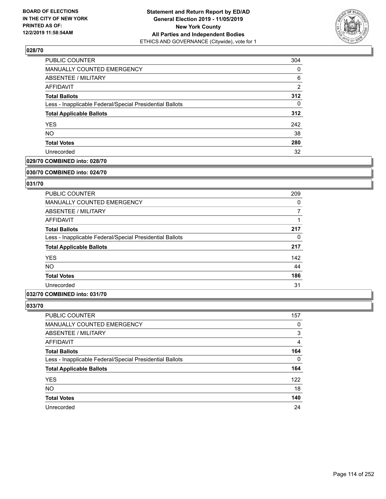

| <b>PUBLIC COUNTER</b>                                    | 304            |
|----------------------------------------------------------|----------------|
| MANUALLY COUNTED EMERGENCY                               | $\Omega$       |
| ABSENTEE / MILITARY                                      | 6              |
| AFFIDAVIT                                                | $\overline{2}$ |
| <b>Total Ballots</b>                                     | 312            |
| Less - Inapplicable Federal/Special Presidential Ballots | $\Omega$       |
| <b>Total Applicable Ballots</b>                          | 312            |
| <b>YES</b>                                               | 242            |
| <b>NO</b>                                                | 38             |
| <b>Total Votes</b>                                       | 280            |
| Unrecorded                                               | 32             |

# **029/70 COMBINED into: 028/70**

#### **030/70 COMBINED into: 024/70**

# **031/70**

| <b>PUBLIC COUNTER</b>                                    | 209      |
|----------------------------------------------------------|----------|
| MANUALLY COUNTED EMERGENCY                               | $\Omega$ |
| ABSENTEE / MILITARY                                      | 7        |
| AFFIDAVIT                                                |          |
| <b>Total Ballots</b>                                     | 217      |
| Less - Inapplicable Federal/Special Presidential Ballots | 0        |
| <b>Total Applicable Ballots</b>                          | 217      |
| <b>YES</b>                                               | 142      |
| <b>NO</b>                                                | 44       |
| <b>Total Votes</b>                                       | 186      |
| Unrecorded                                               | 31       |

### **032/70 COMBINED into: 031/70**

| <b>PUBLIC COUNTER</b>                                    | 157      |
|----------------------------------------------------------|----------|
| MANUALLY COUNTED EMERGENCY                               | 0        |
| <b>ABSENTEE / MILITARY</b>                               | 3        |
| AFFIDAVIT                                                | 4        |
| <b>Total Ballots</b>                                     | 164      |
| Less - Inapplicable Federal/Special Presidential Ballots | $\Omega$ |
| <b>Total Applicable Ballots</b>                          | 164      |
| <b>YES</b>                                               | 122      |
| <b>NO</b>                                                | 18       |
| <b>Total Votes</b>                                       | 140      |
| Unrecorded                                               | 24       |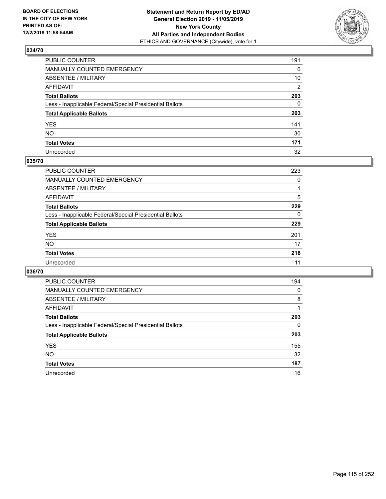

| PUBLIC COUNTER                                           | 191 |
|----------------------------------------------------------|-----|
| MANUALLY COUNTED EMERGENCY                               | 0   |
| ABSENTEE / MILITARY                                      | 10  |
| AFFIDAVIT                                                | 2   |
| Total Ballots                                            | 203 |
| Less - Inapplicable Federal/Special Presidential Ballots | 0   |
| <b>Total Applicable Ballots</b>                          | 203 |
| YES                                                      | 141 |
| NO.                                                      | 30  |
| <b>Total Votes</b>                                       | 171 |
| Unrecorded                                               | 32  |

### **035/70**

| <b>PUBLIC COUNTER</b>                                    | 223      |
|----------------------------------------------------------|----------|
| <b>MANUALLY COUNTED EMERGENCY</b>                        | 0        |
| ABSENTEE / MILITARY                                      |          |
| AFFIDAVIT                                                | 5        |
| <b>Total Ballots</b>                                     | 229      |
| Less - Inapplicable Federal/Special Presidential Ballots | $\Omega$ |
| <b>Total Applicable Ballots</b>                          | 229      |
| <b>YES</b>                                               | 201      |
| <b>NO</b>                                                | 17       |
| <b>Total Votes</b>                                       | 218      |
| Unrecorded                                               | 11       |

| <b>PUBLIC COUNTER</b>                                    | 194 |
|----------------------------------------------------------|-----|
| <b>MANUALLY COUNTED EMERGENCY</b>                        | 0   |
| ABSENTEE / MILITARY                                      | 8   |
| AFFIDAVIT                                                |     |
| <b>Total Ballots</b>                                     | 203 |
| Less - Inapplicable Federal/Special Presidential Ballots | 0   |
| <b>Total Applicable Ballots</b>                          | 203 |
| <b>YES</b>                                               | 155 |
| <b>NO</b>                                                | 32  |
| <b>Total Votes</b>                                       | 187 |
| Unrecorded                                               | 16  |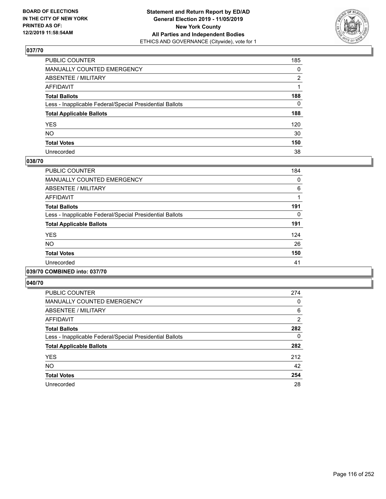

| PUBLIC COUNTER                                           | 185          |
|----------------------------------------------------------|--------------|
| MANUALLY COUNTED EMERGENCY                               | $\mathbf{0}$ |
| ABSENTEE / MILITARY                                      | 2            |
| AFFIDAVIT                                                |              |
| Total Ballots                                            | 188          |
| Less - Inapplicable Federal/Special Presidential Ballots | $\mathbf{0}$ |
| <b>Total Applicable Ballots</b>                          | 188          |
| YES                                                      | 120          |
| NO.                                                      | 30           |
| <b>Total Votes</b>                                       | 150          |
| Unrecorded                                               | 38           |

## **038/70**

| PUBLIC COUNTER                                           | 184 |
|----------------------------------------------------------|-----|
| <b>MANUALLY COUNTED EMERGENCY</b>                        | 0   |
| ABSENTEE / MILITARY                                      | 6   |
| <b>AFFIDAVIT</b>                                         |     |
| <b>Total Ballots</b>                                     | 191 |
| Less - Inapplicable Federal/Special Presidential Ballots | 0   |
| <b>Total Applicable Ballots</b>                          | 191 |
| <b>YES</b>                                               | 124 |
| NO.                                                      | 26  |
| <b>Total Votes</b>                                       | 150 |
| Unrecorded                                               | 41  |
|                                                          |     |

## **039/70 COMBINED into: 037/70**

| <b>PUBLIC COUNTER</b>                                    | 274      |
|----------------------------------------------------------|----------|
| <b>MANUALLY COUNTED EMERGENCY</b>                        | 0        |
| ABSENTEE / MILITARY                                      | 6        |
| AFFIDAVIT                                                | 2        |
| <b>Total Ballots</b>                                     | 282      |
| Less - Inapplicable Federal/Special Presidential Ballots | $\Omega$ |
| <b>Total Applicable Ballots</b>                          | 282      |
| <b>YES</b>                                               | 212      |
| NO.                                                      | 42       |
| <b>Total Votes</b>                                       | 254      |
| Unrecorded                                               | 28       |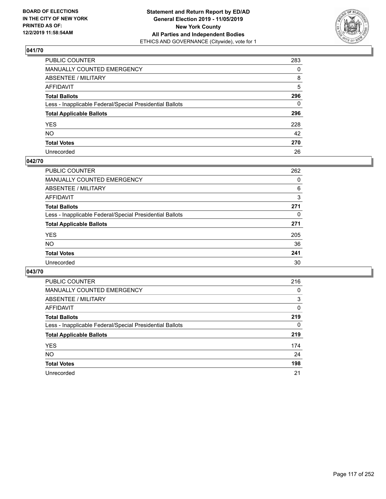

| PUBLIC COUNTER                                           | 283      |
|----------------------------------------------------------|----------|
| MANUALLY COUNTED EMERGENCY                               | $\Omega$ |
| ABSENTEE / MILITARY                                      | 8        |
| AFFIDAVIT                                                | 5        |
| Total Ballots                                            | 296      |
| Less - Inapplicable Federal/Special Presidential Ballots | 0        |
| <b>Total Applicable Ballots</b>                          | 296      |
| YES                                                      | 228      |
| NO.                                                      | 42       |
| <b>Total Votes</b>                                       | 270      |
| Unrecorded                                               | 26       |

### **042/70**

| <b>PUBLIC COUNTER</b>                                    | 262      |
|----------------------------------------------------------|----------|
| <b>MANUALLY COUNTED EMERGENCY</b>                        | 0        |
| ABSENTEE / MILITARY                                      | 6        |
| AFFIDAVIT                                                | 3        |
| <b>Total Ballots</b>                                     | 271      |
| Less - Inapplicable Federal/Special Presidential Ballots | $\Omega$ |
| <b>Total Applicable Ballots</b>                          | 271      |
| <b>YES</b>                                               | 205      |
| <b>NO</b>                                                | 36       |
| <b>Total Votes</b>                                       | 241      |
| Unrecorded                                               | 30       |

| <b>PUBLIC COUNTER</b>                                    | 216 |
|----------------------------------------------------------|-----|
| <b>MANUALLY COUNTED EMERGENCY</b>                        | 0   |
| ABSENTEE / MILITARY                                      | 3   |
| AFFIDAVIT                                                | 0   |
| <b>Total Ballots</b>                                     | 219 |
| Less - Inapplicable Federal/Special Presidential Ballots | 0   |
| <b>Total Applicable Ballots</b>                          | 219 |
| <b>YES</b>                                               | 174 |
| NO.                                                      | 24  |
| <b>Total Votes</b>                                       | 198 |
| Unrecorded                                               | 21  |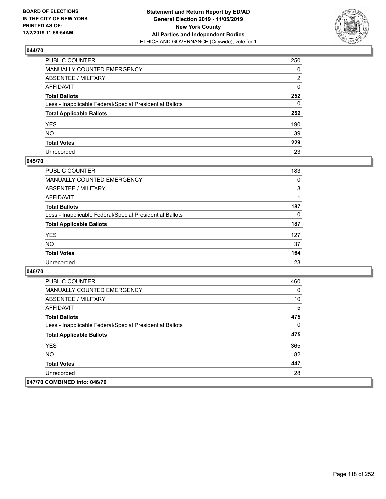

| PUBLIC COUNTER                                           | 250          |
|----------------------------------------------------------|--------------|
| MANUALLY COUNTED EMERGENCY                               | $\mathbf{0}$ |
| ABSENTEE / MILITARY                                      | 2            |
| AFFIDAVIT                                                | $\mathbf{0}$ |
| Total Ballots                                            | 252          |
| Less - Inapplicable Federal/Special Presidential Ballots | $\mathbf{0}$ |
| <b>Total Applicable Ballots</b>                          | 252          |
| YES                                                      | 190          |
| NO.                                                      | 39           |
| <b>Total Votes</b>                                       | 229          |
| Unrecorded                                               | 23           |

### **045/70**

| <b>PUBLIC COUNTER</b>                                    | 183      |
|----------------------------------------------------------|----------|
| MANUALLY COUNTED EMERGENCY                               | $\Omega$ |
| ABSENTEE / MILITARY                                      | 3        |
| AFFIDAVIT                                                |          |
| <b>Total Ballots</b>                                     | 187      |
| Less - Inapplicable Federal/Special Presidential Ballots | 0        |
| <b>Total Applicable Ballots</b>                          | 187      |
| <b>YES</b>                                               | 127      |
| <b>NO</b>                                                | 37       |
| <b>Total Votes</b>                                       | 164      |
| Unrecorded                                               | 23       |

| <b>PUBLIC COUNTER</b>                                    | 460 |
|----------------------------------------------------------|-----|
| <b>MANUALLY COUNTED EMERGENCY</b>                        | 0   |
| ABSENTEE / MILITARY                                      | 10  |
| AFFIDAVIT                                                | 5   |
| <b>Total Ballots</b>                                     | 475 |
| Less - Inapplicable Federal/Special Presidential Ballots | 0   |
| <b>Total Applicable Ballots</b>                          | 475 |
| <b>YES</b>                                               | 365 |
| <b>NO</b>                                                | 82  |
| <b>Total Votes</b>                                       | 447 |
| Unrecorded                                               | 28  |
| 047/70 COMBINED into: 046/70                             |     |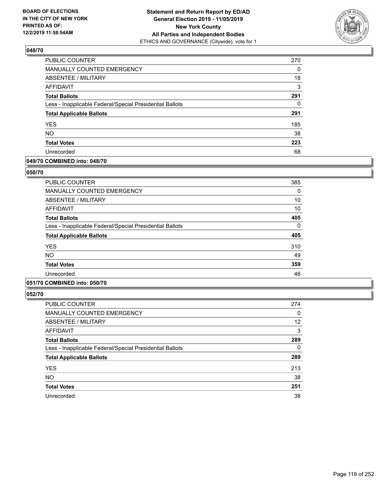

| PUBLIC COUNTER                                           | 270      |
|----------------------------------------------------------|----------|
| MANUALLY COUNTED EMERGENCY                               | $\Omega$ |
| <b>ABSENTEE / MILITARY</b>                               | 18       |
| AFFIDAVIT                                                | 3        |
| <b>Total Ballots</b>                                     | 291      |
| Less - Inapplicable Federal/Special Presidential Ballots | 0        |
| <b>Total Applicable Ballots</b>                          | 291      |
| <b>YES</b>                                               | 185      |
| <b>NO</b>                                                | 38       |
| <b>Total Votes</b>                                       | 223      |
| Unrecorded                                               | 68       |

## **049/70 COMBINED into: 048/70**

### **050/70**

| <b>PUBLIC COUNTER</b>                                    | 385 |
|----------------------------------------------------------|-----|
| <b>MANUALLY COUNTED EMERGENCY</b>                        | 0   |
| ABSENTEE / MILITARY                                      | 10  |
| AFFIDAVIT                                                | 10  |
| <b>Total Ballots</b>                                     | 405 |
| Less - Inapplicable Federal/Special Presidential Ballots | 0   |
| <b>Total Applicable Ballots</b>                          | 405 |
| <b>YES</b>                                               | 310 |
| <b>NO</b>                                                | 49  |
| <b>Total Votes</b>                                       | 359 |
| Unrecorded                                               | 46  |
|                                                          |     |

# **051/70 COMBINED into: 050/70**

| PUBLIC COUNTER                                           | 274      |
|----------------------------------------------------------|----------|
| <b>MANUALLY COUNTED EMERGENCY</b>                        | 0        |
| <b>ABSENTEE / MILITARY</b>                               | 12       |
| <b>AFFIDAVIT</b>                                         | 3        |
| <b>Total Ballots</b>                                     | 289      |
| Less - Inapplicable Federal/Special Presidential Ballots | $\Omega$ |
| <b>Total Applicable Ballots</b>                          | 289      |
| <b>YES</b>                                               | 213      |
| <b>NO</b>                                                | 38       |
| <b>Total Votes</b>                                       | 251      |
| Unrecorded                                               | 38       |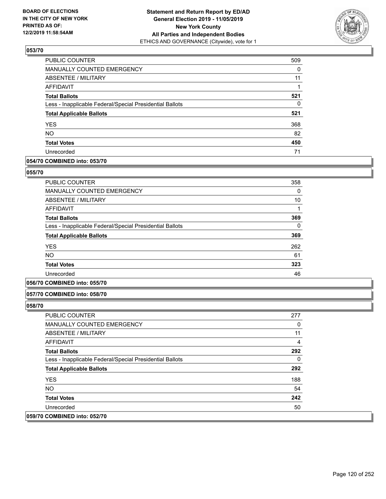

| PUBLIC COUNTER                                           | 509 |
|----------------------------------------------------------|-----|
| MANUALLY COUNTED EMERGENCY                               | 0   |
| <b>ABSENTEE / MILITARY</b>                               | 11  |
| AFFIDAVIT                                                |     |
| <b>Total Ballots</b>                                     | 521 |
| Less - Inapplicable Federal/Special Presidential Ballots | 0   |
| <b>Total Applicable Ballots</b>                          | 521 |
| <b>YES</b>                                               | 368 |
| <b>NO</b>                                                | 82  |
| <b>Total Votes</b>                                       | 450 |
| Unrecorded                                               | 71  |

# **054/70 COMBINED into: 053/70**

### **055/70**

| <b>PUBLIC COUNTER</b>                                    | 358 |
|----------------------------------------------------------|-----|
| <b>MANUALLY COUNTED EMERGENCY</b>                        | 0   |
| <b>ABSENTEE / MILITARY</b>                               | 10  |
| <b>AFFIDAVIT</b>                                         |     |
| <b>Total Ballots</b>                                     | 369 |
| Less - Inapplicable Federal/Special Presidential Ballots | 0   |
| <b>Total Applicable Ballots</b>                          | 369 |
| <b>YES</b>                                               | 262 |
| <b>NO</b>                                                | 61  |
| <b>Total Votes</b>                                       | 323 |
| Unrecorded                                               | 46  |

#### **056/70 COMBINED into: 055/70**

#### **057/70 COMBINED into: 058/70**

| <b>PUBLIC COUNTER</b>                                    | 277 |
|----------------------------------------------------------|-----|
| MANUALLY COUNTED EMERGENCY                               | 0   |
| ABSENTEE / MILITARY                                      | 11  |
| AFFIDAVIT                                                | 4   |
| <b>Total Ballots</b>                                     | 292 |
| Less - Inapplicable Federal/Special Presidential Ballots | 0   |
| <b>Total Applicable Ballots</b>                          | 292 |
| <b>YES</b>                                               | 188 |
| NO.                                                      | 54  |
| <b>Total Votes</b>                                       | 242 |
| Unrecorded                                               | 50  |
| 059/70 COMBINED into: 052/70                             |     |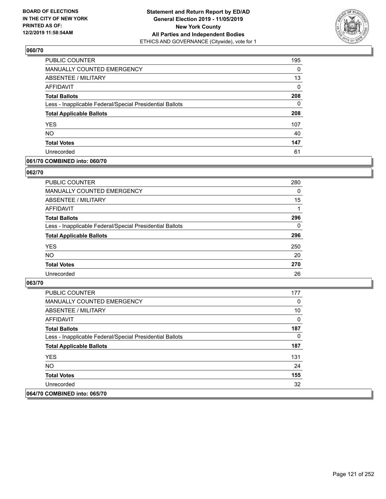

| PUBLIC COUNTER                                           | 195      |
|----------------------------------------------------------|----------|
| MANUALLY COUNTED EMERGENCY                               | $\Omega$ |
| ABSENTEE / MILITARY                                      | 13       |
| AFFIDAVIT                                                | 0        |
| <b>Total Ballots</b>                                     | 208      |
| Less - Inapplicable Federal/Special Presidential Ballots | 0        |
| <b>Total Applicable Ballots</b>                          | 208      |
| <b>YES</b>                                               | 107      |
| <b>NO</b>                                                | 40       |
| <b>Total Votes</b>                                       | 147      |
| Unrecorded                                               | 61       |

### **061/70 COMBINED into: 060/70**

#### **062/70**

| <b>PUBLIC COUNTER</b>                                    | 280      |
|----------------------------------------------------------|----------|
| <b>MANUALLY COUNTED EMERGENCY</b>                        | 0        |
| ABSENTEE / MILITARY                                      | 15       |
| AFFIDAVIT                                                |          |
| <b>Total Ballots</b>                                     | 296      |
| Less - Inapplicable Federal/Special Presidential Ballots | $\Omega$ |
| <b>Total Applicable Ballots</b>                          | 296      |
| <b>YES</b>                                               | 250      |
| <b>NO</b>                                                | 20       |
| <b>Total Votes</b>                                       | 270      |
| Unrecorded                                               | 26       |

| <b>PUBLIC COUNTER</b>                                    | 177 |
|----------------------------------------------------------|-----|
| <b>MANUALLY COUNTED EMERGENCY</b>                        | 0   |
| ABSENTEE / MILITARY                                      | 10  |
| AFFIDAVIT                                                | 0   |
| <b>Total Ballots</b>                                     | 187 |
| Less - Inapplicable Federal/Special Presidential Ballots | 0   |
| <b>Total Applicable Ballots</b>                          | 187 |
| <b>YES</b>                                               | 131 |
| NO.                                                      | 24  |
| <b>Total Votes</b>                                       | 155 |
| Unrecorded                                               | 32  |
| 064/70 COMBINED into: 065/70                             |     |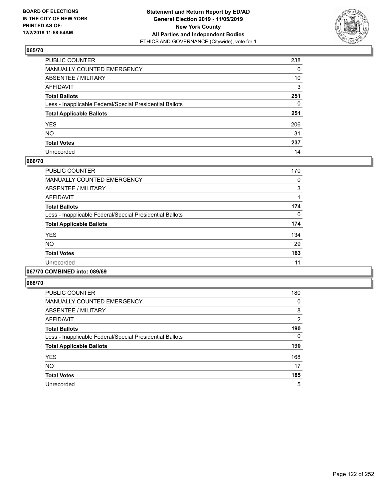

| PUBLIC COUNTER                                           | 238          |
|----------------------------------------------------------|--------------|
| MANUALLY COUNTED EMERGENCY                               | $\mathbf{0}$ |
| ABSENTEE / MILITARY                                      | 10           |
| AFFIDAVIT                                                | 3            |
| Total Ballots                                            | 251          |
| Less - Inapplicable Federal/Special Presidential Ballots | $\mathbf{0}$ |
| <b>Total Applicable Ballots</b>                          | 251          |
| YES                                                      | 206          |
| NO.                                                      | 31           |
| <b>Total Votes</b>                                       | 237          |
| Unrecorded                                               | 14           |

## **066/70**

| <b>PUBLIC COUNTER</b>                                    | 170 |
|----------------------------------------------------------|-----|
| MANUALLY COUNTED EMERGENCY                               | 0   |
| ABSENTEE / MILITARY                                      | 3   |
| <b>AFFIDAVIT</b>                                         |     |
| <b>Total Ballots</b>                                     | 174 |
| Less - Inapplicable Federal/Special Presidential Ballots | 0   |
| <b>Total Applicable Ballots</b>                          | 174 |
| <b>YES</b>                                               | 134 |
| NO.                                                      | 29  |
| <b>Total Votes</b>                                       | 163 |
| Unrecorded                                               | 11  |
|                                                          |     |

## **067/70 COMBINED into: 089/69**

| <b>PUBLIC COUNTER</b>                                    | 180           |
|----------------------------------------------------------|---------------|
| <b>MANUALLY COUNTED EMERGENCY</b>                        | 0             |
| ABSENTEE / MILITARY                                      | 8             |
| <b>AFFIDAVIT</b>                                         | $\mathcal{P}$ |
| <b>Total Ballots</b>                                     | 190           |
| Less - Inapplicable Federal/Special Presidential Ballots | $\Omega$      |
| <b>Total Applicable Ballots</b>                          | 190           |
| <b>YES</b>                                               | 168           |
| <b>NO</b>                                                | 17            |
| <b>Total Votes</b>                                       | 185           |
| Unrecorded                                               | 5             |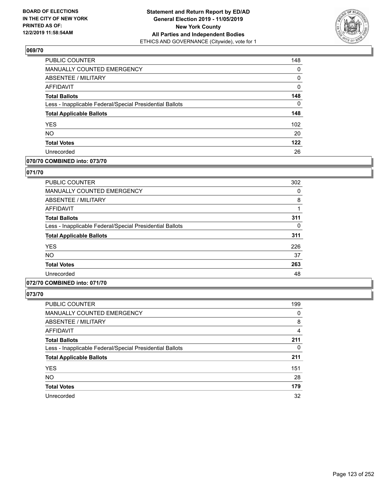

| PUBLIC COUNTER                                           | 148      |
|----------------------------------------------------------|----------|
| MANUALLY COUNTED EMERGENCY                               | 0        |
| ABSENTEE / MILITARY                                      | 0        |
| AFFIDAVIT                                                | 0        |
| <b>Total Ballots</b>                                     | 148      |
| Less - Inapplicable Federal/Special Presidential Ballots | $\Omega$ |
| <b>Total Applicable Ballots</b>                          | 148      |
| <b>YES</b>                                               | 102      |
| <b>NO</b>                                                | 20       |
| <b>Total Votes</b>                                       | 122      |
| Unrecorded                                               | 26       |

## **070/70 COMBINED into: 073/70**

### **071/70**

| 302 |
|-----|
| 0   |
| 8   |
|     |
| 311 |
| 0   |
| 311 |
| 226 |
| 37  |
| 263 |
| 48  |
|     |

# **072/70 COMBINED into: 071/70**

| <b>PUBLIC COUNTER</b>                                    | 199      |
|----------------------------------------------------------|----------|
| <b>MANUALLY COUNTED EMERGENCY</b>                        | 0        |
| <b>ABSENTEE / MILITARY</b>                               | 8        |
| <b>AFFIDAVIT</b>                                         | 4        |
| <b>Total Ballots</b>                                     | 211      |
| Less - Inapplicable Federal/Special Presidential Ballots | $\Omega$ |
| <b>Total Applicable Ballots</b>                          | 211      |
| <b>YES</b>                                               | 151      |
| <b>NO</b>                                                | 28       |
| <b>Total Votes</b>                                       | 179      |
| Unrecorded                                               | 32       |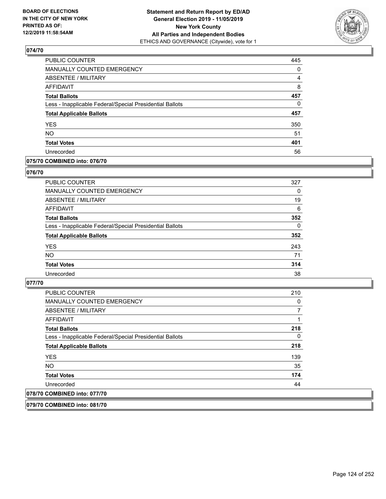

| PUBLIC COUNTER                                           | 445            |
|----------------------------------------------------------|----------------|
| MANUALLY COUNTED EMERGENCY                               | 0              |
| ABSENTEE / MILITARY                                      | $\overline{4}$ |
| <b>AFFIDAVIT</b>                                         | 8              |
| <b>Total Ballots</b>                                     | 457            |
| Less - Inapplicable Federal/Special Presidential Ballots | $\Omega$       |
| <b>Total Applicable Ballots</b>                          | 457            |
| <b>YES</b>                                               | 350            |
| <b>NO</b>                                                | 51             |
| <b>Total Votes</b>                                       | 401            |
| Unrecorded                                               | 56             |

### **075/70 COMBINED into: 076/70**

### **076/70**

| PUBLIC COUNTER                                           | 327      |
|----------------------------------------------------------|----------|
| <b>MANUALLY COUNTED EMERGENCY</b>                        | 0        |
| ABSENTEE / MILITARY                                      | 19       |
| AFFIDAVIT                                                | 6        |
| <b>Total Ballots</b>                                     | 352      |
| Less - Inapplicable Federal/Special Presidential Ballots | $\Omega$ |
| <b>Total Applicable Ballots</b>                          | 352      |
| <b>YES</b>                                               | 243      |
| <b>NO</b>                                                | 71       |
| <b>Total Votes</b>                                       | 314      |
| Unrecorded                                               | 38       |

### **077/70**

| <b>MANUALLY COUNTED EMERGENCY</b><br>0<br>ABSENTEE / MILITARY<br>AFFIDAVIT<br>218<br><b>Total Ballots</b><br>0<br>Less - Inapplicable Federal/Special Presidential Ballots<br>218<br><b>Total Applicable Ballots</b><br><b>YES</b><br>139<br>NO.<br>35<br>174<br><b>Total Votes</b><br>44<br>Unrecorded<br>078/70 COMBINED into: 077/70 | <b>PUBLIC COUNTER</b> | 210 |
|-----------------------------------------------------------------------------------------------------------------------------------------------------------------------------------------------------------------------------------------------------------------------------------------------------------------------------------------|-----------------------|-----|
|                                                                                                                                                                                                                                                                                                                                         |                       |     |
|                                                                                                                                                                                                                                                                                                                                         |                       |     |
|                                                                                                                                                                                                                                                                                                                                         |                       |     |
|                                                                                                                                                                                                                                                                                                                                         |                       |     |
|                                                                                                                                                                                                                                                                                                                                         |                       |     |
|                                                                                                                                                                                                                                                                                                                                         |                       |     |
|                                                                                                                                                                                                                                                                                                                                         |                       |     |
|                                                                                                                                                                                                                                                                                                                                         |                       |     |
|                                                                                                                                                                                                                                                                                                                                         |                       |     |
|                                                                                                                                                                                                                                                                                                                                         |                       |     |
|                                                                                                                                                                                                                                                                                                                                         |                       |     |

**079/70 COMBINED into: 081/70**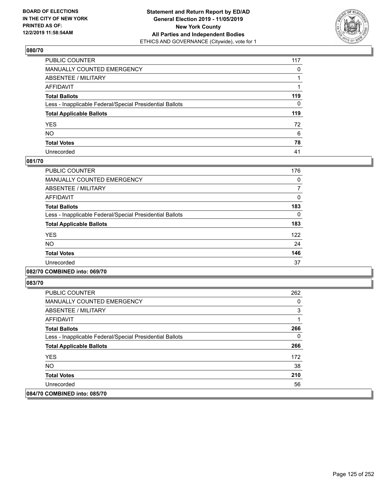

| PUBLIC COUNTER                                           | 117          |
|----------------------------------------------------------|--------------|
| MANUALLY COUNTED EMERGENCY                               | $\mathbf{0}$ |
| ABSENTEE / MILITARY                                      |              |
| AFFIDAVIT                                                |              |
| Total Ballots                                            | 119          |
| Less - Inapplicable Federal/Special Presidential Ballots | 0            |
| <b>Total Applicable Ballots</b>                          | 119          |
| YES                                                      | 72           |
| NO.                                                      | 6            |
| <b>Total Votes</b>                                       | 78           |
| Unrecorded                                               | 41           |

## **081/70**

| <b>PUBLIC COUNTER</b>                                    | 176      |
|----------------------------------------------------------|----------|
| <b>MANUALLY COUNTED EMERGENCY</b>                        | 0        |
| ABSENTEE / MILITARY                                      |          |
| <b>AFFIDAVIT</b>                                         | $\Omega$ |
| <b>Total Ballots</b>                                     | 183      |
| Less - Inapplicable Federal/Special Presidential Ballots | $\Omega$ |
| <b>Total Applicable Ballots</b>                          | 183      |
| <b>YES</b>                                               | 122      |
| NO.                                                      | 24       |
| <b>Total Votes</b>                                       | 146      |
| Unrecorded                                               | 37       |

### **082/70 COMBINED into: 069/70**

| <b>PUBLIC COUNTER</b>                                    | 262 |
|----------------------------------------------------------|-----|
| <b>MANUALLY COUNTED EMERGENCY</b>                        | 0   |
| ABSENTEE / MILITARY                                      | 3   |
| AFFIDAVIT                                                |     |
| <b>Total Ballots</b>                                     | 266 |
| Less - Inapplicable Federal/Special Presidential Ballots | 0   |
| <b>Total Applicable Ballots</b>                          | 266 |
| <b>YES</b>                                               | 172 |
| NO.                                                      | 38  |
| <b>Total Votes</b>                                       | 210 |
| Unrecorded                                               | 56  |
| 084/70 COMBINED into: 085/70                             |     |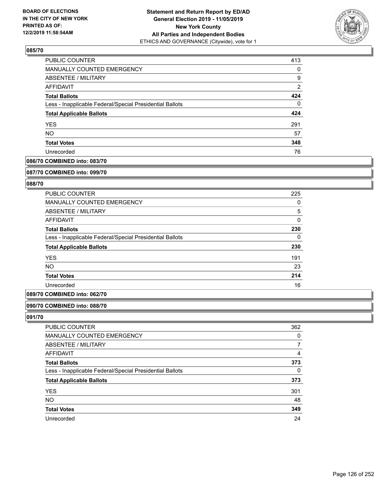

| <b>PUBLIC COUNTER</b>                                    | 413            |
|----------------------------------------------------------|----------------|
| MANUALLY COUNTED EMERGENCY                               | 0              |
| ABSENTEE / MILITARY                                      | 9              |
| AFFIDAVIT                                                | $\overline{2}$ |
| <b>Total Ballots</b>                                     | 424            |
| Less - Inapplicable Federal/Special Presidential Ballots | 0              |
| <b>Total Applicable Ballots</b>                          | 424            |
| <b>YES</b>                                               | 291            |
| <b>NO</b>                                                | 57             |
| <b>Total Votes</b>                                       | 348            |
| Unrecorded                                               | 76             |

# **086/70 COMBINED into: 083/70**

#### **087/70 COMBINED into: 099/70**

# **088/70**

| 225      |
|----------|
| 0        |
| 5        |
| $\Omega$ |
| 230      |
| 0        |
| 230      |
| 191      |
| 23       |
| 214      |
| 16       |
|          |

# **089/70 COMBINED into: 062/70**

# **090/70 COMBINED into: 088/70**

| <b>PUBLIC COUNTER</b>                                    | 362      |
|----------------------------------------------------------|----------|
| <b>MANUALLY COUNTED EMERGENCY</b>                        | 0        |
| ABSENTEE / MILITARY                                      |          |
| AFFIDAVIT                                                | 4        |
| <b>Total Ballots</b>                                     | 373      |
| Less - Inapplicable Federal/Special Presidential Ballots | $\Omega$ |
| <b>Total Applicable Ballots</b>                          | 373      |
| <b>YES</b>                                               | 301      |
| <b>NO</b>                                                | 48       |
| <b>Total Votes</b>                                       | 349      |
| Unrecorded                                               | 24       |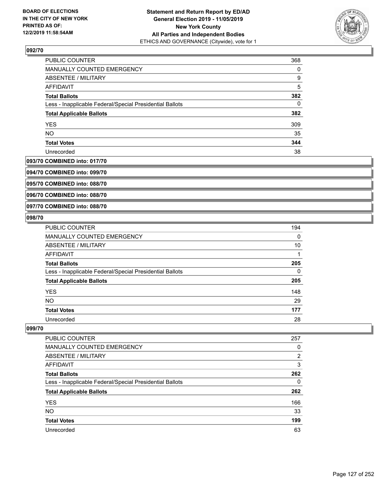

| <b>PUBLIC COUNTER</b>                                    | 368 |
|----------------------------------------------------------|-----|
| MANUALLY COUNTED EMERGENCY                               | 0   |
| ABSENTEE / MILITARY                                      | 9   |
| AFFIDAVIT                                                | 5   |
| <b>Total Ballots</b>                                     | 382 |
| Less - Inapplicable Federal/Special Presidential Ballots | 0   |
| <b>Total Applicable Ballots</b>                          | 382 |
| <b>YES</b>                                               | 309 |
| <b>NO</b>                                                | 35  |
| <b>Total Votes</b>                                       | 344 |
| Unrecorded                                               | 38  |

#### **093/70 COMBINED into: 017/70**

**094/70 COMBINED into: 099/70**

**095/70 COMBINED into: 088/70**

**096/70 COMBINED into: 088/70**

#### **097/70 COMBINED into: 088/70**

### **098/70**

| <b>PUBLIC COUNTER</b>                                    | 194      |
|----------------------------------------------------------|----------|
| MANUALLY COUNTED EMERGENCY                               | $\Omega$ |
| ABSENTEE / MILITARY                                      | 10       |
| AFFIDAVIT                                                |          |
| <b>Total Ballots</b>                                     | 205      |
| Less - Inapplicable Federal/Special Presidential Ballots | 0        |
| <b>Total Applicable Ballots</b>                          | 205      |
| <b>YES</b>                                               | 148      |
| <b>NO</b>                                                | 29       |
| <b>Total Votes</b>                                       | 177      |
| Unrecorded                                               | 28       |

| <b>PUBLIC COUNTER</b>                                    | 257 |
|----------------------------------------------------------|-----|
| <b>MANUALLY COUNTED EMERGENCY</b>                        | 0   |
| ABSENTEE / MILITARY                                      | 2   |
| AFFIDAVIT                                                | 3   |
| <b>Total Ballots</b>                                     | 262 |
| Less - Inapplicable Federal/Special Presidential Ballots | 0   |
| <b>Total Applicable Ballots</b>                          | 262 |
| <b>YES</b>                                               | 166 |
| <b>NO</b>                                                | 33  |
| <b>Total Votes</b>                                       | 199 |
| Unrecorded                                               | 63  |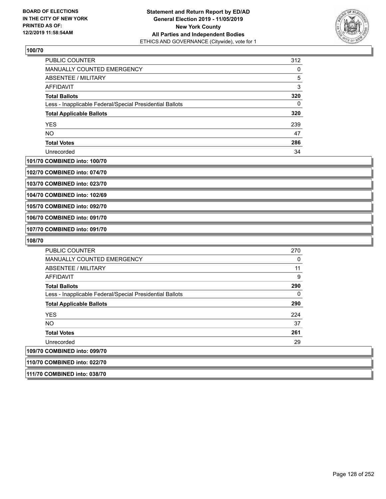

| <b>PUBLIC COUNTER</b>                                    | 312 |
|----------------------------------------------------------|-----|
| MANUALLY COUNTED EMERGENCY                               | 0   |
| ABSENTEE / MILITARY                                      | 5   |
| AFFIDAVIT                                                | 3   |
| <b>Total Ballots</b>                                     | 320 |
| Less - Inapplicable Federal/Special Presidential Ballots | 0   |
| <b>Total Applicable Ballots</b>                          | 320 |
| <b>YES</b>                                               | 239 |
| <b>NO</b>                                                | 47  |
| <b>Total Votes</b>                                       | 286 |
| Unrecorded                                               | 34  |

#### **101/70 COMBINED into: 100/70**

**102/70 COMBINED into: 074/70**

**103/70 COMBINED into: 023/70**

**104/70 COMBINED into: 102/69**

**105/70 COMBINED into: 092/70**

**106/70 COMBINED into: 091/70**

**107/70 COMBINED into: 091/70**

**108/70** 

| <b>PUBLIC COUNTER</b>                                    | 270 |
|----------------------------------------------------------|-----|
| <b>MANUALLY COUNTED EMERGENCY</b>                        | 0   |
| ABSENTEE / MILITARY                                      | 11  |
| AFFIDAVIT                                                | 9   |
| <b>Total Ballots</b>                                     | 290 |
| Less - Inapplicable Federal/Special Presidential Ballots | 0   |
| <b>Total Applicable Ballots</b>                          | 290 |
| <b>YES</b>                                               | 224 |
| <b>NO</b>                                                | 37  |
| <b>Total Votes</b>                                       | 261 |
| Unrecorded                                               | 29  |
| 109/70 COMBINED into: 099/70                             |     |
| 110/70 COMBINED into: 022/70                             |     |

**111/70 COMBINED into: 038/70**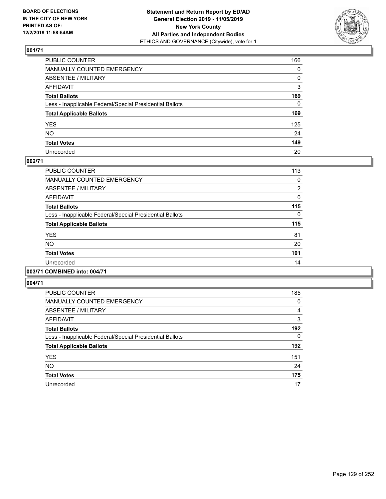

| PUBLIC COUNTER                                           | 166          |
|----------------------------------------------------------|--------------|
| MANUALLY COUNTED EMERGENCY                               | 0            |
| ABSENTEE / MILITARY                                      | 0            |
| AFFIDAVIT                                                | 3            |
| Total Ballots                                            | 169          |
| Less - Inapplicable Federal/Special Presidential Ballots | $\mathbf{0}$ |
| <b>Total Applicable Ballots</b>                          | 169          |
| YES                                                      | 125          |
| NO.                                                      | 24           |
| <b>Total Votes</b>                                       | 149          |
| Unrecorded                                               | 20           |

## **002/71**

| PUBLIC COUNTER                                           | 113      |
|----------------------------------------------------------|----------|
| <b>MANUALLY COUNTED EMERGENCY</b>                        | 0        |
| ABSENTEE / MILITARY                                      | 2        |
| <b>AFFIDAVIT</b>                                         | $\Omega$ |
| <b>Total Ballots</b>                                     | 115      |
| Less - Inapplicable Federal/Special Presidential Ballots | $\Omega$ |
| <b>Total Applicable Ballots</b>                          | 115      |
| <b>YES</b>                                               | 81       |
| <b>NO</b>                                                | 20       |
| <b>Total Votes</b>                                       | 101      |
| Unrecorded                                               | 14       |
|                                                          |          |

# **003/71 COMBINED into: 004/71**

| PUBLIC COUNTER                                           | 185 |
|----------------------------------------------------------|-----|
| MANUALLY COUNTED EMERGENCY                               | 0   |
| ABSENTEE / MILITARY                                      | 4   |
| AFFIDAVIT                                                | 3   |
| <b>Total Ballots</b>                                     | 192 |
| Less - Inapplicable Federal/Special Presidential Ballots | 0   |
| <b>Total Applicable Ballots</b>                          | 192 |
| <b>YES</b>                                               | 151 |
| <b>NO</b>                                                | 24  |
| <b>Total Votes</b>                                       | 175 |
| Unrecorded                                               | 17  |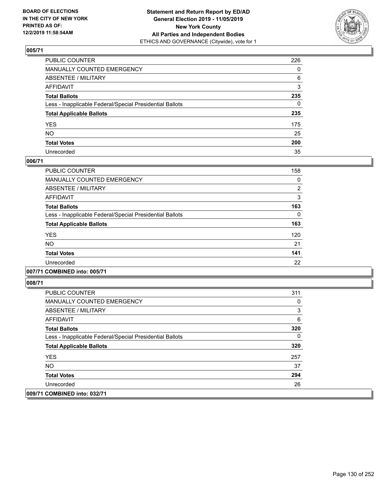

| PUBLIC COUNTER                                           | 226          |
|----------------------------------------------------------|--------------|
| MANUALLY COUNTED EMERGENCY                               | $\mathbf{0}$ |
| ABSENTEE / MILITARY                                      | 6            |
| AFFIDAVIT                                                | 3            |
| Total Ballots                                            | 235          |
| Less - Inapplicable Federal/Special Presidential Ballots | $\mathbf{0}$ |
| <b>Total Applicable Ballots</b>                          | 235          |
| YES                                                      | 175          |
| NO.                                                      | 25           |
| <b>Total Votes</b>                                       | 200          |
| Unrecorded                                               | 35           |

## **006/71**

| <b>PUBLIC COUNTER</b>                                    | 158 |
|----------------------------------------------------------|-----|
| MANUALLY COUNTED EMERGENCY                               | 0   |
| ABSENTEE / MILITARY                                      | 2   |
| <b>AFFIDAVIT</b>                                         | 3   |
| <b>Total Ballots</b>                                     | 163 |
| Less - Inapplicable Federal/Special Presidential Ballots | 0   |
| <b>Total Applicable Ballots</b>                          | 163 |
| <b>YES</b>                                               | 120 |
| <b>NO</b>                                                | 21  |
| <b>Total Votes</b>                                       | 141 |
| Unrecorded                                               | 22  |
|                                                          |     |

## **007/71 COMBINED into: 005/71**

| <b>PUBLIC COUNTER</b>                                    | 311 |
|----------------------------------------------------------|-----|
| <b>MANUALLY COUNTED EMERGENCY</b>                        | 0   |
| ABSENTEE / MILITARY                                      | 3   |
| AFFIDAVIT                                                | 6   |
| <b>Total Ballots</b>                                     | 320 |
| Less - Inapplicable Federal/Special Presidential Ballots | 0   |
| <b>Total Applicable Ballots</b>                          | 320 |
| <b>YES</b>                                               | 257 |
| NO.                                                      | 37  |
| <b>Total Votes</b>                                       | 294 |
| Unrecorded                                               | 26  |
| 009/71 COMBINED into: 032/71                             |     |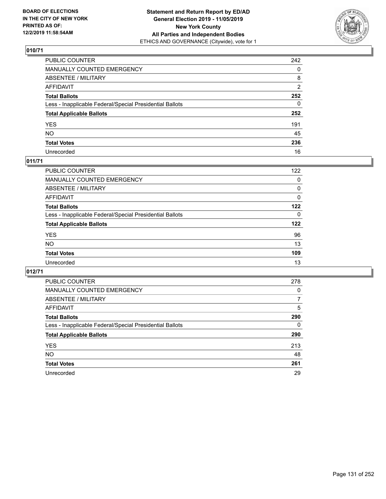

| PUBLIC COUNTER                                           | 242          |
|----------------------------------------------------------|--------------|
| MANUALLY COUNTED EMERGENCY                               | $\Omega$     |
| ABSENTEE / MILITARY                                      | 8            |
| AFFIDAVIT                                                | 2            |
| Total Ballots                                            | 252          |
| Less - Inapplicable Federal/Special Presidential Ballots | $\mathbf{0}$ |
| <b>Total Applicable Ballots</b>                          | 252          |
| YES                                                      | 191          |
| NO.                                                      | 45           |
| <b>Total Votes</b>                                       | 236          |
| Unrecorded                                               | 16           |

## **011/71**

| <b>PUBLIC COUNTER</b>                                    | 122      |
|----------------------------------------------------------|----------|
| <b>MANUALLY COUNTED EMERGENCY</b>                        | 0        |
| ABSENTEE / MILITARY                                      | 0        |
| AFFIDAVIT                                                | 0        |
| <b>Total Ballots</b>                                     | 122      |
| Less - Inapplicable Federal/Special Presidential Ballots | $\Omega$ |
| <b>Total Applicable Ballots</b>                          | 122      |
| <b>YES</b>                                               | 96       |
| <b>NO</b>                                                | 13       |
| <b>Total Votes</b>                                       | 109      |
| Unrecorded                                               | 13       |

| PUBLIC COUNTER                                           | 278 |
|----------------------------------------------------------|-----|
| MANUALLY COUNTED EMERGENCY                               | 0   |
| ABSENTEE / MILITARY                                      | 7   |
| AFFIDAVIT                                                | 5   |
| <b>Total Ballots</b>                                     | 290 |
| Less - Inapplicable Federal/Special Presidential Ballots | 0   |
| <b>Total Applicable Ballots</b>                          | 290 |
| <b>YES</b>                                               | 213 |
| NO.                                                      | 48  |
| <b>Total Votes</b>                                       | 261 |
| Unrecorded                                               | 29  |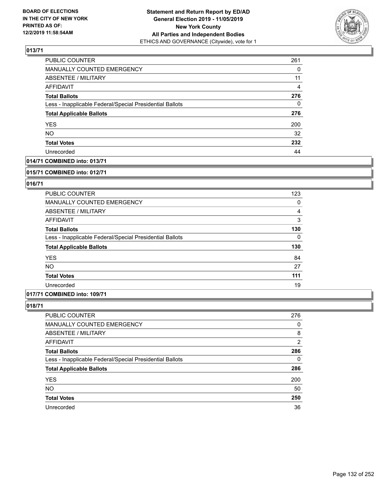

| PUBLIC COUNTER                                           | 261 |
|----------------------------------------------------------|-----|
| MANUALLY COUNTED EMERGENCY                               | 0   |
| <b>ABSENTEE / MILITARY</b>                               | 11  |
| AFFIDAVIT                                                | 4   |
| <b>Total Ballots</b>                                     | 276 |
| Less - Inapplicable Federal/Special Presidential Ballots | 0   |
| <b>Total Applicable Ballots</b>                          | 276 |
| <b>YES</b>                                               | 200 |
| <b>NO</b>                                                | 32  |
| <b>Total Votes</b>                                       | 232 |
| Unrecorded                                               | 44  |

# **014/71 COMBINED into: 013/71**

#### **015/71 COMBINED into: 012/71**

# **016/71**

| 123      |
|----------|
| 0        |
| 4        |
| 3        |
| 130      |
| $\Omega$ |
| 130      |
| 84       |
| 27       |
| 111      |
| 19       |
|          |

## **017/71 COMBINED into: 109/71**

| <b>PUBLIC COUNTER</b>                                    | 276      |
|----------------------------------------------------------|----------|
| MANUALLY COUNTED EMERGENCY                               | 0        |
| ABSENTEE / MILITARY                                      | 8        |
| AFFIDAVIT                                                | 2        |
| <b>Total Ballots</b>                                     | 286      |
| Less - Inapplicable Federal/Special Presidential Ballots | $\Omega$ |
| <b>Total Applicable Ballots</b>                          | 286      |
| <b>YES</b>                                               | 200      |
| <b>NO</b>                                                | 50       |
| <b>Total Votes</b>                                       | 250      |
| Unrecorded                                               | 36       |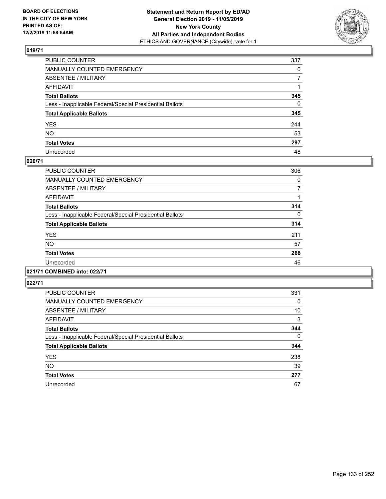

| PUBLIC COUNTER                                           | 337          |
|----------------------------------------------------------|--------------|
| MANUALLY COUNTED EMERGENCY                               | $\mathbf{0}$ |
| ABSENTEE / MILITARY                                      | 7            |
| AFFIDAVIT                                                |              |
| Total Ballots                                            | 345          |
| Less - Inapplicable Federal/Special Presidential Ballots | 0            |
| <b>Total Applicable Ballots</b>                          | 345          |
| YES                                                      | 244          |
| NO.                                                      | 53           |
| <b>Total Votes</b>                                       | 297          |
| Unrecorded                                               | 48           |

## **020/71**

| <b>PUBLIC COUNTER</b>                                    | 306      |
|----------------------------------------------------------|----------|
| <b>MANUALLY COUNTED EMERGENCY</b>                        | 0        |
| ABSENTEE / MILITARY                                      | 7        |
| <b>AFFIDAVIT</b>                                         |          |
| <b>Total Ballots</b>                                     | 314      |
| Less - Inapplicable Federal/Special Presidential Ballots | $\Omega$ |
| <b>Total Applicable Ballots</b>                          | 314      |
| <b>YES</b>                                               | 211      |
| <b>NO</b>                                                | 57       |
| <b>Total Votes</b>                                       | 268      |
| Unrecorded                                               | 46       |
|                                                          |          |

## **021/71 COMBINED into: 022/71**

| <b>PUBLIC COUNTER</b>                                    | 331          |
|----------------------------------------------------------|--------------|
| MANUALLY COUNTED EMERGENCY                               | $\Omega$     |
| ABSENTEE / MILITARY                                      | 10           |
| AFFIDAVIT                                                | 3            |
| <b>Total Ballots</b>                                     | 344          |
| Less - Inapplicable Federal/Special Presidential Ballots | $\mathbf{0}$ |
| <b>Total Applicable Ballots</b>                          | 344          |
| <b>YES</b>                                               | 238          |
| <b>NO</b>                                                | 39           |
| <b>Total Votes</b>                                       | 277          |
| Unrecorded                                               | 67           |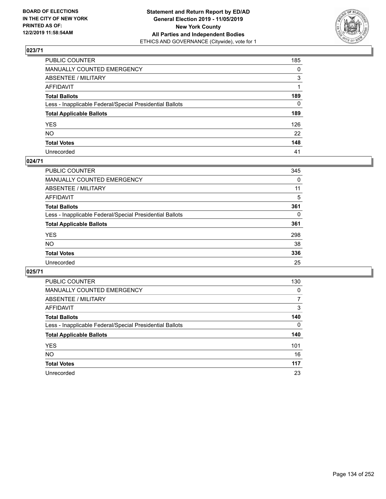

| PUBLIC COUNTER                                           | 185          |
|----------------------------------------------------------|--------------|
| MANUALLY COUNTED EMERGENCY                               | $\mathbf{0}$ |
| ABSENTEE / MILITARY                                      | 3            |
| AFFIDAVIT                                                |              |
| Total Ballots                                            | 189          |
| Less - Inapplicable Federal/Special Presidential Ballots | 0            |
| <b>Total Applicable Ballots</b>                          | 189          |
| YES                                                      | 126          |
| NO.                                                      | 22           |
| <b>Total Votes</b>                                       | 148          |
| Unrecorded                                               | 41           |

## **024/71**

| <b>PUBLIC COUNTER</b>                                    | 345      |
|----------------------------------------------------------|----------|
| <b>MANUALLY COUNTED EMERGENCY</b>                        | 0        |
| ABSENTEE / MILITARY                                      | 11       |
| AFFIDAVIT                                                | 5        |
| <b>Total Ballots</b>                                     | 361      |
| Less - Inapplicable Federal/Special Presidential Ballots | $\Omega$ |
| <b>Total Applicable Ballots</b>                          | 361      |
| <b>YES</b>                                               | 298      |
| <b>NO</b>                                                | 38       |
| <b>Total Votes</b>                                       | 336      |
| Unrecorded                                               | 25       |

| PUBLIC COUNTER                                           | 130      |
|----------------------------------------------------------|----------|
| MANUALLY COUNTED EMERGENCY                               | $\Omega$ |
| ABSENTEE / MILITARY                                      | 7        |
| AFFIDAVIT                                                | 3        |
| <b>Total Ballots</b>                                     | 140      |
| Less - Inapplicable Federal/Special Presidential Ballots | 0        |
| <b>Total Applicable Ballots</b>                          | 140      |
| <b>YES</b>                                               | 101      |
| NO.                                                      | 16       |
| <b>Total Votes</b>                                       | 117      |
| Unrecorded                                               | 23       |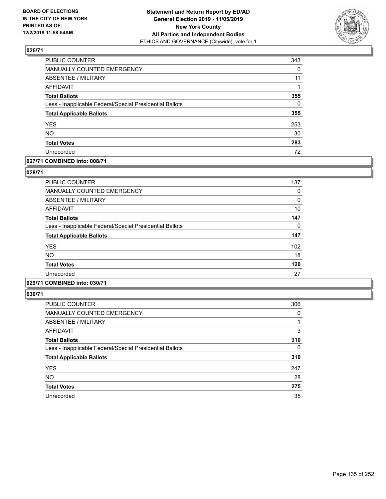

| 343 |
|-----|
| 0   |
| 11  |
| 1   |
| 355 |
| 0   |
| 355 |
| 253 |
| 30  |
| 283 |
| 72  |
|     |

## **027/71 COMBINED into: 008/71**

## **028/71**

| PUBLIC COUNTER                                           | 137 |
|----------------------------------------------------------|-----|
| <b>MANUALLY COUNTED EMERGENCY</b>                        | 0   |
| ABSENTEE / MILITARY                                      | 0   |
| AFFIDAVIT                                                | 10  |
| <b>Total Ballots</b>                                     | 147 |
| Less - Inapplicable Federal/Special Presidential Ballots | 0   |
| <b>Total Applicable Ballots</b>                          | 147 |
| <b>YES</b>                                               | 102 |
| <b>NO</b>                                                | 18  |
| <b>Total Votes</b>                                       | 120 |
| Unrecorded                                               | 27  |
|                                                          |     |

# **029/71 COMBINED into: 030/71**

| PUBLIC COUNTER                                           | 306 |
|----------------------------------------------------------|-----|
| <b>MANUALLY COUNTED EMERGENCY</b>                        | 0   |
| <b>ABSENTEE / MILITARY</b>                               |     |
| AFFIDAVIT                                                | 3   |
| <b>Total Ballots</b>                                     | 310 |
| Less - Inapplicable Federal/Special Presidential Ballots | 0   |
| <b>Total Applicable Ballots</b>                          | 310 |
| <b>YES</b>                                               | 247 |
| <b>NO</b>                                                | 28  |
| <b>Total Votes</b>                                       | 275 |
| Unrecorded                                               | 35  |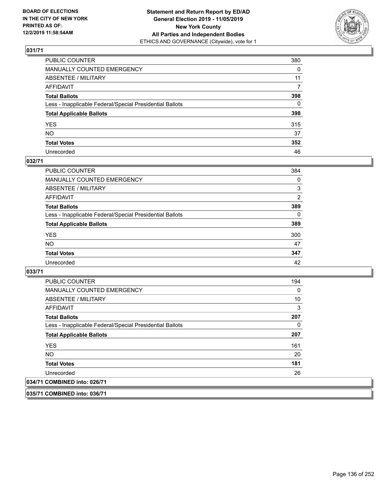

| PUBLIC COUNTER                                           | 380          |
|----------------------------------------------------------|--------------|
| MANUALLY COUNTED EMERGENCY                               | 0            |
| ABSENTEE / MILITARY                                      | 11           |
| AFFIDAVIT                                                | 7            |
| Total Ballots                                            | 398          |
| Less - Inapplicable Federal/Special Presidential Ballots | $\mathbf{0}$ |
| <b>Total Applicable Ballots</b>                          | 398          |
| YES                                                      | 315          |
| NO.                                                      | 37           |
| <b>Total Votes</b>                                       | 352          |
| Unrecorded                                               | 46           |

## **032/71**

| PUBLIC COUNTER                                           | 384      |
|----------------------------------------------------------|----------|
| <b>MANUALLY COUNTED EMERGENCY</b>                        | 0        |
| ABSENTEE / MILITARY                                      | 3        |
| AFFIDAVIT                                                | 2        |
| <b>Total Ballots</b>                                     | 389      |
| Less - Inapplicable Federal/Special Presidential Ballots | $\Omega$ |
| <b>Total Applicable Ballots</b>                          | 389      |
| <b>YES</b>                                               | 300      |
| <b>NO</b>                                                | 47       |
| <b>Total Votes</b>                                       | 347      |
| Unrecorded                                               | 42       |

**033/71** 

 $|034/7|$ 

| PUBLIC COUNTER                                           | 194 |
|----------------------------------------------------------|-----|
| <b>MANUALLY COUNTED EMERGENCY</b>                        | 0   |
| ABSENTEE / MILITARY                                      | 10  |
| <b>AFFIDAVIT</b>                                         | 3   |
| <b>Total Ballots</b>                                     | 207 |
| Less - Inapplicable Federal/Special Presidential Ballots | 0   |
| <b>Total Applicable Ballots</b>                          | 207 |
| <b>YES</b>                                               | 161 |
| <b>NO</b>                                                | 20  |
| <b>Total Votes</b>                                       | 181 |
| Unrecorded                                               | 26  |
| 1 COMBINED into: 026/71                                  |     |

**035/71 COMBINED into: 036/71**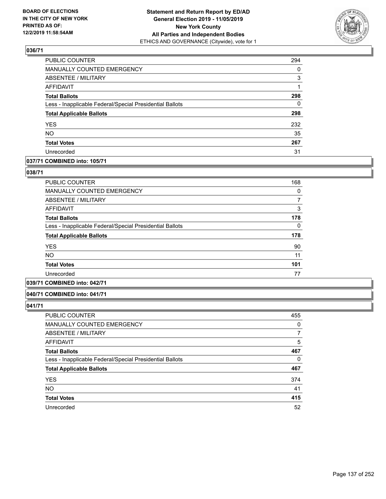

| 294      |
|----------|
| $\Omega$ |
| 3        |
|          |
| 298      |
| $\Omega$ |
| 298      |
| 232      |
| 35       |
| 267      |
| 31       |
|          |

## **037/71 COMBINED into: 105/71**

## **038/71**

| <b>PUBLIC COUNTER</b>                                    | 168 |
|----------------------------------------------------------|-----|
| <b>MANUALLY COUNTED EMERGENCY</b>                        | 0   |
| ABSENTEE / MILITARY                                      |     |
| <b>AFFIDAVIT</b>                                         | 3   |
| <b>Total Ballots</b>                                     | 178 |
| Less - Inapplicable Federal/Special Presidential Ballots | 0   |
| <b>Total Applicable Ballots</b>                          | 178 |
| <b>YES</b>                                               | 90  |
| <b>NO</b>                                                | 11  |
| <b>Total Votes</b>                                       | 101 |
| Unrecorded                                               | 77  |
|                                                          |     |

# **039/71 COMBINED into: 042/71**

#### **040/71 COMBINED into: 041/71**

| <b>PUBLIC COUNTER</b>                                    | 455      |
|----------------------------------------------------------|----------|
| MANUALLY COUNTED EMERGENCY                               | 0        |
| ABSENTEE / MILITARY                                      | 7        |
| AFFIDAVIT                                                | 5        |
| <b>Total Ballots</b>                                     | 467      |
| Less - Inapplicable Federal/Special Presidential Ballots | $\Omega$ |
| <b>Total Applicable Ballots</b>                          | 467      |
| <b>YES</b>                                               | 374      |
| <b>NO</b>                                                | 41       |
| <b>Total Votes</b>                                       | 415      |
| Unrecorded                                               | 52       |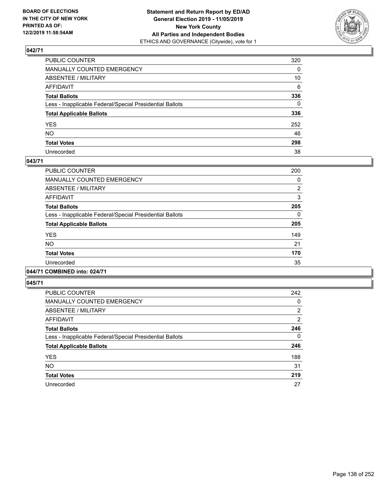

| PUBLIC COUNTER                                           | 320          |
|----------------------------------------------------------|--------------|
| MANUALLY COUNTED EMERGENCY                               | $\mathbf{0}$ |
| ABSENTEE / MILITARY                                      | 10           |
| AFFIDAVIT                                                | 6            |
| Total Ballots                                            | 336          |
| Less - Inapplicable Federal/Special Presidential Ballots | $\Omega$     |
| <b>Total Applicable Ballots</b>                          | 336          |
| YES                                                      | 252          |
| NO.                                                      | 46           |
| <b>Total Votes</b>                                       | 298          |
| Unrecorded                                               | 38           |

## **043/71**

| <b>PUBLIC COUNTER</b>                                    | 200            |
|----------------------------------------------------------|----------------|
| <b>MANUALLY COUNTED EMERGENCY</b>                        | 0              |
| ABSENTEE / MILITARY                                      | $\overline{2}$ |
| <b>AFFIDAVIT</b>                                         | 3              |
| <b>Total Ballots</b>                                     | 205            |
| Less - Inapplicable Federal/Special Presidential Ballots | $\Omega$       |
| <b>Total Applicable Ballots</b>                          | 205            |
| <b>YES</b>                                               | 149            |
| N <sub>O</sub>                                           | 21             |
| <b>Total Votes</b>                                       | 170            |
| Unrecorded                                               | 35             |
|                                                          |                |

# **044/71 COMBINED into: 024/71**

| <b>PUBLIC COUNTER</b>                                    | 242            |
|----------------------------------------------------------|----------------|
| MANUALLY COUNTED EMERGENCY                               | 0              |
| ABSENTEE / MILITARY                                      | 2              |
| AFFIDAVIT                                                | $\overline{2}$ |
| <b>Total Ballots</b>                                     | 246            |
| Less - Inapplicable Federal/Special Presidential Ballots | 0              |
| <b>Total Applicable Ballots</b>                          | 246            |
| <b>YES</b>                                               | 188            |
| <b>NO</b>                                                | 31             |
| <b>Total Votes</b>                                       | 219            |
| Unrecorded                                               | 27             |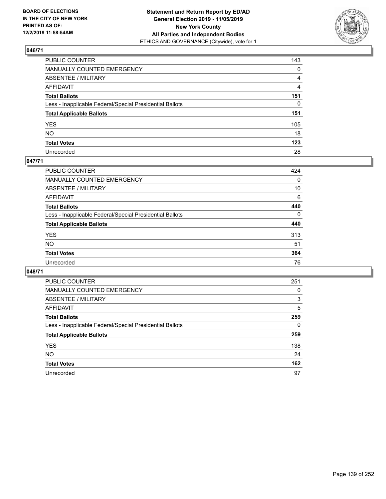

| PUBLIC COUNTER                                           | 143 |
|----------------------------------------------------------|-----|
| MANUALLY COUNTED EMERGENCY                               | 0   |
| ABSENTEE / MILITARY                                      | 4   |
| AFFIDAVIT                                                | 4   |
| Total Ballots                                            | 151 |
| Less - Inapplicable Federal/Special Presidential Ballots | 0   |
| <b>Total Applicable Ballots</b>                          | 151 |
| YES                                                      | 105 |
| NO.                                                      | 18  |
| <b>Total Votes</b>                                       | 123 |
| Unrecorded                                               | 28  |

## **047/71**

| <b>PUBLIC COUNTER</b>                                    | 424      |
|----------------------------------------------------------|----------|
| MANUALLY COUNTED EMERGENCY                               | 0        |
| ABSENTEE / MILITARY                                      | 10       |
| AFFIDAVIT                                                | 6        |
| <b>Total Ballots</b>                                     | 440      |
| Less - Inapplicable Federal/Special Presidential Ballots | $\Omega$ |
| <b>Total Applicable Ballots</b>                          | 440      |
| <b>YES</b>                                               | 313      |
| <b>NO</b>                                                | 51       |
| <b>Total Votes</b>                                       | 364      |
| Unrecorded                                               | 76       |

| PUBLIC COUNTER                                           | 251 |
|----------------------------------------------------------|-----|
| MANUALLY COUNTED EMERGENCY                               | 0   |
| ABSENTEE / MILITARY                                      | 3   |
| AFFIDAVIT                                                | 5   |
| <b>Total Ballots</b>                                     | 259 |
| Less - Inapplicable Federal/Special Presidential Ballots | 0   |
| <b>Total Applicable Ballots</b>                          | 259 |
| <b>YES</b>                                               | 138 |
| <b>NO</b>                                                | 24  |
| <b>Total Votes</b>                                       | 162 |
| Unrecorded                                               | 97  |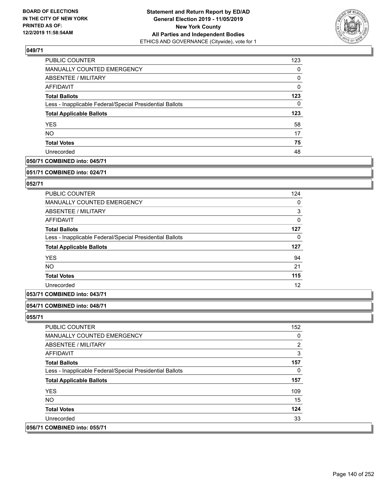

| <b>PUBLIC COUNTER</b>                                    | 123      |
|----------------------------------------------------------|----------|
| MANUALLY COUNTED EMERGENCY                               | 0        |
| ABSENTEE / MILITARY                                      | 0        |
| AFFIDAVIT                                                | $\Omega$ |
| <b>Total Ballots</b>                                     | 123      |
| Less - Inapplicable Federal/Special Presidential Ballots | 0        |
| <b>Total Applicable Ballots</b>                          | 123      |
| <b>YES</b>                                               | 58       |
| <b>NO</b>                                                | 17       |
| <b>Total Votes</b>                                       | 75       |
| Unrecorded                                               | 48       |

# **050/71 COMBINED into: 045/71**

#### **051/71 COMBINED into: 024/71**

# **052/71**

| 124 |
|-----|
| 0   |
| 3   |
| 0   |
| 127 |
| 0   |
| 127 |
| 94  |
| 21  |
| 115 |
| 12  |
|     |

## **053/71 COMBINED into: 043/71**

#### **054/71 COMBINED into: 048/71**

| PUBLIC COUNTER                                           | 152            |
|----------------------------------------------------------|----------------|
| <b>MANUALLY COUNTED EMERGENCY</b>                        | 0              |
| ABSENTEE / MILITARY                                      | $\overline{2}$ |
| AFFIDAVIT                                                | 3              |
| <b>Total Ballots</b>                                     | 157            |
| Less - Inapplicable Federal/Special Presidential Ballots | 0              |
| <b>Total Applicable Ballots</b>                          | 157            |
| <b>YES</b>                                               | 109            |
| NO.                                                      | 15             |
| <b>Total Votes</b>                                       | 124            |
| Unrecorded                                               | 33             |
| 056/71 COMBINED into: 055/71                             |                |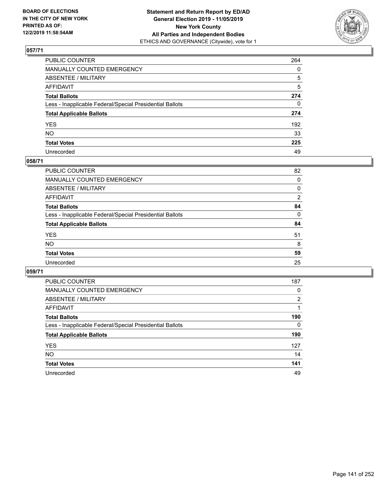

| PUBLIC COUNTER                                           | 264          |
|----------------------------------------------------------|--------------|
| MANUALLY COUNTED EMERGENCY                               | $\mathbf{0}$ |
| ABSENTEE / MILITARY                                      | 5            |
| AFFIDAVIT                                                | 5            |
| Total Ballots                                            | 274          |
| Less - Inapplicable Federal/Special Presidential Ballots | 0            |
| <b>Total Applicable Ballots</b>                          | 274          |
| YES                                                      | 192          |
| NO.                                                      | 33           |
| <b>Total Votes</b>                                       | 225          |
| Unrecorded                                               | 49           |

## **058/71**

| <b>PUBLIC COUNTER</b>                                    | 82             |
|----------------------------------------------------------|----------------|
| <b>MANUALLY COUNTED EMERGENCY</b>                        | $\Omega$       |
| ABSENTEE / MILITARY                                      | 0              |
| AFFIDAVIT                                                | $\overline{2}$ |
| <b>Total Ballots</b>                                     | 84             |
| Less - Inapplicable Federal/Special Presidential Ballots | $\Omega$       |
| <b>Total Applicable Ballots</b>                          | 84             |
| <b>YES</b>                                               | 51             |
| <b>NO</b>                                                | 8              |
| <b>Total Votes</b>                                       | 59             |
| Unrecorded                                               | 25             |
|                                                          |                |

| PUBLIC COUNTER                                           | 187            |
|----------------------------------------------------------|----------------|
| <b>MANUALLY COUNTED EMERGENCY</b>                        | $\Omega$       |
| ABSENTEE / MILITARY                                      | $\overline{2}$ |
| AFFIDAVIT                                                |                |
| <b>Total Ballots</b>                                     | 190            |
| Less - Inapplicable Federal/Special Presidential Ballots | $\Omega$       |
| <b>Total Applicable Ballots</b>                          | 190            |
| <b>YES</b>                                               | 127            |
| <b>NO</b>                                                | 14             |
| <b>Total Votes</b>                                       | 141            |
| Unrecorded                                               | 49             |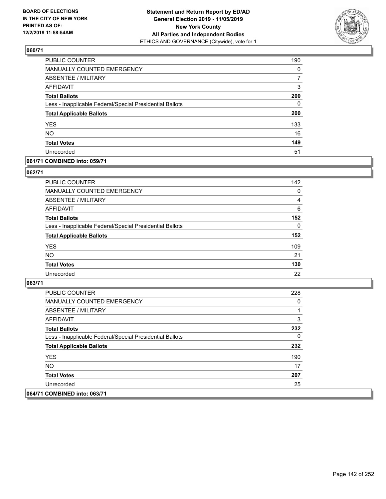

| PUBLIC COUNTER                                           | 190      |
|----------------------------------------------------------|----------|
| MANUALLY COUNTED EMERGENCY                               | $\Omega$ |
| ABSENTEE / MILITARY                                      | 7        |
| <b>AFFIDAVIT</b>                                         | 3        |
| <b>Total Ballots</b>                                     | 200      |
| Less - Inapplicable Federal/Special Presidential Ballots | $\Omega$ |
| <b>Total Applicable Ballots</b>                          | 200      |
| <b>YES</b>                                               | 133      |
| <b>NO</b>                                                | 16       |
| <b>Total Votes</b>                                       | 149      |
| Unrecorded                                               | 51       |

## **061/71 COMBINED into: 059/71**

### **062/71**

| PUBLIC COUNTER                                           | 142      |
|----------------------------------------------------------|----------|
| <b>MANUALLY COUNTED EMERGENCY</b>                        | $\Omega$ |
| ABSENTEE / MILITARY                                      | 4        |
| AFFIDAVIT                                                | 6        |
| <b>Total Ballots</b>                                     | 152      |
| Less - Inapplicable Federal/Special Presidential Ballots | $\Omega$ |
| <b>Total Applicable Ballots</b>                          | 152      |
| <b>YES</b>                                               | 109      |
| <b>NO</b>                                                | 21       |
| <b>Total Votes</b>                                       | 130      |
| Unrecorded                                               | 22       |
|                                                          |          |

| PUBLIC COUNTER                                           | 228 |
|----------------------------------------------------------|-----|
| <b>MANUALLY COUNTED EMERGENCY</b>                        | 0   |
| ABSENTEE / MILITARY                                      |     |
| AFFIDAVIT                                                | 3   |
| <b>Total Ballots</b>                                     | 232 |
| Less - Inapplicable Federal/Special Presidential Ballots | 0   |
| <b>Total Applicable Ballots</b>                          | 232 |
| <b>YES</b>                                               | 190 |
| NO.                                                      | 17  |
| <b>Total Votes</b>                                       | 207 |
| Unrecorded                                               | 25  |
| 064/71 COMBINED into: 063/71                             |     |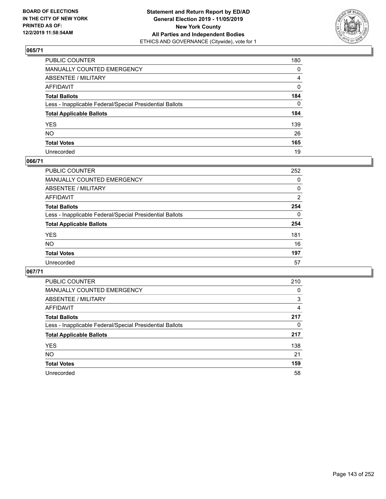

| PUBLIC COUNTER                                           | 180            |
|----------------------------------------------------------|----------------|
| MANUALLY COUNTED EMERGENCY                               | $\mathbf{0}$   |
| ABSENTEE / MILITARY                                      | $\overline{4}$ |
| AFFIDAVIT                                                | $\mathbf 0$    |
| Total Ballots                                            | 184            |
| Less - Inapplicable Federal/Special Presidential Ballots | $\Omega$       |
| <b>Total Applicable Ballots</b>                          | 184            |
| YES                                                      | 139            |
| NO.                                                      | 26             |
| <b>Total Votes</b>                                       | 165            |
| Unrecorded                                               | 19             |

## **066/71**

| PUBLIC COUNTER                                           | 252      |
|----------------------------------------------------------|----------|
| MANUALLY COUNTED EMERGENCY                               | 0        |
| ABSENTEE / MILITARY                                      | 0        |
| AFFIDAVIT                                                | 2        |
| <b>Total Ballots</b>                                     | 254      |
| Less - Inapplicable Federal/Special Presidential Ballots | $\Omega$ |
| <b>Total Applicable Ballots</b>                          | 254      |
| <b>YES</b>                                               | 181      |
| <b>NO</b>                                                | 16       |
| <b>Total Votes</b>                                       | 197      |
| Unrecorded                                               | 57       |

| PUBLIC COUNTER                                           | 210 |
|----------------------------------------------------------|-----|
| <b>MANUALLY COUNTED EMERGENCY</b>                        | 0   |
| ABSENTEE / MILITARY                                      | 3   |
| AFFIDAVIT                                                | 4   |
| <b>Total Ballots</b>                                     | 217 |
| Less - Inapplicable Federal/Special Presidential Ballots | 0   |
| <b>Total Applicable Ballots</b>                          | 217 |
| <b>YES</b>                                               | 138 |
| NO.                                                      | 21  |
| <b>Total Votes</b>                                       | 159 |
| Unrecorded                                               | 58  |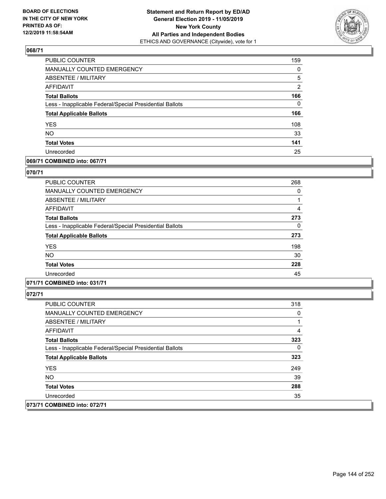

| PUBLIC COUNTER                                           | 159      |
|----------------------------------------------------------|----------|
| <b>MANUALLY COUNTED EMERGENCY</b>                        | $\Omega$ |
| <b>ABSENTEE / MILITARY</b>                               | 5        |
| <b>AFFIDAVIT</b>                                         | 2        |
| <b>Total Ballots</b>                                     | 166      |
| Less - Inapplicable Federal/Special Presidential Ballots | $\Omega$ |
| <b>Total Applicable Ballots</b>                          | 166      |
| <b>YES</b>                                               | 108      |
| <b>NO</b>                                                | 33       |
| <b>Total Votes</b>                                       | 141      |
| Unrecorded                                               | 25       |

## **069/71 COMBINED into: 067/71**

### **070/71**

| PUBLIC COUNTER                                           | 268 |
|----------------------------------------------------------|-----|
| <b>MANUALLY COUNTED EMERGENCY</b>                        | 0   |
| ABSENTEE / MILITARY                                      |     |
| AFFIDAVIT                                                | 4   |
| <b>Total Ballots</b>                                     | 273 |
| Less - Inapplicable Federal/Special Presidential Ballots | 0   |
| <b>Total Applicable Ballots</b>                          | 273 |
| <b>YES</b>                                               | 198 |
| <b>NO</b>                                                | 30  |
| <b>Total Votes</b>                                       | 228 |
| Unrecorded                                               | 45  |

# **071/71 COMBINED into: 031/71**

| <b>PUBLIC COUNTER</b>                                    | 318 |
|----------------------------------------------------------|-----|
| <b>MANUALLY COUNTED EMERGENCY</b>                        | 0   |
| ABSENTEE / MILITARY                                      |     |
| AFFIDAVIT                                                | 4   |
| <b>Total Ballots</b>                                     | 323 |
| Less - Inapplicable Federal/Special Presidential Ballots | 0   |
| <b>Total Applicable Ballots</b>                          | 323 |
| <b>YES</b>                                               | 249 |
| NO.                                                      | 39  |
| <b>Total Votes</b>                                       | 288 |
| Unrecorded                                               | 35  |
| 073/71 COMBINED into: 072/71                             |     |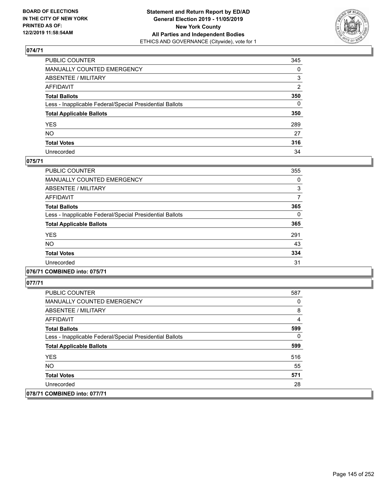

| PUBLIC COUNTER                                           | 345          |
|----------------------------------------------------------|--------------|
| MANUALLY COUNTED EMERGENCY                               | 0            |
| ABSENTEE / MILITARY                                      | 3            |
| AFFIDAVIT                                                | 2            |
| Total Ballots                                            | 350          |
| Less - Inapplicable Federal/Special Presidential Ballots | $\mathbf{0}$ |
| <b>Total Applicable Ballots</b>                          | 350          |
| YES                                                      | 289          |
| NO.                                                      | 27           |
| <b>Total Votes</b>                                       | 316          |
| Unrecorded                                               | 34           |

### **075/71**

| PUBLIC COUNTER                                           | 355 |
|----------------------------------------------------------|-----|
| <b>MANUALLY COUNTED EMERGENCY</b>                        | 0   |
| ABSENTEE / MILITARY                                      | 3   |
| <b>AFFIDAVIT</b>                                         | 7   |
| <b>Total Ballots</b>                                     | 365 |
| Less - Inapplicable Federal/Special Presidential Ballots | 0   |
| <b>Total Applicable Ballots</b>                          | 365 |
| <b>YES</b>                                               | 291 |
| <b>NO</b>                                                | 43  |
| <b>Total Votes</b>                                       | 334 |
| Unrecorded                                               | 31  |

### **076/71 COMBINED into: 075/71**

| <b>PUBLIC COUNTER</b>                                    | 587 |
|----------------------------------------------------------|-----|
| <b>MANUALLY COUNTED EMERGENCY</b>                        | 0   |
| ABSENTEE / MILITARY                                      | 8   |
| AFFIDAVIT                                                | 4   |
| <b>Total Ballots</b>                                     | 599 |
| Less - Inapplicable Federal/Special Presidential Ballots | 0   |
| <b>Total Applicable Ballots</b>                          | 599 |
| <b>YES</b>                                               | 516 |
| NO.                                                      | 55  |
| <b>Total Votes</b>                                       | 571 |
| Unrecorded                                               | 28  |
| 078/71 COMBINED into: 077/71                             |     |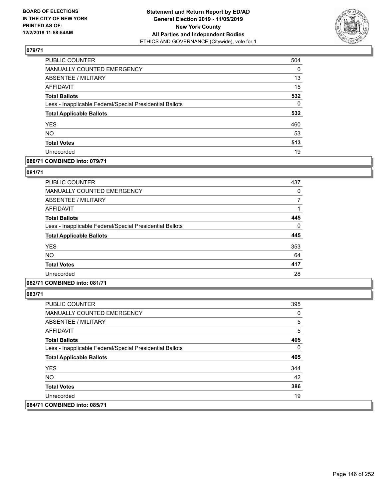

| PUBLIC COUNTER                                           | 504          |
|----------------------------------------------------------|--------------|
| MANUALLY COUNTED EMERGENCY                               | $\Omega$     |
| ABSENTEE / MILITARY                                      | 13           |
| <b>AFFIDAVIT</b>                                         | 15           |
| <b>Total Ballots</b>                                     | 532          |
| Less - Inapplicable Federal/Special Presidential Ballots | $\mathbf{0}$ |
| <b>Total Applicable Ballots</b>                          | 532          |
| <b>YES</b>                                               | 460          |
| <b>NO</b>                                                | 53           |
| <b>Total Votes</b>                                       | 513          |
| Unrecorded                                               | 19           |

### **080/71 COMBINED into: 079/71**

### **081/71**

| <b>PUBLIC COUNTER</b>                                    | 437 |
|----------------------------------------------------------|-----|
| MANUALLY COUNTED EMERGENCY                               | 0   |
| ABSENTEE / MILITARY                                      |     |
| AFFIDAVIT                                                |     |
| <b>Total Ballots</b>                                     | 445 |
| Less - Inapplicable Federal/Special Presidential Ballots | 0   |
| <b>Total Applicable Ballots</b>                          | 445 |
| <b>YES</b>                                               | 353 |
| <b>NO</b>                                                | 64  |
| <b>Total Votes</b>                                       | 417 |
| Unrecorded                                               | 28  |
|                                                          |     |

# **082/71 COMBINED into: 081/71**

| <b>PUBLIC COUNTER</b>                                    | 395 |
|----------------------------------------------------------|-----|
| <b>MANUALLY COUNTED EMERGENCY</b>                        | 0   |
| ABSENTEE / MILITARY                                      | 5   |
| AFFIDAVIT                                                | 5   |
| <b>Total Ballots</b>                                     | 405 |
| Less - Inapplicable Federal/Special Presidential Ballots | 0   |
| <b>Total Applicable Ballots</b>                          | 405 |
| <b>YES</b>                                               | 344 |
| NO.                                                      | 42  |
| <b>Total Votes</b>                                       | 386 |
| Unrecorded                                               | 19  |
| 084/71 COMBINED into: 085/71                             |     |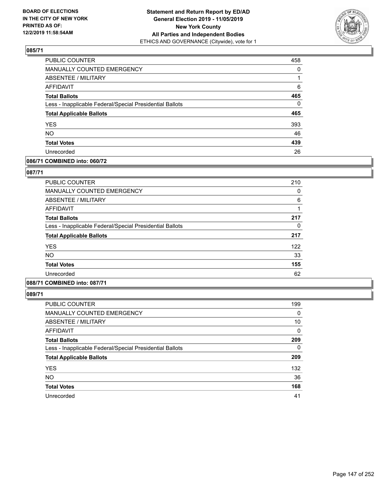

| PUBLIC COUNTER                                           | 458      |
|----------------------------------------------------------|----------|
| MANUALLY COUNTED EMERGENCY                               | $\Omega$ |
| ABSENTEE / MILITARY                                      |          |
| <b>AFFIDAVIT</b>                                         | 6        |
| <b>Total Ballots</b>                                     | 465      |
| Less - Inapplicable Federal/Special Presidential Ballots | $\Omega$ |
| <b>Total Applicable Ballots</b>                          | 465      |
| <b>YES</b>                                               | 393      |
| <b>NO</b>                                                | 46       |
| <b>Total Votes</b>                                       | 439      |
| Unrecorded                                               | 26       |

### **086/71 COMBINED into: 060/72**

#### **087/71**

| <b>PUBLIC COUNTER</b>                                    | 210 |
|----------------------------------------------------------|-----|
| <b>MANUALLY COUNTED EMERGENCY</b>                        | 0   |
| ABSENTEE / MILITARY                                      | 6   |
| AFFIDAVIT                                                |     |
| <b>Total Ballots</b>                                     | 217 |
| Less - Inapplicable Federal/Special Presidential Ballots | 0   |
| <b>Total Applicable Ballots</b>                          | 217 |
| <b>YES</b>                                               | 122 |
| <b>NO</b>                                                | 33  |
| <b>Total Votes</b>                                       | 155 |
| Unrecorded                                               | 62  |
|                                                          |     |

# **088/71 COMBINED into: 087/71**

| <b>PUBLIC COUNTER</b>                                    | 199      |
|----------------------------------------------------------|----------|
| <b>MANUALLY COUNTED EMERGENCY</b>                        | 0        |
| ABSENTEE / MILITARY                                      | 10       |
| AFFIDAVIT                                                | $\Omega$ |
| <b>Total Ballots</b>                                     | 209      |
| Less - Inapplicable Federal/Special Presidential Ballots | $\Omega$ |
| <b>Total Applicable Ballots</b>                          | 209      |
| <b>YES</b>                                               | 132      |
| <b>NO</b>                                                | 36       |
| <b>Total Votes</b>                                       | 168      |
| Unrecorded                                               | 41       |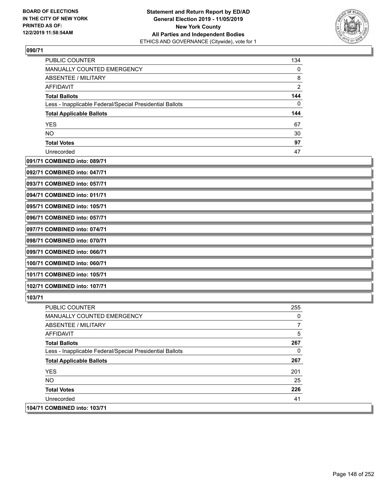

| PUBLIC COUNTER                                           | 134            |
|----------------------------------------------------------|----------------|
| <b>MANUALLY COUNTED EMERGENCY</b>                        | 0              |
| ABSENTEE / MILITARY                                      | 8              |
| AFFIDAVIT                                                | $\overline{2}$ |
| <b>Total Ballots</b>                                     | 144            |
| Less - Inapplicable Federal/Special Presidential Ballots | 0              |
| <b>Total Applicable Ballots</b>                          | 144            |
| <b>YES</b>                                               | 67             |
| <b>NO</b>                                                | 30             |
| <b>Total Votes</b>                                       | 97             |
| Unrecorded                                               | 47             |

## **091/71 COMBINED into: 089/71**

| 092/71 COMBINED into: 047/71 |  |
|------------------------------|--|
| 093/71 COMBINED into: 057/71 |  |
| 094/71 COMBINED into: 011/71 |  |
| 095/71 COMBINED into: 105/71 |  |
| 096/71 COMBINED into: 057/71 |  |
| 097/71 COMBINED into: 074/71 |  |
| 098/71 COMBINED into: 070/71 |  |
| 099/71 COMBINED into: 066/71 |  |
| 100/71 COMBINED into: 060/71 |  |
| 101/71 COMBINED into: 105/71 |  |
| 102/71 COMBINED into: 107/71 |  |

| PUBLIC COUNTER                                           | 255 |
|----------------------------------------------------------|-----|
| <b>MANUALLY COUNTED EMERGENCY</b>                        | 0   |
| ABSENTEE / MILITARY                                      |     |
| AFFIDAVIT                                                | 5   |
| <b>Total Ballots</b>                                     | 267 |
| Less - Inapplicable Federal/Special Presidential Ballots | 0   |
| <b>Total Applicable Ballots</b>                          | 267 |
| <b>YES</b>                                               | 201 |
| NO.                                                      | 25  |
| <b>Total Votes</b>                                       | 226 |
| Unrecorded                                               | 41  |
| 104/71 COMBINED into: 103/71                             |     |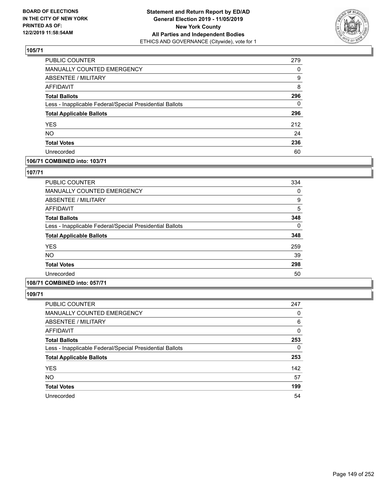

| PUBLIC COUNTER                                           | 279      |
|----------------------------------------------------------|----------|
| <b>MANUALLY COUNTED EMERGENCY</b>                        | $\Omega$ |
| <b>ABSENTEE / MILITARY</b>                               | 9        |
| <b>AFFIDAVIT</b>                                         | 8        |
| <b>Total Ballots</b>                                     | 296      |
| Less - Inapplicable Federal/Special Presidential Ballots | $\Omega$ |
| <b>Total Applicable Ballots</b>                          | 296      |
| <b>YES</b>                                               | 212      |
| <b>NO</b>                                                | 24       |
| <b>Total Votes</b>                                       | 236      |
| Unrecorded                                               | 60       |

### **106/71 COMBINED into: 103/71**

### **107/71**

| PUBLIC COUNTER                                           | 334 |
|----------------------------------------------------------|-----|
| MANUALLY COUNTED EMERGENCY                               | 0   |
| ABSENTEE / MILITARY                                      | 9   |
| AFFIDAVIT                                                | 5   |
| <b>Total Ballots</b>                                     | 348 |
| Less - Inapplicable Federal/Special Presidential Ballots | 0   |
| <b>Total Applicable Ballots</b>                          | 348 |
| <b>YES</b>                                               | 259 |
| NO.                                                      | 39  |
| <b>Total Votes</b>                                       | 298 |
| Unrecorded                                               | 50  |

# **108/71 COMBINED into: 057/71**

| <b>PUBLIC COUNTER</b>                                    | 247 |
|----------------------------------------------------------|-----|
| <b>MANUALLY COUNTED EMERGENCY</b>                        | 0   |
| ABSENTEE / MILITARY                                      | 6   |
| AFFIDAVIT                                                | 0   |
| <b>Total Ballots</b>                                     | 253 |
| Less - Inapplicable Federal/Special Presidential Ballots | 0   |
| <b>Total Applicable Ballots</b>                          | 253 |
| <b>YES</b>                                               | 142 |
| <b>NO</b>                                                | 57  |
| <b>Total Votes</b>                                       | 199 |
| Unrecorded                                               | 54  |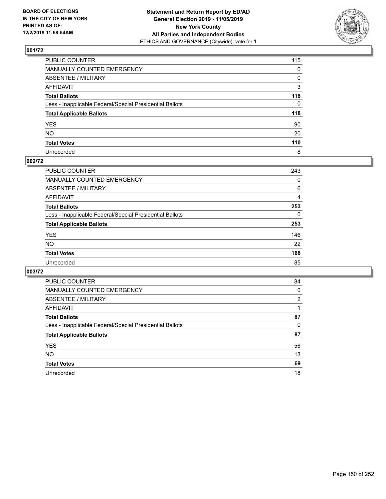

| PUBLIC COUNTER                                           | 115 |
|----------------------------------------------------------|-----|
| MANUALLY COUNTED EMERGENCY                               | 0   |
| ABSENTEE / MILITARY                                      | 0   |
| AFFIDAVIT                                                | 3   |
| Total Ballots                                            | 118 |
| Less - Inapplicable Federal/Special Presidential Ballots | 0   |
| <b>Total Applicable Ballots</b>                          | 118 |
| YES                                                      | 90  |
| NO.                                                      | 20  |
| <b>Total Votes</b>                                       | 110 |
| Unrecorded                                               | 8   |

### **002/72**

| <b>PUBLIC COUNTER</b>                                    | 243      |
|----------------------------------------------------------|----------|
| <b>MANUALLY COUNTED EMERGENCY</b>                        | 0        |
| ABSENTEE / MILITARY                                      | 6        |
| AFFIDAVIT                                                | 4        |
| <b>Total Ballots</b>                                     | 253      |
| Less - Inapplicable Federal/Special Presidential Ballots | $\Omega$ |
| <b>Total Applicable Ballots</b>                          | 253      |
| <b>YES</b>                                               | 146      |
| <b>NO</b>                                                | 22       |
| <b>Total Votes</b>                                       | 168      |
| Unrecorded                                               | 85       |

| PUBLIC COUNTER                                           | 84             |
|----------------------------------------------------------|----------------|
| <b>MANUALLY COUNTED EMERGENCY</b>                        | 0              |
| ABSENTEE / MILITARY                                      | $\overline{2}$ |
| AFFIDAVIT                                                |                |
| <b>Total Ballots</b>                                     | 87             |
| Less - Inapplicable Federal/Special Presidential Ballots | 0              |
| <b>Total Applicable Ballots</b>                          | 87             |
| <b>YES</b>                                               | 56             |
| <b>NO</b>                                                | 13             |
| <b>Total Votes</b>                                       | 69             |
| Unrecorded                                               | 18             |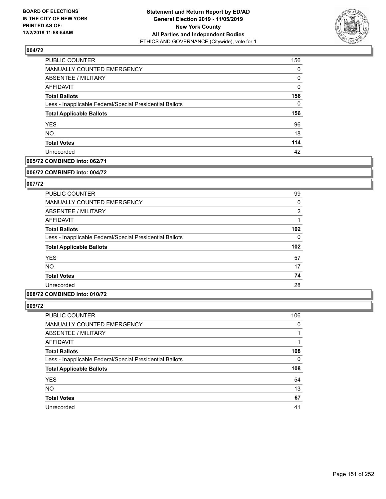

| <b>PUBLIC COUNTER</b>                                    | 156      |
|----------------------------------------------------------|----------|
| <b>MANUALLY COUNTED EMERGENCY</b>                        | $\Omega$ |
| ABSENTEE / MILITARY                                      | 0        |
| <b>AFFIDAVIT</b>                                         | 0        |
| <b>Total Ballots</b>                                     | 156      |
| Less - Inapplicable Federal/Special Presidential Ballots | $\Omega$ |
| <b>Total Applicable Ballots</b>                          | 156      |
| <b>YES</b>                                               | 96       |
| <b>NO</b>                                                | 18       |
| <b>Total Votes</b>                                       | 114      |
|                                                          |          |

## **005/72 COMBINED into: 062/71**

#### **006/72 COMBINED into: 004/72**

## **007/72**

| <b>PUBLIC COUNTER</b>                                    | 99             |
|----------------------------------------------------------|----------------|
| <b>MANUALLY COUNTED EMERGENCY</b>                        | 0              |
| ABSENTEE / MILITARY                                      | $\overline{2}$ |
| AFFIDAVIT                                                |                |
| <b>Total Ballots</b>                                     | 102            |
| Less - Inapplicable Federal/Special Presidential Ballots | $\Omega$       |
| <b>Total Applicable Ballots</b>                          | 102            |
| <b>YES</b>                                               | 57             |
| <b>NO</b>                                                | 17             |
| <b>Total Votes</b>                                       | 74             |
| Unrecorded                                               | 28             |

#### **008/72 COMBINED into: 010/72**

| PUBLIC COUNTER                                           | 106 |
|----------------------------------------------------------|-----|
| <b>MANUALLY COUNTED EMERGENCY</b>                        | 0   |
| <b>ABSENTEE / MILITARY</b>                               |     |
| AFFIDAVIT                                                |     |
| <b>Total Ballots</b>                                     | 108 |
| Less - Inapplicable Federal/Special Presidential Ballots | 0   |
| <b>Total Applicable Ballots</b>                          | 108 |
| <b>YES</b>                                               | 54  |
| <b>NO</b>                                                | 13  |
| <b>Total Votes</b>                                       | 67  |
| Unrecorded                                               | 41  |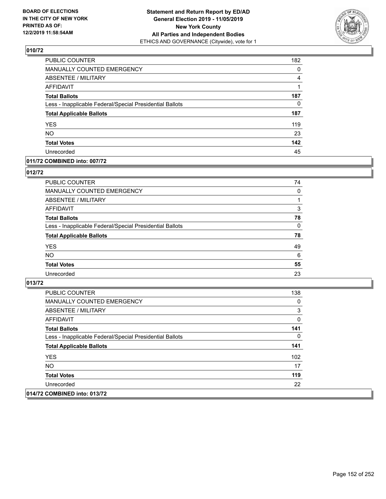

| PUBLIC COUNTER                                           | 182      |
|----------------------------------------------------------|----------|
| MANUALLY COUNTED EMERGENCY                               | $\Omega$ |
| ABSENTEE / MILITARY                                      | 4        |
| <b>AFFIDAVIT</b>                                         |          |
| <b>Total Ballots</b>                                     | 187      |
| Less - Inapplicable Federal/Special Presidential Ballots | $\Omega$ |
| <b>Total Applicable Ballots</b>                          | 187      |
| <b>YES</b>                                               | 119      |
| <b>NO</b>                                                | 23       |
| <b>Total Votes</b>                                       | 142      |
| Unrecorded                                               | 45       |

## **011/72 COMBINED into: 007/72**

#### **012/72**

| PUBLIC COUNTER                                           | 74       |
|----------------------------------------------------------|----------|
| MANUALLY COUNTED EMERGENCY                               | $\Omega$ |
| ABSENTEE / MILITARY                                      |          |
| AFFIDAVIT                                                | 3        |
| <b>Total Ballots</b>                                     | 78       |
| Less - Inapplicable Federal/Special Presidential Ballots | $\Omega$ |
| <b>Total Applicable Ballots</b>                          | 78       |
| <b>YES</b>                                               | 49       |
| <b>NO</b>                                                | 6        |
| <b>Total Votes</b>                                       | 55       |
| Unrecorded                                               | 23       |
|                                                          |          |

| <b>PUBLIC COUNTER</b>                                    | 138 |
|----------------------------------------------------------|-----|
| <b>MANUALLY COUNTED EMERGENCY</b>                        | 0   |
| ABSENTEE / MILITARY                                      | 3   |
| AFFIDAVIT                                                | 0   |
| <b>Total Ballots</b>                                     | 141 |
| Less - Inapplicable Federal/Special Presidential Ballots | 0   |
| <b>Total Applicable Ballots</b>                          | 141 |
| <b>YES</b>                                               | 102 |
| NO.                                                      | 17  |
| <b>Total Votes</b>                                       | 119 |
| Unrecorded                                               | 22  |
| 014/72 COMBINED into: 013/72                             |     |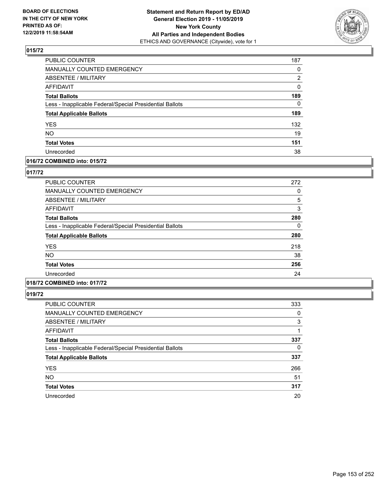

| PUBLIC COUNTER                                           | 187      |
|----------------------------------------------------------|----------|
| MANUALLY COUNTED EMERGENCY                               | 0        |
| <b>ABSENTEE / MILITARY</b>                               | 2        |
| <b>AFFIDAVIT</b>                                         | 0        |
| <b>Total Ballots</b>                                     | 189      |
| Less - Inapplicable Federal/Special Presidential Ballots | $\Omega$ |
| <b>Total Applicable Ballots</b>                          | 189      |
| <b>YES</b>                                               | 132      |
| <b>NO</b>                                                | 19       |
| <b>Total Votes</b>                                       | 151      |
| Unrecorded                                               | 38       |

### **016/72 COMBINED into: 015/72**

### **017/72**

| <b>PUBLIC COUNTER</b>                                    | 272      |
|----------------------------------------------------------|----------|
| MANUALLY COUNTED EMERGENCY                               | 0        |
| ABSENTEE / MILITARY                                      | 5        |
| AFFIDAVIT                                                | 3        |
| <b>Total Ballots</b>                                     | 280      |
| Less - Inapplicable Federal/Special Presidential Ballots | $\Omega$ |
| <b>Total Applicable Ballots</b>                          | 280      |
| <b>YES</b>                                               | 218      |
| <b>NO</b>                                                | 38       |
| <b>Total Votes</b>                                       | 256      |
| Unrecorded                                               | 24       |
|                                                          |          |

## **018/72 COMBINED into: 017/72**

| <b>PUBLIC COUNTER</b>                                    | 333      |
|----------------------------------------------------------|----------|
| MANUALLY COUNTED EMERGENCY                               | 0        |
| ABSENTEE / MILITARY                                      | 3        |
| AFFIDAVIT                                                |          |
| <b>Total Ballots</b>                                     | 337      |
| Less - Inapplicable Federal/Special Presidential Ballots | $\Omega$ |
| <b>Total Applicable Ballots</b>                          | 337      |
| <b>YES</b>                                               | 266      |
| <b>NO</b>                                                | 51       |
| <b>Total Votes</b>                                       | 317      |
| Unrecorded                                               | 20       |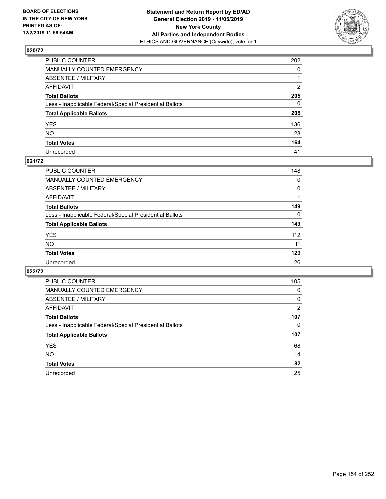

| PUBLIC COUNTER                                           | 202          |
|----------------------------------------------------------|--------------|
| MANUALLY COUNTED EMERGENCY                               | $\mathbf{0}$ |
| ABSENTEE / MILITARY                                      |              |
| AFFIDAVIT                                                | 2            |
| Total Ballots                                            | 205          |
| Less - Inapplicable Federal/Special Presidential Ballots | $\Omega$     |
| <b>Total Applicable Ballots</b>                          | 205          |
| YES                                                      | 136          |
| NO.                                                      | 28           |
| <b>Total Votes</b>                                       | 164          |
| Unrecorded                                               | 41           |

### **021/72**

| PUBLIC COUNTER                                           | 148      |
|----------------------------------------------------------|----------|
| <b>MANUALLY COUNTED EMERGENCY</b>                        | 0        |
| ABSENTEE / MILITARY                                      | $\Omega$ |
| AFFIDAVIT                                                |          |
| <b>Total Ballots</b>                                     | 149      |
| Less - Inapplicable Federal/Special Presidential Ballots | 0        |
| <b>Total Applicable Ballots</b>                          | 149      |
| <b>YES</b>                                               | 112      |
| <b>NO</b>                                                | 11       |
| <b>Total Votes</b>                                       | 123      |
| Unrecorded                                               | 26       |

| PUBLIC COUNTER                                           | 105            |
|----------------------------------------------------------|----------------|
| <b>MANUALLY COUNTED EMERGENCY</b>                        | 0              |
| ABSENTEE / MILITARY                                      | 0              |
| <b>AFFIDAVIT</b>                                         | $\overline{2}$ |
| <b>Total Ballots</b>                                     | 107            |
| Less - Inapplicable Federal/Special Presidential Ballots | 0              |
| <b>Total Applicable Ballots</b>                          | 107            |
|                                                          |                |
| <b>YES</b>                                               | 68             |
| <b>NO</b>                                                | 14             |
| <b>Total Votes</b>                                       | 82             |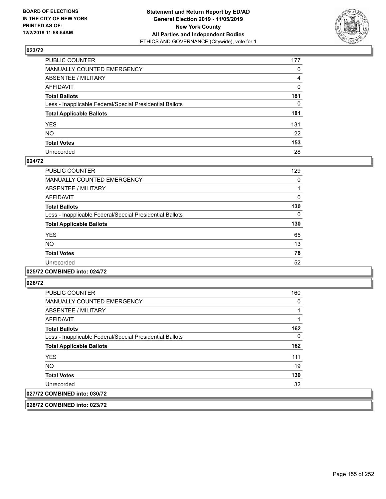

| PUBLIC COUNTER                                           | 177          |
|----------------------------------------------------------|--------------|
| MANUALLY COUNTED EMERGENCY                               | 0            |
| ABSENTEE / MILITARY                                      | 4            |
| AFFIDAVIT                                                | 0            |
| Total Ballots                                            | 181          |
| Less - Inapplicable Federal/Special Presidential Ballots | $\mathbf{0}$ |
| <b>Total Applicable Ballots</b>                          | 181          |
| YES                                                      | 131          |
| NO.                                                      | 22           |
| <b>Total Votes</b>                                       | 153          |
| Unrecorded                                               | 28           |

#### **024/72**

| PUBLIC COUNTER                                           | 129      |
|----------------------------------------------------------|----------|
| <b>MANUALLY COUNTED EMERGENCY</b>                        | 0        |
| ABSENTEE / MILITARY                                      |          |
| <b>AFFIDAVIT</b>                                         | 0        |
| <b>Total Ballots</b>                                     | 130      |
| Less - Inapplicable Federal/Special Presidential Ballots | $\Omega$ |
| <b>Total Applicable Ballots</b>                          | 130      |
| <b>YES</b>                                               | 65       |
| NO.                                                      | 13       |
| <b>Total Votes</b>                                       | 78       |
| Unrecorded                                               | 52       |
|                                                          |          |

#### **025/72 COMBINED into: 024/72**

**026/72** 

| <b>PUBLIC COUNTER</b>                                    | 160      |
|----------------------------------------------------------|----------|
| <b>MANUALLY COUNTED EMERGENCY</b>                        | 0        |
| ABSENTEE / MILITARY                                      |          |
| AFFIDAVIT                                                |          |
| <b>Total Ballots</b>                                     | 162      |
| Less - Inapplicable Federal/Special Presidential Ballots | $\Omega$ |
| <b>Total Applicable Ballots</b>                          | 162      |
| <b>YES</b>                                               | 111      |
| <b>NO</b>                                                | 19       |
| <b>Total Votes</b>                                       | 130      |
| Unrecorded                                               | 32       |
| 027/72 COMBINED into: 030/72                             |          |

**028/72 COMBINED into: 023/72**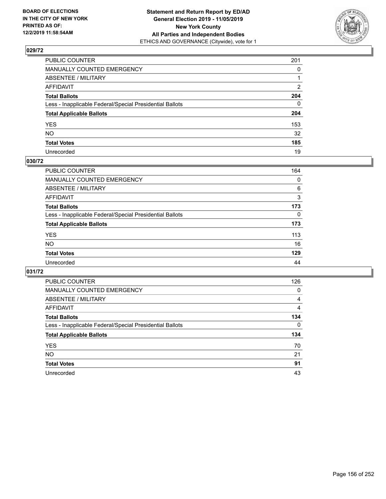

| PUBLIC COUNTER                                           | 201          |
|----------------------------------------------------------|--------------|
| MANUALLY COUNTED EMERGENCY                               | $\mathbf{0}$ |
| ABSENTEE / MILITARY                                      |              |
| AFFIDAVIT                                                | 2            |
| Total Ballots                                            | 204          |
| Less - Inapplicable Federal/Special Presidential Ballots | $\Omega$     |
| <b>Total Applicable Ballots</b>                          | 204          |
| YES                                                      | 153          |
| NO.                                                      | 32           |
| <b>Total Votes</b>                                       | 185          |
| Unrecorded                                               | 19           |

### **030/72**

| PUBLIC COUNTER                                           | 164      |
|----------------------------------------------------------|----------|
| MANUALLY COUNTED EMERGENCY                               | 0        |
| ABSENTEE / MILITARY                                      | 6        |
| AFFIDAVIT                                                | 3        |
| <b>Total Ballots</b>                                     | 173      |
| Less - Inapplicable Federal/Special Presidential Ballots | $\Omega$ |
| <b>Total Applicable Ballots</b>                          | 173      |
| <b>YES</b>                                               | 113      |
| <b>NO</b>                                                | 16       |
| <b>Total Votes</b>                                       | 129      |
| Unrecorded                                               | 44       |

| PUBLIC COUNTER                                           | 126      |
|----------------------------------------------------------|----------|
| <b>MANUALLY COUNTED EMERGENCY</b>                        | $\Omega$ |
| ABSENTEE / MILITARY                                      | 4        |
| AFFIDAVIT                                                | 4        |
| <b>Total Ballots</b>                                     | 134      |
| Less - Inapplicable Federal/Special Presidential Ballots | $\Omega$ |
| <b>Total Applicable Ballots</b>                          | 134      |
| <b>YES</b>                                               | 70       |
| <b>NO</b>                                                | 21       |
| <b>Total Votes</b>                                       | 91       |
| Unrecorded                                               | 43       |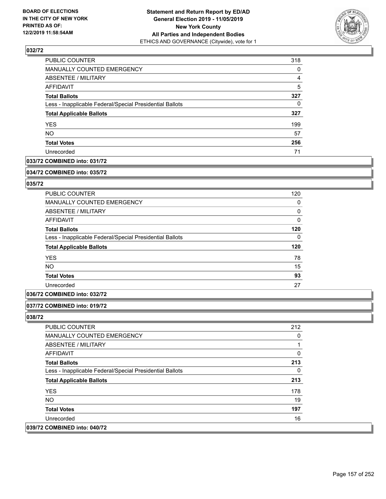

| <b>PUBLIC COUNTER</b>                                    | 318 |
|----------------------------------------------------------|-----|
| MANUALLY COUNTED EMERGENCY                               | 0   |
| <b>ABSENTEE / MILITARY</b>                               | 4   |
| AFFIDAVIT                                                | 5   |
| <b>Total Ballots</b>                                     | 327 |
| Less - Inapplicable Federal/Special Presidential Ballots | 0   |
| <b>Total Applicable Ballots</b>                          | 327 |
| <b>YES</b>                                               | 199 |
| <b>NO</b>                                                | 57  |
| <b>Total Votes</b>                                       | 256 |
| Unrecorded                                               | 71  |

## **033/72 COMBINED into: 031/72**

#### **034/72 COMBINED into: 035/72**

## **035/72**

| 120      |
|----------|
| 0        |
| 0        |
| $\Omega$ |
| 120      |
| $\Omega$ |
| 120      |
| 78       |
| 15       |
| 93       |
| 27       |
|          |

### **036/72 COMBINED into: 032/72**

#### **037/72 COMBINED into: 019/72**

| <b>PUBLIC COUNTER</b>                                    | 212 |
|----------------------------------------------------------|-----|
| <b>MANUALLY COUNTED EMERGENCY</b>                        | 0   |
| ABSENTEE / MILITARY                                      |     |
| AFFIDAVIT                                                | 0   |
| <b>Total Ballots</b>                                     | 213 |
| Less - Inapplicable Federal/Special Presidential Ballots | 0   |
| <b>Total Applicable Ballots</b>                          | 213 |
| <b>YES</b>                                               | 178 |
| NO.                                                      | 19  |
| <b>Total Votes</b>                                       | 197 |
| Unrecorded                                               | 16  |
| 039/72 COMBINED into: 040/72                             |     |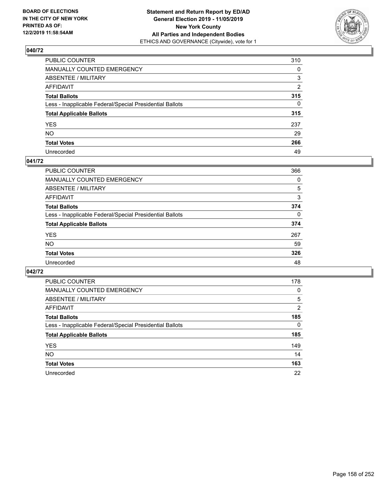

| PUBLIC COUNTER                                           | 310 |
|----------------------------------------------------------|-----|
| MANUALLY COUNTED EMERGENCY                               | 0   |
| ABSENTEE / MILITARY                                      | 3   |
| AFFIDAVIT                                                | 2   |
| Total Ballots                                            | 315 |
| Less - Inapplicable Federal/Special Presidential Ballots | 0   |
| <b>Total Applicable Ballots</b>                          | 315 |
| YES                                                      | 237 |
| NO.                                                      | 29  |
| <b>Total Votes</b>                                       | 266 |
| Unrecorded                                               | 49  |

### **041/72**

| <b>PUBLIC COUNTER</b>                                    | 366      |
|----------------------------------------------------------|----------|
| <b>MANUALLY COUNTED EMERGENCY</b>                        | 0        |
| ABSENTEE / MILITARY                                      | 5        |
| AFFIDAVIT                                                | 3        |
| <b>Total Ballots</b>                                     | 374      |
| Less - Inapplicable Federal/Special Presidential Ballots | $\Omega$ |
| <b>Total Applicable Ballots</b>                          | 374      |
| <b>YES</b>                                               | 267      |
| <b>NO</b>                                                | 59       |
| <b>Total Votes</b>                                       | 326      |
| Unrecorded                                               | 48       |

| PUBLIC COUNTER                                           | 178            |
|----------------------------------------------------------|----------------|
| <b>MANUALLY COUNTED EMERGENCY</b>                        | $\Omega$       |
| ABSENTEE / MILITARY                                      | 5              |
| AFFIDAVIT                                                | $\overline{2}$ |
| <b>Total Ballots</b>                                     | 185            |
| Less - Inapplicable Federal/Special Presidential Ballots | $\Omega$       |
| <b>Total Applicable Ballots</b>                          | 185            |
| <b>YES</b>                                               | 149            |
| <b>NO</b>                                                | 14             |
| <b>Total Votes</b>                                       | 163            |
| Unrecorded                                               | 22             |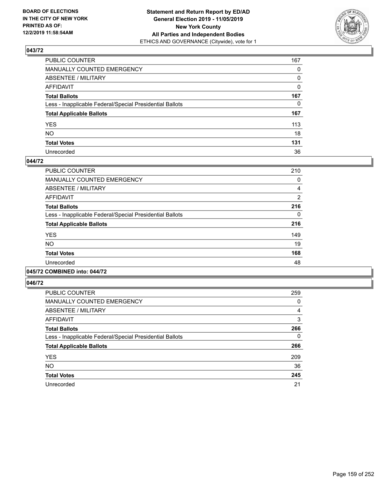

| PUBLIC COUNTER                                           | 167          |
|----------------------------------------------------------|--------------|
| MANUALLY COUNTED EMERGENCY                               | $\mathbf{0}$ |
| ABSENTEE / MILITARY                                      | 0            |
| AFFIDAVIT                                                | $\mathbf{0}$ |
| Total Ballots                                            | 167          |
| Less - Inapplicable Federal/Special Presidential Ballots | $\mathbf{0}$ |
| <b>Total Applicable Ballots</b>                          | 167          |
| YES                                                      | 113          |
| NΟ                                                       | 18           |
| <b>Total Votes</b>                                       | 131          |
| Unrecorded                                               | 36           |

#### **044/72**

| <b>PUBLIC COUNTER</b>                                    | 210      |
|----------------------------------------------------------|----------|
| <b>MANUALLY COUNTED EMERGENCY</b>                        | 0        |
| ABSENTEE / MILITARY                                      | 4        |
| <b>AFFIDAVIT</b>                                         | 2        |
| <b>Total Ballots</b>                                     | 216      |
| Less - Inapplicable Federal/Special Presidential Ballots | $\Omega$ |
| <b>Total Applicable Ballots</b>                          | 216      |
| <b>YES</b>                                               | 149      |
| <b>NO</b>                                                | 19       |
| <b>Total Votes</b>                                       | 168      |
| Unrecorded                                               | 48       |
|                                                          |          |

#### **045/72 COMBINED into: 044/72**

| PUBLIC COUNTER                                           | 259 |
|----------------------------------------------------------|-----|
| <b>MANUALLY COUNTED EMERGENCY</b>                        | 0   |
| ABSENTEE / MILITARY                                      | 4   |
| <b>AFFIDAVIT</b>                                         | 3   |
| <b>Total Ballots</b>                                     | 266 |
| Less - Inapplicable Federal/Special Presidential Ballots | 0   |
| <b>Total Applicable Ballots</b>                          | 266 |
| <b>YES</b>                                               | 209 |
| <b>NO</b>                                                | 36  |
| <b>Total Votes</b>                                       | 245 |
| Unrecorded                                               | 21  |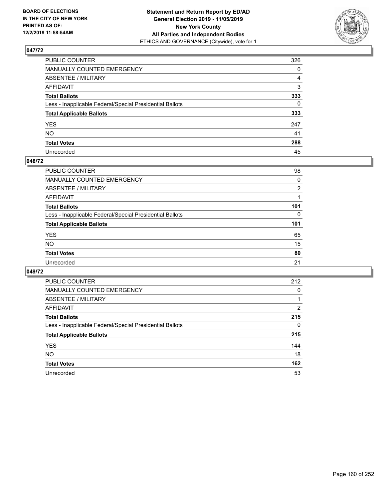

| PUBLIC COUNTER                                           | 326          |
|----------------------------------------------------------|--------------|
| MANUALLY COUNTED EMERGENCY                               | $\mathbf{0}$ |
| ABSENTEE / MILITARY                                      | 4            |
| AFFIDAVIT                                                | 3            |
| Total Ballots                                            | 333          |
| Less - Inapplicable Federal/Special Presidential Ballots | 0            |
| <b>Total Applicable Ballots</b>                          | 333          |
| YES                                                      | 247          |
| NO.                                                      | 41           |
| <b>Total Votes</b>                                       | 288          |
| Unrecorded                                               | 45           |

### **048/72**

| <b>PUBLIC COUNTER</b>                                    | 98       |
|----------------------------------------------------------|----------|
| <b>MANUALLY COUNTED EMERGENCY</b>                        | 0        |
| ABSENTEE / MILITARY                                      | 2        |
| AFFIDAVIT                                                |          |
| <b>Total Ballots</b>                                     | 101      |
| Less - Inapplicable Federal/Special Presidential Ballots | $\Omega$ |
| <b>Total Applicable Ballots</b>                          | 101      |
| <b>YES</b>                                               | 65       |
| <b>NO</b>                                                | 15       |
| <b>Total Votes</b>                                       | 80       |
| Unrecorded                                               | 21       |

| PUBLIC COUNTER                                           | 212      |
|----------------------------------------------------------|----------|
| <b>MANUALLY COUNTED EMERGENCY</b>                        | $\Omega$ |
| ABSENTEE / MILITARY                                      |          |
| AFFIDAVIT                                                | 2        |
| <b>Total Ballots</b>                                     | 215      |
| Less - Inapplicable Federal/Special Presidential Ballots | $\Omega$ |
| <b>Total Applicable Ballots</b>                          | 215      |
| <b>YES</b>                                               | 144      |
| <b>NO</b>                                                | 18       |
| <b>Total Votes</b>                                       | 162      |
| Unrecorded                                               | 53       |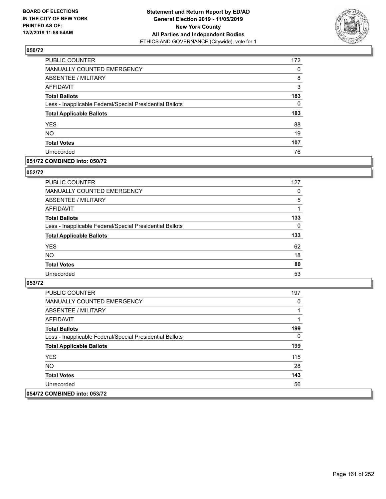

| PUBLIC COUNTER                                           | 172 |
|----------------------------------------------------------|-----|
| <b>MANUALLY COUNTED EMERGENCY</b>                        | 0   |
| <b>ABSENTEE / MILITARY</b>                               | 8   |
| <b>AFFIDAVIT</b>                                         | 3   |
| <b>Total Ballots</b>                                     | 183 |
| Less - Inapplicable Federal/Special Presidential Ballots | 0   |
| <b>Total Applicable Ballots</b>                          | 183 |
| <b>YES</b>                                               | 88  |
| <b>NO</b>                                                | 19  |
| <b>Total Votes</b>                                       | 107 |
| Unrecorded                                               | 76  |

### **051/72 COMBINED into: 050/72**

### **052/72**

| <b>PUBLIC COUNTER</b>                                    | 127      |
|----------------------------------------------------------|----------|
| MANUALLY COUNTED EMERGENCY                               | 0        |
| ABSENTEE / MILITARY                                      | 5        |
| AFFIDAVIT                                                |          |
| <b>Total Ballots</b>                                     | 133      |
| Less - Inapplicable Federal/Special Presidential Ballots | $\Omega$ |
| <b>Total Applicable Ballots</b>                          | 133      |
| <b>YES</b>                                               | 62       |
| <b>NO</b>                                                | 18       |
| <b>Total Votes</b>                                       | 80       |
| Unrecorded                                               | 53       |

| PUBLIC COUNTER                                           | 197 |
|----------------------------------------------------------|-----|
| <b>MANUALLY COUNTED EMERGENCY</b>                        | 0   |
| <b>ABSENTEE / MILITARY</b>                               |     |
| AFFIDAVIT                                                |     |
| <b>Total Ballots</b>                                     | 199 |
| Less - Inapplicable Federal/Special Presidential Ballots | 0   |
| <b>Total Applicable Ballots</b>                          | 199 |
| <b>YES</b>                                               | 115 |
| NO.                                                      | 28  |
| <b>Total Votes</b>                                       | 143 |
| Unrecorded                                               | 56  |
| 054/72 COMBINED into: 053/72                             |     |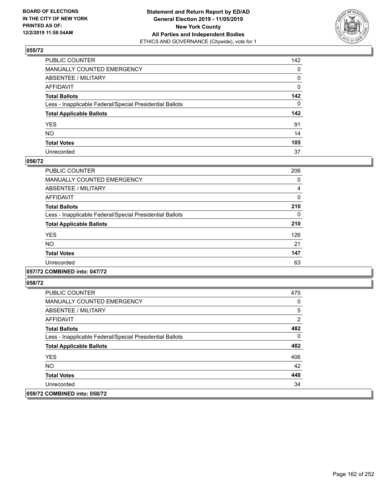

| PUBLIC COUNTER                                           | 142          |
|----------------------------------------------------------|--------------|
| MANUALLY COUNTED EMERGENCY                               | $\mathbf{0}$ |
| ABSENTEE / MILITARY                                      | 0            |
| AFFIDAVIT                                                | 0            |
| Total Ballots                                            | 142          |
| Less - Inapplicable Federal/Special Presidential Ballots | $\Omega$     |
| <b>Total Applicable Ballots</b>                          | 142          |
| YES                                                      | 91           |
| NO.                                                      | 14           |
| <b>Total Votes</b>                                       | 105          |
| Unrecorded                                               | 37           |

### **056/72**

| PUBLIC COUNTER                                           | 206 |
|----------------------------------------------------------|-----|
| <b>MANUALLY COUNTED EMERGENCY</b>                        | 0   |
| ABSENTEE / MILITARY                                      | 4   |
| <b>AFFIDAVIT</b>                                         | 0   |
| <b>Total Ballots</b>                                     | 210 |
| Less - Inapplicable Federal/Special Presidential Ballots | 0   |
| <b>Total Applicable Ballots</b>                          | 210 |
| <b>YES</b>                                               | 126 |
| <b>NO</b>                                                | 21  |
| <b>Total Votes</b>                                       | 147 |
| Unrecorded                                               | 63  |

### **057/72 COMBINED into: 047/72**

| <b>PUBLIC COUNTER</b>                                    | 475 |
|----------------------------------------------------------|-----|
| <b>MANUALLY COUNTED EMERGENCY</b>                        | 0   |
| ABSENTEE / MILITARY                                      | 5   |
| AFFIDAVIT                                                | 2   |
| <b>Total Ballots</b>                                     | 482 |
| Less - Inapplicable Federal/Special Presidential Ballots | 0   |
| <b>Total Applicable Ballots</b>                          | 482 |
| <b>YES</b>                                               | 406 |
| NO.                                                      | 42  |
| <b>Total Votes</b>                                       | 448 |
| Unrecorded                                               | 34  |
| 059/72 COMBINED into: 058/72                             |     |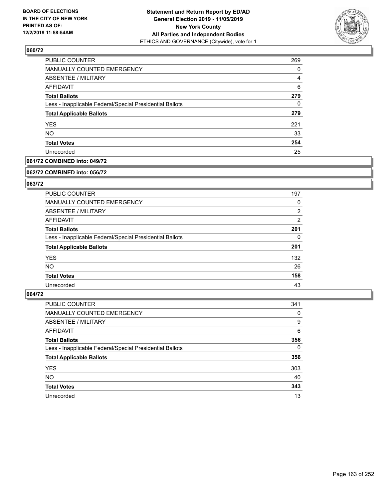

| <b>PUBLIC COUNTER</b>                                    | 269      |
|----------------------------------------------------------|----------|
| <b>MANUALLY COUNTED EMERGENCY</b>                        | $\Omega$ |
| <b>ABSENTEE / MILITARY</b>                               | 4        |
| AFFIDAVIT                                                | 6        |
| <b>Total Ballots</b>                                     | 279      |
| Less - Inapplicable Federal/Special Presidential Ballots | 0        |
| <b>Total Applicable Ballots</b>                          | 279      |
| <b>YES</b>                                               | 221      |
| <b>NO</b>                                                | 33       |
| <b>Total Votes</b>                                       | 254      |
| Unrecorded                                               | 25       |

## **061/72 COMBINED into: 049/72**

#### **062/72 COMBINED into: 056/72**

## **063/72**

| <b>PUBLIC COUNTER</b>                                    | 197            |
|----------------------------------------------------------|----------------|
| MANUALLY COUNTED EMERGENCY                               | 0              |
| ABSENTEE / MILITARY                                      | $\overline{2}$ |
| AFFIDAVIT                                                | $\overline{2}$ |
| <b>Total Ballots</b>                                     | 201            |
| Less - Inapplicable Federal/Special Presidential Ballots | 0              |
| <b>Total Applicable Ballots</b>                          | 201            |
| <b>YES</b>                                               | 132            |
| NO.                                                      | 26             |
| <b>Total Votes</b>                                       | 158            |
| Unrecorded                                               | 43             |

| <b>PUBLIC COUNTER</b>                                    | 341      |
|----------------------------------------------------------|----------|
| MANUALLY COUNTED EMERGENCY                               | 0        |
| ABSENTEE / MILITARY                                      | 9        |
| AFFIDAVIT                                                | 6        |
| <b>Total Ballots</b>                                     | 356      |
| Less - Inapplicable Federal/Special Presidential Ballots | $\Omega$ |
| <b>Total Applicable Ballots</b>                          | 356      |
| <b>YES</b>                                               | 303      |
| <b>NO</b>                                                | 40       |
| <b>Total Votes</b>                                       | 343      |
| Unrecorded                                               | 13       |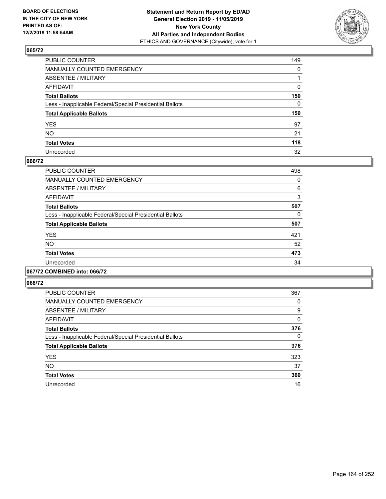

| PUBLIC COUNTER                                           | 149          |
|----------------------------------------------------------|--------------|
| MANUALLY COUNTED EMERGENCY                               | $\mathbf{0}$ |
| ABSENTEE / MILITARY                                      |              |
| AFFIDAVIT                                                | 0            |
| Total Ballots                                            | 150          |
| Less - Inapplicable Federal/Special Presidential Ballots | 0            |
| <b>Total Applicable Ballots</b>                          | 150          |
| YES                                                      | 97           |
| NO.                                                      | 21           |
| <b>Total Votes</b>                                       | 118          |
| Unrecorded                                               | 32           |

### **066/72**

| <b>PUBLIC COUNTER</b>                                    | 498 |
|----------------------------------------------------------|-----|
| MANUALLY COUNTED EMERGENCY                               | 0   |
| ABSENTEE / MILITARY                                      | 6   |
| <b>AFFIDAVIT</b>                                         | 3   |
| <b>Total Ballots</b>                                     | 507 |
| Less - Inapplicable Federal/Special Presidential Ballots | 0   |
| <b>Total Applicable Ballots</b>                          | 507 |
| <b>YES</b>                                               | 421 |
| NO.                                                      | 52  |
| <b>Total Votes</b>                                       | 473 |
| Unrecorded                                               | 34  |
|                                                          |     |

### **067/72 COMBINED into: 066/72**

| PUBLIC COUNTER                                           | 367      |
|----------------------------------------------------------|----------|
| <b>MANUALLY COUNTED EMERGENCY</b>                        | 0        |
| ABSENTEE / MILITARY                                      | 9        |
| AFFIDAVIT                                                | 0        |
| <b>Total Ballots</b>                                     | 376      |
| Less - Inapplicable Federal/Special Presidential Ballots | $\Omega$ |
| <b>Total Applicable Ballots</b>                          | 376      |
| <b>YES</b>                                               | 323      |
| <b>NO</b>                                                | 37       |
| <b>Total Votes</b>                                       | 360      |
| Unrecorded                                               | 16       |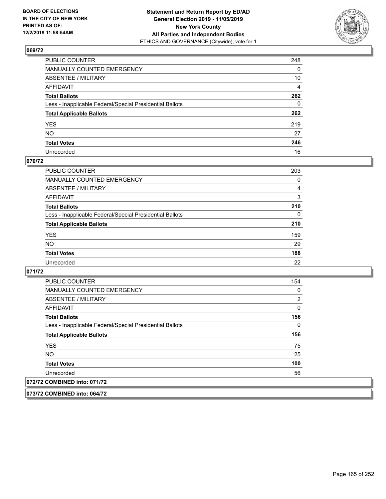

| PUBLIC COUNTER                                           | 248          |
|----------------------------------------------------------|--------------|
| MANUALLY COUNTED EMERGENCY                               | $\mathbf{0}$ |
| ABSENTEE / MILITARY                                      | 10           |
| AFFIDAVIT                                                | 4            |
| Total Ballots                                            | 262          |
| Less - Inapplicable Federal/Special Presidential Ballots | $\mathbf{0}$ |
| <b>Total Applicable Ballots</b>                          | 262          |
| YES                                                      | 219          |
| NO.                                                      | 27           |
| <b>Total Votes</b>                                       | 246          |
| Unrecorded                                               | 16           |

#### **070/72**

| <b>PUBLIC COUNTER</b>                                    | 203      |
|----------------------------------------------------------|----------|
| <b>MANUALLY COUNTED EMERGENCY</b>                        | 0        |
| ABSENTEE / MILITARY                                      | 4        |
| AFFIDAVIT                                                | 3        |
| <b>Total Ballots</b>                                     | 210      |
| Less - Inapplicable Federal/Special Presidential Ballots | $\Omega$ |
| <b>Total Applicable Ballots</b>                          | 210      |
| <b>YES</b>                                               | 159      |
| <b>NO</b>                                                | 29       |
| <b>Total Votes</b>                                       | 188      |
| Unrecorded                                               | 22       |

#### **071/72**

**073/72 COMBINED into: 064/72**

| <b>PUBLIC COUNTER</b>                                    | 154 |
|----------------------------------------------------------|-----|
| <b>MANUALLY COUNTED EMERGENCY</b>                        | 0   |
| ABSENTEE / MILITARY                                      | 2   |
| <b>AFFIDAVIT</b>                                         | 0   |
| <b>Total Ballots</b>                                     | 156 |
| Less - Inapplicable Federal/Special Presidential Ballots | 0   |
| <b>Total Applicable Ballots</b>                          | 156 |
| <b>YES</b>                                               | 75  |
| NO.                                                      | 25  |
| <b>Total Votes</b>                                       | 100 |
| Unrecorded                                               | 56  |
| 072/72 COMBINED into: 071/72                             |     |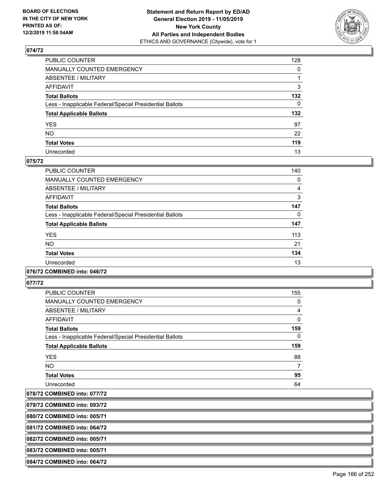

| PUBLIC COUNTER                                           | 128          |
|----------------------------------------------------------|--------------|
| MANUALLY COUNTED EMERGENCY                               | $\Omega$     |
| ABSENTEE / MILITARY                                      |              |
| AFFIDAVIT                                                | 3            |
| Total Ballots                                            | 132          |
| Less - Inapplicable Federal/Special Presidential Ballots | $\mathbf{0}$ |
| <b>Total Applicable Ballots</b>                          | 132          |
| YES                                                      | 97           |
| NO.                                                      | 22           |
| <b>Total Votes</b>                                       | 119          |
| Unrecorded                                               | 13           |

#### **075/72**

| PUBLIC COUNTER                                           | 140 |
|----------------------------------------------------------|-----|
| <b>MANUALLY COUNTED EMERGENCY</b>                        | 0   |
| ABSENTEE / MILITARY                                      | 4   |
| <b>AFFIDAVIT</b>                                         | 3   |
| <b>Total Ballots</b>                                     | 147 |
| Less - Inapplicable Federal/Special Presidential Ballots | 0   |
| <b>Total Applicable Ballots</b>                          | 147 |
| <b>YES</b>                                               | 113 |
| NO.                                                      | 21  |
| <b>Total Votes</b>                                       | 134 |
| Unrecorded                                               | 13  |
|                                                          |     |

#### **076/72 COMBINED into: 046/72**

**077/72** 

| PUBLIC COUNTER                                           | 155 |
|----------------------------------------------------------|-----|
| MANUALLY COUNTED EMERGENCY                               | 0   |
| ABSENTEE / MILITARY                                      | 4   |
| <b>AFFIDAVIT</b>                                         | 0   |
| <b>Total Ballots</b>                                     | 159 |
| Less - Inapplicable Federal/Special Presidential Ballots | 0   |
| <b>Total Applicable Ballots</b>                          | 159 |
| <b>YES</b>                                               | 88  |
| <b>NO</b>                                                | 7   |
| <b>Total Votes</b>                                       | 95  |
| Unrecorded                                               | 64  |

**078/72 COMBINED into: 077/72**

**079/72 COMBINED into: 093/72**

**080/72 COMBINED into: 005/71**

**081/72 COMBINED into: 064/72**

**082/72 COMBINED into: 005/71**

**083/72 COMBINED into: 005/71**

**084/72 COMBINED into: 064/72**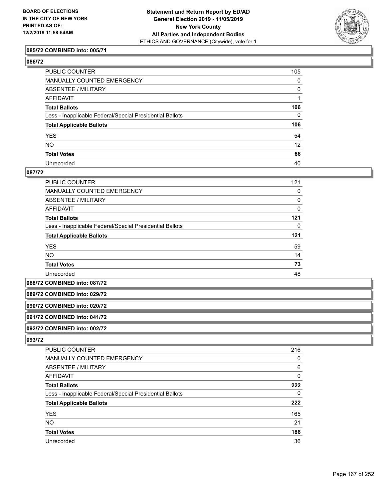

#### **085/72 COMBINED into: 005/71**

| ۰.<br>۰.<br>×<br>٧ |
|--------------------|
|--------------------|

| PUBLIC COUNTER                                           | 105          |
|----------------------------------------------------------|--------------|
| MANUALLY COUNTED EMERGENCY                               | 0            |
| ABSENTEE / MILITARY                                      | 0            |
| AFFIDAVIT                                                |              |
| Total Ballots                                            | 106          |
| Less - Inapplicable Federal/Special Presidential Ballots | $\mathbf{0}$ |
| <b>Total Applicable Ballots</b>                          | 106          |
| YES                                                      | 54           |
| NO.                                                      | 12           |
| <b>Total Votes</b>                                       | 66           |
| Unrecorded                                               | 40           |

#### **087/72**

| <b>PUBLIC COUNTER</b>                                    | 121      |
|----------------------------------------------------------|----------|
| <b>MANUALLY COUNTED EMERGENCY</b>                        | 0        |
| ABSENTEE / MILITARY                                      | $\Omega$ |
| AFFIDAVIT                                                | 0        |
| <b>Total Ballots</b>                                     | 121      |
| Less - Inapplicable Federal/Special Presidential Ballots | 0        |
| <b>Total Applicable Ballots</b>                          | 121      |
| <b>YES</b>                                               | 59       |
| <b>NO</b>                                                | 14       |
| <b>Total Votes</b>                                       | 73       |
| Unrecorded                                               | 48       |

**088/72 COMBINED into: 087/72**

#### **089/72 COMBINED into: 029/72**

**090/72 COMBINED into: 020/72**

## **091/72 COMBINED into: 041/72**

**092/72 COMBINED into: 002/72**

| PUBLIC COUNTER                                           | 216 |
|----------------------------------------------------------|-----|
| <b>MANUALLY COUNTED EMERGENCY</b>                        | 0   |
| <b>ABSENTEE / MILITARY</b>                               | 6   |
| AFFIDAVIT                                                | 0   |
| <b>Total Ballots</b>                                     | 222 |
| Less - Inapplicable Federal/Special Presidential Ballots | 0   |
| <b>Total Applicable Ballots</b>                          | 222 |
| <b>YES</b>                                               | 165 |
| <b>NO</b>                                                | 21  |
| <b>Total Votes</b>                                       | 186 |
| Unrecorded                                               | 36  |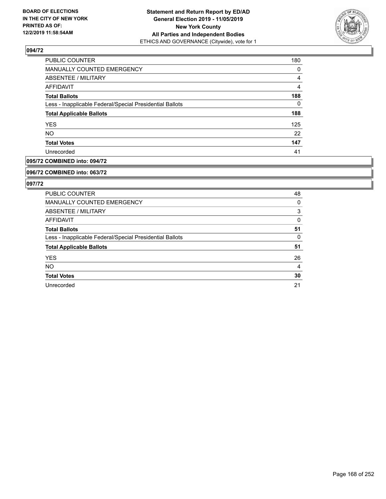

| <b>PUBLIC COUNTER</b>                                    | 180 |
|----------------------------------------------------------|-----|
| MANUALLY COUNTED EMERGENCY                               | 0   |
| <b>ABSENTEE / MILITARY</b>                               | 4   |
| AFFIDAVIT                                                | 4   |
| <b>Total Ballots</b>                                     | 188 |
| Less - Inapplicable Federal/Special Presidential Ballots | 0   |
| <b>Total Applicable Ballots</b>                          | 188 |
| <b>YES</b>                                               | 125 |
| <b>NO</b>                                                | 22  |
| <b>Total Votes</b>                                       | 147 |
| Unrecorded                                               | 41  |

### **095/72 COMBINED into: 094/72**

#### **096/72 COMBINED into: 063/72**

| PUBLIC COUNTER                                           | 48 |
|----------------------------------------------------------|----|
| <b>MANUALLY COUNTED EMERGENCY</b>                        | 0  |
| ABSENTEE / MILITARY                                      | 3  |
| AFFIDAVIT                                                | 0  |
| <b>Total Ballots</b>                                     | 51 |
| Less - Inapplicable Federal/Special Presidential Ballots | 0  |
| <b>Total Applicable Ballots</b>                          | 51 |
| <b>YES</b>                                               | 26 |
| <b>NO</b>                                                | 4  |
| <b>Total Votes</b>                                       | 30 |
| Unrecorded                                               | 21 |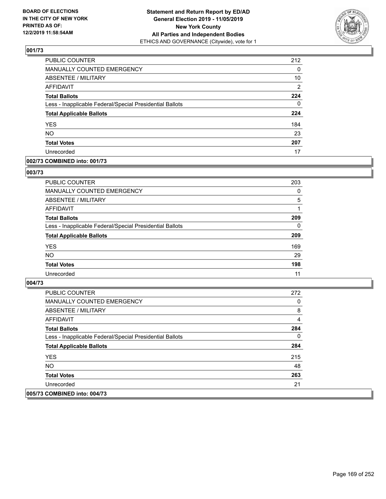

| PUBLIC COUNTER                                           | 212            |
|----------------------------------------------------------|----------------|
| <b>MANUALLY COUNTED EMERGENCY</b>                        | 0              |
| <b>ABSENTEE / MILITARY</b>                               | 10             |
| <b>AFFIDAVIT</b>                                         | $\overline{2}$ |
| <b>Total Ballots</b>                                     | 224            |
| Less - Inapplicable Federal/Special Presidential Ballots | 0              |
| <b>Total Applicable Ballots</b>                          | 224            |
| <b>YES</b>                                               | 184            |
| <b>NO</b>                                                | 23             |
| <b>Total Votes</b>                                       | 207            |
| Unrecorded                                               | 17             |

#### **002/73 COMBINED into: 001/73**

#### **003/73**

| PUBLIC COUNTER                                           | 203 |
|----------------------------------------------------------|-----|
| <b>MANUALLY COUNTED EMERGENCY</b>                        | 0   |
| ABSENTEE / MILITARY                                      | 5   |
| AFFIDAVIT                                                |     |
| <b>Total Ballots</b>                                     | 209 |
| Less - Inapplicable Federal/Special Presidential Ballots | 0   |
| <b>Total Applicable Ballots</b>                          | 209 |
| <b>YES</b>                                               | 169 |
| <b>NO</b>                                                | 29  |
| <b>Total Votes</b>                                       | 198 |
| Unrecorded                                               | 11  |

| <b>PUBLIC COUNTER</b>                                    | 272 |
|----------------------------------------------------------|-----|
| <b>MANUALLY COUNTED EMERGENCY</b>                        | 0   |
| ABSENTEE / MILITARY                                      | 8   |
| AFFIDAVIT                                                | 4   |
| <b>Total Ballots</b>                                     | 284 |
| Less - Inapplicable Federal/Special Presidential Ballots | 0   |
| <b>Total Applicable Ballots</b>                          | 284 |
| <b>YES</b>                                               | 215 |
| NO.                                                      | 48  |
| <b>Total Votes</b>                                       | 263 |
| Unrecorded                                               | 21  |
| 005/73 COMBINED into: 004/73                             |     |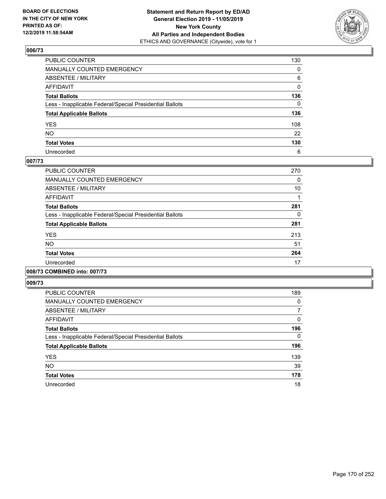

| PUBLIC COUNTER                                           | 130          |
|----------------------------------------------------------|--------------|
| MANUALLY COUNTED EMERGENCY                               | $\mathbf{0}$ |
| ABSENTEE / MILITARY                                      | 6            |
| AFFIDAVIT                                                | $\Omega$     |
| Total Ballots                                            | 136          |
| Less - Inapplicable Federal/Special Presidential Ballots | $\Omega$     |
| <b>Total Applicable Ballots</b>                          | 136          |
| YES                                                      | 108          |
| NO.                                                      | 22           |
| <b>Total Votes</b>                                       | 130          |
| Unrecorded                                               | 6            |

### **007/73**

| PUBLIC COUNTER                                           | 270 |
|----------------------------------------------------------|-----|
| <b>MANUALLY COUNTED EMERGENCY</b>                        | 0   |
| ABSENTEE / MILITARY                                      | 10  |
| AFFIDAVIT                                                |     |
| <b>Total Ballots</b>                                     | 281 |
| Less - Inapplicable Federal/Special Presidential Ballots | 0   |
| <b>Total Applicable Ballots</b>                          | 281 |
| <b>YES</b>                                               | 213 |
| NO.                                                      | 51  |
| <b>Total Votes</b>                                       | 264 |
| Unrecorded                                               | 17  |
|                                                          |     |

#### **008/73 COMBINED into: 007/73**

| PUBLIC COUNTER                                           | 189 |
|----------------------------------------------------------|-----|
| <b>MANUALLY COUNTED EMERGENCY</b>                        | 0   |
| ABSENTEE / MILITARY                                      | 7   |
| <b>AFFIDAVIT</b>                                         | 0   |
| <b>Total Ballots</b>                                     | 196 |
| Less - Inapplicable Federal/Special Presidential Ballots | 0   |
| <b>Total Applicable Ballots</b>                          | 196 |
| <b>YES</b>                                               | 139 |
| <b>NO</b>                                                | 39  |
| <b>Total Votes</b>                                       | 178 |
| Unrecorded                                               | 18  |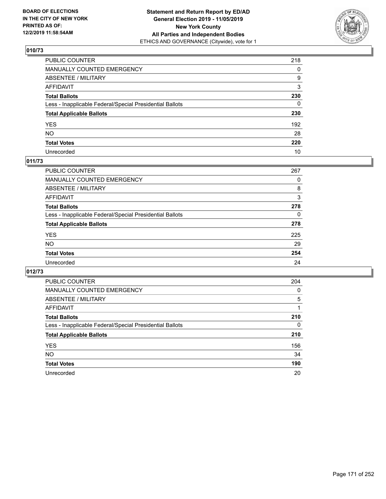

| PUBLIC COUNTER                                           | 218 |
|----------------------------------------------------------|-----|
| MANUALLY COUNTED EMERGENCY                               | 0   |
| ABSENTEE / MILITARY                                      | 9   |
| AFFIDAVIT                                                | 3   |
| Total Ballots                                            | 230 |
| Less - Inapplicable Federal/Special Presidential Ballots | 0   |
| <b>Total Applicable Ballots</b>                          | 230 |
| YES                                                      | 192 |
| NO.                                                      | 28  |
| <b>Total Votes</b>                                       | 220 |
| Unrecorded                                               | 10  |

### **011/73**

| <b>PUBLIC COUNTER</b>                                    | 267 |
|----------------------------------------------------------|-----|
| <b>MANUALLY COUNTED EMERGENCY</b>                        | 0   |
| ABSENTEE / MILITARY                                      | 8   |
| AFFIDAVIT                                                | 3   |
| <b>Total Ballots</b>                                     | 278 |
| Less - Inapplicable Federal/Special Presidential Ballots | 0   |
| <b>Total Applicable Ballots</b>                          | 278 |
| <b>YES</b>                                               | 225 |
| <b>NO</b>                                                | 29  |
| <b>Total Votes</b>                                       | 254 |
| Unrecorded                                               | 24  |

| PUBLIC COUNTER                                           | 204 |
|----------------------------------------------------------|-----|
| <b>MANUALLY COUNTED EMERGENCY</b>                        | 0   |
| ABSENTEE / MILITARY                                      | 5   |
| AFFIDAVIT                                                |     |
| <b>Total Ballots</b>                                     | 210 |
| Less - Inapplicable Federal/Special Presidential Ballots | 0   |
| <b>Total Applicable Ballots</b>                          | 210 |
| <b>YES</b>                                               | 156 |
| <b>NO</b>                                                | 34  |
| <b>Total Votes</b>                                       | 190 |
| Unrecorded                                               | 20  |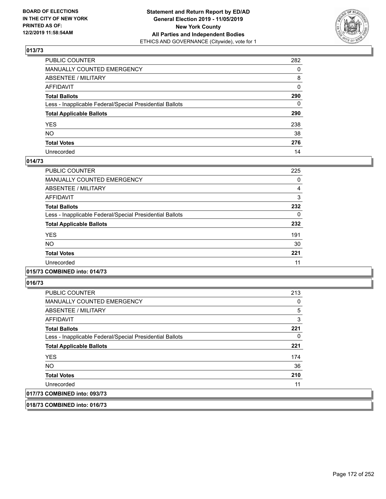

| PUBLIC COUNTER                                           | 282          |
|----------------------------------------------------------|--------------|
| MANUALLY COUNTED EMERGENCY                               | 0            |
| ABSENTEE / MILITARY                                      | 8            |
| AFFIDAVIT                                                | $\mathbf{0}$ |
| Total Ballots                                            | 290          |
| Less - Inapplicable Federal/Special Presidential Ballots | 0            |
| <b>Total Applicable Ballots</b>                          | 290          |
| YES                                                      | 238          |
| NO.                                                      | 38           |
| <b>Total Votes</b>                                       | 276          |
| Unrecorded                                               | 14           |

### **014/73**

| 225      |
|----------|
| 0        |
| 4        |
| 3        |
| 232      |
| $\Omega$ |
| 232      |
| 191      |
| 30       |
| 221      |
| 11       |
|          |

### **015/73 COMBINED into: 014/73**

**016/73** 

| <b>PUBLIC COUNTER</b>                                    | 213      |
|----------------------------------------------------------|----------|
| <b>MANUALLY COUNTED EMERGENCY</b>                        | 0        |
| ABSENTEE / MILITARY                                      | 5        |
| AFFIDAVIT                                                | 3        |
| <b>Total Ballots</b>                                     | 221      |
| Less - Inapplicable Federal/Special Presidential Ballots | $\Omega$ |
| <b>Total Applicable Ballots</b>                          | 221      |
| <b>YES</b>                                               | 174      |
| <b>NO</b>                                                | 36       |
| <b>Total Votes</b>                                       | 210      |
| Unrecorded                                               | 11       |
| 017/73 COMBINED into: 093/73                             |          |

**018/73 COMBINED into: 016/73**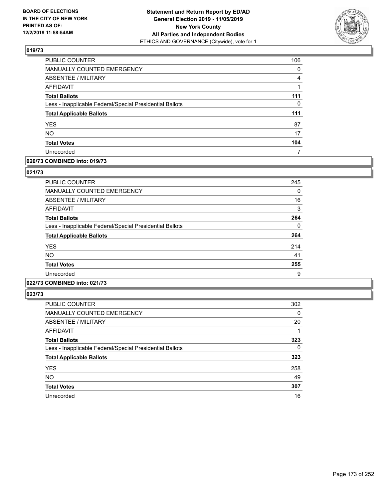

| PUBLIC COUNTER                                           | 106 |
|----------------------------------------------------------|-----|
| MANUALLY COUNTED EMERGENCY                               | 0   |
| <b>ABSENTEE / MILITARY</b>                               | 4   |
| <b>AFFIDAVIT</b>                                         |     |
| <b>Total Ballots</b>                                     | 111 |
| Less - Inapplicable Federal/Special Presidential Ballots | 0   |
| <b>Total Applicable Ballots</b>                          | 111 |
| <b>YES</b>                                               | 87  |
| <b>NO</b>                                                | 17  |
| <b>Total Votes</b>                                       | 104 |
| Unrecorded                                               |     |

### **020/73 COMBINED into: 019/73**

#### **021/73**

| 245 |
|-----|
|     |
| 0   |
| 16  |
| 3   |
| 264 |
| 0   |
| 264 |
| 214 |
| 41  |
| 255 |
| 9   |
|     |

## **022/73 COMBINED into: 021/73**

| <b>PUBLIC COUNTER</b>                                    | 302 |
|----------------------------------------------------------|-----|
| <b>MANUALLY COUNTED EMERGENCY</b>                        | 0   |
| ABSENTEE / MILITARY                                      | 20  |
| AFFIDAVIT                                                | 1   |
| <b>Total Ballots</b>                                     | 323 |
| Less - Inapplicable Federal/Special Presidential Ballots | 0   |
| <b>Total Applicable Ballots</b>                          | 323 |
| <b>YES</b>                                               | 258 |
| <b>NO</b>                                                | 49  |
| <b>Total Votes</b>                                       | 307 |
| Unrecorded                                               | 16  |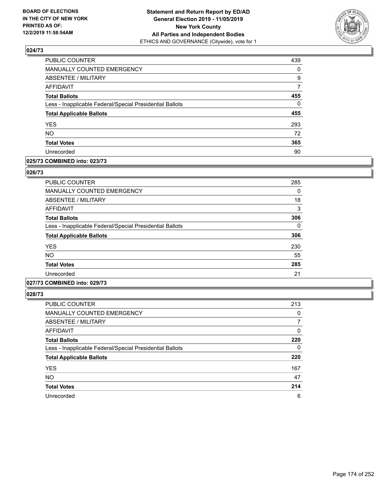

| PUBLIC COUNTER                                           | 439      |
|----------------------------------------------------------|----------|
| MANUALLY COUNTED EMERGENCY                               | 0        |
| ABSENTEE / MILITARY                                      | 9        |
| <b>AFFIDAVIT</b>                                         | 7        |
| <b>Total Ballots</b>                                     | 455      |
| Less - Inapplicable Federal/Special Presidential Ballots | $\Omega$ |
| <b>Total Applicable Ballots</b>                          | 455      |
| <b>YES</b>                                               | 293      |
| <b>NO</b>                                                | 72       |
| <b>Total Votes</b>                                       | 365      |
| Unrecorded                                               | 90       |

### **025/73 COMBINED into: 023/73**

### **026/73**

| PUBLIC COUNTER                                           | 285 |
|----------------------------------------------------------|-----|
| <b>MANUALLY COUNTED EMERGENCY</b>                        | 0   |
| ABSENTEE / MILITARY                                      | 18  |
| AFFIDAVIT                                                | 3   |
| <b>Total Ballots</b>                                     | 306 |
| Less - Inapplicable Federal/Special Presidential Ballots | 0   |
| <b>Total Applicable Ballots</b>                          | 306 |
| <b>YES</b>                                               | 230 |
| <b>NO</b>                                                | 55  |
| <b>Total Votes</b>                                       | 285 |
| Unrecorded                                               | 21  |

## **027/73 COMBINED into: 029/73**

| PUBLIC COUNTER                                           | 213 |
|----------------------------------------------------------|-----|
| <b>MANUALLY COUNTED EMERGENCY</b>                        | 0   |
| ABSENTEE / MILITARY                                      | 7   |
| AFFIDAVIT                                                | 0   |
| <b>Total Ballots</b>                                     | 220 |
| Less - Inapplicable Federal/Special Presidential Ballots | 0   |
| <b>Total Applicable Ballots</b>                          | 220 |
| <b>YES</b>                                               | 167 |
| <b>NO</b>                                                | 47  |
| <b>Total Votes</b>                                       | 214 |
| Unrecorded                                               | 6   |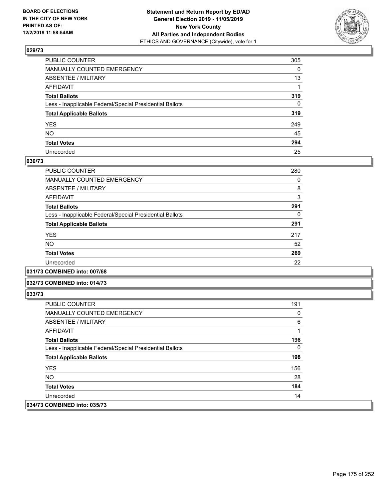

| PUBLIC COUNTER                                           | 305          |
|----------------------------------------------------------|--------------|
| MANUALLY COUNTED EMERGENCY                               | $\mathbf{0}$ |
| ABSENTEE / MILITARY                                      | 13           |
| AFFIDAVIT                                                |              |
| Total Ballots                                            | 319          |
| Less - Inapplicable Federal/Special Presidential Ballots | $\Omega$     |
| <b>Total Applicable Ballots</b>                          | 319          |
| YES                                                      | 249          |
| NO.                                                      | 45           |
| <b>Total Votes</b>                                       | 294          |
| Unrecorded                                               | 25           |

#### **030/73**

| PUBLIC COUNTER                                           | 280 |
|----------------------------------------------------------|-----|
| <b>MANUALLY COUNTED EMERGENCY</b>                        | 0   |
| ABSENTEE / MILITARY                                      | 8   |
| <b>AFFIDAVIT</b>                                         | 3   |
| <b>Total Ballots</b>                                     | 291 |
| Less - Inapplicable Federal/Special Presidential Ballots | 0   |
| <b>Total Applicable Ballots</b>                          | 291 |
| <b>YES</b>                                               | 217 |
| <b>NO</b>                                                | 52  |
| <b>Total Votes</b>                                       | 269 |
| Unrecorded                                               | 22  |
|                                                          |     |

#### **031/73 COMBINED into: 007/68**

#### **032/73 COMBINED into: 014/73**

| <b>PUBLIC COUNTER</b>                                    | 191 |
|----------------------------------------------------------|-----|
| <b>MANUALLY COUNTED EMERGENCY</b>                        | 0   |
| ABSENTEE / MILITARY                                      | 6   |
| AFFIDAVIT                                                |     |
| <b>Total Ballots</b>                                     | 198 |
| Less - Inapplicable Federal/Special Presidential Ballots | 0   |
| <b>Total Applicable Ballots</b>                          | 198 |
| <b>YES</b>                                               | 156 |
| NO.                                                      | 28  |
| <b>Total Votes</b>                                       | 184 |
| Unrecorded                                               | 14  |
| 034/73 COMBINED into: 035/73                             |     |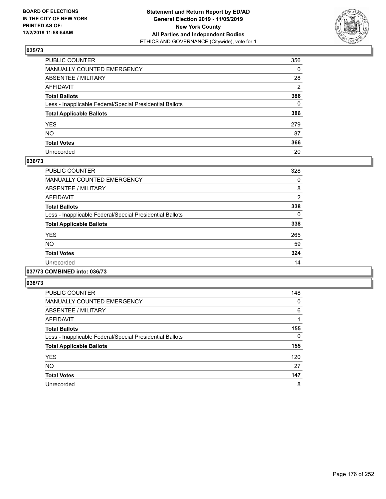

| PUBLIC COUNTER                                           | 356          |
|----------------------------------------------------------|--------------|
| MANUALLY COUNTED EMERGENCY                               | $\mathbf{0}$ |
| ABSENTEE / MILITARY                                      | 28           |
| AFFIDAVIT                                                | 2            |
| Total Ballots                                            | 386          |
| Less - Inapplicable Federal/Special Presidential Ballots | $\Omega$     |
| <b>Total Applicable Ballots</b>                          | 386          |
| YES                                                      | 279          |
| NO.                                                      | 87           |
| <b>Total Votes</b>                                       | 366          |
| Unrecorded                                               | 20           |

### **036/73**

| PUBLIC COUNTER                                           | 328            |
|----------------------------------------------------------|----------------|
| <b>MANUALLY COUNTED EMERGENCY</b>                        | 0              |
| ABSENTEE / MILITARY                                      | 8              |
| <b>AFFIDAVIT</b>                                         | $\overline{2}$ |
| <b>Total Ballots</b>                                     | 338            |
| Less - Inapplicable Federal/Special Presidential Ballots | 0              |
| <b>Total Applicable Ballots</b>                          | 338            |
| <b>YES</b>                                               | 265            |
| NO.                                                      | 59             |
| <b>Total Votes</b>                                       | 324            |
| Unrecorded                                               | 14             |
|                                                          |                |

#### **037/73 COMBINED into: 036/73**

| <b>PUBLIC COUNTER</b>                                    | 148 |
|----------------------------------------------------------|-----|
| <b>MANUALLY COUNTED EMERGENCY</b>                        | 0   |
| ABSENTEE / MILITARY                                      | 6   |
| AFFIDAVIT                                                |     |
| <b>Total Ballots</b>                                     | 155 |
| Less - Inapplicable Federal/Special Presidential Ballots | 0   |
| <b>Total Applicable Ballots</b>                          | 155 |
| <b>YES</b>                                               | 120 |
| <b>NO</b>                                                | 27  |
| <b>Total Votes</b>                                       | 147 |
| Unrecorded                                               | 8   |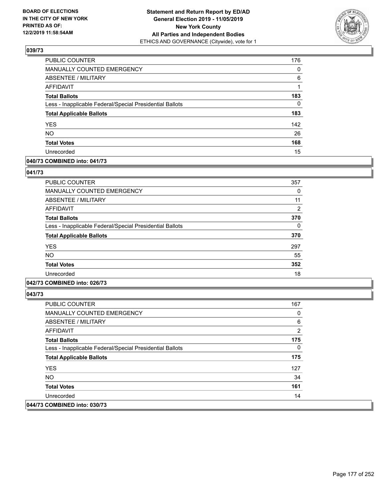

| PUBLIC COUNTER                                           | 176      |
|----------------------------------------------------------|----------|
| MANUALLY COUNTED EMERGENCY                               | 0        |
| ABSENTEE / MILITARY                                      | 6        |
| AFFIDAVIT                                                | 1        |
| <b>Total Ballots</b>                                     | 183      |
| Less - Inapplicable Federal/Special Presidential Ballots | $\Omega$ |
| <b>Total Applicable Ballots</b>                          | 183      |
| <b>YES</b>                                               | 142      |
| <b>NO</b>                                                | 26       |
| <b>Total Votes</b>                                       | 168      |
| Unrecorded                                               | 15       |

### **040/73 COMBINED into: 041/73**

### **041/73**

| <b>PUBLIC COUNTER</b>                                    | 357 |
|----------------------------------------------------------|-----|
| <b>MANUALLY COUNTED EMERGENCY</b>                        | 0   |
| ABSENTEE / MILITARY                                      | 11  |
| AFFIDAVIT                                                | 2   |
| <b>Total Ballots</b>                                     | 370 |
| Less - Inapplicable Federal/Special Presidential Ballots | 0   |
| <b>Total Applicable Ballots</b>                          | 370 |
| <b>YES</b>                                               | 297 |
| <b>NO</b>                                                | 55  |
| <b>Total Votes</b>                                       | 352 |
| Unrecorded                                               | 18  |

## **042/73 COMBINED into: 026/73**

| <b>PUBLIC COUNTER</b>                                    | 167            |
|----------------------------------------------------------|----------------|
| <b>MANUALLY COUNTED EMERGENCY</b>                        | 0              |
| ABSENTEE / MILITARY                                      | 6              |
| AFFIDAVIT                                                | $\overline{2}$ |
| <b>Total Ballots</b>                                     | 175            |
| Less - Inapplicable Federal/Special Presidential Ballots | $\Omega$       |
| <b>Total Applicable Ballots</b>                          | 175            |
| <b>YES</b>                                               | 127            |
| NO.                                                      | 34             |
| <b>Total Votes</b>                                       | 161            |
| Unrecorded                                               | 14             |
| 044/73 COMBINED into: 030/73                             |                |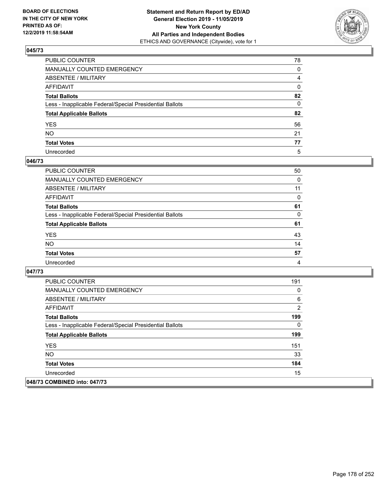

| PUBLIC COUNTER                                           | 78             |
|----------------------------------------------------------|----------------|
| MANUALLY COUNTED EMERGENCY                               | 0              |
| ABSENTEE / MILITARY                                      | $\overline{4}$ |
| AFFIDAVIT                                                | 0              |
| Total Ballots                                            | 82             |
| Less - Inapplicable Federal/Special Presidential Ballots | 0              |
| <b>Total Applicable Ballots</b>                          | 82             |
| YES                                                      | 56             |
| NO.                                                      | 21             |
| <b>Total Votes</b>                                       | 77             |
| Unrecorded                                               | 5              |

#### **046/73**

| PUBLIC COUNTER                                           | 50 |
|----------------------------------------------------------|----|
| <b>MANUALLY COUNTED EMERGENCY</b>                        | 0  |
| ABSENTEE / MILITARY                                      | 11 |
| AFFIDAVIT                                                | 0  |
| <b>Total Ballots</b>                                     | 61 |
| Less - Inapplicable Federal/Special Presidential Ballots | 0  |
| <b>Total Applicable Ballots</b>                          | 61 |
| <b>YES</b>                                               | 43 |
| <b>NO</b>                                                | 14 |
| <b>Total Votes</b>                                       | 57 |
| Unrecorded                                               | 4  |

| PUBLIC COUNTER                                           | 191 |
|----------------------------------------------------------|-----|
| <b>MANUALLY COUNTED EMERGENCY</b>                        | 0   |
| ABSENTEE / MILITARY                                      | 6   |
| AFFIDAVIT                                                | 2   |
| <b>Total Ballots</b>                                     | 199 |
| Less - Inapplicable Federal/Special Presidential Ballots | 0   |
| <b>Total Applicable Ballots</b>                          | 199 |
| <b>YES</b>                                               | 151 |
| NO.                                                      | 33  |
| <b>Total Votes</b>                                       | 184 |
| Unrecorded                                               | 15  |
| 048/73 COMBINED into: 047/73                             |     |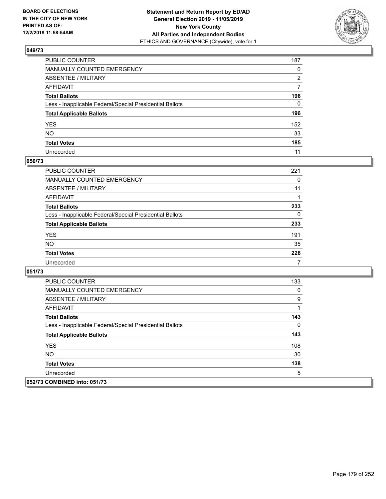

| PUBLIC COUNTER                                           | 187          |
|----------------------------------------------------------|--------------|
| MANUALLY COUNTED EMERGENCY                               | $\mathbf{0}$ |
| ABSENTEE / MILITARY                                      | 2            |
| AFFIDAVIT                                                | 7            |
| Total Ballots                                            | 196          |
| Less - Inapplicable Federal/Special Presidential Ballots | $\Omega$     |
| <b>Total Applicable Ballots</b>                          | 196          |
| YES                                                      | 152          |
| NO.                                                      | 33           |
| <b>Total Votes</b>                                       | 185          |
| Unrecorded                                               | 11           |

#### **050/73**

| <b>PUBLIC COUNTER</b>                                    | 221      |
|----------------------------------------------------------|----------|
| <b>MANUALLY COUNTED EMERGENCY</b>                        | 0        |
| ABSENTEE / MILITARY                                      | 11       |
| AFFIDAVIT                                                |          |
| <b>Total Ballots</b>                                     | 233      |
| Less - Inapplicable Federal/Special Presidential Ballots | $\Omega$ |
| <b>Total Applicable Ballots</b>                          | 233      |
| <b>YES</b>                                               | 191      |
| <b>NO</b>                                                | 35       |
| <b>Total Votes</b>                                       | 226      |
| Unrecorded                                               | 7        |

| <b>PUBLIC COUNTER</b>                                    | 133 |
|----------------------------------------------------------|-----|
| <b>MANUALLY COUNTED EMERGENCY</b>                        | 0   |
| ABSENTEE / MILITARY                                      | 9   |
| AFFIDAVIT                                                | 1   |
| <b>Total Ballots</b>                                     | 143 |
| Less - Inapplicable Federal/Special Presidential Ballots | 0   |
| <b>Total Applicable Ballots</b>                          | 143 |
| <b>YES</b>                                               | 108 |
| <b>NO</b>                                                | 30  |
| <b>Total Votes</b>                                       | 138 |
| Unrecorded                                               | 5   |
| 052/73 COMBINED into: 051/73                             |     |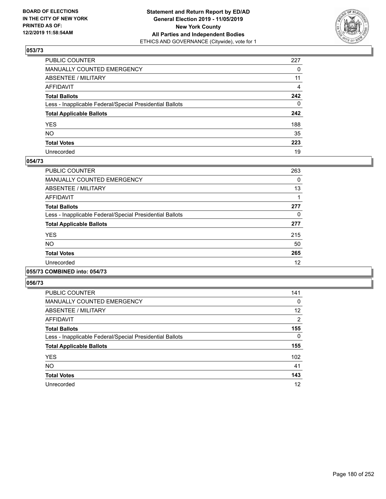

| PUBLIC COUNTER                                           | 227          |
|----------------------------------------------------------|--------------|
| MANUALLY COUNTED EMERGENCY                               | $\mathbf{0}$ |
| ABSENTEE / MILITARY                                      | 11           |
| AFFIDAVIT                                                | 4            |
| Total Ballots                                            | 242          |
| Less - Inapplicable Federal/Special Presidential Ballots | $\mathbf{0}$ |
| <b>Total Applicable Ballots</b>                          | 242          |
| YES                                                      | 188          |
| NO.                                                      | 35           |
| <b>Total Votes</b>                                       | 223          |
| Unrecorded                                               | 19           |

### **054/73**

| PUBLIC COUNTER                                           | 263 |
|----------------------------------------------------------|-----|
| <b>MANUALLY COUNTED EMERGENCY</b>                        | 0   |
| ABSENTEE / MILITARY                                      | 13  |
| AFFIDAVIT                                                |     |
| <b>Total Ballots</b>                                     | 277 |
| Less - Inapplicable Federal/Special Presidential Ballots | 0   |
| <b>Total Applicable Ballots</b>                          | 277 |
| <b>YES</b>                                               | 215 |
| NO.                                                      | 50  |
| <b>Total Votes</b>                                       | 265 |
| Unrecorded                                               | 12  |
|                                                          |     |

#### **055/73 COMBINED into: 054/73**

| PUBLIC COUNTER                                           | 141            |
|----------------------------------------------------------|----------------|
| <b>MANUALLY COUNTED EMERGENCY</b>                        | 0              |
| ABSENTEE / MILITARY                                      | 12             |
| AFFIDAVIT                                                | $\overline{2}$ |
| <b>Total Ballots</b>                                     | 155            |
| Less - Inapplicable Federal/Special Presidential Ballots | $\Omega$       |
| <b>Total Applicable Ballots</b>                          | 155            |
| <b>YES</b>                                               | 102            |
| <b>NO</b>                                                | 41             |
| <b>Total Votes</b>                                       | 143            |
| Unrecorded                                               | 12             |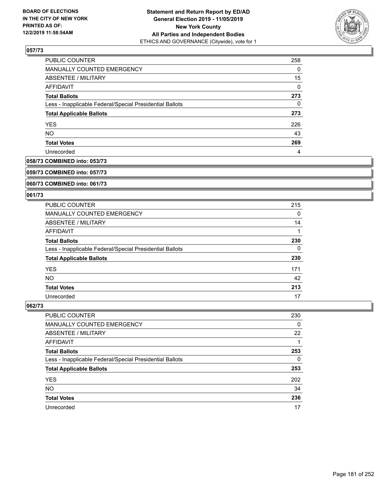

| <b>PUBLIC COUNTER</b>                                    | 258      |
|----------------------------------------------------------|----------|
| MANUALLY COUNTED EMERGENCY                               | 0        |
| ABSENTEE / MILITARY                                      | 15       |
| AFFIDAVIT                                                | $\Omega$ |
| <b>Total Ballots</b>                                     | 273      |
| Less - Inapplicable Federal/Special Presidential Ballots | 0        |
| <b>Total Applicable Ballots</b>                          | 273      |
| <b>YES</b>                                               | 226      |
| <b>NO</b>                                                | 43       |
| <b>Total Votes</b>                                       | 269      |
| Unrecorded                                               | 4        |

### **058/73 COMBINED into: 053/73**

#### **059/73 COMBINED into: 057/73**

### **060/73 COMBINED into: 061/73**

#### **061/73**

| <b>PUBLIC COUNTER</b>                                    | 215 |
|----------------------------------------------------------|-----|
| MANUALLY COUNTED EMERGENCY                               | 0   |
| ABSENTEE / MILITARY                                      | 14  |
| AFFIDAVIT                                                |     |
| <b>Total Ballots</b>                                     | 230 |
| Less - Inapplicable Federal/Special Presidential Ballots | 0   |
| <b>Total Applicable Ballots</b>                          | 230 |
| <b>YES</b>                                               | 171 |
| <b>NO</b>                                                | 42  |
| <b>Total Votes</b>                                       | 213 |
| Unrecorded                                               | 17  |

| <b>PUBLIC COUNTER</b>                                    | 230 |
|----------------------------------------------------------|-----|
| MANUALLY COUNTED EMERGENCY                               | 0   |
| ABSENTEE / MILITARY                                      | 22  |
| AFFIDAVIT                                                |     |
| <b>Total Ballots</b>                                     | 253 |
| Less - Inapplicable Federal/Special Presidential Ballots | 0   |
| <b>Total Applicable Ballots</b>                          | 253 |
| <b>YES</b>                                               | 202 |
| <b>NO</b>                                                | 34  |
| <b>Total Votes</b>                                       | 236 |
| Unrecorded                                               | 17  |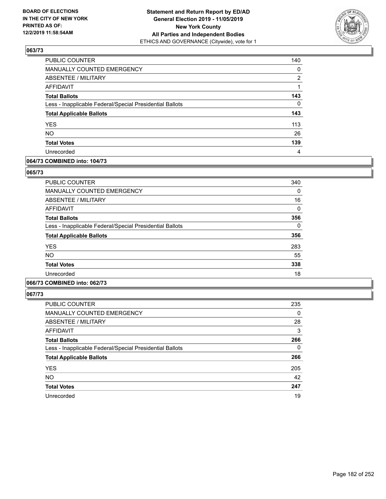

| PUBLIC COUNTER                                           | 140            |
|----------------------------------------------------------|----------------|
| <b>MANUALLY COUNTED EMERGENCY</b>                        | $\Omega$       |
| <b>ABSENTEE / MILITARY</b>                               | 2              |
| <b>AFFIDAVIT</b>                                         |                |
| <b>Total Ballots</b>                                     | 143            |
| Less - Inapplicable Federal/Special Presidential Ballots | $\Omega$       |
| <b>Total Applicable Ballots</b>                          | 143            |
| <b>YES</b>                                               | 113            |
| <b>NO</b>                                                | 26             |
| <b>Total Votes</b>                                       | 139            |
| Unrecorded                                               | $\overline{4}$ |

### **064/73 COMBINED into: 104/73**

#### **065/73**

| <b>PUBLIC COUNTER</b>                                    | 340 |
|----------------------------------------------------------|-----|
| <b>MANUALLY COUNTED EMERGENCY</b>                        | 0   |
| ABSENTEE / MILITARY                                      | 16  |
| AFFIDAVIT                                                | 0   |
| <b>Total Ballots</b>                                     | 356 |
| Less - Inapplicable Federal/Special Presidential Ballots | 0   |
| <b>Total Applicable Ballots</b>                          | 356 |
| <b>YES</b>                                               | 283 |
| NO.                                                      | 55  |
| <b>Total Votes</b>                                       | 338 |
| Unrecorded                                               | 18  |

# **066/73 COMBINED into: 062/73**

| <b>PUBLIC COUNTER</b>                                    | 235 |
|----------------------------------------------------------|-----|
| <b>MANUALLY COUNTED EMERGENCY</b>                        | 0   |
| ABSENTEE / MILITARY                                      | 28  |
| AFFIDAVIT                                                | 3   |
| <b>Total Ballots</b>                                     | 266 |
| Less - Inapplicable Federal/Special Presidential Ballots | 0   |
| <b>Total Applicable Ballots</b>                          | 266 |
| <b>YES</b>                                               | 205 |
| <b>NO</b>                                                | 42  |
| <b>Total Votes</b>                                       | 247 |
| Unrecorded                                               | 19  |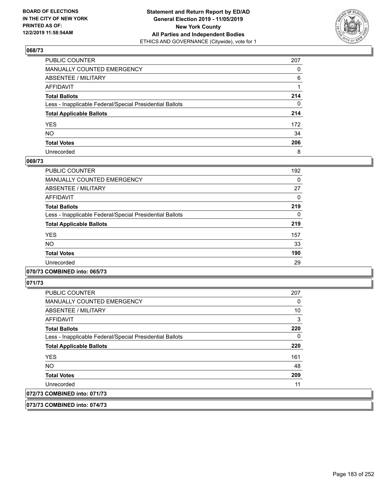

| PUBLIC COUNTER                                           | 207          |
|----------------------------------------------------------|--------------|
| MANUALLY COUNTED EMERGENCY                               | $\Omega$     |
| ABSENTEE / MILITARY                                      | 6            |
| AFFIDAVIT                                                |              |
| Total Ballots                                            | 214          |
| Less - Inapplicable Federal/Special Presidential Ballots | $\mathbf{0}$ |
| <b>Total Applicable Ballots</b>                          | 214          |
| YES                                                      | 172          |
| NO.                                                      | 34           |
| <b>Total Votes</b>                                       | 206          |
| Unrecorded                                               | 8            |

### **069/73**

| PUBLIC COUNTER                                           | 192 |
|----------------------------------------------------------|-----|
| <b>MANUALLY COUNTED EMERGENCY</b>                        | 0   |
| ABSENTEE / MILITARY                                      | 27  |
| <b>AFFIDAVIT</b>                                         | 0   |
| <b>Total Ballots</b>                                     | 219 |
| Less - Inapplicable Federal/Special Presidential Ballots | 0   |
| <b>Total Applicable Ballots</b>                          | 219 |
| <b>YES</b>                                               | 157 |
| <b>NO</b>                                                | 33  |
| <b>Total Votes</b>                                       | 190 |
| Unrecorded                                               | 29  |

### **070/73 COMBINED into: 065/73**

**071/73** 

| <b>PUBLIC COUNTER</b>                                    | 207 |
|----------------------------------------------------------|-----|
| MANUALLY COUNTED EMERGENCY                               | 0   |
| ABSENTEE / MILITARY                                      | 10  |
| AFFIDAVIT                                                | 3   |
| <b>Total Ballots</b>                                     | 220 |
| Less - Inapplicable Federal/Special Presidential Ballots | 0   |
| <b>Total Applicable Ballots</b>                          | 220 |
| <b>YES</b>                                               | 161 |
| <b>NO</b>                                                | 48  |
| <b>Total Votes</b>                                       | 209 |
| Unrecorded                                               | 11  |
| 072/73 COMBINED into: 071/73                             |     |

**073/73 COMBINED into: 074/73**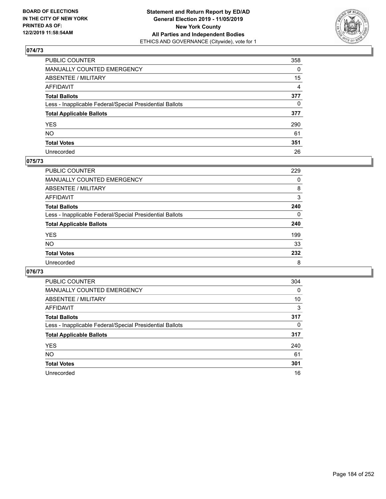

| PUBLIC COUNTER                                           | 358            |
|----------------------------------------------------------|----------------|
| MANUALLY COUNTED EMERGENCY                               | $\Omega$       |
| ABSENTEE / MILITARY                                      | 15             |
| AFFIDAVIT                                                | $\overline{4}$ |
| Total Ballots                                            | 377            |
| Less - Inapplicable Federal/Special Presidential Ballots | $\mathbf{0}$   |
| <b>Total Applicable Ballots</b>                          | 377            |
| YES                                                      | 290            |
| NO.                                                      | 61             |
| <b>Total Votes</b>                                       | 351            |
| Unrecorded                                               | 26             |

### **075/73**

| <b>PUBLIC COUNTER</b>                                    | 229      |
|----------------------------------------------------------|----------|
| <b>MANUALLY COUNTED EMERGENCY</b>                        | 0        |
| ABSENTEE / MILITARY                                      | 8        |
| AFFIDAVIT                                                | 3        |
| <b>Total Ballots</b>                                     | 240      |
| Less - Inapplicable Federal/Special Presidential Ballots | $\Omega$ |
| <b>Total Applicable Ballots</b>                          | 240      |
| <b>YES</b>                                               | 199      |
| <b>NO</b>                                                | 33       |
| <b>Total Votes</b>                                       | 232      |
| Unrecorded                                               | 8        |

| <b>PUBLIC COUNTER</b>                                    | 304 |
|----------------------------------------------------------|-----|
| <b>MANUALLY COUNTED EMERGENCY</b>                        | 0   |
| ABSENTEE / MILITARY                                      | 10  |
| AFFIDAVIT                                                | 3   |
| <b>Total Ballots</b>                                     | 317 |
| Less - Inapplicable Federal/Special Presidential Ballots | 0   |
| <b>Total Applicable Ballots</b>                          | 317 |
| <b>YES</b>                                               | 240 |
| NO.                                                      | 61  |
| <b>Total Votes</b>                                       | 301 |
| Unrecorded                                               | 16  |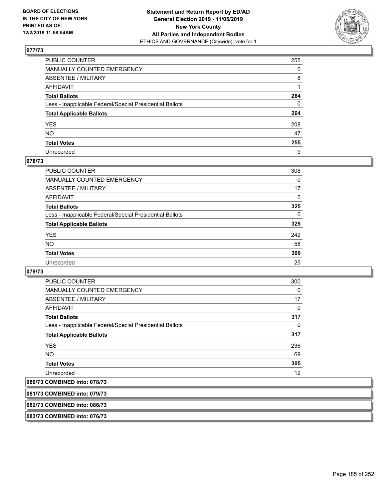

| PUBLIC COUNTER                                           | 255          |
|----------------------------------------------------------|--------------|
| MANUALLY COUNTED EMERGENCY                               | 0            |
| ABSENTEE / MILITARY                                      | 8            |
| AFFIDAVIT                                                |              |
| Total Ballots                                            | 264          |
| Less - Inapplicable Federal/Special Presidential Ballots | $\mathbf{0}$ |
| <b>Total Applicable Ballots</b>                          | 264          |
| YES                                                      | 208          |
| NO.                                                      | 47           |
| <b>Total Votes</b>                                       | 255          |
| Unrecorded                                               | 9            |

### **078/73**

| <b>PUBLIC COUNTER</b>                                    | 308          |
|----------------------------------------------------------|--------------|
| <b>MANUALLY COUNTED EMERGENCY</b>                        | 0            |
| ABSENTEE / MILITARY                                      | 17           |
| AFFIDAVIT                                                | $\Omega$     |
| <b>Total Ballots</b>                                     | 325          |
| Less - Inapplicable Federal/Special Presidential Ballots | $\mathbf{0}$ |
| <b>Total Applicable Ballots</b>                          | 325          |
| <b>YES</b>                                               | 242          |
| NO                                                       | 58           |
| <b>Total Votes</b>                                       | 300          |
| Unrecorded                                               | 25           |

| <b>PUBLIC COUNTER</b>                                    | 300      |
|----------------------------------------------------------|----------|
| <b>MANUALLY COUNTED EMERGENCY</b>                        | $\Omega$ |
| <b>ABSENTEE / MILITARY</b>                               | 17       |
| AFFIDAVIT                                                | $\Omega$ |
| <b>Total Ballots</b>                                     | 317      |
| Less - Inapplicable Federal/Special Presidential Ballots | $\Omega$ |
| <b>Total Applicable Ballots</b>                          | 317      |
| <b>YES</b>                                               | 236      |
| <b>NO</b>                                                | 69       |
| <b>Total Votes</b>                                       | 305      |
| Unrecorded                                               | 12       |

| 080/73 COMBINED into: 078/73 |  |
|------------------------------|--|
| 081/73 COMBINED into: 079/73 |  |
| 082/73 COMBINED into: 086/73 |  |
| 083/73 COMBINED into: 076/73 |  |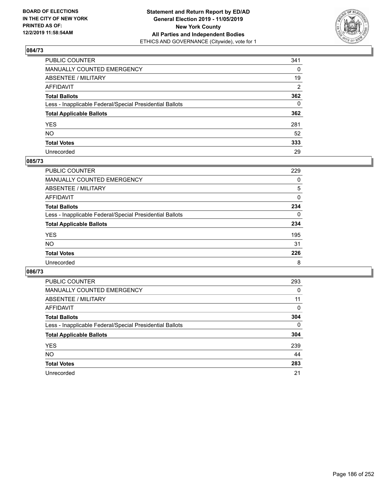

| PUBLIC COUNTER                                           | 341 |
|----------------------------------------------------------|-----|
| MANUALLY COUNTED EMERGENCY                               | 0   |
| ABSENTEE / MILITARY                                      | 19  |
| AFFIDAVIT                                                | 2   |
| Total Ballots                                            | 362 |
| Less - Inapplicable Federal/Special Presidential Ballots | 0   |
| <b>Total Applicable Ballots</b>                          | 362 |
| YES                                                      | 281 |
| NO.                                                      | 52  |
| <b>Total Votes</b>                                       | 333 |
| Unrecorded                                               | 29  |

### **085/73**

| <b>PUBLIC COUNTER</b>                                    | 229 |
|----------------------------------------------------------|-----|
| <b>MANUALLY COUNTED EMERGENCY</b>                        | 0   |
| ABSENTEE / MILITARY                                      | 5   |
| AFFIDAVIT                                                | 0   |
| <b>Total Ballots</b>                                     | 234 |
| Less - Inapplicable Federal/Special Presidential Ballots | 0   |
| <b>Total Applicable Ballots</b>                          | 234 |
| <b>YES</b>                                               | 195 |
| <b>NO</b>                                                | 31  |
| <b>Total Votes</b>                                       | 226 |
| Unrecorded                                               | 8   |

| <b>PUBLIC COUNTER</b>                                    | 293      |
|----------------------------------------------------------|----------|
| MANUALLY COUNTED EMERGENCY                               | 0        |
| ABSENTEE / MILITARY                                      | 11       |
| AFFIDAVIT                                                | 0        |
| <b>Total Ballots</b>                                     | 304      |
| Less - Inapplicable Federal/Special Presidential Ballots | $\Omega$ |
| <b>Total Applicable Ballots</b>                          | 304      |
| <b>YES</b>                                               | 239      |
| NO.                                                      | 44       |
| <b>Total Votes</b>                                       | 283      |
| Unrecorded                                               | 21       |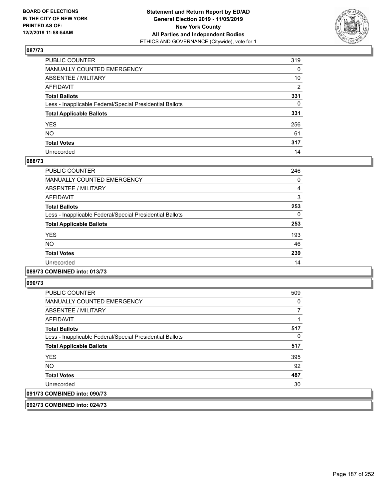

| PUBLIC COUNTER                                           | 319            |
|----------------------------------------------------------|----------------|
| MANUALLY COUNTED EMERGENCY                               | $\mathbf{0}$   |
| ABSENTEE / MILITARY                                      | 10             |
| AFFIDAVIT                                                | $\overline{2}$ |
| Total Ballots                                            | 331            |
| Less - Inapplicable Federal/Special Presidential Ballots | $\mathbf{0}$   |
| <b>Total Applicable Ballots</b>                          | 331            |
| YES                                                      | 256            |
| NO.                                                      | 61             |
| <b>Total Votes</b>                                       | 317            |
| Unrecorded                                               | 14             |

### **088/73**

| PUBLIC COUNTER                                           | 246 |
|----------------------------------------------------------|-----|
| <b>MANUALLY COUNTED EMERGENCY</b>                        | 0   |
| ABSENTEE / MILITARY                                      | 4   |
| <b>AFFIDAVIT</b>                                         | 3   |
| <b>Total Ballots</b>                                     | 253 |
| Less - Inapplicable Federal/Special Presidential Ballots | 0   |
| <b>Total Applicable Ballots</b>                          | 253 |
| <b>YES</b>                                               | 193 |
| <b>NO</b>                                                | 46  |
| <b>Total Votes</b>                                       | 239 |
| Unrecorded                                               | 14  |

### **089/73 COMBINED into: 013/73**

**090/73** 

| <b>PUBLIC COUNTER</b>                                    | 509 |
|----------------------------------------------------------|-----|
| MANUALLY COUNTED EMERGENCY                               | 0   |
| ABSENTEE / MILITARY                                      |     |
| AFFIDAVIT                                                |     |
| <b>Total Ballots</b>                                     | 517 |
| Less - Inapplicable Federal/Special Presidential Ballots | 0   |
| <b>Total Applicable Ballots</b>                          | 517 |
| <b>YES</b>                                               | 395 |
| <b>NO</b>                                                | 92  |
| <b>Total Votes</b>                                       | 487 |
| Unrecorded                                               | 30  |
| 091/73 COMBINED into: 090/73                             |     |

**092/73 COMBINED into: 024/73**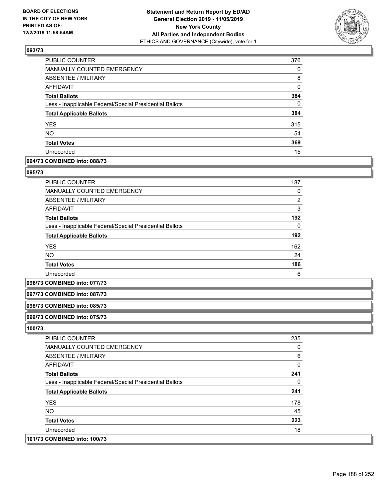

| <b>PUBLIC COUNTER</b>                                    | 376      |
|----------------------------------------------------------|----------|
| MANUALLY COUNTED EMERGENCY                               | 0        |
| <b>ABSENTEE / MILITARY</b>                               | 8        |
| AFFIDAVIT                                                | 0        |
| <b>Total Ballots</b>                                     | 384      |
| Less - Inapplicable Federal/Special Presidential Ballots | $\Omega$ |
| <b>Total Applicable Ballots</b>                          | 384      |
| <b>YES</b>                                               | 315      |
| <b>NO</b>                                                | 54       |
| <b>Total Votes</b>                                       | 369      |
| Unrecorded                                               | 15       |

### **094/73 COMBINED into: 088/73**

#### **095/73**

| <b>PUBLIC COUNTER</b>                                    | 187            |
|----------------------------------------------------------|----------------|
| MANUALLY COUNTED EMERGENCY                               | 0              |
| ABSENTEE / MILITARY                                      | $\overline{2}$ |
| AFFIDAVIT                                                | 3              |
| <b>Total Ballots</b>                                     | 192            |
| Less - Inapplicable Federal/Special Presidential Ballots | $\Omega$       |
| <b>Total Applicable Ballots</b>                          | 192            |
| <b>YES</b>                                               | 162            |
| <b>NO</b>                                                | 24             |
| <b>Total Votes</b>                                       | 186            |
| Unrecorded                                               | 6              |

#### **096/73 COMBINED into: 077/73**

#### **097/73 COMBINED into: 087/73**

#### **098/73 COMBINED into: 085/73**

### **099/73 COMBINED into: 075/73**

| <b>PUBLIC COUNTER</b>                                    | 235 |
|----------------------------------------------------------|-----|
| MANUALLY COUNTED EMERGENCY                               | 0   |
| ABSENTEE / MILITARY                                      | 6   |
| AFFIDAVIT                                                | 0   |
| <b>Total Ballots</b>                                     | 241 |
| Less - Inapplicable Federal/Special Presidential Ballots | 0   |
| <b>Total Applicable Ballots</b>                          | 241 |
| <b>YES</b>                                               | 178 |
| NO.                                                      | 45  |
| <b>Total Votes</b>                                       | 223 |
| Unrecorded                                               | 18  |
| 101/73 COMBINED into: 100/73                             |     |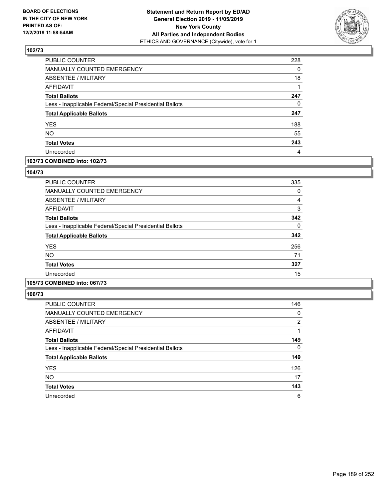

| 228 |
|-----|
| 0   |
| 18  |
| 1   |
| 247 |
| 0   |
| 247 |
| 188 |
| 55  |
| 243 |
| 4   |
|     |

### **103/73 COMBINED into: 102/73**

### **104/73**

| <b>PUBLIC COUNTER</b>                                    | 335 |
|----------------------------------------------------------|-----|
| MANUALLY COUNTED EMERGENCY                               | 0   |
| ABSENTEE / MILITARY                                      | 4   |
| AFFIDAVIT                                                | 3   |
| <b>Total Ballots</b>                                     | 342 |
| Less - Inapplicable Federal/Special Presidential Ballots | 0   |
| <b>Total Applicable Ballots</b>                          | 342 |
| <b>YES</b>                                               | 256 |
| NO.                                                      | 71  |
| <b>Total Votes</b>                                       | 327 |
| Unrecorded                                               | 15  |

# **105/73 COMBINED into: 067/73**

| <b>PUBLIC COUNTER</b>                                    | 146      |
|----------------------------------------------------------|----------|
| <b>MANUALLY COUNTED EMERGENCY</b>                        | 0        |
| ABSENTEE / MILITARY                                      | 2        |
| AFFIDAVIT                                                |          |
| <b>Total Ballots</b>                                     | 149      |
| Less - Inapplicable Federal/Special Presidential Ballots | $\Omega$ |
| <b>Total Applicable Ballots</b>                          | 149      |
| <b>YES</b>                                               | 126      |
| <b>NO</b>                                                | 17       |
| <b>Total Votes</b>                                       | 143      |
| Unrecorded                                               | 6        |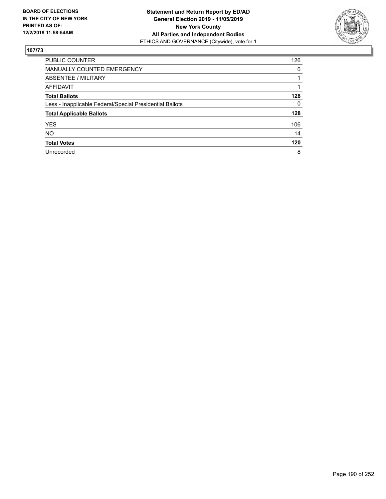

| <b>PUBLIC COUNTER</b>                                    | 126      |
|----------------------------------------------------------|----------|
| <b>MANUALLY COUNTED EMERGENCY</b>                        | $\Omega$ |
| ABSENTEE / MILITARY                                      |          |
| AFFIDAVIT                                                |          |
| <b>Total Ballots</b>                                     | 128      |
| Less - Inapplicable Federal/Special Presidential Ballots | $\Omega$ |
| <b>Total Applicable Ballots</b>                          | 128      |
| <b>YES</b>                                               | 106      |
| <b>NO</b>                                                | 14       |
| <b>Total Votes</b>                                       | 120      |
| Unrecorded                                               | 8        |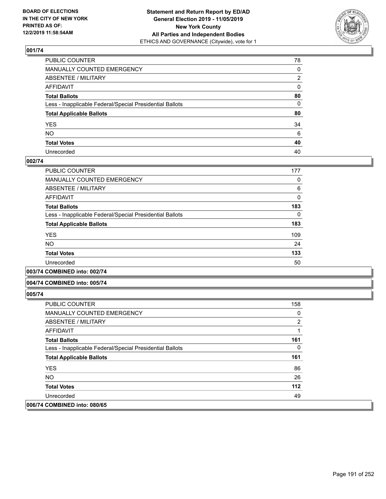

| PUBLIC COUNTER                                           | 78 |
|----------------------------------------------------------|----|
| MANUALLY COUNTED EMERGENCY                               | 0  |
| ABSENTEE / MILITARY                                      | 2  |
| AFFIDAVIT                                                | 0  |
| Total Ballots                                            | 80 |
| Less - Inapplicable Federal/Special Presidential Ballots | 0  |
| <b>Total Applicable Ballots</b>                          | 80 |
| YES                                                      | 34 |
| NO.                                                      | 6  |
| <b>Total Votes</b>                                       | 40 |
| Unrecorded                                               | 40 |

### **002/74**

| <b>PUBLIC COUNTER</b>                                    | 177 |
|----------------------------------------------------------|-----|
| <b>MANUALLY COUNTED EMERGENCY</b>                        | 0   |
| ABSENTEE / MILITARY                                      | 6   |
| AFFIDAVIT                                                | 0   |
| <b>Total Ballots</b>                                     | 183 |
| Less - Inapplicable Federal/Special Presidential Ballots | 0   |
| <b>Total Applicable Ballots</b>                          | 183 |
| <b>YES</b>                                               | 109 |
| <b>NO</b>                                                | 24  |
| <b>Total Votes</b>                                       | 133 |
| Unrecorded                                               | 50  |
|                                                          |     |

**003/74 COMBINED into: 002/74**

### **004/74 COMBINED into: 005/74**

| <b>PUBLIC COUNTER</b>                                    | 158 |
|----------------------------------------------------------|-----|
| <b>MANUALLY COUNTED EMERGENCY</b>                        | 0   |
| ABSENTEE / MILITARY                                      | 2   |
| AFFIDAVIT                                                |     |
| <b>Total Ballots</b>                                     | 161 |
| Less - Inapplicable Federal/Special Presidential Ballots | 0   |
| <b>Total Applicable Ballots</b>                          | 161 |
| <b>YES</b>                                               | 86  |
| NO.                                                      | 26  |
| <b>Total Votes</b>                                       | 112 |
| Unrecorded                                               | 49  |
| 006/74 COMBINED into: 080/65                             |     |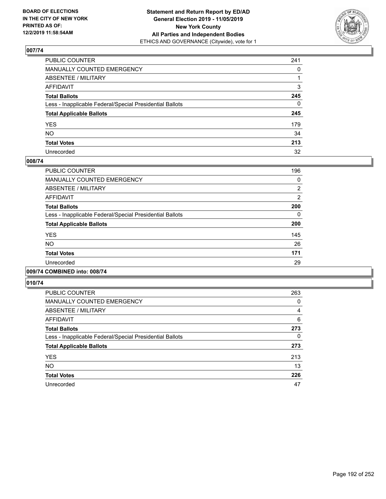

| PUBLIC COUNTER                                           | 241          |
|----------------------------------------------------------|--------------|
| MANUALLY COUNTED EMERGENCY                               | $\mathbf{0}$ |
| ABSENTEE / MILITARY                                      |              |
| AFFIDAVIT                                                | 3            |
| Total Ballots                                            | 245          |
| Less - Inapplicable Federal/Special Presidential Ballots | $\mathbf{0}$ |
| <b>Total Applicable Ballots</b>                          | 245          |
| YES                                                      | 179          |
| NO.                                                      | 34           |
| <b>Total Votes</b>                                       | 213          |
| Unrecorded                                               | 32           |

### **008/74**

| <b>PUBLIC COUNTER</b>                                    | 196      |
|----------------------------------------------------------|----------|
| <b>MANUALLY COUNTED EMERGENCY</b>                        | 0        |
| ABSENTEE / MILITARY                                      | 2        |
| <b>AFFIDAVIT</b>                                         | 2        |
| <b>Total Ballots</b>                                     | 200      |
| Less - Inapplicable Federal/Special Presidential Ballots | $\Omega$ |
| <b>Total Applicable Ballots</b>                          | 200      |
| <b>YES</b>                                               | 145      |
| NO.                                                      | 26       |
| <b>Total Votes</b>                                       | 171      |
| Unrecorded                                               | 29       |
|                                                          |          |

# **009/74 COMBINED into: 008/74**

| <b>PUBLIC COUNTER</b>                                    | 263      |
|----------------------------------------------------------|----------|
| <b>MANUALLY COUNTED EMERGENCY</b>                        | 0        |
| ABSENTEE / MILITARY                                      | 4        |
| AFFIDAVIT                                                | 6        |
| <b>Total Ballots</b>                                     | 273      |
| Less - Inapplicable Federal/Special Presidential Ballots | $\Omega$ |
| <b>Total Applicable Ballots</b>                          | 273      |
| <b>YES</b>                                               | 213      |
| <b>NO</b>                                                | 13       |
| <b>Total Votes</b>                                       | 226      |
| Unrecorded                                               | 47       |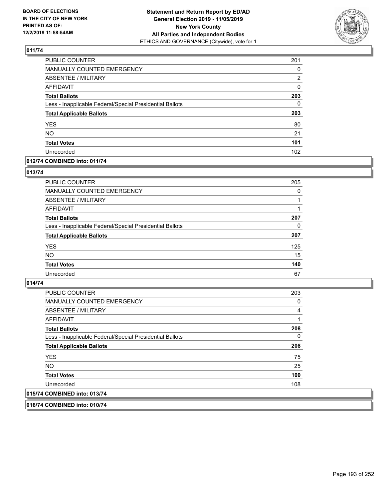

| PUBLIC COUNTER                                           | 201      |
|----------------------------------------------------------|----------|
| <b>MANUALLY COUNTED EMERGENCY</b>                        | $\Omega$ |
| <b>ABSENTEE / MILITARY</b>                               | 2        |
| <b>AFFIDAVIT</b>                                         | 0        |
| <b>Total Ballots</b>                                     | 203      |
| Less - Inapplicable Federal/Special Presidential Ballots | $\Omega$ |
| <b>Total Applicable Ballots</b>                          | 203      |
| <b>YES</b>                                               | 80       |
| <b>NO</b>                                                | 21       |
| <b>Total Votes</b>                                       | 101      |
| Unrecorded                                               | 102      |

### **012/74 COMBINED into: 011/74**

### **013/74**

| PUBLIC COUNTER                                           | 205 |
|----------------------------------------------------------|-----|
| <b>MANUALLY COUNTED EMERGENCY</b>                        | 0   |
| ABSENTEE / MILITARY                                      |     |
| AFFIDAVIT                                                |     |
| <b>Total Ballots</b>                                     | 207 |
| Less - Inapplicable Federal/Special Presidential Ballots | 0   |
| <b>Total Applicable Ballots</b>                          | 207 |
| <b>YES</b>                                               | 125 |
| <b>NO</b>                                                | 15  |
| <b>Total Votes</b>                                       | 140 |
| Unrecorded                                               | 67  |

### **014/74**

| <b>PUBLIC COUNTER</b>                                    | 203 |
|----------------------------------------------------------|-----|
| MANUALLY COUNTED EMERGENCY                               | 0   |
| ABSENTEE / MILITARY                                      | 4   |
| <b>AFFIDAVIT</b>                                         |     |
| <b>Total Ballots</b>                                     | 208 |
| Less - Inapplicable Federal/Special Presidential Ballots | 0   |
| <b>Total Applicable Ballots</b>                          | 208 |
| <b>YES</b>                                               | 75  |
| NO.                                                      | 25  |
| <b>Total Votes</b>                                       | 100 |
| Unrecorded                                               | 108 |
| 015/74 COMBINED into: 013/74                             |     |

**016/74 COMBINED into: 010/74**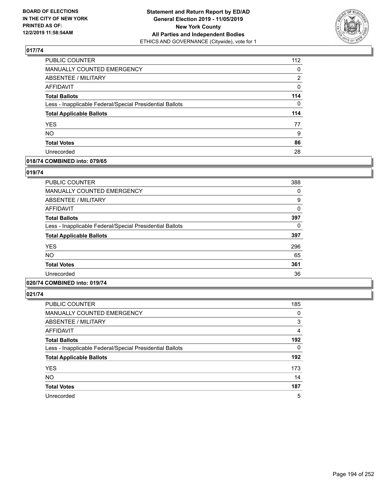

| PUBLIC COUNTER                                           | 112          |
|----------------------------------------------------------|--------------|
| MANUALLY COUNTED EMERGENCY                               | $\mathbf{0}$ |
| ABSENTEE / MILITARY                                      | 2            |
| <b>AFFIDAVIT</b>                                         | 0            |
| <b>Total Ballots</b>                                     | 114          |
| Less - Inapplicable Federal/Special Presidential Ballots | $\Omega$     |
| <b>Total Applicable Ballots</b>                          | 114          |
| <b>YES</b>                                               | 77           |
| <b>NO</b>                                                | 9            |
| <b>Total Votes</b>                                       | 86           |
| Unrecorded                                               | 28           |

### **018/74 COMBINED into: 079/65**

### **019/74**

| <b>PUBLIC COUNTER</b>                                    | 388 |
|----------------------------------------------------------|-----|
| MANUALLY COUNTED EMERGENCY                               | 0   |
| ABSENTEE / MILITARY                                      | 9   |
| AFFIDAVIT                                                | 0   |
| <b>Total Ballots</b>                                     | 397 |
| Less - Inapplicable Federal/Special Presidential Ballots | 0   |
| <b>Total Applicable Ballots</b>                          | 397 |
| <b>YES</b>                                               | 296 |
| <b>NO</b>                                                | 65  |
| <b>Total Votes</b>                                       | 361 |
| Unrecorded                                               | 36  |
|                                                          |     |

## **020/74 COMBINED into: 019/74**

| <b>PUBLIC COUNTER</b>                                    | 185      |
|----------------------------------------------------------|----------|
| <b>MANUALLY COUNTED EMERGENCY</b>                        | 0        |
| <b>ABSENTEE / MILITARY</b>                               | 3        |
| <b>AFFIDAVIT</b>                                         | 4        |
| <b>Total Ballots</b>                                     | 192      |
| Less - Inapplicable Federal/Special Presidential Ballots | $\Omega$ |
| <b>Total Applicable Ballots</b>                          | 192      |
| <b>YES</b>                                               | 173      |
| <b>NO</b>                                                | 14       |
| <b>Total Votes</b>                                       | 187      |
| Unrecorded                                               | 5        |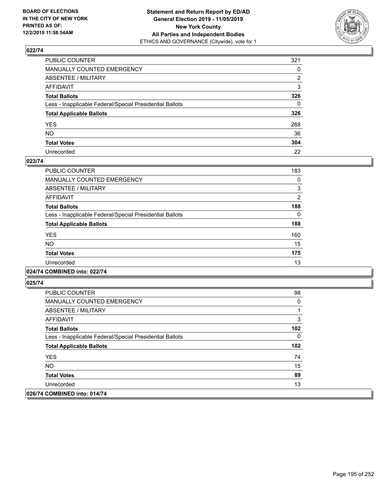

| PUBLIC COUNTER                                           | 321          |
|----------------------------------------------------------|--------------|
| MANUALLY COUNTED EMERGENCY                               | $\mathbf{0}$ |
| ABSENTEE / MILITARY                                      | 2            |
| AFFIDAVIT                                                | 3            |
| Total Ballots                                            | 326          |
| Less - Inapplicable Federal/Special Presidential Ballots | $\Omega$     |
| <b>Total Applicable Ballots</b>                          | 326          |
| YES                                                      | 268          |
| NO.                                                      | 36           |
| <b>Total Votes</b>                                       | 304          |
| Unrecorded                                               | 22           |

### **023/74**

| <b>PUBLIC COUNTER</b>                                    | 183      |
|----------------------------------------------------------|----------|
| MANUALLY COUNTED EMERGENCY                               | 0        |
| ABSENTEE / MILITARY                                      | 3        |
| <b>AFFIDAVIT</b>                                         | 2        |
| <b>Total Ballots</b>                                     | 188      |
| Less - Inapplicable Federal/Special Presidential Ballots | $\Omega$ |
| <b>Total Applicable Ballots</b>                          | 188      |
| <b>YES</b>                                               | 160      |
| <b>NO</b>                                                | 15       |
| <b>Total Votes</b>                                       | 175      |
| Unrecorded                                               | 13       |
|                                                          |          |

### **024/74 COMBINED into: 022/74**

| <b>PUBLIC COUNTER</b>                                    | 98  |
|----------------------------------------------------------|-----|
| <b>MANUALLY COUNTED EMERGENCY</b>                        | 0   |
| ABSENTEE / MILITARY                                      |     |
| AFFIDAVIT                                                | 3   |
| <b>Total Ballots</b>                                     | 102 |
| Less - Inapplicable Federal/Special Presidential Ballots | 0   |
| <b>Total Applicable Ballots</b>                          | 102 |
| <b>YES</b>                                               | 74  |
| NO.                                                      | 15  |
| <b>Total Votes</b>                                       | 89  |
| Unrecorded                                               | 13  |
| 026/74 COMBINED into: 014/74                             |     |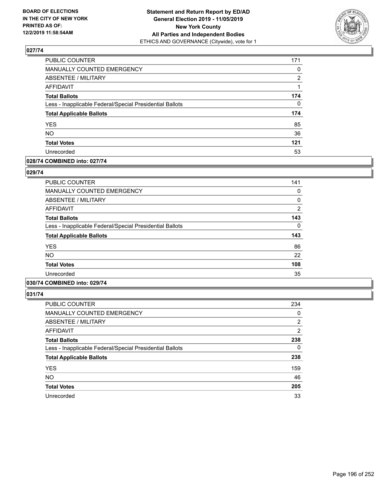

| PUBLIC COUNTER                                           | 171      |
|----------------------------------------------------------|----------|
| <b>MANUALLY COUNTED EMERGENCY</b>                        | 0        |
| <b>ABSENTEE / MILITARY</b>                               | 2        |
| <b>AFFIDAVIT</b>                                         | 1        |
| <b>Total Ballots</b>                                     | 174      |
| Less - Inapplicable Federal/Special Presidential Ballots | $\Omega$ |
| <b>Total Applicable Ballots</b>                          | 174      |
| <b>YES</b>                                               | 85       |
| <b>NO</b>                                                | 36       |
| <b>Total Votes</b>                                       | 121      |
| Unrecorded                                               | 53       |

### **028/74 COMBINED into: 027/74**

#### **029/74**

| <b>PUBLIC COUNTER</b>                                    | 141            |
|----------------------------------------------------------|----------------|
| <b>MANUALLY COUNTED EMERGENCY</b>                        | 0              |
| ABSENTEE / MILITARY                                      | 0              |
| <b>AFFIDAVIT</b>                                         | $\overline{2}$ |
| <b>Total Ballots</b>                                     | 143            |
| Less - Inapplicable Federal/Special Presidential Ballots | 0              |
| <b>Total Applicable Ballots</b>                          | 143            |
| <b>YES</b>                                               | 86             |
| <b>NO</b>                                                | 22             |
| <b>Total Votes</b>                                       | 108            |
| Unrecorded                                               | 35             |
|                                                          |                |

# **030/74 COMBINED into: 029/74**

| <b>PUBLIC COUNTER</b>                                    | 234      |
|----------------------------------------------------------|----------|
| MANUALLY COUNTED EMERGENCY                               | 0        |
| ABSENTEE / MILITARY                                      | 2        |
| AFFIDAVIT                                                | 2        |
| <b>Total Ballots</b>                                     | 238      |
| Less - Inapplicable Federal/Special Presidential Ballots | $\Omega$ |
| <b>Total Applicable Ballots</b>                          | 238      |
| <b>YES</b>                                               | 159      |
| <b>NO</b>                                                | 46       |
| <b>Total Votes</b>                                       | 205      |
| Unrecorded                                               | 33       |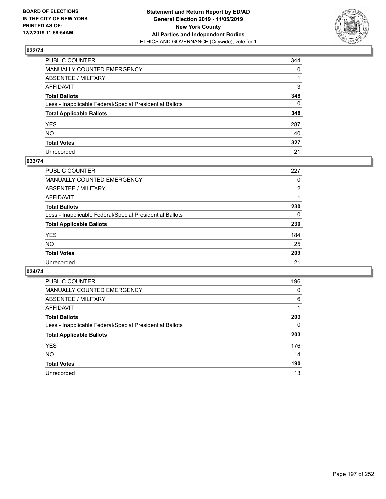

| PUBLIC COUNTER                                           | 344          |
|----------------------------------------------------------|--------------|
| MANUALLY COUNTED EMERGENCY                               | $\mathbf{0}$ |
| ABSENTEE / MILITARY                                      |              |
| AFFIDAVIT                                                | 3            |
| Total Ballots                                            | 348          |
| Less - Inapplicable Federal/Special Presidential Ballots | $\mathbf{0}$ |
| <b>Total Applicable Ballots</b>                          | 348          |
| YES                                                      | 287          |
| NO.                                                      | 40           |
| <b>Total Votes</b>                                       | 327          |
| Unrecorded                                               | 21           |

### **033/74**

| PUBLIC COUNTER                                           | 227            |
|----------------------------------------------------------|----------------|
| MANUALLY COUNTED EMERGENCY                               | 0              |
| ABSENTEE / MILITARY                                      | $\overline{2}$ |
| AFFIDAVIT                                                |                |
| <b>Total Ballots</b>                                     | 230            |
| Less - Inapplicable Federal/Special Presidential Ballots | $\Omega$       |
| <b>Total Applicable Ballots</b>                          | 230            |
| <b>YES</b>                                               | 184            |
| <b>NO</b>                                                | 25             |
| <b>Total Votes</b>                                       | 209            |
| Unrecorded                                               | 21             |

| PUBLIC COUNTER                                           | 196      |
|----------------------------------------------------------|----------|
| <b>MANUALLY COUNTED EMERGENCY</b>                        | $\Omega$ |
| ABSENTEE / MILITARY                                      | 6        |
| AFFIDAVIT                                                |          |
| <b>Total Ballots</b>                                     | 203      |
| Less - Inapplicable Federal/Special Presidential Ballots | $\Omega$ |
| <b>Total Applicable Ballots</b>                          | 203      |
| <b>YES</b>                                               | 176      |
| <b>NO</b>                                                | 14       |
| <b>Total Votes</b>                                       | 190      |
| Unrecorded                                               | 13       |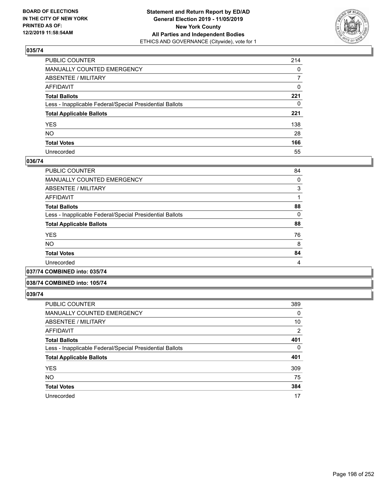

| PUBLIC COUNTER                                           | 214            |
|----------------------------------------------------------|----------------|
| MANUALLY COUNTED EMERGENCY                               | $\mathbf{0}$   |
| ABSENTEE / MILITARY                                      | $\overline{7}$ |
| AFFIDAVIT                                                | 0              |
| Total Ballots                                            | 221            |
| Less - Inapplicable Federal/Special Presidential Ballots | $\mathbf{0}$   |
| <b>Total Applicable Ballots</b>                          | 221            |
| YES                                                      | 138            |
| NO.                                                      | 28             |
| <b>Total Votes</b>                                       | 166            |
| Unrecorded                                               | 55             |

### **036/74**

| <b>PUBLIC COUNTER</b>                                    | 84 |
|----------------------------------------------------------|----|
| <b>MANUALLY COUNTED EMERGENCY</b>                        | 0  |
| ABSENTEE / MILITARY                                      | 3  |
| AFFIDAVIT                                                |    |
| <b>Total Ballots</b>                                     | 88 |
| Less - Inapplicable Federal/Special Presidential Ballots | 0  |
| <b>Total Applicable Ballots</b>                          | 88 |
| <b>YES</b>                                               | 76 |
| <b>NO</b>                                                | 8  |
| <b>Total Votes</b>                                       | 84 |
| Unrecorded                                               | 4  |
| A                                                        |    |

# **037/74 COMBINED into: 035/74**

### **038/74 COMBINED into: 105/74**

| <b>PUBLIC COUNTER</b>                                    | 389      |
|----------------------------------------------------------|----------|
| <b>MANUALLY COUNTED EMERGENCY</b>                        | 0        |
| ABSENTEE / MILITARY                                      | 10       |
| <b>AFFIDAVIT</b>                                         | 2        |
| <b>Total Ballots</b>                                     | 401      |
| Less - Inapplicable Federal/Special Presidential Ballots | $\Omega$ |
| <b>Total Applicable Ballots</b>                          | 401      |
| <b>YES</b>                                               | 309      |
| <b>NO</b>                                                | 75       |
| <b>Total Votes</b>                                       | 384      |
| Unrecorded                                               | 17       |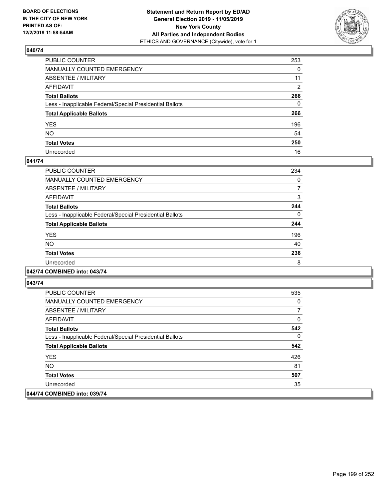

| PUBLIC COUNTER                                           | 253      |
|----------------------------------------------------------|----------|
| MANUALLY COUNTED EMERGENCY                               | $\Omega$ |
| ABSENTEE / MILITARY                                      | 11       |
| AFFIDAVIT                                                | 2        |
| Total Ballots                                            | 266      |
| Less - Inapplicable Federal/Special Presidential Ballots | $\Omega$ |
| <b>Total Applicable Ballots</b>                          | 266      |
| YES                                                      | 196      |
| NO.                                                      | 54       |
| <b>Total Votes</b>                                       | 250      |
| Unrecorded                                               | 16       |

### **041/74**

| <b>PUBLIC COUNTER</b>                                    | 234      |
|----------------------------------------------------------|----------|
| <b>MANUALLY COUNTED EMERGENCY</b>                        | 0        |
| ABSENTEE / MILITARY                                      |          |
| <b>AFFIDAVIT</b>                                         | 3        |
| <b>Total Ballots</b>                                     | 244      |
| Less - Inapplicable Federal/Special Presidential Ballots | $\Omega$ |
| <b>Total Applicable Ballots</b>                          | 244      |
| <b>YES</b>                                               | 196      |
| <b>NO</b>                                                | 40       |
| <b>Total Votes</b>                                       | 236      |
| Unrecorded                                               | 8        |
|                                                          |          |

### **042/74 COMBINED into: 043/74**

| <b>PUBLIC COUNTER</b>                                    | 535 |
|----------------------------------------------------------|-----|
| <b>MANUALLY COUNTED EMERGENCY</b>                        | 0   |
| ABSENTEE / MILITARY                                      |     |
| AFFIDAVIT                                                | 0   |
| <b>Total Ballots</b>                                     | 542 |
| Less - Inapplicable Federal/Special Presidential Ballots | 0   |
| <b>Total Applicable Ballots</b>                          | 542 |
| <b>YES</b>                                               | 426 |
| NO.                                                      | 81  |
| <b>Total Votes</b>                                       | 507 |
| Unrecorded                                               | 35  |
| 044/74 COMBINED into: 039/74                             |     |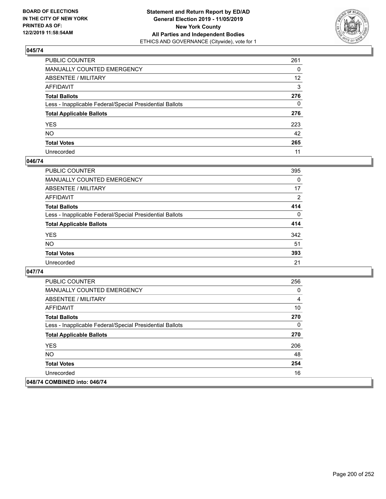

| PUBLIC COUNTER                                           | 261               |
|----------------------------------------------------------|-------------------|
| MANUALLY COUNTED EMERGENCY                               | 0                 |
| ABSENTEE / MILITARY                                      | $12 \overline{ }$ |
| AFFIDAVIT                                                | 3                 |
| Total Ballots                                            | 276               |
| Less - Inapplicable Federal/Special Presidential Ballots | 0                 |
| <b>Total Applicable Ballots</b>                          | 276               |
| YES                                                      | 223               |
| NO.                                                      | 42                |
| <b>Total Votes</b>                                       | 265               |
| Unrecorded                                               | 11                |

### **046/74**

| <b>PUBLIC COUNTER</b>                                    | 395            |
|----------------------------------------------------------|----------------|
| <b>MANUALLY COUNTED EMERGENCY</b>                        | $\Omega$       |
| ABSENTEE / MILITARY                                      | 17             |
| <b>AFFIDAVIT</b>                                         | $\overline{2}$ |
| <b>Total Ballots</b>                                     | 414            |
| Less - Inapplicable Federal/Special Presidential Ballots | $\Omega$       |
| <b>Total Applicable Ballots</b>                          | 414            |
| <b>YES</b>                                               | 342            |
| <b>NO</b>                                                | 51             |
| <b>Total Votes</b>                                       | 393            |
| Unrecorded                                               | 21             |

| <b>PUBLIC COUNTER</b>                                    | 256 |
|----------------------------------------------------------|-----|
| <b>MANUALLY COUNTED EMERGENCY</b>                        | 0   |
| ABSENTEE / MILITARY                                      | 4   |
| <b>AFFIDAVIT</b>                                         | 10  |
| <b>Total Ballots</b>                                     | 270 |
| Less - Inapplicable Federal/Special Presidential Ballots | 0   |
| <b>Total Applicable Ballots</b>                          | 270 |
| <b>YES</b>                                               | 206 |
| NO.                                                      | 48  |
| <b>Total Votes</b>                                       | 254 |
| Unrecorded                                               | 16  |
| 048/74 COMBINED into: 046/74                             |     |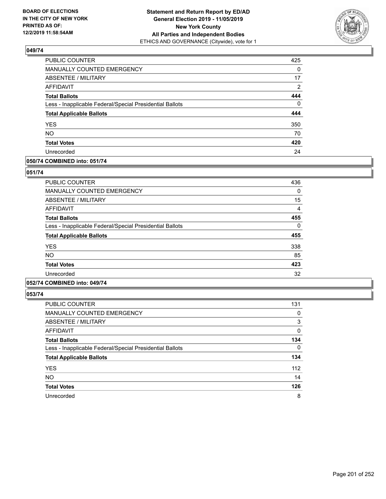

| PUBLIC COUNTER                                           | 425          |
|----------------------------------------------------------|--------------|
| <b>MANUALLY COUNTED EMERGENCY</b>                        | $\mathbf{0}$ |
| <b>ABSENTEE / MILITARY</b>                               | 17           |
| <b>AFFIDAVIT</b>                                         | 2            |
| <b>Total Ballots</b>                                     | 444          |
| Less - Inapplicable Federal/Special Presidential Ballots | $\Omega$     |
| <b>Total Applicable Ballots</b>                          | 444          |
| <b>YES</b>                                               | 350          |
| <b>NO</b>                                                | 70           |
| <b>Total Votes</b>                                       | 420          |
| Unrecorded                                               | 24           |

### **050/74 COMBINED into: 051/74**

### **051/74**

| <b>PUBLIC COUNTER</b>                                    | 436 |
|----------------------------------------------------------|-----|
| <b>MANUALLY COUNTED EMERGENCY</b>                        | 0   |
| <b>ABSENTEE / MILITARY</b>                               | 15  |
| <b>AFFIDAVIT</b>                                         | 4   |
| <b>Total Ballots</b>                                     | 455 |
| Less - Inapplicable Federal/Special Presidential Ballots | 0   |
| <b>Total Applicable Ballots</b>                          | 455 |
| <b>YES</b>                                               | 338 |
| <b>NO</b>                                                | 85  |
| <b>Total Votes</b>                                       | 423 |
| Unrecorded                                               | 32  |
|                                                          |     |

### **052/74 COMBINED into: 049/74**

| <b>PUBLIC COUNTER</b>                                    | 131      |
|----------------------------------------------------------|----------|
| <b>MANUALLY COUNTED EMERGENCY</b>                        | 0        |
| ABSENTEE / MILITARY                                      | 3        |
| AFFIDAVIT                                                | 0        |
| <b>Total Ballots</b>                                     | 134      |
| Less - Inapplicable Federal/Special Presidential Ballots | $\Omega$ |
| <b>Total Applicable Ballots</b>                          | 134      |
| <b>YES</b>                                               | 112      |
| <b>NO</b>                                                | 14       |
| <b>Total Votes</b>                                       | 126      |
| Unrecorded                                               | 8        |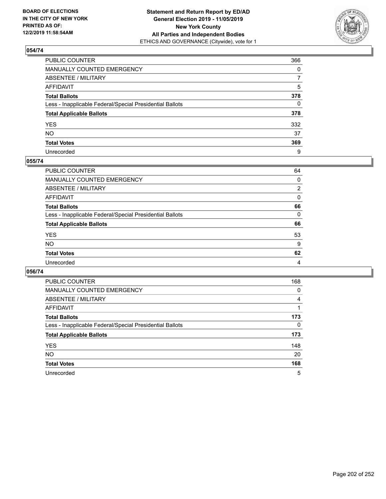

| PUBLIC COUNTER                                           | 366          |
|----------------------------------------------------------|--------------|
| MANUALLY COUNTED EMERGENCY                               | $\mathbf{0}$ |
| ABSENTEE / MILITARY                                      | 7            |
| AFFIDAVIT                                                | 5            |
| Total Ballots                                            | 378          |
| Less - Inapplicable Federal/Special Presidential Ballots | $\Omega$     |
| <b>Total Applicable Ballots</b>                          | 378          |
| YES                                                      | 332          |
| NO.                                                      | 37           |
| <b>Total Votes</b>                                       | 369          |
| Unrecorded                                               | 9            |

### **055/74**

| <b>PUBLIC COUNTER</b>                                    | 64       |
|----------------------------------------------------------|----------|
| <b>MANUALLY COUNTED EMERGENCY</b>                        | 0        |
| ABSENTEE / MILITARY                                      | 2        |
| AFFIDAVIT                                                | 0        |
| <b>Total Ballots</b>                                     | 66       |
| Less - Inapplicable Federal/Special Presidential Ballots | $\Omega$ |
| <b>Total Applicable Ballots</b>                          | 66       |
| <b>YES</b>                                               | 53       |
| <b>NO</b>                                                | 9        |
| <b>Total Votes</b>                                       | 62       |
| Unrecorded                                               | 4        |

| <b>PUBLIC COUNTER</b>                                    | 168      |
|----------------------------------------------------------|----------|
| <b>MANUALLY COUNTED EMERGENCY</b>                        | 0        |
| ABSENTEE / MILITARY                                      | 4        |
| AFFIDAVIT                                                |          |
| <b>Total Ballots</b>                                     | 173      |
| Less - Inapplicable Federal/Special Presidential Ballots | $\Omega$ |
| <b>Total Applicable Ballots</b>                          | 173      |
| <b>YES</b>                                               | 148      |
| <b>NO</b>                                                | 20       |
| <b>Total Votes</b>                                       | 168      |
| Unrecorded                                               | 5        |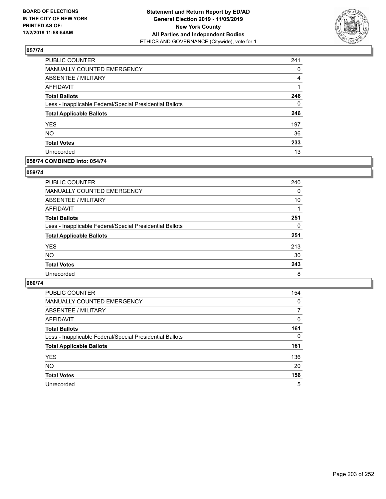

| <b>PUBLIC COUNTER</b>                                    | 241 |
|----------------------------------------------------------|-----|
| MANUALLY COUNTED EMERGENCY                               | 0   |
| ABSENTEE / MILITARY                                      | 4   |
| <b>AFFIDAVIT</b>                                         | 1   |
| <b>Total Ballots</b>                                     | 246 |
| Less - Inapplicable Federal/Special Presidential Ballots | 0   |
| <b>Total Applicable Ballots</b>                          | 246 |
| <b>YES</b>                                               | 197 |
| <b>NO</b>                                                | 36  |
| <b>Total Votes</b>                                       | 233 |
| Unrecorded                                               | 13  |

### **058/74 COMBINED into: 054/74**

### **059/74**

| PUBLIC COUNTER                                           | 240      |
|----------------------------------------------------------|----------|
| <b>MANUALLY COUNTED EMERGENCY</b>                        | 0        |
| ABSENTEE / MILITARY                                      | 10       |
| AFFIDAVIT                                                |          |
| <b>Total Ballots</b>                                     | 251      |
| Less - Inapplicable Federal/Special Presidential Ballots | $\Omega$ |
| <b>Total Applicable Ballots</b>                          | 251      |
| <b>YES</b>                                               | 213      |
| <b>NO</b>                                                | 30       |
| <b>Total Votes</b>                                       | 243      |
| Unrecorded                                               | 8        |

| <b>PUBLIC COUNTER</b>                                    | 154      |
|----------------------------------------------------------|----------|
| MANUALLY COUNTED EMERGENCY                               | $\Omega$ |
| ABSENTEE / MILITARY                                      | 7        |
| AFFIDAVIT                                                | $\Omega$ |
| <b>Total Ballots</b>                                     | 161      |
| Less - Inapplicable Federal/Special Presidential Ballots | $\Omega$ |
| <b>Total Applicable Ballots</b>                          | 161      |
| <b>YES</b>                                               | 136      |
| <b>NO</b>                                                | 20       |
| <b>Total Votes</b>                                       | 156      |
| Unrecorded                                               | 5        |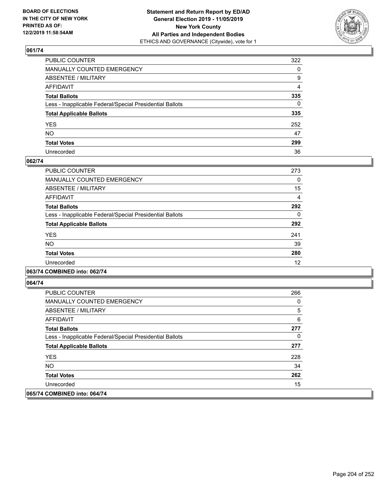

| PUBLIC COUNTER                                           | 322          |
|----------------------------------------------------------|--------------|
| MANUALLY COUNTED EMERGENCY                               | $\mathbf{0}$ |
| ABSENTEE / MILITARY                                      | 9            |
| AFFIDAVIT                                                | 4            |
| Total Ballots                                            | 335          |
| Less - Inapplicable Federal/Special Presidential Ballots | $\Omega$     |
| <b>Total Applicable Ballots</b>                          | 335          |
| YES                                                      | 252          |
| NO.                                                      | 47           |
| <b>Total Votes</b>                                       | 299          |
| Unrecorded                                               | 36           |

### **062/74**

| <b>PUBLIC COUNTER</b>                                    | 273      |
|----------------------------------------------------------|----------|
| <b>MANUALLY COUNTED EMERGENCY</b>                        | 0        |
| ABSENTEE / MILITARY                                      | 15       |
| <b>AFFIDAVIT</b>                                         | 4        |
| <b>Total Ballots</b>                                     | 292      |
| Less - Inapplicable Federal/Special Presidential Ballots | $\Omega$ |
| <b>Total Applicable Ballots</b>                          | 292      |
| <b>YES</b>                                               | 241      |
| NO.                                                      | 39       |
| <b>Total Votes</b>                                       | 280      |
| Unrecorded                                               | 12       |

### **063/74 COMBINED into: 062/74**

| <b>PUBLIC COUNTER</b>                                    | 266 |
|----------------------------------------------------------|-----|
| <b>MANUALLY COUNTED EMERGENCY</b>                        | 0   |
| ABSENTEE / MILITARY                                      | 5   |
| AFFIDAVIT                                                | 6   |
| <b>Total Ballots</b>                                     | 277 |
| Less - Inapplicable Federal/Special Presidential Ballots | 0   |
| <b>Total Applicable Ballots</b>                          | 277 |
| <b>YES</b>                                               | 228 |
| NO.                                                      | 34  |
| <b>Total Votes</b>                                       | 262 |
| Unrecorded                                               | 15  |
| 065/74 COMBINED into: 064/74                             |     |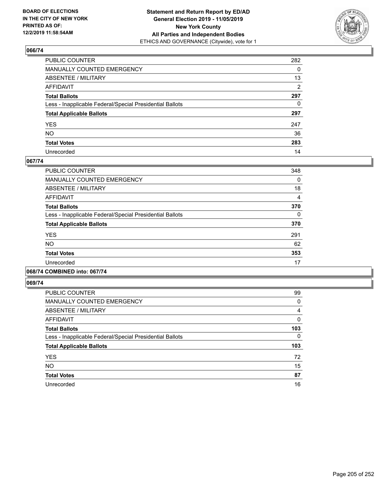

| PUBLIC COUNTER                                           | 282          |
|----------------------------------------------------------|--------------|
| MANUALLY COUNTED EMERGENCY                               | $\mathbf{0}$ |
| ABSENTEE / MILITARY                                      | 13           |
| AFFIDAVIT                                                | 2            |
| Total Ballots                                            | 297          |
| Less - Inapplicable Federal/Special Presidential Ballots | $\mathbf{0}$ |
| <b>Total Applicable Ballots</b>                          | 297          |
| YES                                                      | 247          |
| NO.                                                      | 36           |
| <b>Total Votes</b>                                       | 283          |
| Unrecorded                                               | 14           |

### **067/74**

| PUBLIC COUNTER                                           | 348      |
|----------------------------------------------------------|----------|
| <b>MANUALLY COUNTED EMERGENCY</b>                        | 0        |
| ABSENTEE / MILITARY                                      | 18       |
| <b>AFFIDAVIT</b>                                         | 4        |
| <b>Total Ballots</b>                                     | 370      |
| Less - Inapplicable Federal/Special Presidential Ballots | $\Omega$ |
| <b>Total Applicable Ballots</b>                          | 370      |
| <b>YES</b>                                               | 291      |
| <b>NO</b>                                                | 62       |
| <b>Total Votes</b>                                       | 353      |
| Unrecorded                                               | 17       |
|                                                          |          |

### **068/74 COMBINED into: 067/74**

| <b>PUBLIC COUNTER</b>                                    | 99       |
|----------------------------------------------------------|----------|
| <b>MANUALLY COUNTED EMERGENCY</b>                        | $\Omega$ |
| ABSENTEE / MILITARY                                      | 4        |
| <b>AFFIDAVIT</b>                                         | $\Omega$ |
| <b>Total Ballots</b>                                     | 103      |
| Less - Inapplicable Federal/Special Presidential Ballots | $\Omega$ |
| <b>Total Applicable Ballots</b>                          | 103      |
| <b>YES</b>                                               | 72       |
| <b>NO</b>                                                | 15       |
| <b>Total Votes</b>                                       | 87       |
| Unrecorded                                               | 16       |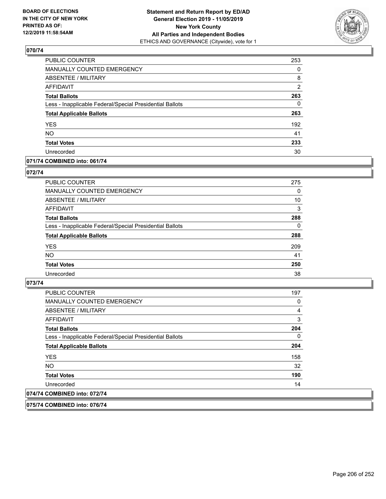

| PUBLIC COUNTER                                           | 253            |
|----------------------------------------------------------|----------------|
| MANUALLY COUNTED EMERGENCY                               | $\Omega$       |
| <b>ABSENTEE / MILITARY</b>                               | 8              |
| <b>AFFIDAVIT</b>                                         | $\overline{2}$ |
| <b>Total Ballots</b>                                     | 263            |
| Less - Inapplicable Federal/Special Presidential Ballots | $\Omega$       |
| <b>Total Applicable Ballots</b>                          | 263            |
| <b>YES</b>                                               | 192            |
| <b>NO</b>                                                | 41             |
| <b>Total Votes</b>                                       | 233            |
| Unrecorded                                               | 30             |

### **071/74 COMBINED into: 061/74**

#### **072/74**

| <b>PUBLIC COUNTER</b>                                    | 275      |
|----------------------------------------------------------|----------|
| MANUALLY COUNTED EMERGENCY                               | 0        |
| <b>ABSENTEE / MILITARY</b>                               | 10       |
| AFFIDAVIT                                                | 3        |
| <b>Total Ballots</b>                                     | 288      |
| Less - Inapplicable Federal/Special Presidential Ballots | $\Omega$ |
| <b>Total Applicable Ballots</b>                          | 288      |
| <b>YES</b>                                               | 209      |
| <b>NO</b>                                                | 41       |
| <b>Total Votes</b>                                       | 250      |
| Unrecorded                                               | 38       |
|                                                          |          |

### **073/74**

| PUBLIC COUNTER                                           | 197 |
|----------------------------------------------------------|-----|
| MANUALLY COUNTED EMERGENCY                               | 0   |
| ABSENTEE / MILITARY                                      | 4   |
| <b>AFFIDAVIT</b>                                         | 3   |
| <b>Total Ballots</b>                                     | 204 |
| Less - Inapplicable Federal/Special Presidential Ballots | 0   |
| <b>Total Applicable Ballots</b>                          | 204 |
| <b>YES</b>                                               | 158 |
| NO.                                                      | 32  |
| <b>Total Votes</b>                                       | 190 |
| Unrecorded                                               | 14  |
| 074/74 COMBINED into: 072/74                             |     |

**075/74 COMBINED into: 076/74**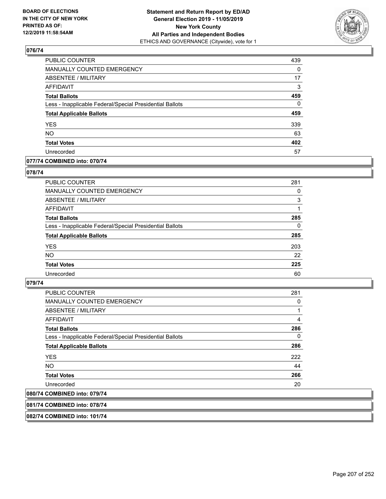

| PUBLIC COUNTER                                           | 439      |
|----------------------------------------------------------|----------|
| MANUALLY COUNTED EMERGENCY                               | $\Omega$ |
| <b>ABSENTEE / MILITARY</b>                               | 17       |
| <b>AFFIDAVIT</b>                                         | 3        |
| <b>Total Ballots</b>                                     | 459      |
| Less - Inapplicable Federal/Special Presidential Ballots | $\Omega$ |
| <b>Total Applicable Ballots</b>                          | 459      |
| <b>YES</b>                                               | 339      |
| <b>NO</b>                                                | 63       |
| <b>Total Votes</b>                                       | 402      |
| Unrecorded                                               | 57       |

### **077/74 COMBINED into: 070/74**

#### **078/74**

| <b>PUBLIC COUNTER</b>                                    | 281 |
|----------------------------------------------------------|-----|
| <b>MANUALLY COUNTED EMERGENCY</b>                        | 0   |
| ABSENTEE / MILITARY                                      | 3   |
| AFFIDAVIT                                                |     |
| <b>Total Ballots</b>                                     | 285 |
| Less - Inapplicable Federal/Special Presidential Ballots | 0   |
| <b>Total Applicable Ballots</b>                          | 285 |
| <b>YES</b>                                               | 203 |
| <b>NO</b>                                                | 22  |
| <b>Total Votes</b>                                       | 225 |
| Unrecorded                                               | 60  |
|                                                          |     |

#### **079/74**

| <b>PUBLIC COUNTER</b>                                    | 281      |
|----------------------------------------------------------|----------|
| <b>MANUALLY COUNTED EMERGENCY</b>                        | $\Omega$ |
| ABSENTEE / MILITARY                                      |          |
| AFFIDAVIT                                                | 4        |
| <b>Total Ballots</b>                                     | 286      |
| Less - Inapplicable Federal/Special Presidential Ballots | $\Omega$ |
| <b>Total Applicable Ballots</b>                          | 286      |
| <b>YES</b>                                               | 222      |
| NO.                                                      | 44       |
| <b>Total Votes</b>                                       | 266      |
| Unrecorded                                               | 20       |
| 080/74 COMBINED into: 079/74                             |          |

**081/74 COMBINED into: 078/74**

**082/74 COMBINED into: 101/74**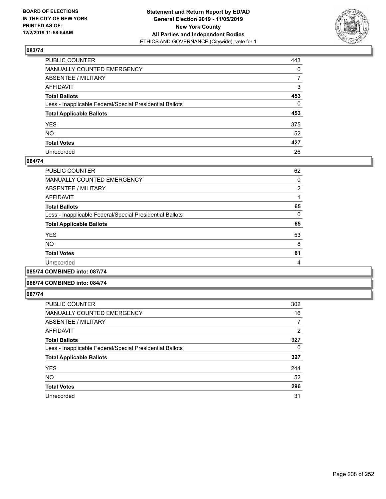

| PUBLIC COUNTER                                           | 443            |
|----------------------------------------------------------|----------------|
| MANUALLY COUNTED EMERGENCY                               | $\mathbf{0}$   |
| ABSENTEE / MILITARY                                      | $\overline{7}$ |
| AFFIDAVIT                                                | 3              |
| Total Ballots                                            | 453            |
| Less - Inapplicable Federal/Special Presidential Ballots | $\mathbf{0}$   |
| <b>Total Applicable Ballots</b>                          | 453            |
| YES                                                      | 375            |
| NO.                                                      | 52             |
| <b>Total Votes</b>                                       | 427            |
| Unrecorded                                               | 26             |

### **084/74**

| <b>PUBLIC COUNTER</b>                                    | 62             |
|----------------------------------------------------------|----------------|
| <b>MANUALLY COUNTED EMERGENCY</b>                        | 0              |
| ABSENTEE / MILITARY                                      | $\overline{2}$ |
| AFFIDAVIT                                                |                |
| <b>Total Ballots</b>                                     | 65             |
| Less - Inapplicable Federal/Special Presidential Ballots | 0              |
| <b>Total Applicable Ballots</b>                          | 65             |
| <b>YES</b>                                               | 53             |
| NO.                                                      | 8              |
| <b>Total Votes</b>                                       | 61             |
| Unrecorded                                               | 4              |
| 0.0110110000774                                          |                |

**085/74 COMBINED into: 087/74**

### **086/74 COMBINED into: 084/74**

| <b>PUBLIC COUNTER</b>                                    | 302      |
|----------------------------------------------------------|----------|
| <b>MANUALLY COUNTED EMERGENCY</b>                        | 16       |
| <b>ABSENTEE / MILITARY</b>                               | 7        |
| AFFIDAVIT                                                | 2        |
| <b>Total Ballots</b>                                     | 327      |
| Less - Inapplicable Federal/Special Presidential Ballots | $\Omega$ |
| <b>Total Applicable Ballots</b>                          | 327      |
| <b>YES</b>                                               | 244      |
| <b>NO</b>                                                | 52       |
| <b>Total Votes</b>                                       | 296      |
| Unrecorded                                               | 31       |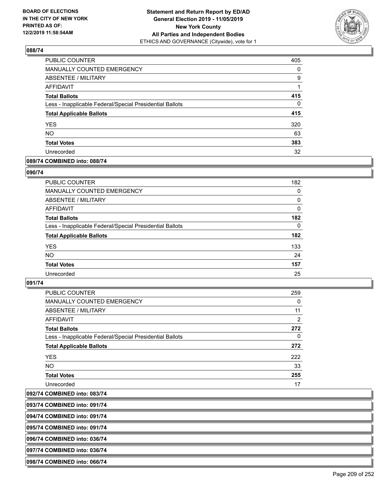

| PUBLIC COUNTER                                           | 405      |
|----------------------------------------------------------|----------|
| <b>MANUALLY COUNTED EMERGENCY</b>                        | $\Omega$ |
| ABSENTEE / MILITARY                                      | 9        |
| AFFIDAVIT                                                |          |
| <b>Total Ballots</b>                                     | 415      |
| Less - Inapplicable Federal/Special Presidential Ballots | $\Omega$ |
| <b>Total Applicable Ballots</b>                          | 415      |
| <b>YES</b>                                               | 320      |
| <b>NO</b>                                                | 63       |
| <b>Total Votes</b>                                       | 383      |
| Unrecorded                                               | 32       |

### **089/74 COMBINED into: 088/74**

#### **090/74**

| PUBLIC COUNTER                                           | 182      |
|----------------------------------------------------------|----------|
| <b>MANUALLY COUNTED EMERGENCY</b>                        | 0        |
| <b>ABSENTEE / MILITARY</b>                               | 0        |
| AFFIDAVIT                                                | 0        |
| <b>Total Ballots</b>                                     | 182      |
| Less - Inapplicable Federal/Special Presidential Ballots | $\Omega$ |
| <b>Total Applicable Ballots</b>                          | 182      |
| <b>YES</b>                                               | 133      |
| <b>NO</b>                                                | 24       |
| <b>Total Votes</b>                                       | 157      |
| Unrecorded                                               | 25       |

#### **091/74**

| <b>PUBLIC COUNTER</b>                                    | 259 |
|----------------------------------------------------------|-----|
| MANUALLY COUNTED EMERGENCY                               | 0   |
| ABSENTEE / MILITARY                                      | 11  |
| AFFIDAVIT                                                | 2   |
| <b>Total Ballots</b>                                     | 272 |
| Less - Inapplicable Federal/Special Presidential Ballots | 0   |
| <b>Total Applicable Ballots</b>                          | 272 |
| <b>YES</b>                                               | 222 |
| NO.                                                      | 33  |
| <b>Total Votes</b>                                       | 255 |
| Unrecorded                                               | 17  |

**092/74 COMBINED into: 083/74**

**093/74 COMBINED into: 091/74**

**094/74 COMBINED into: 091/74**

**095/74 COMBINED into: 091/74**

**096/74 COMBINED into: 036/74**

**097/74 COMBINED into: 036/74**

**098/74 COMBINED into: 066/74**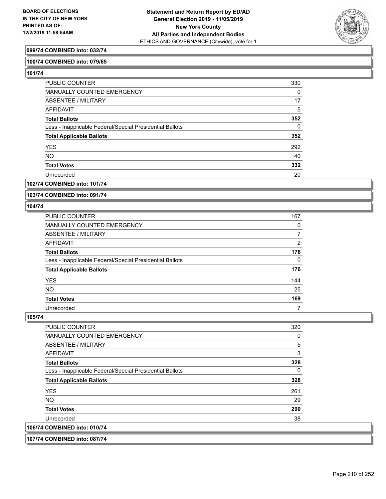

### **099/74 COMBINED into: 032/74**

### **100/74 COMBINED into: 079/65**

**101/74** 

| PUBLIC COUNTER                                           | 330      |
|----------------------------------------------------------|----------|
| MANUALLY COUNTED EMERGENCY                               | 0        |
| ABSENTEE / MILITARY                                      | 17       |
| AFFIDAVIT                                                | 5        |
| <b>Total Ballots</b>                                     | 352      |
| Less - Inapplicable Federal/Special Presidential Ballots | $\Omega$ |
| <b>Total Applicable Ballots</b>                          | 352      |
| <b>YES</b>                                               | 292      |
| <b>NO</b>                                                | 40       |
| <b>Total Votes</b>                                       | 332      |
| Unrecorded                                               | 20       |

### **102/74 COMBINED into: 101/74**

**103/74 COMBINED into: 091/74**

#### **104/74**

| <b>PUBLIC COUNTER</b>                                    | 167 |
|----------------------------------------------------------|-----|
| MANUALLY COUNTED EMERGENCY                               | 0   |
| <b>ABSENTEE / MILITARY</b>                               |     |
| AFFIDAVIT                                                | 2   |
| <b>Total Ballots</b>                                     | 176 |
| Less - Inapplicable Federal/Special Presidential Ballots | 0   |
| <b>Total Applicable Ballots</b>                          | 176 |
| <b>YES</b>                                               | 144 |
| <b>NO</b>                                                | 25  |
| <b>Total Votes</b>                                       | 169 |
| Unrecorded                                               |     |

### **105/74**

| <b>PUBLIC COUNTER</b>                                    | 320 |
|----------------------------------------------------------|-----|
| <b>MANUALLY COUNTED EMERGENCY</b>                        | 0   |
| ABSENTEE / MILITARY                                      | 5   |
| <b>AFFIDAVIT</b>                                         | 3   |
| <b>Total Ballots</b>                                     | 328 |
| Less - Inapplicable Federal/Special Presidential Ballots | 0   |
| <b>Total Applicable Ballots</b>                          | 328 |
| <b>YES</b>                                               | 261 |
| NO.                                                      | 29  |
| <b>Total Votes</b>                                       | 290 |
| Unrecorded                                               | 38  |
| 106/74 COMBINED into: 010/74                             |     |

### **107/74 COMBINED into: 087/74**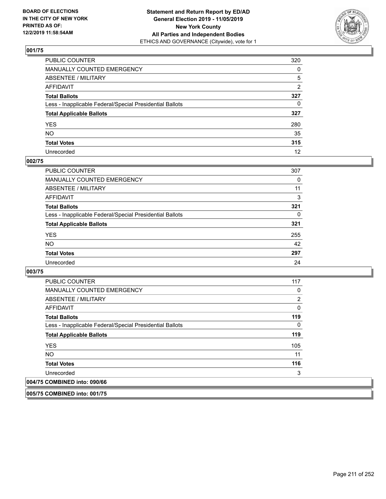

| PUBLIC COUNTER                                           | 320      |
|----------------------------------------------------------|----------|
| MANUALLY COUNTED EMERGENCY                               | $\Omega$ |
| ABSENTEE / MILITARY                                      | 5        |
| AFFIDAVIT                                                | 2        |
| Total Ballots                                            | 327      |
| Less - Inapplicable Federal/Special Presidential Ballots | $\Omega$ |
| <b>Total Applicable Ballots</b>                          | 327      |
| YES                                                      | 280      |
| NO.                                                      | 35       |
| <b>Total Votes</b>                                       | 315      |
| Unrecorded                                               | 12       |

### **002/75**

| PUBLIC COUNTER                                           | 307 |
|----------------------------------------------------------|-----|
| <b>MANUALLY COUNTED EMERGENCY</b>                        | 0   |
| ABSENTEE / MILITARY                                      | 11  |
| AFFIDAVIT                                                | 3   |
| <b>Total Ballots</b>                                     | 321 |
| Less - Inapplicable Federal/Special Presidential Ballots | 0   |
| <b>Total Applicable Ballots</b>                          | 321 |
| <b>YES</b>                                               | 255 |
| <b>NO</b>                                                | 42  |
| <b>Total Votes</b>                                       | 297 |
| Unrecorded                                               | 24  |

**003/75** 

| <b>PUBLIC COUNTER</b>                                    | 117 |
|----------------------------------------------------------|-----|
| <b>MANUALLY COUNTED EMERGENCY</b>                        | 0   |
| ABSENTEE / MILITARY                                      | 2   |
| AFFIDAVIT                                                | 0   |
| <b>Total Ballots</b>                                     | 119 |
| Less - Inapplicable Federal/Special Presidential Ballots | 0   |
| <b>Total Applicable Ballots</b>                          | 119 |
| <b>YES</b>                                               | 105 |
| NO.                                                      | 11  |
| <b>Total Votes</b>                                       | 116 |
| Unrecorded                                               | 3   |
| 004/75 COMBINED into: 090/66                             |     |

**005/75 COMBINED into: 001/75**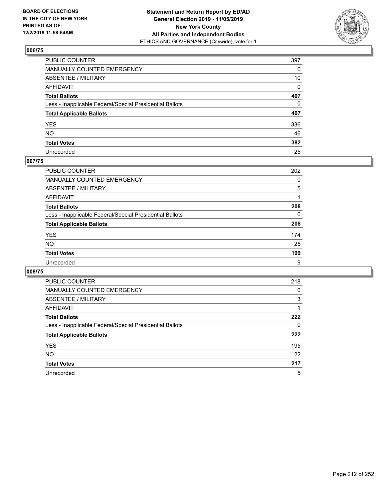

| PUBLIC COUNTER                                           | 397          |
|----------------------------------------------------------|--------------|
| MANUALLY COUNTED EMERGENCY                               | $\mathbf{0}$ |
| ABSENTEE / MILITARY                                      | 10           |
| AFFIDAVIT                                                | $\Omega$     |
| Total Ballots                                            | 407          |
| Less - Inapplicable Federal/Special Presidential Ballots | $\mathbf{0}$ |
| <b>Total Applicable Ballots</b>                          | 407          |
| YES                                                      | 336          |
| NO.                                                      | 46           |
| <b>Total Votes</b>                                       | 382          |
| Unrecorded                                               | 25           |

### **007/75**

| <b>PUBLIC COUNTER</b>                                    | 202 |
|----------------------------------------------------------|-----|
| <b>MANUALLY COUNTED EMERGENCY</b>                        | 0   |
| ABSENTEE / MILITARY                                      | 5   |
| AFFIDAVIT                                                |     |
| <b>Total Ballots</b>                                     | 208 |
| Less - Inapplicable Federal/Special Presidential Ballots | 0   |
| <b>Total Applicable Ballots</b>                          | 208 |
| <b>YES</b>                                               | 174 |
| <b>NO</b>                                                | 25  |
| <b>Total Votes</b>                                       | 199 |
| Unrecorded                                               | 9   |

| <b>PUBLIC COUNTER</b>                                    | 218 |
|----------------------------------------------------------|-----|
| <b>MANUALLY COUNTED EMERGENCY</b>                        | 0   |
| ABSENTEE / MILITARY                                      | 3   |
| AFFIDAVIT                                                |     |
| <b>Total Ballots</b>                                     | 222 |
| Less - Inapplicable Federal/Special Presidential Ballots | 0   |
| <b>Total Applicable Ballots</b>                          | 222 |
| <b>YES</b>                                               | 195 |
| <b>NO</b>                                                | 22  |
| <b>Total Votes</b>                                       | 217 |
| Unrecorded                                               | 5   |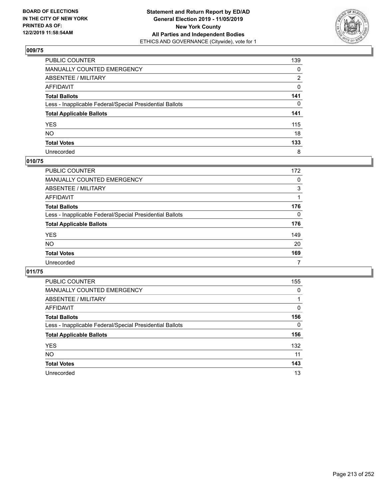

| PUBLIC COUNTER                                           | 139 |
|----------------------------------------------------------|-----|
| MANUALLY COUNTED EMERGENCY                               | 0   |
| ABSENTEE / MILITARY                                      | 2   |
| AFFIDAVIT                                                | 0   |
| Total Ballots                                            | 141 |
| Less - Inapplicable Federal/Special Presidential Ballots | 0   |
| <b>Total Applicable Ballots</b>                          | 141 |
| YES                                                      | 115 |
| NΟ                                                       | 18  |
| <b>Total Votes</b>                                       | 133 |
| Unrecorded                                               | 8   |

### **010/75**

| <b>PUBLIC COUNTER</b>                                    | 172      |
|----------------------------------------------------------|----------|
| MANUALLY COUNTED EMERGENCY                               | $\Omega$ |
| ABSENTEE / MILITARY                                      | 3        |
| AFFIDAVIT                                                |          |
| <b>Total Ballots</b>                                     | 176      |
| Less - Inapplicable Federal/Special Presidential Ballots | $\Omega$ |
| <b>Total Applicable Ballots</b>                          | 176      |
| <b>YES</b>                                               | 149      |
| <b>NO</b>                                                | 20       |
| <b>Total Votes</b>                                       | 169      |
| Unrecorded                                               | 7        |

| <b>PUBLIC COUNTER</b>                                    | 155      |
|----------------------------------------------------------|----------|
| MANUALLY COUNTED EMERGENCY                               | $\Omega$ |
| ABSENTEE / MILITARY                                      |          |
| AFFIDAVIT                                                | 0        |
| <b>Total Ballots</b>                                     | 156      |
| Less - Inapplicable Federal/Special Presidential Ballots | 0        |
| <b>Total Applicable Ballots</b>                          | 156      |
| <b>YES</b>                                               | 132      |
| NO.                                                      | 11       |
| <b>Total Votes</b>                                       | 143      |
| Unrecorded                                               | 13       |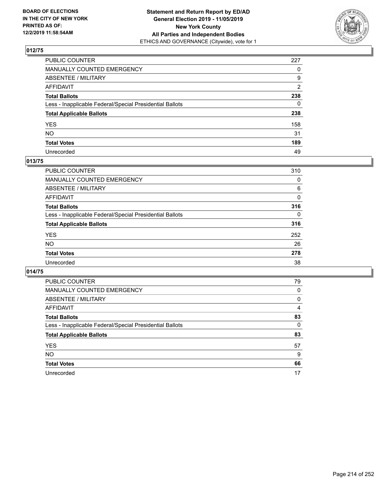

| PUBLIC COUNTER                                           | 227          |
|----------------------------------------------------------|--------------|
| MANUALLY COUNTED EMERGENCY                               | $\Omega$     |
| ABSENTEE / MILITARY                                      | 9            |
| AFFIDAVIT                                                | 2            |
| Total Ballots                                            | 238          |
| Less - Inapplicable Federal/Special Presidential Ballots | $\mathbf{0}$ |
| <b>Total Applicable Ballots</b>                          | 238          |
| YES                                                      | 158          |
| NO.                                                      | 31           |
| <b>Total Votes</b>                                       | 189          |
| Unrecorded                                               | 49           |

### **013/75**

| <b>PUBLIC COUNTER</b>                                    | 310      |
|----------------------------------------------------------|----------|
| <b>MANUALLY COUNTED EMERGENCY</b>                        | $\Omega$ |
| ABSENTEE / MILITARY                                      | 6        |
| AFFIDAVIT                                                | 0        |
| <b>Total Ballots</b>                                     | 316      |
| Less - Inapplicable Federal/Special Presidential Ballots | $\Omega$ |
| <b>Total Applicable Ballots</b>                          | 316      |
| <b>YES</b>                                               | 252      |
| <b>NO</b>                                                | 26       |
| <b>Total Votes</b>                                       | 278      |
| Unrecorded                                               | 38       |

| <b>PUBLIC COUNTER</b>                                    | 79       |
|----------------------------------------------------------|----------|
| <b>MANUALLY COUNTED EMERGENCY</b>                        | 0        |
| ABSENTEE / MILITARY                                      | 0        |
| AFFIDAVIT                                                | 4        |
| <b>Total Ballots</b>                                     | 83       |
| Less - Inapplicable Federal/Special Presidential Ballots | $\Omega$ |
| <b>Total Applicable Ballots</b>                          | 83       |
| <b>YES</b>                                               | 57       |
| <b>NO</b>                                                | 9        |
| <b>Total Votes</b>                                       | 66       |
| Unrecorded                                               | 17       |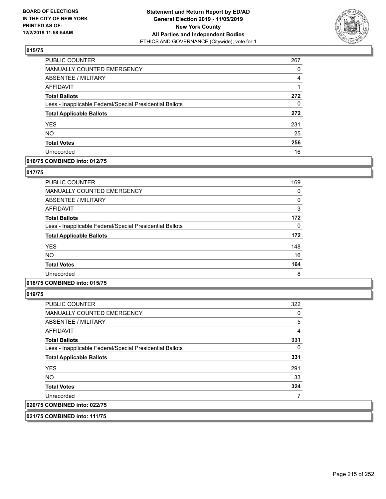

| <b>PUBLIC COUNTER</b>                                    | 267 |
|----------------------------------------------------------|-----|
| <b>MANUALLY COUNTED EMERGENCY</b>                        | 0   |
| <b>ABSENTEE / MILITARY</b>                               | 4   |
| <b>AFFIDAVIT</b>                                         | 1   |
| <b>Total Ballots</b>                                     | 272 |
| Less - Inapplicable Federal/Special Presidential Ballots | 0   |
| <b>Total Applicable Ballots</b>                          | 272 |
| <b>YES</b>                                               | 231 |
| <b>NO</b>                                                | 25  |
| <b>Total Votes</b>                                       | 256 |
| Unrecorded                                               | 16  |

### **016/75 COMBINED into: 012/75**

### **017/75**

| <b>PUBLIC COUNTER</b>                                    | 169 |
|----------------------------------------------------------|-----|
| <b>MANUALLY COUNTED EMERGENCY</b>                        | 0   |
| ABSENTEE / MILITARY                                      | 0   |
| AFFIDAVIT                                                | 3   |
| <b>Total Ballots</b>                                     | 172 |
| Less - Inapplicable Federal/Special Presidential Ballots | 0   |
| <b>Total Applicable Ballots</b>                          | 172 |
| <b>YES</b>                                               | 148 |
| <b>NO</b>                                                | 16  |
| <b>Total Votes</b>                                       | 164 |
| Unrecorded                                               | 8   |

### **018/75 COMBINED into: 015/75**

**019/75** 

| <b>PUBLIC COUNTER</b>                                    | 322 |
|----------------------------------------------------------|-----|
| <b>MANUALLY COUNTED EMERGENCY</b>                        | 0   |
| ABSENTEE / MILITARY                                      | 5   |
| AFFIDAVIT                                                | 4   |
| <b>Total Ballots</b>                                     | 331 |
| Less - Inapplicable Federal/Special Presidential Ballots | 0   |
| <b>Total Applicable Ballots</b>                          | 331 |
| <b>YES</b>                                               | 291 |
| NO.                                                      | 33  |
| <b>Total Votes</b>                                       | 324 |
| Unrecorded                                               | 7   |
| 020/75 COMBINED into: 022/75                             |     |

**021/75 COMBINED into: 111/75**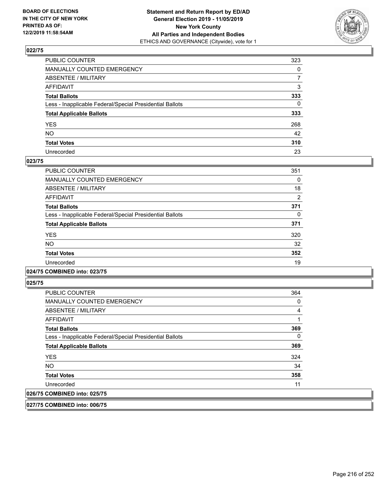

| PUBLIC COUNTER                                           | 323          |
|----------------------------------------------------------|--------------|
| MANUALLY COUNTED EMERGENCY                               | $\mathbf{0}$ |
| ABSENTEE / MILITARY                                      | 7            |
| AFFIDAVIT                                                | 3            |
| Total Ballots                                            | 333          |
| Less - Inapplicable Federal/Special Presidential Ballots | $\mathbf{0}$ |
| <b>Total Applicable Ballots</b>                          | 333          |
| YES                                                      | 268          |
| NO.                                                      | 42           |
| <b>Total Votes</b>                                       | 310          |
| Unrecorded                                               | 23           |

### **023/75**

| <b>PUBLIC COUNTER</b>                                    | 351      |
|----------------------------------------------------------|----------|
| MANUALLY COUNTED EMERGENCY                               | $\Omega$ |
| ABSENTEE / MILITARY                                      | 18       |
| AFFIDAVIT                                                | 2        |
| <b>Total Ballots</b>                                     | 371      |
| Less - Inapplicable Federal/Special Presidential Ballots | 0        |
| <b>Total Applicable Ballots</b>                          | 371      |
| <b>YES</b>                                               | 320      |
| NO.                                                      | 32       |
| <b>Total Votes</b>                                       | 352      |
| Unrecorded                                               | 19       |
|                                                          |          |

#### **024/75 COMBINED into: 023/75**

**025/75** 

| <b>PUBLIC COUNTER</b>                                    | 364 |
|----------------------------------------------------------|-----|
| MANUALLY COUNTED EMERGENCY                               | 0   |
| ABSENTEE / MILITARY                                      | 4   |
| AFFIDAVIT                                                |     |
| <b>Total Ballots</b>                                     | 369 |
| Less - Inapplicable Federal/Special Presidential Ballots | 0   |
| <b>Total Applicable Ballots</b>                          | 369 |
| <b>YES</b>                                               | 324 |
| <b>NO</b>                                                | 34  |
| <b>Total Votes</b>                                       | 358 |
| Unrecorded                                               | 11  |
| 026/75 COMBINED into: 025/75                             |     |

**027/75 COMBINED into: 006/75**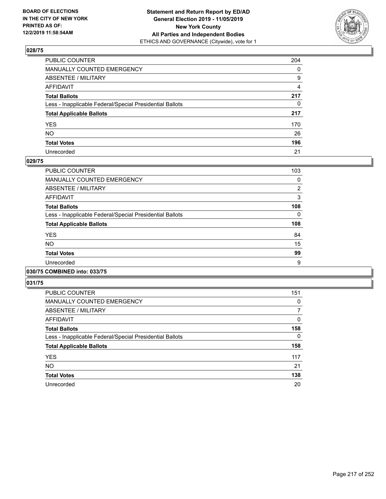

| PUBLIC COUNTER                                           | 204          |
|----------------------------------------------------------|--------------|
| MANUALLY COUNTED EMERGENCY                               | $\mathbf{0}$ |
| ABSENTEE / MILITARY                                      | 9            |
| AFFIDAVIT                                                | 4            |
| Total Ballots                                            | 217          |
| Less - Inapplicable Federal/Special Presidential Ballots | $\mathbf{0}$ |
| <b>Total Applicable Ballots</b>                          | 217          |
| YES                                                      | 170          |
| NO.                                                      | 26           |
| <b>Total Votes</b>                                       | 196          |
| Unrecorded                                               | 21           |

### **029/75**

| <b>PUBLIC COUNTER</b>                                    | 103            |
|----------------------------------------------------------|----------------|
| <b>MANUALLY COUNTED EMERGENCY</b>                        | 0              |
| ABSENTEE / MILITARY                                      | $\overline{2}$ |
| <b>AFFIDAVIT</b>                                         | 3              |
| <b>Total Ballots</b>                                     | 108            |
| Less - Inapplicable Federal/Special Presidential Ballots | $\Omega$       |
| <b>Total Applicable Ballots</b>                          | 108            |
| <b>YES</b>                                               | 84             |
| <b>NO</b>                                                | 15             |
| <b>Total Votes</b>                                       | 99             |
| Unrecorded                                               | 9              |
|                                                          |                |

## **030/75 COMBINED into: 033/75**

| PUBLIC COUNTER                                           | 151      |
|----------------------------------------------------------|----------|
| <b>MANUALLY COUNTED EMERGENCY</b>                        | 0        |
| ABSENTEE / MILITARY                                      | 7        |
| AFFIDAVIT                                                | 0        |
| <b>Total Ballots</b>                                     | 158      |
| Less - Inapplicable Federal/Special Presidential Ballots | $\Omega$ |
| <b>Total Applicable Ballots</b>                          | 158      |
| <b>YES</b>                                               | 117      |
| <b>NO</b>                                                | 21       |
| <b>Total Votes</b>                                       | 138      |
| Unrecorded                                               | 20       |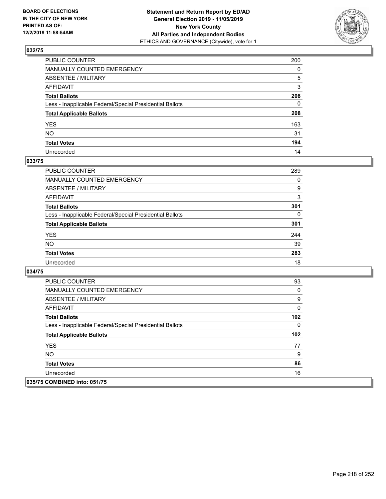

| PUBLIC COUNTER                                           | 200          |
|----------------------------------------------------------|--------------|
| MANUALLY COUNTED EMERGENCY                               | $\mathbf{0}$ |
| ABSENTEE / MILITARY                                      | 5            |
| AFFIDAVIT                                                | 3            |
| Total Ballots                                            | 208          |
| Less - Inapplicable Federal/Special Presidential Ballots | $\mathbf{0}$ |
| <b>Total Applicable Ballots</b>                          | 208          |
| YES                                                      | 163          |
| NO.                                                      | 31           |
| <b>Total Votes</b>                                       | 194          |
| Unrecorded                                               | 14           |

### **033/75**

| <b>PUBLIC COUNTER</b>                                    | 289 |
|----------------------------------------------------------|-----|
| <b>MANUALLY COUNTED EMERGENCY</b>                        | 0   |
| ABSENTEE / MILITARY                                      | 9   |
| AFFIDAVIT                                                | 3   |
| <b>Total Ballots</b>                                     | 301 |
| Less - Inapplicable Federal/Special Presidential Ballots | 0   |
| <b>Total Applicable Ballots</b>                          | 301 |
| <b>YES</b>                                               | 244 |
| <b>NO</b>                                                | 39  |
| <b>Total Votes</b>                                       | 283 |
| Unrecorded                                               | 18  |

| <b>PUBLIC COUNTER</b>                                    | 93  |
|----------------------------------------------------------|-----|
| <b>MANUALLY COUNTED EMERGENCY</b>                        | 0   |
| ABSENTEE / MILITARY                                      | 9   |
| AFFIDAVIT                                                | 0   |
| <b>Total Ballots</b>                                     | 102 |
| Less - Inapplicable Federal/Special Presidential Ballots | 0   |
| <b>Total Applicable Ballots</b>                          | 102 |
| <b>YES</b>                                               | 77  |
| NO.                                                      | 9   |
| <b>Total Votes</b>                                       | 86  |
| Unrecorded                                               | 16  |
| 035/75 COMBINED into: 051/75                             |     |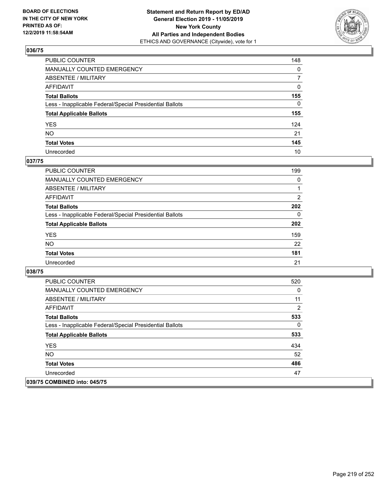

| PUBLIC COUNTER                                           | 148            |
|----------------------------------------------------------|----------------|
| MANUALLY COUNTED EMERGENCY                               | $\mathbf{0}$   |
| ABSENTEE / MILITARY                                      | $\overline{7}$ |
| AFFIDAVIT                                                | $\mathbf{0}$   |
| Total Ballots                                            | 155            |
| Less - Inapplicable Federal/Special Presidential Ballots | $\Omega$       |
| <b>Total Applicable Ballots</b>                          | 155            |
| YES                                                      | 124            |
| NO.                                                      | 21             |
| <b>Total Votes</b>                                       | 145            |
| Unrecorded                                               | 10             |

### **037/75**

| <b>PUBLIC COUNTER</b>                                    | 199      |
|----------------------------------------------------------|----------|
| MANUALLY COUNTED EMERGENCY                               | $\Omega$ |
| ABSENTEE / MILITARY                                      |          |
| AFFIDAVIT                                                | 2        |
| <b>Total Ballots</b>                                     | 202      |
| Less - Inapplicable Federal/Special Presidential Ballots | $\Omega$ |
| <b>Total Applicable Ballots</b>                          | 202      |
| <b>YES</b>                                               | 159      |
| <b>NO</b>                                                | 22       |
| <b>Total Votes</b>                                       | 181      |
| Unrecorded                                               | 21       |

| <b>PUBLIC COUNTER</b>                                    | 520 |
|----------------------------------------------------------|-----|
| <b>MANUALLY COUNTED EMERGENCY</b>                        | 0   |
| ABSENTEE / MILITARY                                      | 11  |
| AFFIDAVIT                                                | 2   |
| <b>Total Ballots</b>                                     | 533 |
| Less - Inapplicable Federal/Special Presidential Ballots | 0   |
| <b>Total Applicable Ballots</b>                          | 533 |
| <b>YES</b>                                               | 434 |
| <b>NO</b>                                                | 52  |
| <b>Total Votes</b>                                       | 486 |
| Unrecorded                                               | 47  |
| 039/75 COMBINED into: 045/75                             |     |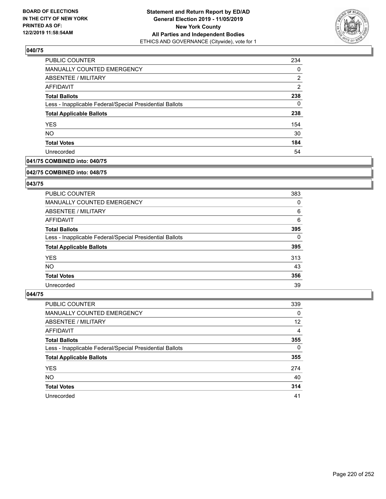

| <b>PUBLIC COUNTER</b>                                    | 234           |
|----------------------------------------------------------|---------------|
| <b>MANUALLY COUNTED EMERGENCY</b>                        | 0             |
| <b>ABSENTEE / MILITARY</b>                               | 2             |
| AFFIDAVIT                                                | $\mathcal{P}$ |
| <b>Total Ballots</b>                                     | 238           |
| Less - Inapplicable Federal/Special Presidential Ballots | $\Omega$      |
| <b>Total Applicable Ballots</b>                          | 238           |
| <b>YES</b>                                               | 154           |
| <b>NO</b>                                                | 30            |
| <b>Total Votes</b>                                       | 184           |
| Unrecorded                                               | 54            |

## **041/75 COMBINED into: 040/75**

#### **042/75 COMBINED into: 048/75**

## **043/75**

| <b>PUBLIC COUNTER</b>                                    | 383 |
|----------------------------------------------------------|-----|
| <b>MANUALLY COUNTED EMERGENCY</b>                        | 0   |
| ABSENTEE / MILITARY                                      | 6   |
| AFFIDAVIT                                                | 6   |
| <b>Total Ballots</b>                                     | 395 |
| Less - Inapplicable Federal/Special Presidential Ballots | 0   |
| <b>Total Applicable Ballots</b>                          | 395 |
| <b>YES</b>                                               | 313 |
| NO.                                                      | 43  |
| <b>Total Votes</b>                                       | 356 |
| Unrecorded                                               | 39  |

| <b>PUBLIC COUNTER</b>                                    | 339      |
|----------------------------------------------------------|----------|
| MANUALLY COUNTED EMERGENCY                               | 0        |
| ABSENTEE / MILITARY                                      | 12       |
| AFFIDAVIT                                                | 4        |
| <b>Total Ballots</b>                                     | 355      |
| Less - Inapplicable Federal/Special Presidential Ballots | $\Omega$ |
| <b>Total Applicable Ballots</b>                          | 355      |
| <b>YES</b>                                               | 274      |
| <b>NO</b>                                                | 40       |
| <b>Total Votes</b>                                       | 314      |
| Unrecorded                                               | 41       |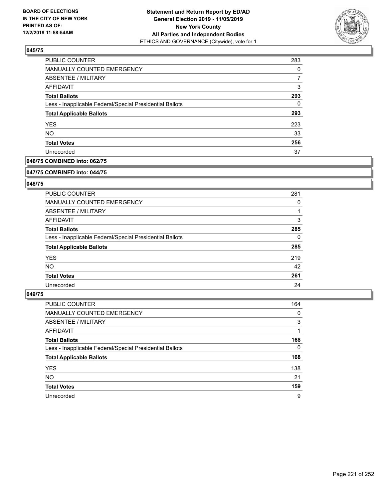

| <b>PUBLIC COUNTER</b>                                    | 283 |
|----------------------------------------------------------|-----|
| MANUALLY COUNTED EMERGENCY                               | 0   |
| <b>ABSENTEE / MILITARY</b>                               | 7   |
| AFFIDAVIT                                                | 3   |
| <b>Total Ballots</b>                                     | 293 |
| Less - Inapplicable Federal/Special Presidential Ballots | 0   |
| <b>Total Applicable Ballots</b>                          | 293 |
| <b>YES</b>                                               | 223 |
| <b>NO</b>                                                | 33  |
| <b>Total Votes</b>                                       | 256 |
| Unrecorded                                               | 37  |

## **046/75 COMBINED into: 062/75**

#### **047/75 COMBINED into: 044/75**

## **048/75**

| <b>PUBLIC COUNTER</b>                                    | 281      |
|----------------------------------------------------------|----------|
| <b>MANUALLY COUNTED EMERGENCY</b>                        | 0        |
| ABSENTEE / MILITARY                                      |          |
| AFFIDAVIT                                                | 3        |
| <b>Total Ballots</b>                                     | 285      |
| Less - Inapplicable Federal/Special Presidential Ballots | $\Omega$ |
| <b>Total Applicable Ballots</b>                          | 285      |
| <b>YES</b>                                               | 219      |
| NO.                                                      | 42       |
| <b>Total Votes</b>                                       | 261      |
| Unrecorded                                               | 24       |

| <b>PUBLIC COUNTER</b>                                    | 164      |
|----------------------------------------------------------|----------|
| <b>MANUALLY COUNTED EMERGENCY</b>                        | 0        |
| ABSENTEE / MILITARY                                      | 3        |
| AFFIDAVIT                                                |          |
| <b>Total Ballots</b>                                     | 168      |
| Less - Inapplicable Federal/Special Presidential Ballots | $\Omega$ |
| <b>Total Applicable Ballots</b>                          | 168      |
| <b>YES</b>                                               | 138      |
| <b>NO</b>                                                | 21       |
| <b>Total Votes</b>                                       | 159      |
| Unrecorded                                               | 9        |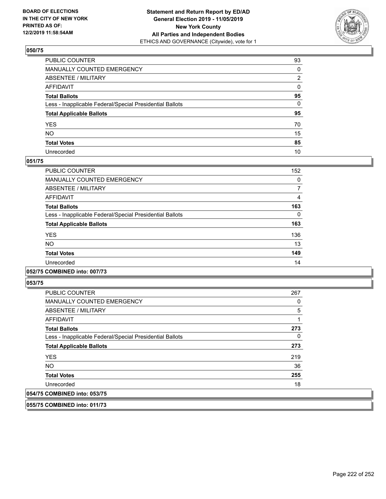

| PUBLIC COUNTER                                           | 93 |
|----------------------------------------------------------|----|
| MANUALLY COUNTED EMERGENCY                               | 0  |
| ABSENTEE / MILITARY                                      | 2  |
| AFFIDAVIT                                                | 0  |
| Total Ballots                                            | 95 |
| Less - Inapplicable Federal/Special Presidential Ballots | 0  |
| <b>Total Applicable Ballots</b>                          | 95 |
| YES                                                      | 70 |
| NO.                                                      | 15 |
| <b>Total Votes</b>                                       | 85 |
| Unrecorded                                               | 10 |

## **051/75**

| <b>PUBLIC COUNTER</b>                                    | 152 |
|----------------------------------------------------------|-----|
| <b>MANUALLY COUNTED EMERGENCY</b>                        | 0   |
| ABSENTEE / MILITARY                                      |     |
| <b>AFFIDAVIT</b>                                         | 4   |
| <b>Total Ballots</b>                                     | 163 |
| Less - Inapplicable Federal/Special Presidential Ballots | 0   |
| <b>Total Applicable Ballots</b>                          | 163 |
| <b>YES</b>                                               | 136 |
| NO.                                                      | 13  |
| <b>Total Votes</b>                                       | 149 |
| Unrecorded                                               | 14  |
|                                                          |     |

### **052/75 COMBINED into: 007/73**

**053/75** 

| <b>PUBLIC COUNTER</b>                                    | 267 |
|----------------------------------------------------------|-----|
| MANUALLY COUNTED EMERGENCY                               | 0   |
| ABSENTEE / MILITARY                                      | 5   |
| AFFIDAVIT                                                |     |
| <b>Total Ballots</b>                                     | 273 |
| Less - Inapplicable Federal/Special Presidential Ballots | 0   |
| <b>Total Applicable Ballots</b>                          | 273 |
| <b>YES</b>                                               | 219 |
| <b>NO</b>                                                | 36  |
| <b>Total Votes</b>                                       | 255 |
| Unrecorded                                               | 18  |
| 054/75 COMBINED into: 053/75                             |     |

**055/75 COMBINED into: 011/73**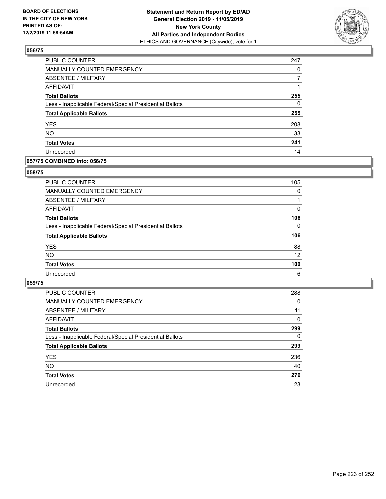

| PUBLIC COUNTER                                           | 247 |
|----------------------------------------------------------|-----|
| MANUALLY COUNTED EMERGENCY                               | 0   |
| ABSENTEE / MILITARY                                      |     |
| <b>AFFIDAVIT</b>                                         | 1   |
| <b>Total Ballots</b>                                     | 255 |
| Less - Inapplicable Federal/Special Presidential Ballots | 0   |
| <b>Total Applicable Ballots</b>                          | 255 |
| <b>YES</b>                                               | 208 |
| <b>NO</b>                                                | 33  |
| <b>Total Votes</b>                                       | 241 |
| Unrecorded                                               | 14  |

### **057/75 COMBINED into: 056/75**

### **058/75**

| PUBLIC COUNTER                                           | 105          |
|----------------------------------------------------------|--------------|
| MANUALLY COUNTED EMERGENCY                               | 0            |
| <b>ABSENTEE / MILITARY</b>                               |              |
| AFFIDAVIT                                                | $\Omega$     |
| <b>Total Ballots</b>                                     | 106          |
| Less - Inapplicable Federal/Special Presidential Ballots | $\mathbf{0}$ |
| <b>Total Applicable Ballots</b>                          | 106          |
| <b>YES</b>                                               | 88           |
| <b>NO</b>                                                | 12           |
| <b>Total Votes</b>                                       | 100          |
| Unrecorded                                               | 6            |

| <b>PUBLIC COUNTER</b>                                    | 288      |
|----------------------------------------------------------|----------|
| <b>MANUALLY COUNTED EMERGENCY</b>                        | 0        |
| ABSENTEE / MILITARY                                      | 11       |
| AFFIDAVIT                                                | $\Omega$ |
| <b>Total Ballots</b>                                     | 299      |
| Less - Inapplicable Federal/Special Presidential Ballots | $\Omega$ |
| <b>Total Applicable Ballots</b>                          | 299      |
| <b>YES</b>                                               | 236      |
| NO.                                                      | 40       |
| <b>Total Votes</b>                                       | 276      |
| Unrecorded                                               | 23       |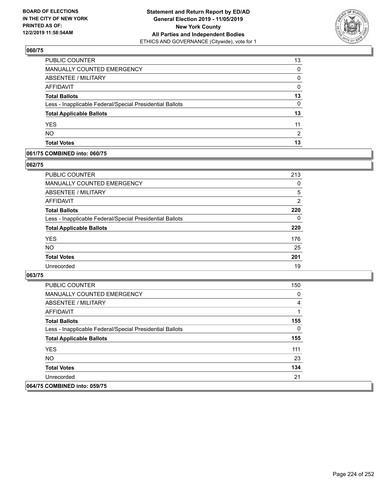

| MANUALLY COUNTED EMERGENCY<br>ABSENTEE / MILITARY<br><b>AFFIDAVIT</b><br><b>Total Ballots</b><br>Less - Inapplicable Federal/Special Presidential Ballots<br><b>Total Applicable Ballots</b><br><b>YES</b><br><b>NO</b> | PUBLIC COUNTER     | 13            |
|-------------------------------------------------------------------------------------------------------------------------------------------------------------------------------------------------------------------------|--------------------|---------------|
|                                                                                                                                                                                                                         |                    | 0             |
|                                                                                                                                                                                                                         |                    | 0             |
|                                                                                                                                                                                                                         |                    | $\Omega$      |
|                                                                                                                                                                                                                         |                    | 13            |
|                                                                                                                                                                                                                         |                    | $\Omega$      |
|                                                                                                                                                                                                                         |                    | 13            |
|                                                                                                                                                                                                                         |                    | 11            |
|                                                                                                                                                                                                                         |                    | $\mathcal{P}$ |
|                                                                                                                                                                                                                         | <b>Total Votes</b> | 13            |

### **061/75 COMBINED into: 060/75**

## **062/75**

| PUBLIC COUNTER                                           | 213            |
|----------------------------------------------------------|----------------|
| MANUALLY COUNTED EMERGENCY                               | 0              |
| ABSENTEE / MILITARY                                      | 5              |
| AFFIDAVIT                                                | $\overline{2}$ |
| <b>Total Ballots</b>                                     | 220            |
| Less - Inapplicable Federal/Special Presidential Ballots | 0              |
| <b>Total Applicable Ballots</b>                          | 220            |
| <b>YES</b>                                               | 176            |
| <b>NO</b>                                                | 25             |
| <b>Total Votes</b>                                       | 201            |
| Unrecorded                                               | 19             |
|                                                          |                |

| <b>PUBLIC COUNTER</b>                                    | 150          |
|----------------------------------------------------------|--------------|
| <b>MANUALLY COUNTED EMERGENCY</b>                        | 0            |
| ABSENTEE / MILITARY                                      | 4            |
| AFFIDAVIT                                                |              |
| <b>Total Ballots</b>                                     | 155          |
| Less - Inapplicable Federal/Special Presidential Ballots | $\mathbf{0}$ |
| <b>Total Applicable Ballots</b>                          | 155          |
| <b>YES</b>                                               | 111          |
| NO.                                                      | 23           |
| <b>Total Votes</b>                                       | 134          |
| Unrecorded                                               | 21           |
| 064/75 COMBINED into: 059/75                             |              |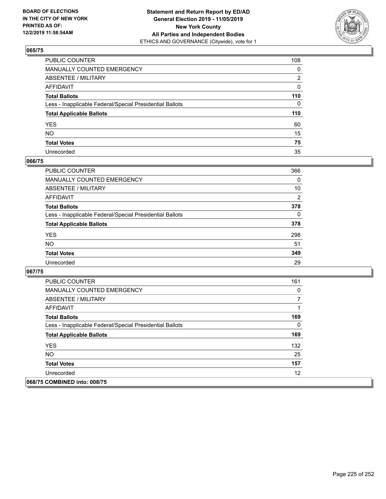

| PUBLIC COUNTER                                           | 108          |
|----------------------------------------------------------|--------------|
| MANUALLY COUNTED EMERGENCY                               | $\mathbf{0}$ |
| ABSENTEE / MILITARY                                      | 2            |
| AFFIDAVIT                                                | 0            |
| Total Ballots                                            | 110          |
| Less - Inapplicable Federal/Special Presidential Ballots | $\Omega$     |
| <b>Total Applicable Ballots</b>                          | 110          |
| YES                                                      | 60           |
| NO.                                                      | 15           |
| <b>Total Votes</b>                                       | 75           |
| Unrecorded                                               | 35           |

### **066/75**

| <b>PUBLIC COUNTER</b>                                    | 366            |
|----------------------------------------------------------|----------------|
| <b>MANUALLY COUNTED EMERGENCY</b>                        | 0              |
| ABSENTEE / MILITARY                                      | 10             |
| AFFIDAVIT                                                | $\overline{2}$ |
| <b>Total Ballots</b>                                     | 378            |
| Less - Inapplicable Federal/Special Presidential Ballots | 0              |
| <b>Total Applicable Ballots</b>                          | 378            |
| <b>YES</b>                                               | 298            |
| <b>NO</b>                                                | 51             |
| <b>Total Votes</b>                                       | 349            |
| Unrecorded                                               | 29             |

| <b>PUBLIC COUNTER</b>                                    | 161 |
|----------------------------------------------------------|-----|
| <b>MANUALLY COUNTED EMERGENCY</b>                        | 0   |
| ABSENTEE / MILITARY                                      | 7   |
| AFFIDAVIT                                                |     |
| <b>Total Ballots</b>                                     | 169 |
| Less - Inapplicable Federal/Special Presidential Ballots | 0   |
| <b>Total Applicable Ballots</b>                          | 169 |
| <b>YES</b>                                               | 132 |
| NO.                                                      | 25  |
| <b>Total Votes</b>                                       | 157 |
| Unrecorded                                               | 12  |
| 068/75 COMBINED into: 008/75                             |     |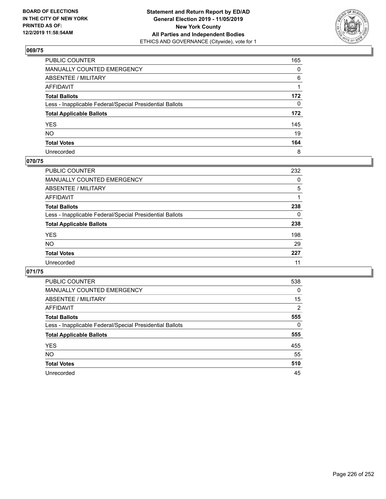

| PUBLIC COUNTER                                           | 165          |
|----------------------------------------------------------|--------------|
| MANUALLY COUNTED EMERGENCY                               | $\mathbf{0}$ |
| ABSENTEE / MILITARY                                      | 6            |
| AFFIDAVIT                                                |              |
| Total Ballots                                            | 172          |
| Less - Inapplicable Federal/Special Presidential Ballots | $\mathbf{0}$ |
| <b>Total Applicable Ballots</b>                          | 172          |
| YES                                                      | 145          |
| NO.                                                      | 19           |
| <b>Total Votes</b>                                       | 164          |
| Unrecorded                                               | 8            |

### **070/75**

| PUBLIC COUNTER                                           | 232      |
|----------------------------------------------------------|----------|
| MANUALLY COUNTED EMERGENCY                               | 0        |
| ABSENTEE / MILITARY                                      | 5        |
| AFFIDAVIT                                                |          |
| <b>Total Ballots</b>                                     | 238      |
| Less - Inapplicable Federal/Special Presidential Ballots | $\Omega$ |
| <b>Total Applicable Ballots</b>                          | 238      |
| <b>YES</b>                                               | 198      |
| <b>NO</b>                                                | 29       |
| <b>Total Votes</b>                                       | 227      |
| Unrecorded                                               | 11       |

| <b>PUBLIC COUNTER</b>                                    | 538            |
|----------------------------------------------------------|----------------|
| <b>MANUALLY COUNTED EMERGENCY</b>                        | $\Omega$       |
| ABSENTEE / MILITARY                                      | 15             |
| AFFIDAVIT                                                | $\overline{2}$ |
| <b>Total Ballots</b>                                     | 555            |
| Less - Inapplicable Federal/Special Presidential Ballots | 0              |
| <b>Total Applicable Ballots</b>                          | 555            |
| <b>YES</b>                                               | 455            |
| NO.                                                      | 55             |
|                                                          |                |
| <b>Total Votes</b>                                       | 510            |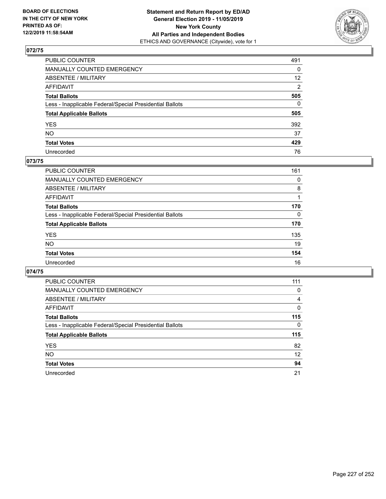

| PUBLIC COUNTER                                           | 491             |
|----------------------------------------------------------|-----------------|
| MANUALLY COUNTED EMERGENCY                               | 0               |
| ABSENTEE / MILITARY                                      | 12 <sup>2</sup> |
| AFFIDAVIT                                                | $\overline{2}$  |
| Total Ballots                                            | 505             |
| Less - Inapplicable Federal/Special Presidential Ballots | $\mathbf{0}$    |
| <b>Total Applicable Ballots</b>                          | 505             |
| YES                                                      | 392             |
| NO.                                                      | 37              |
| <b>Total Votes</b>                                       | 429             |
| Unrecorded                                               | 76              |

### **073/75**

| <b>PUBLIC COUNTER</b>                                    | 161      |
|----------------------------------------------------------|----------|
| <b>MANUALLY COUNTED EMERGENCY</b>                        | 0        |
| ABSENTEE / MILITARY                                      | 8        |
| AFFIDAVIT                                                |          |
| <b>Total Ballots</b>                                     | 170      |
| Less - Inapplicable Federal/Special Presidential Ballots | $\Omega$ |
| <b>Total Applicable Ballots</b>                          | 170      |
| <b>YES</b>                                               | 135      |
| <b>NO</b>                                                | 19       |
| <b>Total Votes</b>                                       | 154      |
| Unrecorded                                               | 16       |

| <b>PUBLIC COUNTER</b>                                    | 111 |
|----------------------------------------------------------|-----|
| <b>MANUALLY COUNTED EMERGENCY</b>                        | 0   |
| ABSENTEE / MILITARY                                      | 4   |
| AFFIDAVIT                                                | 0   |
| <b>Total Ballots</b>                                     | 115 |
| Less - Inapplicable Federal/Special Presidential Ballots | 0   |
| <b>Total Applicable Ballots</b>                          | 115 |
| <b>YES</b>                                               | 82  |
| NO.                                                      | 12  |
| <b>Total Votes</b>                                       | 94  |
| Unrecorded                                               | 21  |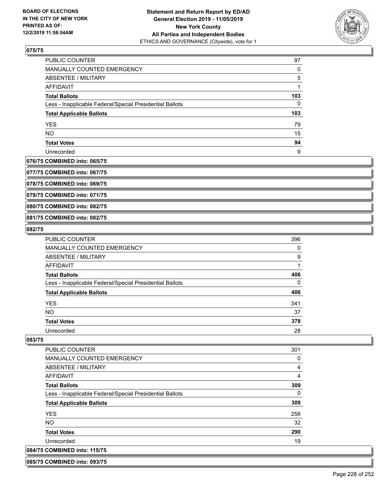

| PUBLIC COUNTER                                           | 97  |
|----------------------------------------------------------|-----|
| MANUALLY COUNTED EMERGENCY                               | 0   |
| ABSENTEE / MILITARY                                      | 5   |
| AFFIDAVIT                                                |     |
| <b>Total Ballots</b>                                     | 103 |
| Less - Inapplicable Federal/Special Presidential Ballots | 0   |
| <b>Total Applicable Ballots</b>                          | 103 |
| <b>YES</b>                                               | 79  |
| <b>NO</b>                                                | 15  |
| <b>Total Votes</b>                                       | 94  |
| Unrecorded                                               | 9   |

#### **076/75 COMBINED into: 065/75**

**077/75 COMBINED into: 067/75**

**078/75 COMBINED into: 069/75**

**079/75 COMBINED into: 071/75**

**080/75 COMBINED into: 082/75**

### **081/75 COMBINED into: 082/75**

#### **082/75**

| <b>PUBLIC COUNTER</b>                                    | 396 |
|----------------------------------------------------------|-----|
| MANUALLY COUNTED EMERGENCY                               | 0   |
| ABSENTEE / MILITARY                                      | 9   |
| AFFIDAVIT                                                |     |
| <b>Total Ballots</b>                                     | 406 |
| Less - Inapplicable Federal/Special Presidential Ballots | 0   |
| <b>Total Applicable Ballots</b>                          | 406 |
| <b>YES</b>                                               | 341 |
| <b>NO</b>                                                | 37  |
| <b>Total Votes</b>                                       | 378 |
| Unrecorded                                               | 28  |

#### **083/75**

| <b>PUBLIC COUNTER</b>                                    | 301 |
|----------------------------------------------------------|-----|
| <b>MANUALLY COUNTED EMERGENCY</b>                        | 0   |
| ABSENTEE / MILITARY                                      | 4   |
| AFFIDAVIT                                                | 4   |
| <b>Total Ballots</b>                                     | 309 |
| Less - Inapplicable Federal/Special Presidential Ballots | 0   |
| <b>Total Applicable Ballots</b>                          | 309 |
| <b>YES</b>                                               | 258 |
| NO.                                                      | 32  |
| <b>Total Votes</b>                                       | 290 |
| Unrecorded                                               | 19  |
| 084/75 COMBINED into: 115/75                             |     |

**085/75 COMBINED into: 093/75**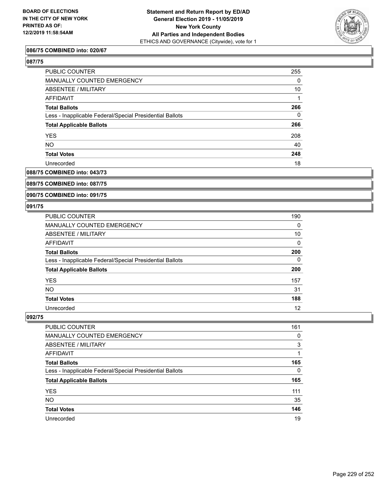

### **086/75 COMBINED into: 020/67**

| PUBLIC COUNTER                                           | 255      |
|----------------------------------------------------------|----------|
| MANUALLY COUNTED EMERGENCY                               | 0        |
| ABSENTEE / MILITARY                                      | 10       |
| AFFIDAVIT                                                |          |
| <b>Total Ballots</b>                                     | 266      |
| Less - Inapplicable Federal/Special Presidential Ballots | $\Omega$ |
| <b>Total Applicable Ballots</b>                          | 266      |
| <b>YES</b>                                               | 208      |
| <b>NO</b>                                                | 40       |
| <b>Total Votes</b>                                       | 248      |
| Unrecorded                                               | 18       |
|                                                          |          |

# **088/75 COMBINED into: 043/73**

## **089/75 COMBINED into: 087/75**

#### **090/75 COMBINED into: 091/75**

### **091/75**

| PUBLIC COUNTER                                           | 190 |
|----------------------------------------------------------|-----|
| MANUALLY COUNTED EMERGENCY                               | 0   |
| ABSENTEE / MILITARY                                      | 10  |
| AFFIDAVIT                                                | 0   |
| <b>Total Ballots</b>                                     | 200 |
| Less - Inapplicable Federal/Special Presidential Ballots | 0   |
| <b>Total Applicable Ballots</b>                          | 200 |
| <b>YES</b>                                               | 157 |
| <b>NO</b>                                                | 31  |
| <b>Total Votes</b>                                       | 188 |
| Unrecorded                                               | 12  |

| PUBLIC COUNTER                                           | 161      |
|----------------------------------------------------------|----------|
| MANUALLY COUNTED EMERGENCY                               | 0        |
| ABSENTEE / MILITARY                                      | 3        |
| AFFIDAVIT                                                |          |
| <b>Total Ballots</b>                                     | 165      |
| Less - Inapplicable Federal/Special Presidential Ballots | $\Omega$ |
| <b>Total Applicable Ballots</b>                          | 165      |
| <b>YES</b>                                               | 111      |
| <b>NO</b>                                                | 35       |
| <b>Total Votes</b>                                       | 146      |
| Unrecorded                                               | 19       |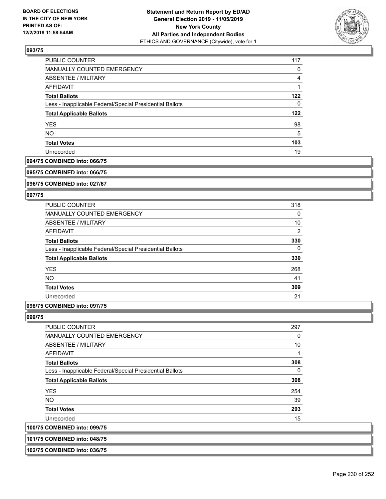

| <b>PUBLIC COUNTER</b>                                    | 117 |
|----------------------------------------------------------|-----|
| <b>MANUALLY COUNTED EMERGENCY</b>                        | 0   |
| <b>ABSENTEE / MILITARY</b>                               | 4   |
| AFFIDAVIT                                                |     |
| <b>Total Ballots</b>                                     | 122 |
| Less - Inapplicable Federal/Special Presidential Ballots | 0   |
| <b>Total Applicable Ballots</b>                          | 122 |
| <b>YES</b>                                               | 98  |
| <b>NO</b>                                                | 5   |
| <b>Total Votes</b>                                       | 103 |
| Unrecorded                                               | 19  |

### **094/75 COMBINED into: 066/75**

#### **095/75 COMBINED into: 066/75**

**096/75 COMBINED into: 027/67**

### **097/75**

| 318 |
|-----|
| 0   |
| 10  |
| 2   |
| 330 |
| 0   |
| 330 |
| 268 |
| 41  |
| 309 |
| 21  |
|     |

# **098/75 COMBINED into: 097/75**

#### **099/75**

**100/75 COMBINED into: 099/75**

| PUBLIC COUNTER                                           | 297 |
|----------------------------------------------------------|-----|
| <b>MANUALLY COUNTED EMERGENCY</b>                        | 0   |
| ABSENTEE / MILITARY                                      | 10  |
| AFFIDAVIT                                                | 1   |
| <b>Total Ballots</b>                                     | 308 |
| Less - Inapplicable Federal/Special Presidential Ballots | 0   |
| <b>Total Applicable Ballots</b>                          | 308 |
| <b>YES</b>                                               | 254 |
| <b>NO</b>                                                | 39  |
| <b>Total Votes</b>                                       | 293 |
| Unrecorded                                               | 15  |
| <b>COMBINED into: 099/75</b>                             |     |

# **101/75 COMBINED into: 048/75**

| 102/75 COMBINED into: 036/75 |  |
|------------------------------|--|
|                              |  |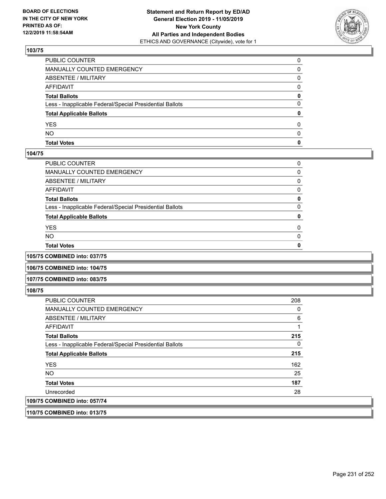

| <b>Total Votes</b>                                       | 0        |
|----------------------------------------------------------|----------|
| <b>NO</b>                                                | $\Omega$ |
| <b>YES</b>                                               | 0        |
| <b>Total Applicable Ballots</b>                          | 0        |
| Less - Inapplicable Federal/Special Presidential Ballots | 0        |
| <b>Total Ballots</b>                                     | 0        |
| <b>AFFIDAVIT</b>                                         | $\Omega$ |
| <b>ABSENTEE / MILITARY</b>                               | 0        |
| MANUALLY COUNTED EMERGENCY                               | 0        |
| PUBLIC COUNTER                                           | $\Omega$ |

#### **104/75**

| PUBLIC COUNTER                                           | 0        |
|----------------------------------------------------------|----------|
| MANUALLY COUNTED EMERGENCY                               | 0        |
| ABSENTEE / MILITARY                                      | 0        |
| AFFIDAVIT                                                | 0        |
| Total Ballots                                            | 0        |
| Less - Inapplicable Federal/Special Presidential Ballots | 0        |
| <b>Total Applicable Ballots</b>                          | 0        |
| YES                                                      | 0        |
| NO.                                                      | $\Omega$ |
| <b>Total Votes</b>                                       | 0        |
|                                                          |          |

**105/75 COMBINED into: 037/75**

**106/75 COMBINED into: 104/75**

## **107/75 COMBINED into: 083/75**

**108/75** 

| <b>PUBLIC COUNTER</b>                                    | 208 |
|----------------------------------------------------------|-----|
| MANUALLY COUNTED EMERGENCY                               | 0   |
| ABSENTEE / MILITARY                                      | 6   |
| AFFIDAVIT                                                |     |
| <b>Total Ballots</b>                                     | 215 |
| Less - Inapplicable Federal/Special Presidential Ballots | 0   |
| <b>Total Applicable Ballots</b>                          | 215 |
| <b>YES</b>                                               | 162 |
| <b>NO</b>                                                | 25  |
| <b>Total Votes</b>                                       | 187 |
| Unrecorded                                               | 28  |
| 109/75 COMBINED into: 057/74                             |     |
|                                                          |     |

**110/75 COMBINED into: 013/75**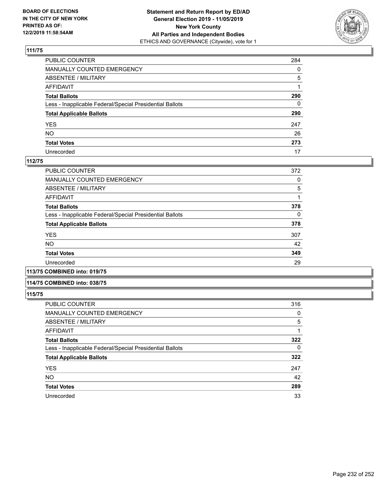

| PUBLIC COUNTER                                           | 284          |
|----------------------------------------------------------|--------------|
| MANUALLY COUNTED EMERGENCY                               | $\mathbf{0}$ |
| ABSENTEE / MILITARY                                      | 5            |
| AFFIDAVIT                                                |              |
| Total Ballots                                            | 290          |
| Less - Inapplicable Federal/Special Presidential Ballots | 0            |
| <b>Total Applicable Ballots</b>                          | 290          |
| YES                                                      | 247          |
| NO.                                                      | 26           |
| <b>Total Votes</b>                                       | 273          |
| Unrecorded                                               | 17           |

## **112/75**

| PUBLIC COUNTER                                           | 372 |
|----------------------------------------------------------|-----|
| <b>MANUALLY COUNTED EMERGENCY</b>                        | 0   |
| ABSENTEE / MILITARY                                      | 5   |
| AFFIDAVIT                                                |     |
| <b>Total Ballots</b>                                     | 378 |
| Less - Inapplicable Federal/Special Presidential Ballots | 0   |
| <b>Total Applicable Ballots</b>                          | 378 |
| <b>YES</b>                                               | 307 |
| <b>NO</b>                                                | 42  |
| <b>Total Votes</b>                                       | 349 |
| Unrecorded                                               | 29  |
|                                                          |     |

**113/75 COMBINED into: 019/75**

### **114/75 COMBINED into: 038/75**

| <b>PUBLIC COUNTER</b>                                    | 316      |
|----------------------------------------------------------|----------|
| MANUALLY COUNTED EMERGENCY                               | 0        |
| ABSENTEE / MILITARY                                      | 5        |
| AFFIDAVIT                                                | 1        |
| <b>Total Ballots</b>                                     | 322      |
| Less - Inapplicable Federal/Special Presidential Ballots | $\Omega$ |
| <b>Total Applicable Ballots</b>                          | 322      |
| <b>YES</b>                                               | 247      |
| <b>NO</b>                                                | 42       |
| <b>Total Votes</b>                                       | 289      |
| Unrecorded                                               | 33       |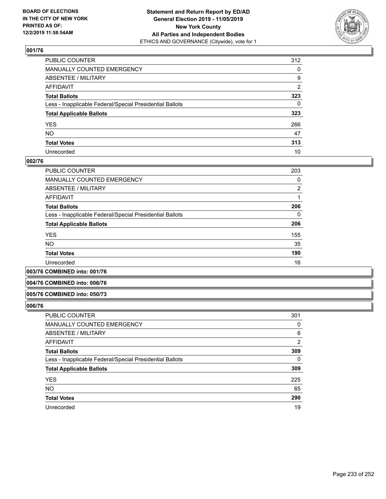

| PUBLIC COUNTER                                           | 312          |
|----------------------------------------------------------|--------------|
| MANUALLY COUNTED EMERGENCY                               | 0            |
| ABSENTEE / MILITARY                                      | 9            |
| AFFIDAVIT                                                | 2            |
| Total Ballots                                            | 323          |
| Less - Inapplicable Federal/Special Presidential Ballots | $\mathbf{0}$ |
| <b>Total Applicable Ballots</b>                          | 323          |
| YES                                                      | 266          |
| NO.                                                      | 47           |
| <b>Total Votes</b>                                       | 313          |
| Unrecorded                                               | 10           |

### **002/76**

| 0   |
|-----|
|     |
| 2   |
|     |
| 206 |
| 0   |
| 206 |
| 155 |
| 35  |
| 190 |
| 16  |
|     |

**003/76 COMBINED into: 001/76**

#### **004/76 COMBINED into: 006/76**

#### **005/76 COMBINED into: 050/73**

| <b>PUBLIC COUNTER</b>                                    | 301 |
|----------------------------------------------------------|-----|
| MANUALLY COUNTED EMERGENCY                               | 0   |
| ABSENTEE / MILITARY                                      | 6   |
| AFFIDAVIT                                                | 2   |
| <b>Total Ballots</b>                                     | 309 |
| Less - Inapplicable Federal/Special Presidential Ballots | 0   |
| <b>Total Applicable Ballots</b>                          | 309 |
| <b>YES</b>                                               | 225 |
| <b>NO</b>                                                | 65  |
| <b>Total Votes</b>                                       | 290 |
| Unrecorded                                               | 19  |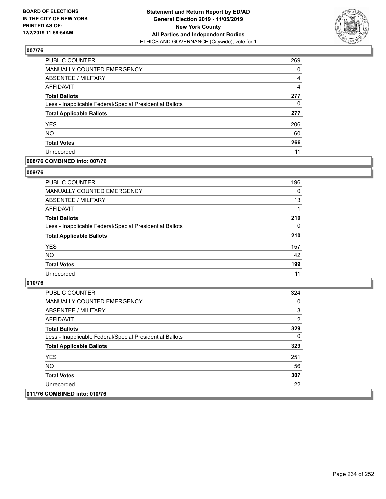

| <b>PUBLIC COUNTER</b>                                    | 269            |
|----------------------------------------------------------|----------------|
| MANUALLY COUNTED EMERGENCY                               | 0              |
| <b>ABSENTEE / MILITARY</b>                               | 4              |
| AFFIDAVIT                                                | $\overline{4}$ |
| <b>Total Ballots</b>                                     | 277            |
| Less - Inapplicable Federal/Special Presidential Ballots | 0              |
| <b>Total Applicable Ballots</b>                          | 277            |
| <b>YES</b>                                               | 206            |
| <b>NO</b>                                                | 60             |
| <b>Total Votes</b>                                       | 266            |
| Unrecorded                                               | 11             |

### **008/76 COMBINED into: 007/76**

### **009/76**

| PUBLIC COUNTER                                           | 196 |
|----------------------------------------------------------|-----|
| <b>MANUALLY COUNTED EMERGENCY</b>                        | 0   |
| <b>ABSENTEE / MILITARY</b>                               | 13  |
| AFFIDAVIT                                                |     |
| <b>Total Ballots</b>                                     | 210 |
| Less - Inapplicable Federal/Special Presidential Ballots | 0   |
| <b>Total Applicable Ballots</b>                          | 210 |
| <b>YES</b>                                               | 157 |
| <b>NO</b>                                                | 42  |
| <b>Total Votes</b>                                       | 199 |
| Unrecorded                                               | 11  |

| <b>PUBLIC COUNTER</b>                                    | 324 |
|----------------------------------------------------------|-----|
| <b>MANUALLY COUNTED EMERGENCY</b>                        | 0   |
| ABSENTEE / MILITARY                                      | 3   |
| AFFIDAVIT                                                | 2   |
| <b>Total Ballots</b>                                     | 329 |
| Less - Inapplicable Federal/Special Presidential Ballots | 0   |
| <b>Total Applicable Ballots</b>                          | 329 |
| <b>YES</b>                                               | 251 |
| NO.                                                      | 56  |
| <b>Total Votes</b>                                       | 307 |
| Unrecorded                                               | 22  |
| 011/76 COMBINED into: 010/76                             |     |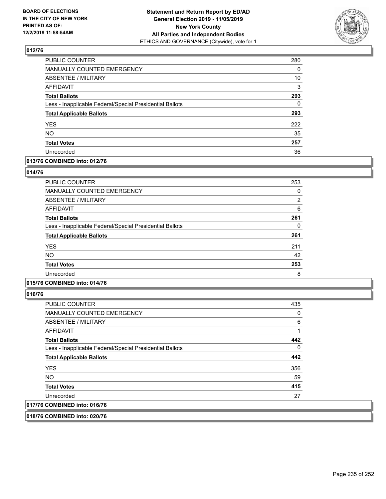

| PUBLIC COUNTER                                           | 280      |
|----------------------------------------------------------|----------|
| MANUALLY COUNTED EMERGENCY                               | 0        |
| <b>ABSENTEE / MILITARY</b>                               | 10       |
| <b>AFFIDAVIT</b>                                         | 3        |
| <b>Total Ballots</b>                                     | 293      |
| Less - Inapplicable Federal/Special Presidential Ballots | $\Omega$ |
| <b>Total Applicable Ballots</b>                          | 293      |
| <b>YES</b>                                               | 222      |
| <b>NO</b>                                                | 35       |
| <b>Total Votes</b>                                       | 257      |
| Unrecorded                                               | 36       |

### **013/76 COMBINED into: 012/76**

### **014/76**

| <b>PUBLIC COUNTER</b>                                    | 253            |
|----------------------------------------------------------|----------------|
| <b>MANUALLY COUNTED EMERGENCY</b>                        | 0              |
| <b>ABSENTEE / MILITARY</b>                               | $\overline{2}$ |
| <b>AFFIDAVIT</b>                                         | 6              |
| <b>Total Ballots</b>                                     | 261            |
| Less - Inapplicable Federal/Special Presidential Ballots | 0              |
| <b>Total Applicable Ballots</b>                          | 261            |
| <b>YES</b>                                               | 211            |
| <b>NO</b>                                                | 42             |
| <b>Total Votes</b>                                       | 253            |
| Unrecorded                                               | 8              |

## **015/76 COMBINED into: 014/76**

**016/76** 

| <b>PUBLIC COUNTER</b>                                    | 435 |
|----------------------------------------------------------|-----|
| <b>MANUALLY COUNTED EMERGENCY</b>                        | 0   |
| ABSENTEE / MILITARY                                      | 6   |
| AFFIDAVIT                                                |     |
| <b>Total Ballots</b>                                     | 442 |
| Less - Inapplicable Federal/Special Presidential Ballots | 0   |
| <b>Total Applicable Ballots</b>                          | 442 |
| <b>YES</b>                                               | 356 |
| NO.                                                      | 59  |
| <b>Total Votes</b>                                       | 415 |
| Unrecorded                                               | 27  |
| 017/76 COMBINED into: 016/76                             |     |

**018/76 COMBINED into: 020/76**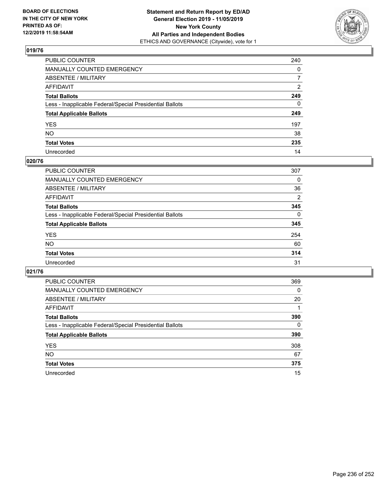

| PUBLIC COUNTER                                           | 240            |
|----------------------------------------------------------|----------------|
| MANUALLY COUNTED EMERGENCY                               | $\Omega$       |
| ABSENTEE / MILITARY                                      | $\overline{7}$ |
| AFFIDAVIT                                                | $\overline{2}$ |
| Total Ballots                                            | 249            |
| Less - Inapplicable Federal/Special Presidential Ballots | $\mathbf{0}$   |
| <b>Total Applicable Ballots</b>                          | 249            |
| YES                                                      | 197            |
| NO.                                                      | 38             |
| <b>Total Votes</b>                                       | 235            |
| Unrecorded                                               | 14             |

### **020/76**

| PUBLIC COUNTER                                           | 307      |
|----------------------------------------------------------|----------|
| <b>MANUALLY COUNTED EMERGENCY</b>                        | 0        |
| <b>ABSENTEE / MILITARY</b>                               | 36       |
| AFFIDAVIT                                                | 2        |
| <b>Total Ballots</b>                                     | 345      |
| Less - Inapplicable Federal/Special Presidential Ballots | $\Omega$ |
| <b>Total Applicable Ballots</b>                          | 345      |
| <b>YES</b>                                               | 254      |
| <b>NO</b>                                                | 60       |
| <b>Total Votes</b>                                       | 314      |
| Unrecorded                                               | 31       |

| PUBLIC COUNTER                                           | 369      |
|----------------------------------------------------------|----------|
| <b>MANUALLY COUNTED EMERGENCY</b>                        | $\Omega$ |
| ABSENTEE / MILITARY                                      | 20       |
| AFFIDAVIT                                                |          |
| <b>Total Ballots</b>                                     | 390      |
| Less - Inapplicable Federal/Special Presidential Ballots | $\Omega$ |
| <b>Total Applicable Ballots</b>                          | 390      |
| <b>YES</b>                                               | 308      |
| <b>NO</b>                                                | 67       |
| <b>Total Votes</b>                                       | 375      |
| Unrecorded                                               | 15       |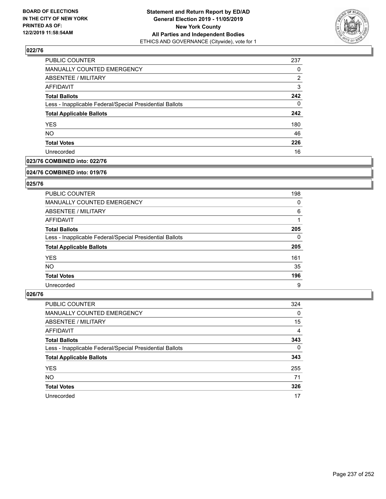

| PUBLIC COUNTER                                           | 237 |
|----------------------------------------------------------|-----|
| MANUALLY COUNTED EMERGENCY                               | 0   |
| ABSENTEE / MILITARY                                      | 2   |
| AFFIDAVIT                                                | 3   |
| <b>Total Ballots</b>                                     | 242 |
| Less - Inapplicable Federal/Special Presidential Ballots | 0   |
| <b>Total Applicable Ballots</b>                          | 242 |
| <b>YES</b>                                               | 180 |
| <b>NO</b>                                                | 46  |
| <b>Total Votes</b>                                       | 226 |
| Unrecorded                                               | 16  |

## **023/76 COMBINED into: 022/76**

#### **024/76 COMBINED into: 019/76**

## **025/76**

| <b>PUBLIC COUNTER</b>                                    | 198      |
|----------------------------------------------------------|----------|
| <b>MANUALLY COUNTED EMERGENCY</b>                        | 0        |
| ABSENTEE / MILITARY                                      | 6        |
| AFFIDAVIT                                                |          |
| <b>Total Ballots</b>                                     | 205      |
| Less - Inapplicable Federal/Special Presidential Ballots | $\Omega$ |
| <b>Total Applicable Ballots</b>                          | 205      |
| <b>YES</b>                                               | 161      |
| NO.                                                      | 35       |
| <b>Total Votes</b>                                       | 196      |
| Unrecorded                                               | 9        |

| <b>PUBLIC COUNTER</b>                                    | 324      |
|----------------------------------------------------------|----------|
| MANUALLY COUNTED EMERGENCY                               | 0        |
| ABSENTEE / MILITARY                                      | 15       |
| AFFIDAVIT                                                | 4        |
| <b>Total Ballots</b>                                     | 343      |
| Less - Inapplicable Federal/Special Presidential Ballots | $\Omega$ |
| <b>Total Applicable Ballots</b>                          | 343      |
| <b>YES</b>                                               | 255      |
| <b>NO</b>                                                | 71       |
| <b>Total Votes</b>                                       | 326      |
| Unrecorded                                               | 17       |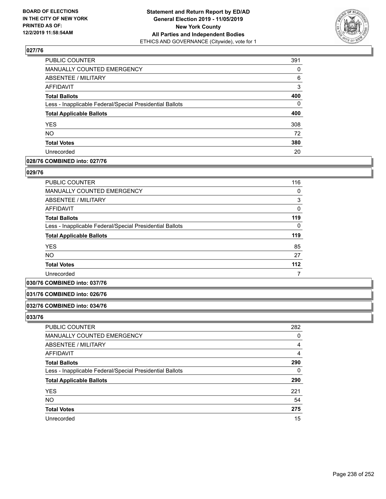

| PUBLIC COUNTER                                           | 391      |
|----------------------------------------------------------|----------|
| MANUALLY COUNTED EMERGENCY                               | 0        |
| <b>ABSENTEE / MILITARY</b>                               | 6        |
| <b>AFFIDAVIT</b>                                         | 3        |
| <b>Total Ballots</b>                                     | 400      |
| Less - Inapplicable Federal/Special Presidential Ballots | $\Omega$ |
| <b>Total Applicable Ballots</b>                          | 400      |
| <b>YES</b>                                               | 308      |
| <b>NO</b>                                                | 72       |
| <b>Total Votes</b>                                       | 380      |
| Unrecorded                                               | 20       |

### **028/76 COMBINED into: 027/76**

### **029/76**

| <b>PUBLIC COUNTER</b>                                    | 116 |
|----------------------------------------------------------|-----|
| MANUALLY COUNTED EMERGENCY                               | 0   |
| ABSENTEE / MILITARY                                      | 3   |
| AFFIDAVIT                                                | 0   |
| <b>Total Ballots</b>                                     | 119 |
| Less - Inapplicable Federal/Special Presidential Ballots | 0   |
| <b>Total Applicable Ballots</b>                          | 119 |
| <b>YES</b>                                               | 85  |
| <b>NO</b>                                                | 27  |
| <b>Total Votes</b>                                       | 112 |
| Unrecorded                                               |     |

#### **030/76 COMBINED into: 037/76**

#### **031/76 COMBINED into: 026/76**

#### **032/76 COMBINED into: 034/76**

| <b>PUBLIC COUNTER</b>                                    | 282 |
|----------------------------------------------------------|-----|
| MANUALLY COUNTED EMERGENCY                               | 0   |
| ABSENTEE / MILITARY                                      | 4   |
| AFFIDAVIT                                                | 4   |
| <b>Total Ballots</b>                                     | 290 |
| Less - Inapplicable Federal/Special Presidential Ballots | 0   |
| <b>Total Applicable Ballots</b>                          | 290 |
| <b>YES</b>                                               | 221 |
| NO.                                                      | 54  |
| <b>Total Votes</b>                                       | 275 |
| Unrecorded                                               | 15  |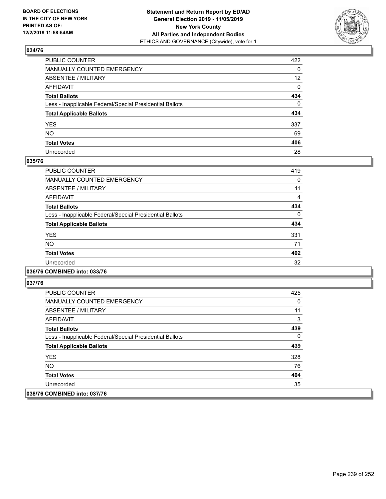

| PUBLIC COUNTER                                           | 422             |
|----------------------------------------------------------|-----------------|
| MANUALLY COUNTED EMERGENCY                               | $\mathbf{0}$    |
| ABSENTEE / MILITARY                                      | 12 <sup>2</sup> |
| AFFIDAVIT                                                | 0               |
| Total Ballots                                            | 434             |
| Less - Inapplicable Federal/Special Presidential Ballots | $\Omega$        |
| <b>Total Applicable Ballots</b>                          | 434             |
| YES                                                      | 337             |
| NO.                                                      | 69              |
| <b>Total Votes</b>                                       | 406             |
| Unrecorded                                               | 28              |

### **035/76**

| <b>PUBLIC COUNTER</b>                                    | 419      |
|----------------------------------------------------------|----------|
| <b>MANUALLY COUNTED EMERGENCY</b>                        | 0        |
| <b>ABSENTEE / MILITARY</b>                               | 11       |
| <b>AFFIDAVIT</b>                                         | 4        |
| <b>Total Ballots</b>                                     | 434      |
| Less - Inapplicable Federal/Special Presidential Ballots | $\Omega$ |
| <b>Total Applicable Ballots</b>                          | 434      |
| <b>YES</b>                                               | 331      |
| <b>NO</b>                                                | 71       |
| <b>Total Votes</b>                                       | 402      |
| Unrecorded                                               | 32       |
|                                                          |          |

### **036/76 COMBINED into: 033/76**

| <b>PUBLIC COUNTER</b>                                    | 425 |
|----------------------------------------------------------|-----|
| <b>MANUALLY COUNTED EMERGENCY</b>                        | 0   |
| ABSENTEE / MILITARY                                      | 11  |
| AFFIDAVIT                                                | 3   |
| <b>Total Ballots</b>                                     | 439 |
| Less - Inapplicable Federal/Special Presidential Ballots | 0   |
| <b>Total Applicable Ballots</b>                          | 439 |
| <b>YES</b>                                               | 328 |
| NO.                                                      | 76  |
| <b>Total Votes</b>                                       | 404 |
| Unrecorded                                               | 35  |
| 038/76 COMBINED into: 037/76                             |     |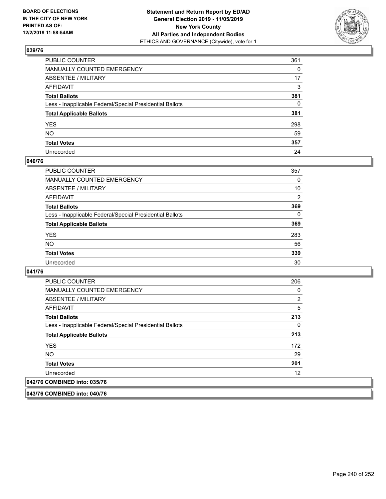

| PUBLIC COUNTER                                           | 361      |
|----------------------------------------------------------|----------|
| MANUALLY COUNTED EMERGENCY                               | $\Omega$ |
| ABSENTEE / MILITARY                                      | 17       |
| AFFIDAVIT                                                | 3        |
| Total Ballots                                            | 381      |
| Less - Inapplicable Federal/Special Presidential Ballots | 0        |
| <b>Total Applicable Ballots</b>                          | 381      |
| YES                                                      | 298      |
| NO.                                                      | 59       |
| <b>Total Votes</b>                                       | 357      |
| Unrecorded                                               | 24       |

### **040/76**

| <b>PUBLIC COUNTER</b>                                    | 357            |
|----------------------------------------------------------|----------------|
| <b>MANUALLY COUNTED EMERGENCY</b>                        | $\Omega$       |
| ABSENTEE / MILITARY                                      | 10             |
| AFFIDAVIT                                                | $\overline{2}$ |
| <b>Total Ballots</b>                                     | 369            |
| Less - Inapplicable Federal/Special Presidential Ballots | $\Omega$       |
| <b>Total Applicable Ballots</b>                          | 369            |
| <b>YES</b>                                               | 283            |
| <b>NO</b>                                                | 56             |
| <b>Total Votes</b>                                       | 339            |
| Unrecorded                                               | 30             |

### **041/76**

| <b>PUBLIC COUNTER</b>                                    | 206 |
|----------------------------------------------------------|-----|
| <b>MANUALLY COUNTED EMERGENCY</b>                        | 0   |
| ABSENTEE / MILITARY                                      | 2   |
| AFFIDAVIT                                                | 5   |
| <b>Total Ballots</b>                                     | 213 |
| Less - Inapplicable Federal/Special Presidential Ballots | 0   |
| <b>Total Applicable Ballots</b>                          | 213 |
| <b>YES</b>                                               | 172 |
| <b>NO</b>                                                | 29  |
| <b>Total Votes</b>                                       | 201 |
| Unrecorded                                               | 12  |
| 042/76 COMBINED into: 035/76                             |     |

**043/76 COMBINED into: 040/76**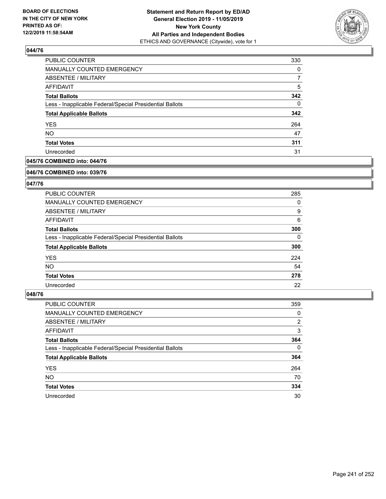

| <b>PUBLIC COUNTER</b>                                    | 330      |
|----------------------------------------------------------|----------|
| <b>MANUALLY COUNTED EMERGENCY</b>                        | $\Omega$ |
| <b>ABSENTEE / MILITARY</b>                               | 7        |
| AFFIDAVIT                                                | 5        |
| <b>Total Ballots</b>                                     | 342      |
| Less - Inapplicable Federal/Special Presidential Ballots | $\Omega$ |
| <b>Total Applicable Ballots</b>                          | 342      |
| <b>YES</b>                                               | 264      |
| <b>NO</b>                                                | 47       |
| <b>Total Votes</b>                                       | 311      |
| Unrecorded                                               | 31       |

## **045/76 COMBINED into: 044/76**

#### **046/76 COMBINED into: 039/76**

## **047/76**

| <b>PUBLIC COUNTER</b>                                    | 285 |
|----------------------------------------------------------|-----|
| <b>MANUALLY COUNTED EMERGENCY</b>                        | 0   |
| ABSENTEE / MILITARY                                      | 9   |
| AFFIDAVIT                                                | 6   |
| <b>Total Ballots</b>                                     | 300 |
| Less - Inapplicable Federal/Special Presidential Ballots | 0   |
| <b>Total Applicable Ballots</b>                          | 300 |
| <b>YES</b>                                               | 224 |
| NO.                                                      | 54  |
| <b>Total Votes</b>                                       | 278 |
| Unrecorded                                               | 22  |

| PUBLIC COUNTER                                           | 359            |
|----------------------------------------------------------|----------------|
| <b>MANUALLY COUNTED EMERGENCY</b>                        | 0              |
| ABSENTEE / MILITARY                                      | $\overline{2}$ |
| AFFIDAVIT                                                | 3              |
| <b>Total Ballots</b>                                     | 364            |
| Less - Inapplicable Federal/Special Presidential Ballots | $\Omega$       |
| <b>Total Applicable Ballots</b>                          | 364            |
| <b>YES</b>                                               | 264            |
| <b>NO</b>                                                | 70             |
| <b>Total Votes</b>                                       | 334            |
| Unrecorded                                               | 30             |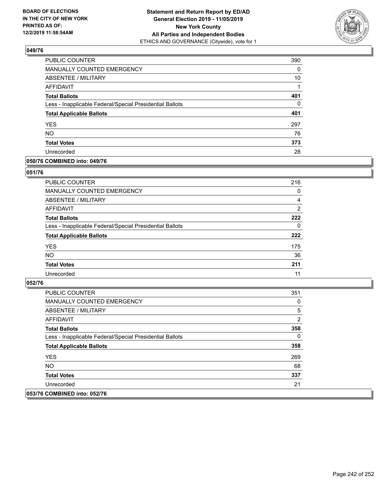

| PUBLIC COUNTER                                           | 390      |
|----------------------------------------------------------|----------|
| <b>MANUALLY COUNTED EMERGENCY</b>                        | $\Omega$ |
| <b>ABSENTEE / MILITARY</b>                               | 10       |
| <b>AFFIDAVIT</b>                                         |          |
| <b>Total Ballots</b>                                     | 401      |
| Less - Inapplicable Federal/Special Presidential Ballots | $\Omega$ |
| <b>Total Applicable Ballots</b>                          | 401      |
| <b>YES</b>                                               | 297      |
| <b>NO</b>                                                | 76       |
| <b>Total Votes</b>                                       | 373      |
| Unrecorded                                               | 28       |

### **050/76 COMBINED into: 049/76**

### **051/76**

| PUBLIC COUNTER                                           | 216            |
|----------------------------------------------------------|----------------|
| <b>MANUALLY COUNTED EMERGENCY</b>                        | 0              |
| ABSENTEE / MILITARY                                      | 4              |
| AFFIDAVIT                                                | $\overline{2}$ |
| <b>Total Ballots</b>                                     | 222            |
| Less - Inapplicable Federal/Special Presidential Ballots | 0              |
| <b>Total Applicable Ballots</b>                          | 222            |
| <b>YES</b>                                               | 175            |
| <b>NO</b>                                                | 36             |
| <b>Total Votes</b>                                       | 211            |
| Unrecorded                                               | 11             |

| <b>PUBLIC COUNTER</b>                                    | 351 |
|----------------------------------------------------------|-----|
| <b>MANUALLY COUNTED EMERGENCY</b>                        | 0   |
| ABSENTEE / MILITARY                                      | 5   |
| AFFIDAVIT                                                | 2   |
| <b>Total Ballots</b>                                     | 358 |
| Less - Inapplicable Federal/Special Presidential Ballots | 0   |
| <b>Total Applicable Ballots</b>                          | 358 |
| <b>YES</b>                                               | 269 |
| NO.                                                      | 68  |
| <b>Total Votes</b>                                       | 337 |
| Unrecorded                                               | 21  |
| 053/76 COMBINED into: 052/76                             |     |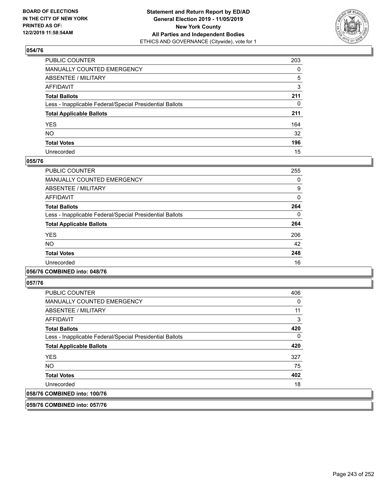

| PUBLIC COUNTER                                           | 203          |
|----------------------------------------------------------|--------------|
| MANUALLY COUNTED EMERGENCY                               | $\mathbf{0}$ |
| ABSENTEE / MILITARY                                      | 5            |
| AFFIDAVIT                                                | 3            |
| Total Ballots                                            | 211          |
| Less - Inapplicable Federal/Special Presidential Ballots | $\mathbf{0}$ |
| <b>Total Applicable Ballots</b>                          | 211          |
| YES                                                      | 164          |
| NO.                                                      | 32           |
| <b>Total Votes</b>                                       | 196          |
| Unrecorded                                               | 15           |

### **055/76**

| PUBLIC COUNTER                                           | 255 |
|----------------------------------------------------------|-----|
| <b>MANUALLY COUNTED EMERGENCY</b>                        | 0   |
| ABSENTEE / MILITARY                                      | 9   |
| <b>AFFIDAVIT</b>                                         | 0   |
| <b>Total Ballots</b>                                     | 264 |
| Less - Inapplicable Federal/Special Presidential Ballots | 0   |
| <b>Total Applicable Ballots</b>                          | 264 |
| <b>YES</b>                                               | 206 |
| <b>NO</b>                                                | 42  |
| <b>Total Votes</b>                                       | 248 |
| Unrecorded                                               | 16  |
|                                                          |     |

#### **056/76 COMBINED into: 048/76**

**057/76** 

| <b>PUBLIC COUNTER</b>                                    | 406 |
|----------------------------------------------------------|-----|
| <b>MANUALLY COUNTED EMERGENCY</b>                        | 0   |
| ABSENTEE / MILITARY                                      | 11  |
| AFFIDAVIT                                                | 3   |
| <b>Total Ballots</b>                                     | 420 |
| Less - Inapplicable Federal/Special Presidential Ballots | 0   |
| <b>Total Applicable Ballots</b>                          | 420 |
| <b>YES</b>                                               | 327 |
| <b>NO</b>                                                | 75  |
| <b>Total Votes</b>                                       | 402 |
| Unrecorded                                               | 18  |
| 058/76 COMBINED into: 100/76                             |     |

**059/76 COMBINED into: 057/76**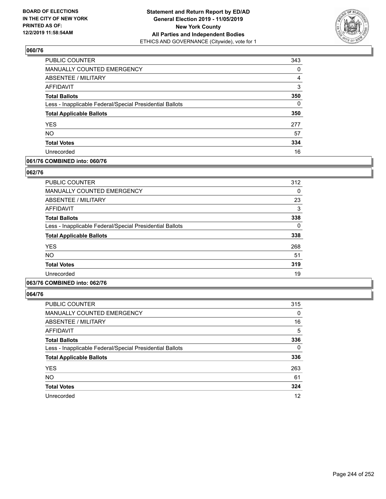

| PUBLIC COUNTER                                           | 343      |
|----------------------------------------------------------|----------|
| MANUALLY COUNTED EMERGENCY                               | 0        |
| ABSENTEE / MILITARY                                      | 4        |
| AFFIDAVIT                                                | 3        |
| <b>Total Ballots</b>                                     | 350      |
| Less - Inapplicable Federal/Special Presidential Ballots | $\Omega$ |
| <b>Total Applicable Ballots</b>                          | 350      |
| <b>YES</b>                                               | 277      |
| <b>NO</b>                                                | 57       |
| <b>Total Votes</b>                                       | 334      |
| Unrecorded                                               | 16       |

## **061/76 COMBINED into: 060/76**

### **062/76**

| <b>PUBLIC COUNTER</b>                                    | 312 |
|----------------------------------------------------------|-----|
| <b>MANUALLY COUNTED EMERGENCY</b>                        | 0   |
| ABSENTEE / MILITARY                                      | 23  |
| AFFIDAVIT                                                | 3   |
| <b>Total Ballots</b>                                     | 338 |
| Less - Inapplicable Federal/Special Presidential Ballots | 0   |
| <b>Total Applicable Ballots</b>                          | 338 |
| <b>YES</b>                                               | 268 |
| <b>NO</b>                                                | 51  |
| <b>Total Votes</b>                                       | 319 |
| Unrecorded                                               | 19  |
|                                                          |     |

# **063/76 COMBINED into: 062/76**

| <b>PUBLIC COUNTER</b>                                    | 315 |
|----------------------------------------------------------|-----|
| <b>MANUALLY COUNTED EMERGENCY</b>                        | 0   |
| ABSENTEE / MILITARY                                      | 16  |
| AFFIDAVIT                                                | 5   |
| <b>Total Ballots</b>                                     | 336 |
| Less - Inapplicable Federal/Special Presidential Ballots | 0   |
| <b>Total Applicable Ballots</b>                          | 336 |
| <b>YES</b>                                               | 263 |
| <b>NO</b>                                                | 61  |
| <b>Total Votes</b>                                       | 324 |
| Unrecorded                                               | 12  |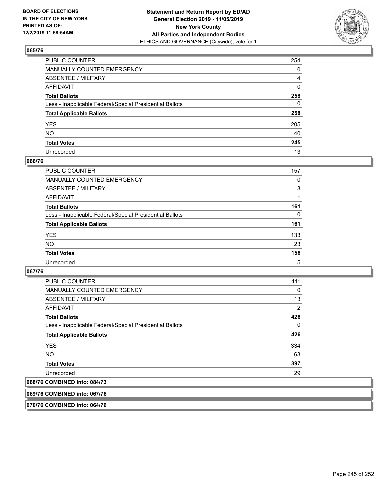

| PUBLIC COUNTER                                           | 254          |
|----------------------------------------------------------|--------------|
| MANUALLY COUNTED EMERGENCY                               | $\mathbf{0}$ |
| ABSENTEE / MILITARY                                      | 4            |
| AFFIDAVIT                                                | $\Omega$     |
| Total Ballots                                            | 258          |
| Less - Inapplicable Federal/Special Presidential Ballots | $\mathbf{0}$ |
| <b>Total Applicable Ballots</b>                          | 258          |
| YES                                                      | 205          |
| NO.                                                      | 40           |
| <b>Total Votes</b>                                       | 245          |
| Unrecorded                                               | 13           |

### **066/76**

| <b>PUBLIC COUNTER</b>                                    | 157 |
|----------------------------------------------------------|-----|
| <b>MANUALLY COUNTED EMERGENCY</b>                        | 0   |
| ABSENTEE / MILITARY                                      | 3   |
| AFFIDAVIT                                                |     |
| <b>Total Ballots</b>                                     | 161 |
| Less - Inapplicable Federal/Special Presidential Ballots | 0   |
| <b>Total Applicable Ballots</b>                          | 161 |
| <b>YES</b>                                               | 133 |
| <b>NO</b>                                                | 23  |
| <b>Total Votes</b>                                       | 156 |
| Unrecorded                                               | 5   |

### **067/76**

| <b>PUBLIC COUNTER</b>                                    | 411      |
|----------------------------------------------------------|----------|
| <b>MANUALLY COUNTED EMERGENCY</b>                        | 0        |
| ABSENTEE / MILITARY                                      | 13       |
| AFFIDAVIT                                                | 2        |
| <b>Total Ballots</b>                                     | 426      |
| Less - Inapplicable Federal/Special Presidential Ballots | $\Omega$ |
| <b>Total Applicable Ballots</b>                          | 426      |
| <b>YES</b>                                               | 334      |
| <b>NO</b>                                                | 63       |
| <b>Total Votes</b>                                       | 397      |
| Unrecorded                                               | 29       |
| $2$ Compinier $3.44$ , 001/72                            |          |

# **068/76 COMBINED into: 084/73**

**069/76 COMBINED into: 067/76**

**070/76 COMBINED into: 064/76**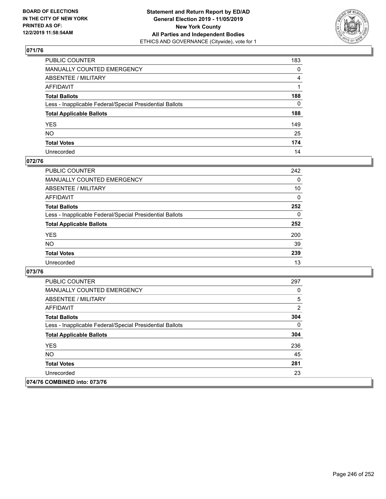

| PUBLIC COUNTER                                           | 183          |
|----------------------------------------------------------|--------------|
| MANUALLY COUNTED EMERGENCY                               | 0            |
| ABSENTEE / MILITARY                                      | 4            |
| AFFIDAVIT                                                |              |
| Total Ballots                                            | 188          |
| Less - Inapplicable Federal/Special Presidential Ballots | $\mathbf{0}$ |
| <b>Total Applicable Ballots</b>                          | 188          |
| YES                                                      | 149          |
| NO.                                                      | 25           |
| <b>Total Votes</b>                                       | 174          |
| Unrecorded                                               | 14           |

### **072/76**

| <b>PUBLIC COUNTER</b>                                    | 242      |
|----------------------------------------------------------|----------|
| <b>MANUALLY COUNTED EMERGENCY</b>                        | $\Omega$ |
| ABSENTEE / MILITARY                                      | 10       |
| <b>AFFIDAVIT</b>                                         | $\Omega$ |
| <b>Total Ballots</b>                                     | 252      |
| Less - Inapplicable Federal/Special Presidential Ballots | $\Omega$ |
| <b>Total Applicable Ballots</b>                          | 252      |
| <b>YES</b>                                               | 200      |
| <b>NO</b>                                                | 39       |
| <b>Total Votes</b>                                       | 239      |
| Unrecorded                                               | 13       |

| <b>PUBLIC COUNTER</b>                                    | 297 |
|----------------------------------------------------------|-----|
| <b>MANUALLY COUNTED EMERGENCY</b>                        | 0   |
| ABSENTEE / MILITARY                                      | 5   |
| AFFIDAVIT                                                | 2   |
| <b>Total Ballots</b>                                     | 304 |
| Less - Inapplicable Federal/Special Presidential Ballots | 0   |
| <b>Total Applicable Ballots</b>                          | 304 |
| <b>YES</b>                                               | 236 |
| <b>NO</b>                                                | 45  |
| <b>Total Votes</b>                                       | 281 |
| Unrecorded                                               | 23  |
| 074/76 COMBINED into: 073/76                             |     |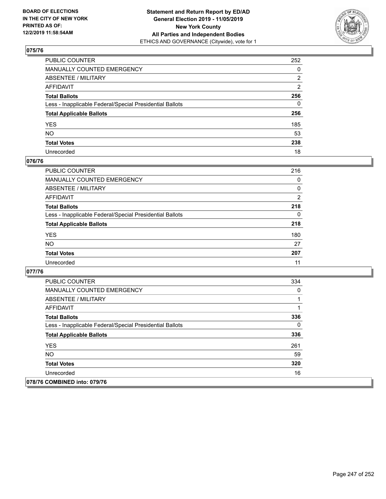

| PUBLIC COUNTER                                           | 252 |
|----------------------------------------------------------|-----|
| MANUALLY COUNTED EMERGENCY                               | 0   |
| ABSENTEE / MILITARY                                      | 2   |
| AFFIDAVIT                                                | 2   |
| Total Ballots                                            | 256 |
| Less - Inapplicable Federal/Special Presidential Ballots | 0   |
| <b>Total Applicable Ballots</b>                          | 256 |
| YES                                                      | 185 |
| NO.                                                      | 53  |
| <b>Total Votes</b>                                       | 238 |
| Unrecorded                                               | 18  |

### **076/76**

| <b>PUBLIC COUNTER</b>                                    | 216            |
|----------------------------------------------------------|----------------|
| <b>MANUALLY COUNTED EMERGENCY</b>                        | 0              |
| ABSENTEE / MILITARY                                      | 0              |
| AFFIDAVIT                                                | $\overline{2}$ |
| <b>Total Ballots</b>                                     | 218            |
| Less - Inapplicable Federal/Special Presidential Ballots | $\Omega$       |
| <b>Total Applicable Ballots</b>                          | 218            |
| <b>YES</b>                                               | 180            |
| <b>NO</b>                                                | 27             |
| <b>Total Votes</b>                                       | 207            |
| Unrecorded                                               | 11             |

| <b>PUBLIC COUNTER</b>                                    | 334 |
|----------------------------------------------------------|-----|
| <b>MANUALLY COUNTED EMERGENCY</b>                        | 0   |
| ABSENTEE / MILITARY                                      |     |
| AFFIDAVIT                                                |     |
| <b>Total Ballots</b>                                     | 336 |
| Less - Inapplicable Federal/Special Presidential Ballots | 0   |
| <b>Total Applicable Ballots</b>                          | 336 |
| <b>YES</b>                                               | 261 |
| <b>NO</b>                                                | 59  |
| <b>Total Votes</b>                                       | 320 |
| Unrecorded                                               | 16  |
| 078/76 COMBINED into: 079/76                             |     |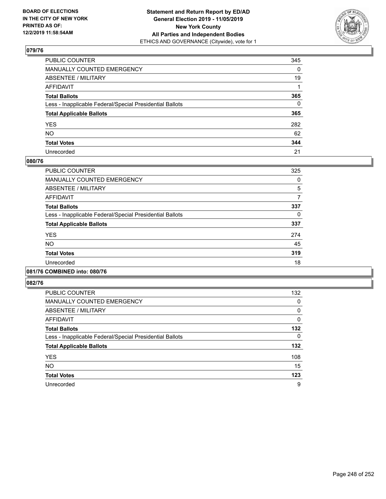

| PUBLIC COUNTER                                           | 345          |
|----------------------------------------------------------|--------------|
| MANUALLY COUNTED EMERGENCY                               | $\Omega$     |
| ABSENTEE / MILITARY                                      | 19           |
| AFFIDAVIT                                                |              |
| Total Ballots                                            | 365          |
| Less - Inapplicable Federal/Special Presidential Ballots | $\mathbf{0}$ |
| <b>Total Applicable Ballots</b>                          | 365          |
| YES                                                      | 282          |
| NO.                                                      | 62           |
| <b>Total Votes</b>                                       | 344          |
| Unrecorded                                               | 21           |

### **080/76**

| PUBLIC COUNTER                                           | 325 |
|----------------------------------------------------------|-----|
| <b>MANUALLY COUNTED EMERGENCY</b>                        | 0   |
| ABSENTEE / MILITARY                                      | 5   |
| <b>AFFIDAVIT</b>                                         |     |
| <b>Total Ballots</b>                                     | 337 |
| Less - Inapplicable Federal/Special Presidential Ballots | 0   |
| <b>Total Applicable Ballots</b>                          | 337 |
| <b>YES</b>                                               | 274 |
| <b>NO</b>                                                | 45  |
| <b>Total Votes</b>                                       | 319 |
| Unrecorded                                               | 18  |
|                                                          |     |

### **081/76 COMBINED into: 080/76**

| <b>PUBLIC COUNTER</b>                                    | 132      |
|----------------------------------------------------------|----------|
| <b>MANUALLY COUNTED EMERGENCY</b>                        | 0        |
| ABSENTEE / MILITARY                                      | $\Omega$ |
| AFFIDAVIT                                                | 0        |
| <b>Total Ballots</b>                                     | 132      |
| Less - Inapplicable Federal/Special Presidential Ballots | 0        |
| <b>Total Applicable Ballots</b>                          | 132      |
| <b>YES</b>                                               | 108      |
| <b>NO</b>                                                | 15       |
| <b>Total Votes</b>                                       | 123      |
| Unrecorded                                               | 9        |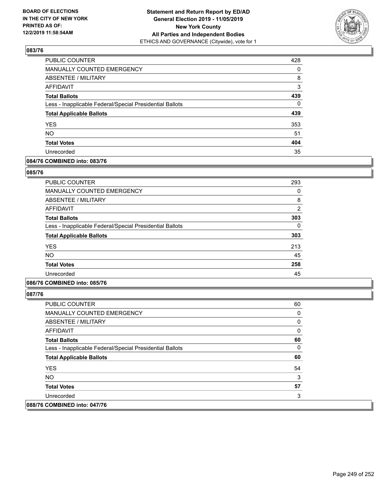

| <b>PUBLIC COUNTER</b>                                    | 428 |
|----------------------------------------------------------|-----|
| MANUALLY COUNTED EMERGENCY                               | 0   |
| <b>ABSENTEE / MILITARY</b>                               | 8   |
| AFFIDAVIT                                                | 3   |
| <b>Total Ballots</b>                                     | 439 |
| Less - Inapplicable Federal/Special Presidential Ballots | 0   |
| <b>Total Applicable Ballots</b>                          | 439 |
| <b>YES</b>                                               | 353 |
| <b>NO</b>                                                | 51  |
| <b>Total Votes</b>                                       | 404 |
| Unrecorded                                               | 35  |

### **084/76 COMBINED into: 083/76**

### **085/76**

| PUBLIC COUNTER                                           | 293           |
|----------------------------------------------------------|---------------|
| <b>MANUALLY COUNTED EMERGENCY</b>                        | 0             |
| ABSENTEE / MILITARY                                      | 8             |
| <b>AFFIDAVIT</b>                                         | $\mathcal{P}$ |
| <b>Total Ballots</b>                                     | 303           |
| Less - Inapplicable Federal/Special Presidential Ballots | 0             |
| <b>Total Applicable Ballots</b>                          | 303           |
| <b>YES</b>                                               | 213           |
| NO.                                                      | 45            |
| <b>Total Votes</b>                                       | 258           |
| Unrecorded                                               | 45            |

# **086/76 COMBINED into: 085/76**

| <b>PUBLIC COUNTER</b>                                    | 60 |
|----------------------------------------------------------|----|
| MANUALLY COUNTED EMERGENCY                               | 0  |
| ABSENTEE / MILITARY                                      | 0  |
| AFFIDAVIT                                                | 0  |
| <b>Total Ballots</b>                                     | 60 |
| Less - Inapplicable Federal/Special Presidential Ballots | 0  |
| <b>Total Applicable Ballots</b>                          | 60 |
| <b>YES</b>                                               | 54 |
| <b>NO</b>                                                | 3  |
| <b>Total Votes</b>                                       | 57 |
| Unrecorded                                               | 3  |
| 088/76 COMBINED into: 047/76                             |    |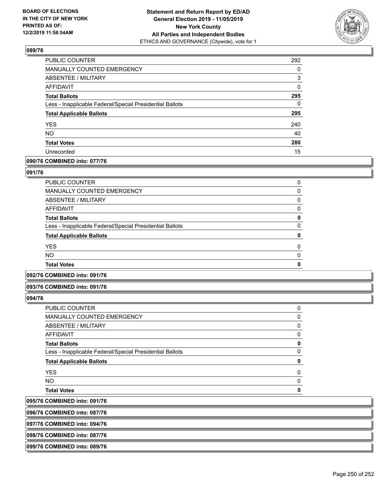

| <b>PUBLIC COUNTER</b>                                    | 292      |
|----------------------------------------------------------|----------|
| <b>MANUALLY COUNTED EMERGENCY</b>                        | 0        |
| <b>ABSENTEE / MILITARY</b>                               | 3        |
| AFFIDAVIT                                                | 0        |
| <b>Total Ballots</b>                                     | 295      |
| Less - Inapplicable Federal/Special Presidential Ballots | $\Omega$ |
| <b>Total Applicable Ballots</b>                          | 295      |
| <b>YES</b>                                               | 240      |
| <b>NO</b>                                                | 40       |
| <b>Total Votes</b>                                       | 280      |
| Unrecorded                                               | 15       |

## **090/76 COMBINED into: 077/76**

### **091/76**

| 0        |
|----------|
|          |
| 0        |
| $\Omega$ |
| 0        |
| 0        |
| 0        |
| 0        |
| O        |
| 0        |
| 0        |
|          |

## **092/76 COMBINED into: 091/76**

### **093/76 COMBINED into: 091/76**

### **094/76**

095/76 096/76

| <b>COMBINED into: 087/76</b>                             |   |
|----------------------------------------------------------|---|
| <b>COMBINED into: 091/76</b>                             |   |
| <b>Total Votes</b>                                       | 0 |
| <b>NO</b>                                                | 0 |
| <b>YES</b>                                               | 0 |
| <b>Total Applicable Ballots</b>                          | 0 |
| Less - Inapplicable Federal/Special Presidential Ballots | 0 |
| <b>Total Ballots</b>                                     | 0 |
| <b>AFFIDAVIT</b>                                         | 0 |
| <b>ABSENTEE / MILITARY</b>                               | 0 |
| <b>MANUALLY COUNTED EMERGENCY</b>                        | 0 |
| PUBLIC COUNTER                                           | 0 |

**097/76 COMBINED into: 094/76**

**098/76 COMBINED into: 087/76**

## **099/76 COMBINED into: 089/76**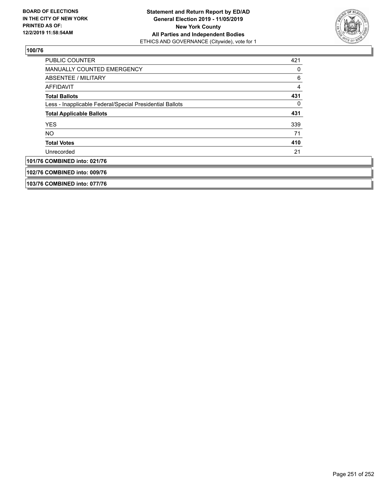

| <b>PUBLIC COUNTER</b>                                    | 421 |
|----------------------------------------------------------|-----|
| MANUALLY COUNTED EMERGENCY                               | 0   |
| ABSENTEE / MILITARY                                      | 6   |
| <b>AFFIDAVIT</b>                                         | 4   |
| <b>Total Ballots</b>                                     | 431 |
| Less - Inapplicable Federal/Special Presidential Ballots | 0   |
| <b>Total Applicable Ballots</b>                          | 431 |
| <b>YES</b>                                               | 339 |
| <b>NO</b>                                                | 71  |
| <b>Total Votes</b>                                       | 410 |
| Unrecorded                                               | 21  |
| 101/76 COMBINED into: 021/76                             |     |
| 102/76 COMBINED into: 009/76                             |     |
| 103/76 COMBINED into: 077/76                             |     |